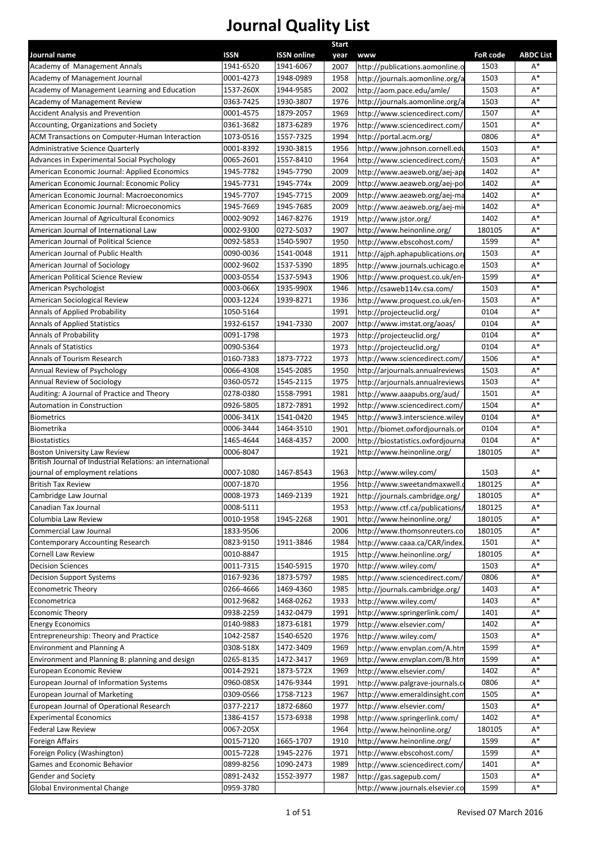|                                                                                                  |                          |                                 | <b>Start</b> |                                               |                         |                        |
|--------------------------------------------------------------------------------------------------|--------------------------|---------------------------------|--------------|-----------------------------------------------|-------------------------|------------------------|
| Journal name<br>Academy of Management Annals                                                     | <b>ISSN</b><br>1941-6520 | <b>ISSN online</b><br>1941-6067 | year<br>2007 | <b>WWW</b><br>http://publications.aomonline.o | <b>FoR code</b><br>1503 | <b>ABDC List</b><br>A* |
| Academy of Management Journal                                                                    | 0001-4273                | 1948-0989                       | 1958         | http://journals.aomonline.org/a               | 1503                    | $A^*$                  |
| Academy of Management Learning and Education                                                     | 1537-260X                | 1944-9585                       | 2002         | http://aom.pace.edu/amle/                     | 1503                    | $A^*$                  |
| Academy of Management Review                                                                     | 0363-7425                | 1930-3807                       | 1976         | http://journals.aomonline.org/a               | 1503                    | $A^*$                  |
| <b>Accident Analysis and Prevention</b>                                                          | 0001-4575                | 1879-2057                       | 1969         | http://www.sciencedirect.com/                 | 1507                    | $A^*$                  |
| Accounting, Organizations and Society                                                            | 0361-3682                | 1873-6289                       | 1976         | http://www.sciencedirect.com/                 | 1501                    | $A^*$                  |
| ACM Transactions on Computer-Human Interaction                                                   | 1073-0516                | 1557-7325                       | 1994         | http://portal.acm.org/                        | 0806                    | $A^*$                  |
| Administrative Science Quarterly                                                                 | 0001-8392                | 1930-3815                       | 1956         | http://www.johnson.cornell.edu                | 1503                    | $A^*$                  |
| Advances in Experimental Social Psychology                                                       | 0065-2601                | 1557-8410                       | 1964         | http://www.sciencedirect.com/                 | 1503                    | $A^*$                  |
| American Economic Journal: Applied Economics                                                     | 1945-7782                | 1945-7790                       | 2009         | http://www.aeaweb.org/aej-ap                  | 1402                    | $A^*$                  |
| American Economic Journal: Economic Policy                                                       | 1945-7731                | 1945-774x                       | 2009         | http://www.aeaweb.org/aej-po                  | 1402                    | $A^*$                  |
| American Economic Journal: Macroeconomics                                                        | 1945-7707                | 1945-7715                       | 2009         | http://www.aeaweb.org/aej-ma                  | 1402                    | $A^*$                  |
| American Economic Journal: Microeconomics                                                        | 1945-7669                | 1945-7685                       | 2009         | http://www.aeaweb.org/aej-mi                  | 1402                    | $A^*$                  |
| American Journal of Agricultural Economics                                                       | 0002-9092                | 1467-8276                       | 1919         | http://www.jstor.org/                         | 1402                    | $A^*$                  |
| American Journal of International Law                                                            | 0002-9300                | 0272-5037                       | 1907         | http://www.heinonline.org/                    | 180105                  | $A^*$                  |
| American Journal of Political Science                                                            | 0092-5853                | 1540-5907                       | 1950         | http://www.ebscohost.com/                     | 1599                    | $A^*$                  |
| American Journal of Public Health                                                                | 0090-0036                | 1541-0048                       | 1911         | http://aiph.aphapublications.org              | 1503                    | $A^*$                  |
| American Journal of Sociology                                                                    | 0002-9602                | 1537-5390                       | 1895         | http://www.journals.uchicago.e                | 1503                    | $A^*$                  |
| American Political Science Review                                                                | 0003-0554                | 1537-5943                       | 1906         | http://www.proquest.co.uk/en-                 | 1599                    | $A^*$                  |
| American Psychologist                                                                            | 0003-066X                | 1935-990X                       | 1946         | http://csaweb114v.csa.com/                    | 1503                    | $A^*$                  |
| American Sociological Review                                                                     | 0003-1224                | 1939-8271                       | 1936         | http://www.proquest.co.uk/en-                 | 1503                    | $A^*$                  |
| Annals of Applied Probability                                                                    | 1050-5164                |                                 | 1991         | http://projecteuclid.org/                     | 0104                    | $A^*$                  |
| <b>Annals of Applied Statistics</b>                                                              | 1932-6157                | 1941-7330                       | 2007         | http://www.imstat.org/aoas/                   | 0104                    | $A^*$                  |
| Annals of Probability                                                                            | 0091-1798                |                                 | 1973         | http://projecteuclid.org/                     | 0104                    | $A^*$                  |
| <b>Annals of Statistics</b>                                                                      | 0090-5364                |                                 | 1973         | http://projecteuclid.org/                     | 0104                    | $A^*$                  |
| Annals of Tourism Research                                                                       | 0160-7383                | 1873-7722                       | 1973         | http://www.sciencedirect.com/                 | 1506                    | $A^*$                  |
| Annual Review of Psychology                                                                      | 0066-4308                | 1545-2085                       | 1950         | http://arjournals.annualreviews               | 1503                    | $A^*$                  |
| Annual Review of Sociology                                                                       | 0360-0572                | 1545-2115                       | 1975         | http://arjournals.annualreviews               | 1503                    | $A^*$                  |
| Auditing: A Journal of Practice and Theory                                                       | 0278-0380                | 1558-7991                       | 1981         | http://www.aaapubs.org/aud/                   | 1501                    | $A^*$                  |
| Automation in Construction                                                                       | 0926-5805                | 1872-7891                       | 1992         | http://www.sciencedirect.com/                 | 1504                    | $A^*$                  |
| <b>Biometrics</b>                                                                                | 0006-341X                | 1541-0420                       | 1945         | http://www3.interscience.wiley                | 0104                    | $A^*$                  |
| Biometrika                                                                                       | 0006-3444                | 1464-3510                       | 1901         | http://biomet.oxfordjournals.or               | 0104                    | $A^*$                  |
| <b>Biostatistics</b>                                                                             | 1465-4644                | 1468-4357                       | 2000         | http://biostatistics.oxfordjourna             | 0104                    | $A^*$                  |
| <b>Boston University Law Review</b><br>British Journal of Industrial Relations: an international | 0006-8047                |                                 | 1921         | http://www.heinonline.org/                    | 180105                  | $A^*$                  |
| journal of employment relations                                                                  | 0007-1080                | 1467-8543                       | 1963         | http://www.wiley.com/                         | 1503                    | $A^*$                  |
| <b>British Tax Review</b>                                                                        | 0007-1870                |                                 | 1956         | http://www.sweetandmaxwell.o                  | 180125                  | $A^*$                  |
| Cambridge Law Journal                                                                            | 0008-1973                | 1469-2139                       | 1921         | http://journals.cambridge.org/                | 180105                  | $A^*$                  |
| Canadian Tax Journal                                                                             | 0008-5111                |                                 | 1953         | http://www.ctf.ca/publications/               | 180125                  | $A^*$                  |
| Columbia Law Review                                                                              | 0010-1958                | 1945-2268                       | 1901         | http://www.heinonline.org/                    | 180105                  | $A^*$                  |
| Commercial Law Journal                                                                           | 1833-9506                |                                 | 2006         | http://www.thomsonreuters.co                  | 180105                  | $A^*$                  |
| Contemporary Accounting Research                                                                 | 0823-9150                | 1911-3846                       | 1984         | http://www.caaa.ca/CAR/index                  | 1501                    | A*                     |
| Cornell Law Review                                                                               | 0010-8847                |                                 | 1915         | http://www.heinonline.org/                    | 180105                  | $A^*$                  |
| <b>Decision Sciences</b>                                                                         | 0011-7315                | 1540-5915                       | 1970         | http://www.wiley.com/                         | 1503                    | $A^*$                  |
| Decision Support Systems                                                                         | 0167-9236                | 1873-5797                       | 1985         | http://www.sciencedirect.com/                 | 0806                    | $A^*$                  |
| <b>Econometric Theory</b>                                                                        | 0266-4666                | 1469-4360                       | 1985         | http://journals.cambridge.org/                | 1403                    | $A^*$                  |
| Econometrica                                                                                     | 0012-9682                | 1468-0262                       | 1933         | http://www.wiley.com/                         | 1403                    | $A^*$                  |
| <b>Economic Theory</b>                                                                           | 0938-2259                | 1432-0479                       | 1991         | http://www.springerlink.com/                  | 1401                    | $A^*$                  |
| <b>Energy Economics</b>                                                                          | 0140-9883                | 1873-6181                       | 1979         | http://www.elsevier.com/                      | 1402                    | A*                     |
| Entrepreneurship: Theory and Practice                                                            | 1042-2587                | 1540-6520                       | 1976         | http://www.wiley.com/                         | 1503                    | A*                     |
| Environment and Planning A                                                                       | 0308-518X                | 1472-3409                       | 1969         | http://www.envplan.com/A.htm                  | 1599                    | A*                     |
| Environment and Planning B: planning and design                                                  | 0265-8135                | 1472-3417                       | 1969         | http://www.envplan.com/B.htm                  | 1599                    | $A^*$                  |
| European Economic Review                                                                         | 0014-2921                | 1873-572X                       | 1969         | http://www.elsevier.com/                      | 1402                    | $A^*$                  |
| European Journal of Information Systems                                                          | 0960-085X                | 1476-9344                       | 1991         | http://www.palgrave-journals.c                | 0806                    | $A^*$                  |
| European Journal of Marketing                                                                    | 0309-0566                | 1758-7123                       | 1967         | http://www.emeraldinsight.com                 | 1505                    | $A^*$                  |
| European Journal of Operational Research                                                         | 0377-2217                | 1872-6860                       | 1977         | http://www.elsevier.com/                      | 1503                    | $A^*$                  |
| <b>Experimental Economics</b>                                                                    | 1386-4157                | 1573-6938                       | 1998         | http://www.springerlink.com/                  | 1402                    | $A^*$                  |
| Federal Law Review                                                                               | 0067-205X                |                                 | 1964         | http://www.heinonline.org/                    | 180105                  | $A^*$                  |
| Foreign Affairs                                                                                  | 0015-7120                | 1665-1707                       | 1910         | http://www.heinonline.org/                    | 1599                    | $A^*$                  |
| Foreign Policy (Washington)                                                                      | 0015-7228                | 1945-2276                       | 1971         | http://www.ebscohost.com/                     | 1599                    | $A^*$                  |
| Games and Economic Behavior                                                                      | 0899-8256                | 1090-2473                       | 1989         | http://www.sciencedirect.com/                 | 1401                    | $A^*$                  |
| Gender and Society                                                                               | 0891-2432                | 1552-3977                       | 1987         | http://gas.sagepub.com/                       | 1503                    | $A^*$                  |
| Global Environmental Change                                                                      | 0959-3780                |                                 |              | http://www.journals.elsevier.co               | 1599                    | $A^*$                  |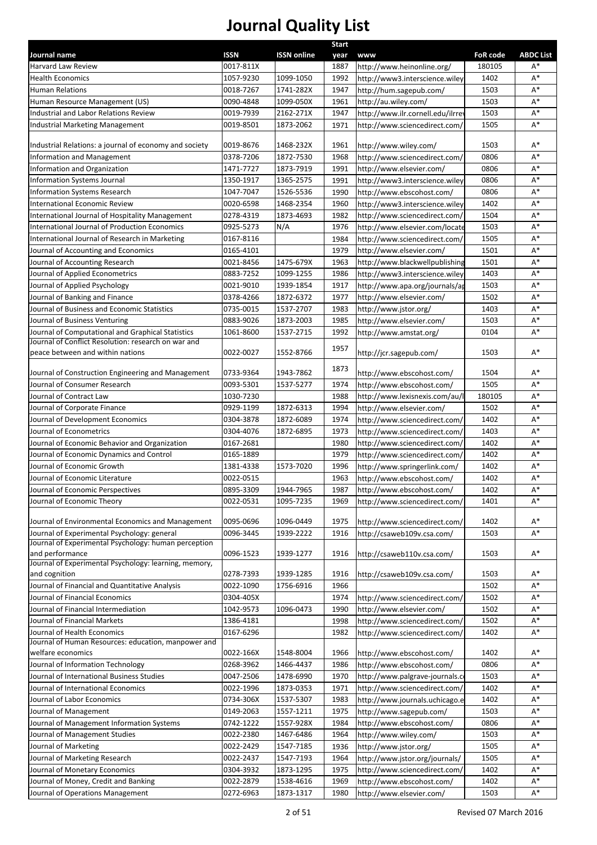|                                                                                    |             |                    | <b>Start</b> |                                  |                 |                  |
|------------------------------------------------------------------------------------|-------------|--------------------|--------------|----------------------------------|-----------------|------------------|
| Journal name                                                                       | <b>ISSN</b> | <b>ISSN online</b> | year         | <b>www</b>                       | <b>FoR code</b> | <b>ABDC List</b> |
| Harvard Law Review                                                                 | 0017-811X   |                    | 1887         | http://www.heinonline.org/       | 180105          | $A^*$            |
| <b>Health Economics</b>                                                            | 1057-9230   | 1099-1050          | 1992         | http://www3.interscience.wiley   | 1402            | $A^*$            |
| Human Relations                                                                    | 0018-7267   | 1741-282X          | 1947         | http://hum.sagepub.com/          | 1503            | $A^*$            |
| Human Resource Management (US)                                                     | 0090-4848   | 1099-050X          | 1961         | http://au.wiley.com/             | 1503            | $A^*$            |
| Industrial and Labor Relations Review                                              | 0019-7939   | 2162-271X          | 1947         | http://www.ilr.cornell.edu/ilrre | 1503            | $\mathsf{A}^*$   |
| <b>Industrial Marketing Management</b>                                             | 0019-8501   | 1873-2062          | 1971         | http://www.sciencedirect.com/    | 1505            | $A^*$            |
|                                                                                    |             |                    |              |                                  |                 |                  |
| Industrial Relations: a journal of economy and society                             | 0019-8676   | 1468-232X          | 1961         | http://www.wiley.com/            | 1503            | $A^*$            |
| Information and Management                                                         | 0378-7206   | 1872-7530          | 1968         | http://www.sciencedirect.com/    | 0806            | $A^*$            |
| Information and Organization                                                       | 1471-7727   | 1873-7919          | 1991         | http://www.elsevier.com/         | 0806            | $A^*$            |
| Information Systems Journal                                                        | 1350-1917   | 1365-2575          | 1991         | http://www3.interscience.wiley   | 0806            | $A^*$            |
| <b>Information Systems Research</b>                                                | 1047-7047   | 1526-5536          | 1990         | http://www.ebscohost.com/        | 0806            | $A^*$            |
| International Economic Review                                                      | 0020-6598   | 1468-2354          | 1960         | http://www3.interscience.wiley   | 1402            | $A^*$            |
| International Journal of Hospitality Management                                    | 0278-4319   | 1873-4693          | 1982         | http://www.sciencedirect.com/    | 1504            | $A^*$            |
| International Journal of Production Economics                                      | 0925-5273   | N/A                | 1976         | http://www.elsevier.com/locate   | 1503            | $A^*$            |
| International Journal of Research in Marketing                                     | 0167-8116   |                    | 1984         | http://www.sciencedirect.com/    | 1505            | $A^*$            |
| Journal of Accounting and Economics                                                | 0165-4101   |                    | 1979         | http://www.elsevier.com/         | 1501            | $A^*$            |
| Journal of Accounting Research                                                     | 0021-8456   | 1475-679X          | 1963         | http://www.blackwellpublishing   | 1501            | $A^*$            |
| Journal of Applied Econometrics                                                    | 0883-7252   | 1099-1255          | 1986         | http://www3.interscience.wiley   | 1403            | $A^*$            |
| Journal of Applied Psychology                                                      | 0021-9010   | 1939-1854          | 1917         | http://www.apa.org/journals/ap   | 1503            | $A^*$            |
| Journal of Banking and Finance                                                     | 0378-4266   | 1872-6372          | 1977         | http://www.elsevier.com/         | 1502            | $A^*$            |
| Journal of Business and Economic Statistics                                        | 0735-0015   | 1537-2707          | 1983         | http://www.jstor.org/            | 1403            | $A^*$            |
| Journal of Business Venturing                                                      | 0883-9026   | 1873-2003          | 1985         | http://www.elsevier.com/         | 1503            | $A^*$            |
| Journal of Computational and Graphical Statistics                                  | 1061-8600   | 1537-2715          | 1992         | http://www.amstat.org/           | 0104            | $A^*$            |
| Journal of Conflict Resolution: research on war and                                |             |                    |              |                                  |                 |                  |
| peace between and within nations                                                   | 0022-0027   | 1552-8766          | 1957         | http://jcr.sagepub.com/          | 1503            | $A^*$            |
| Journal of Construction Engineering and Management                                 | 0733-9364   | 1943-7862          | 1873         | http://www.ebscohost.com/        | 1504            | $A^*$            |
| Journal of Consumer Research                                                       | 0093-5301   | 1537-5277          | 1974         | http://www.ebscohost.com/        | 1505            | $A^*$            |
| Journal of Contract Law                                                            | 1030-7230   |                    | 1988         | http://www.lexisnexis.com/au/l   | 180105          | $A^*$            |
| Journal of Corporate Finance                                                       | 0929-1199   | 1872-6313          | 1994         | http://www.elsevier.com/         | 1502            | $A^*$            |
| Journal of Development Economics                                                   | 0304-3878   | 1872-6089          | 1974         | http://www.sciencedirect.com/    | 1402            | $A^*$            |
| Journal of Econometrics                                                            | 0304-4076   | 1872-6895          | 1973         | http://www.sciencedirect.com/    | 1403            | $A^*$            |
| Journal of Economic Behavior and Organization                                      | 0167-2681   |                    | 1980         | http://www.sciencedirect.com/    | 1402            | $A^*$            |
| Journal of Economic Dynamics and Control                                           | 0165-1889   |                    | 1979         | http://www.sciencedirect.com/    | 1402            | $A^*$            |
| Journal of Economic Growth                                                         | 1381-4338   | 1573-7020          | 1996         | http://www.springerlink.com/     | 1402            | $A^*$            |
| Journal of Economic Literature                                                     | 0022-0515   |                    | 1963         | http://www.ebscohost.com/        | 1402            | $\mathsf{A}^*$   |
| Journal of Economic Perspectives                                                   | 0895-3309   | 1944-7965          | 1987         | http://www.ebscohost.com/        | 1402            | $\mathsf{A}^*$   |
| Journal of Economic Theory                                                         | 0022-0531   | 1095-7235          | 1969         | http://www.sciencedirect.com/    | 1401            | $\mathsf{A}^*$   |
|                                                                                    |             |                    |              |                                  |                 |                  |
| Journal of Environmental Economics and Management                                  | 0095-0696   | 1096-0449          | 1975         | http://www.sciencedirect.com/    | 1402            | $A^*$            |
| Journal of Experimental Psychology: general                                        | 0096-3445   | 1939-2222          | 1916         | http://csaweb109v.csa.com/       | 1503            | $A^*$            |
| Journal of Experimental Psychology: human perception                               |             |                    |              |                                  |                 |                  |
| and performance<br>Journal of Experimental Psychology: learning, memory,           | 0096-1523   | 1939-1277          | 1916         | http://csaweb110v.csa.com/       | 1503            | $A^*$            |
| and cognition                                                                      | 0278-7393   | 1939-1285          | 1916         |                                  | 1503            | $A^*$            |
|                                                                                    | 0022-1090   | 1756-6916          | 1966         | http://csaweb109v.csa.com/       | 1502            | $A^*$            |
| Journal of Financial and Quantitative Analysis<br>Journal of Financial Economics   |             |                    |              |                                  | 1502            | $A^*$            |
|                                                                                    | 0304-405X   |                    | 1974         | http://www.sciencedirect.com/    |                 | $A^*$            |
| Journal of Financial Intermediation                                                | 1042-9573   | 1096-0473          | 1990         | http://www.elsevier.com/         | 1502            |                  |
| Journal of Financial Markets                                                       | 1386-4181   |                    | 1998         | http://www.sciencedirect.com/    | 1502            | $A^*$            |
| Journal of Health Economics<br>Journal of Human Resources: education, manpower and | 0167-6296   |                    | 1982         | http://www.sciencedirect.com/    | 1402            | ${\sf A}^*$      |
| welfare economics                                                                  | 0022-166X   | 1548-8004          | 1966         | http://www.ebscohost.com/        | 1402            | $\mathsf{A}^*$   |
| Journal of Information Technology                                                  | 0268-3962   | 1466-4437          | 1986         | http://www.ebscohost.com/        | 0806            | $A^*$            |
| Journal of International Business Studies                                          | 0047-2506   | 1478-6990          | 1970         | http://www.palgrave-journals.c   | 1503            | A*               |
| Journal of International Economics                                                 | 0022-1996   | 1873-0353          | 1971         | http://www.sciencedirect.com/    | 1402            | $A^*$            |
| Journal of Labor Economics                                                         |             |                    |              |                                  | 1402            | $A^*$            |
|                                                                                    | 0734-306X   | 1537-5307          | 1983         | http://www.journals.uchicago.e   |                 | $A^*$            |
| Journal of Management                                                              | 0149-2063   | 1557-1211          | 1975         | http://www.sagepub.com/          | 1503            |                  |
| Journal of Management Information Systems                                          | 0742-1222   | 1557-928X          | 1984         | http://www.ebscohost.com/        | 0806            | $A^*$            |
| Journal of Management Studies                                                      | 0022-2380   | 1467-6486          | 1964         | http://www.wiley.com/            | 1503            | $A^*$            |
| Journal of Marketing                                                               | 0022-2429   | 1547-7185          | 1936         | http://www.jstor.org/            | 1505            | A*               |
| Journal of Marketing Research                                                      | 0022-2437   | 1547-7193          | 1964         | http://www.jstor.org/journals/   | 1505            | $A^*$            |
| Journal of Monetary Economics                                                      | 0304-3932   | 1873-1295          | 1975         | http://www.sciencedirect.com/    | 1402            | $A^*$            |
| Journal of Money, Credit and Banking                                               | 0022-2879   | 1538-4616          | 1969         | http://www.ebscohost.com/        | 1402            | $A^*$            |
| Journal of Operations Management                                                   | 0272-6963   | 1873-1317          | 1980         | http://www.elsevier.com/         | 1503            | $A^*$            |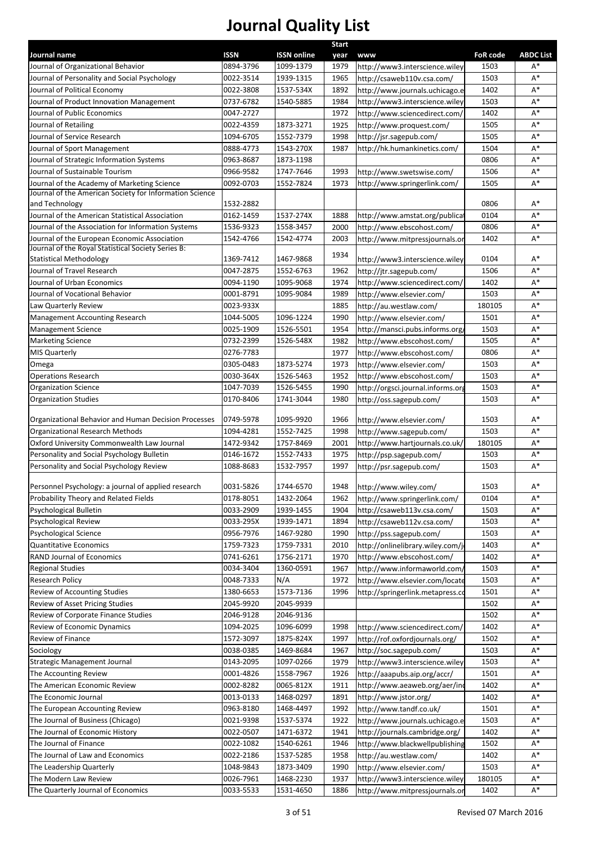|                                                                                    |                          |                        | <b>Start</b> |                                                              |                 |                  |
|------------------------------------------------------------------------------------|--------------------------|------------------------|--------------|--------------------------------------------------------------|-----------------|------------------|
| Journal name                                                                       | <b>ISSN</b><br>0894-3796 | <b>ISSN online</b>     | year         | www                                                          | <b>FoR code</b> | <b>ABDC List</b> |
| Journal of Organizational Behavior<br>Journal of Personality and Social Psychology | 0022-3514                | 1099-1379<br>1939-1315 | 1979<br>1965 | http://www3.interscience.wiley<br>http://csaweb110v.csa.com/ | 1503<br>1503    | A*<br>$A^*$      |
| Journal of Political Economy                                                       | 0022-3808                | 1537-534X              | 1892         | http://www.journals.uchicago.e                               | 1402            | $A^*$            |
| Journal of Product Innovation Management                                           | 0737-6782                | 1540-5885              | 1984         | http://www3.interscience.wiley                               | 1503            | A*               |
| Journal of Public Economics                                                        | 0047-2727                |                        | 1972         | http://www.sciencedirect.com/                                | 1402            | $A^*$            |
| Journal of Retailing                                                               | 0022-4359                | 1873-3271              | 1925         | http://www.proquest.com/                                     | 1505            | $A^*$            |
| Journal of Service Research                                                        | 1094-6705                | 1552-7379              | 1998         | http://jsr.sagepub.com/                                      | 1505            | $A^*$            |
| Journal of Sport Management                                                        | 0888-4773                | 1543-270X              | 1987         | http://hk.humankinetics.com/                                 | 1504            | A*               |
| Journal of Strategic Information Systems                                           | 0963-8687                | 1873-1198              |              |                                                              | 0806            | $A^*$            |
| Journal of Sustainable Tourism                                                     | 0966-9582                | 1747-7646              | 1993         | http://www.swetswise.com/                                    | 1506            | $A^*$            |
| Journal of the Academy of Marketing Science                                        | 0092-0703                | 1552-7824              | 1973         | http://www.springerlink.com/                                 | 1505            | $A^*$            |
| Journal of the American Society for Information Science                            |                          |                        |              |                                                              |                 |                  |
| and Technology                                                                     | 1532-2882                |                        |              |                                                              | 0806            | $A^*$            |
| Journal of the American Statistical Association                                    | 0162-1459                | 1537-274X              | 1888         | http://www.amstat.org/publica                                | 0104            | $A^*$            |
| Journal of the Association for Information Systems                                 | 1536-9323                | 1558-3457              | 2000         | http://www.ebscohost.com/                                    | 0806            | $A^*$            |
| Journal of the European Economic Association                                       | 1542-4766                | 1542-4774              | 2003         | http://www.mitpressjournals.or                               | 1402            | $A^*$            |
| Journal of the Royal Statistical Society Series B:                                 |                          |                        | 1934         |                                                              |                 |                  |
| <b>Statistical Methodology</b>                                                     | 1369-7412                | 1467-9868              |              | http://www3.interscience.wiley                               | 0104            | $A^*$            |
| Journal of Travel Research                                                         | 0047-2875                | 1552-6763              | 1962         | http://jtr.sagepub.com/                                      | 1506            | A*               |
| Journal of Urban Economics                                                         | 0094-1190                | 1095-9068              | 1974         | http://www.sciencedirect.com/                                | 1402            | $A^*$            |
| Journal of Vocational Behavior                                                     | 0001-8791                | 1095-9084              | 1989         | http://www.elsevier.com/                                     | 1503            | $A^*$            |
| Law Quarterly Review                                                               | 0023-933X                |                        | 1885         | http://au.westlaw.com/                                       | 180105          | $A^*$            |
| <b>Management Accounting Research</b>                                              | 1044-5005                | 1096-1224              | 1990         | http://www.elsevier.com/                                     | 1501            | $A^*$            |
| <b>Management Science</b>                                                          | 0025-1909                | 1526-5501              | 1954         | http://mansci.pubs.informs.org                               | 1503            | $A^*$            |
| <b>Marketing Science</b>                                                           | 0732-2399                | 1526-548X              | 1982         | http://www.ebscohost.com/                                    | 1505            | $A^*$            |
| <b>MIS Quarterly</b>                                                               | 0276-7783                |                        | 1977         | http://www.ebscohost.com/                                    | 0806            | $A^*$            |
| Omega                                                                              | 0305-0483                | 1873-5274              | 1973         | http://www.elsevier.com/                                     | 1503            | $A^*$            |
| <b>Operations Research</b>                                                         | 0030-364X                | 1526-5463              | 1952         | http://www.ebscohost.com/                                    | 1503            | $A^*$            |
| <b>Organization Science</b>                                                        | 1047-7039                | 1526-5455              | 1990         | http://orgsci.journal.informs.org                            | 1503            | $A^*$            |
| <b>Organization Studies</b>                                                        | 0170-8406                | 1741-3044              | 1980         | http://oss.sagepub.com/                                      | 1503            | $\mathsf{A}^*$   |
| Organizational Behavior and Human Decision Processes                               | 0749-5978                | 1095-9920              | 1966         | http://www.elsevier.com/                                     | 1503            | $A^*$            |
| Organizational Research Methods                                                    | 1094-4281                | 1552-7425              | 1998         | http://www.sagepub.com/                                      | 1503            | $A^*$            |
| Oxford University Commonwealth Law Journal                                         | 1472-9342                | 1757-8469              | 2001         | http://www.hartjournals.co.uk/                               | 180105          | $A^*$            |
| Personality and Social Psychology Bulletin                                         | 0146-1672                | 1552-7433              | 1975         | http://psp.sagepub.com/                                      | 1503            | $A^*$            |
| Personality and Social Psychology Review                                           | 1088-8683                | 1532-7957              | 1997         | http://psr.sagepub.com/                                      | 1503            | $\mathsf{A}^*$   |
|                                                                                    |                          |                        |              |                                                              |                 |                  |
| Personnel Psychology: a journal of applied research                                | 0031-5826                | 1744-6570              | 1948         | http://www.wiley.com/                                        | 1503            | $A^*$            |
| Probability Theory and Related Fields                                              | 0178-8051                | 1432-2064              | 1962         | http://www.springerlink.com/                                 | 0104            | $\mathsf{A}^*$   |
| Psychological Bulletin                                                             | 0033-2909                | 1939-1455              | 1904         | http://csaweb113v.csa.com/                                   | 1503            | $A^*$            |
| Psychological Review                                                               | 0033-295X                | 1939-1471              | 1894         | http://csaweb112v.csa.com/                                   | 1503            | $A^*$            |
| <b>Psychological Science</b>                                                       | 0956-7976                | 1467-9280              | 1990         | http://pss.sagepub.com/                                      | 1503            | $A^*$            |
| <b>Quantitative Economics</b>                                                      | 1759-7323                | 1759-7331              | 2010         | http://onlinelibrary.wiley.com/j                             | 1403            | $\mathsf{A}^*$   |
| RAND Journal of Economics                                                          | 0741-6261                | 1756-2171              | 1970         | http://www.ebscohost.com/                                    | 1402            | $A^*$            |
| <b>Regional Studies</b>                                                            | 0034-3404                | 1360-0591              | 1967         | http://www.informaworld.com/                                 | 1503            | $A^*$            |
| Research Policy                                                                    | 0048-7333                | N/A                    | 1972         | http://www.elsevier.com/locate                               | 1503            | $A^*$            |
| Review of Accounting Studies                                                       | 1380-6653                | 1573-7136              | 1996         | http://springerlink.metapress.co                             | 1501            | $\mathsf{A}^*$   |
| Review of Asset Pricing Studies                                                    | 2045-9920                | 2045-9939              |              |                                                              | 1502            | $A^*$            |
| Review of Corporate Finance Studies                                                | 2046-9128                | 2046-9136              |              |                                                              | 1502            | $A^*$            |
| Review of Economic Dynamics                                                        | 1094-2025                | 1096-6099              | 1998         | http://www.sciencedirect.com/                                | 1402            | $A^*$            |
| Review of Finance                                                                  | 1572-3097                | 1875-824X              | 1997         | http://rof.oxfordjournals.org/                               | 1502            | $A^*$            |
| Sociology                                                                          | 0038-0385                | 1469-8684              | 1967         | http://soc.sagepub.com/                                      | 1503            | $A^*$            |
| <b>Strategic Management Journal</b>                                                | 0143-2095                | 1097-0266              | 1979         | http://www3.interscience.wiley                               | 1503            | $A^*$            |
| The Accounting Review                                                              | 0001-4826                | 1558-7967              | 1926         | http://aaapubs.aip.org/accr/                                 | 1501            | $A^*$            |
| The American Economic Review                                                       | 0002-8282                | 0065-812X              | 1911         | http://www.aeaweb.org/aer/ind                                | 1402            | $A^*$            |
| The Economic Journal                                                               | 0013-0133                | 1468-0297              | 1891         | http://www.jstor.org/                                        | 1402            | $A^*$            |
| The European Accounting Review                                                     | 0963-8180                | 1468-4497              | 1992         | http://www.tandf.co.uk/                                      | 1501            | $\mathsf{A}^*$   |
| The Journal of Business (Chicago)                                                  | 0021-9398                | 1537-5374              | 1922         | http://www.journals.uchicago.e                               | 1503            | $A^*$            |
| The Journal of Economic History                                                    | 0022-0507                | 1471-6372              | 1941         | http://journals.cambridge.org/                               | 1402            | $\mathsf{A}^*$   |
| The Journal of Finance                                                             | 0022-1082                | 1540-6261              | 1946         | http://www.blackwellpublishing                               | 1502            | $A^*$            |
| The Journal of Law and Economics                                                   | 0022-2186                | 1537-5285              | 1958         | http://au.westlaw.com/                                       | 1402            | $A^*$            |
| The Leadership Quarterly                                                           | 1048-9843                | 1873-3409              | 1990         | http://www.elsevier.com/                                     | 1503            | $A^*$            |
| The Modern Law Review                                                              | 0026-7961                | 1468-2230              | 1937         | http://www3.interscience.wiley                               | 180105          | $A^*$            |
| The Quarterly Journal of Economics                                                 | 0033-5533                | 1531-4650              | 1886         | http://www.mitpressjournals.or                               | 1402            | $\mathsf{A}^*$   |
|                                                                                    |                          |                        |              |                                                              |                 |                  |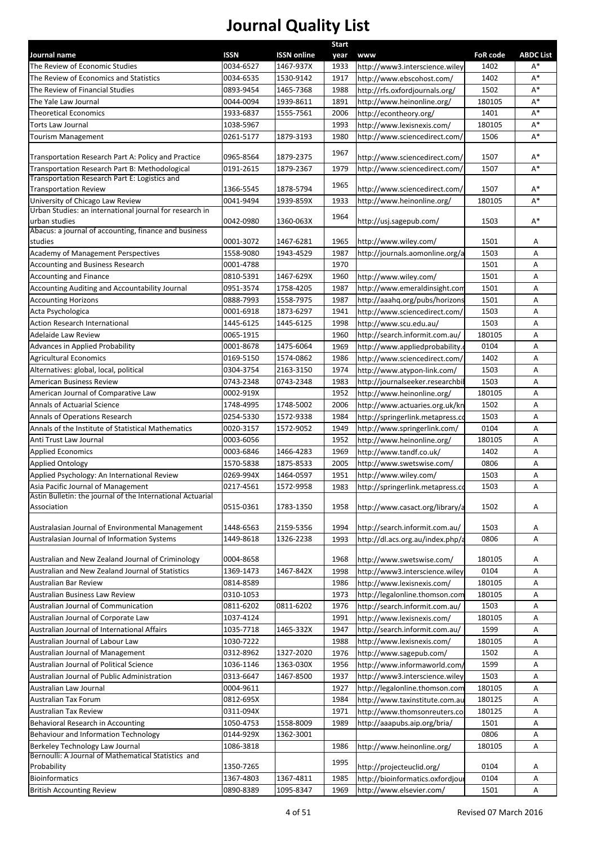| Journal name                                                                                | <b>ISSN</b> | <b>ISSN online</b> | Start<br>year | <b>www</b>                       | <b>FoR code</b> | <b>ABDC List</b> |
|---------------------------------------------------------------------------------------------|-------------|--------------------|---------------|----------------------------------|-----------------|------------------|
| The Review of Economic Studies                                                              | 0034-6527   | 1467-937X          | 1933          | http://www3.interscience.wiley   | 1402            | A*               |
| The Review of Economics and Statistics                                                      | 0034-6535   | 1530-9142          | 1917          | http://www.ebscohost.com/        | 1402            | A*               |
| The Review of Financial Studies                                                             | 0893-9454   | 1465-7368          | 1988          | http://rfs.oxfordjournals.org/   | 1502            | $A^*$            |
| The Yale Law Journal                                                                        | 0044-0094   | 1939-8611          | 1891          | http://www.heinonline.org/       | 180105          | $A^*$            |
| <b>Theoretical Economics</b>                                                                | 1933-6837   | 1555-7561          | 2006          | http://econtheory.org/           | 1401            | $A^*$            |
| Torts Law Journal                                                                           | 1038-5967   |                    | 1993          | http://www.lexisnexis.com/       | 180105          | $\mathsf{A}^*$   |
| <b>Tourism Management</b>                                                                   | 0261-5177   | 1879-3193          | 1980          | http://www.sciencedirect.com/    | 1506            | $A^*$            |
|                                                                                             |             |                    |               |                                  |                 |                  |
| Transportation Research Part A: Policy and Practice                                         | 0965-8564   | 1879-2375          | 1967          | http://www.sciencedirect.com/    | 1507            | $A^*$            |
| Transportation Research Part B: Methodological                                              | 0191-2615   | 1879-2367          | 1979          | http://www.sciencedirect.com/    | 1507            | $A^*$            |
| Transportation Research Part E: Logistics and                                               |             |                    | 1965          |                                  |                 |                  |
| <b>Transportation Review</b>                                                                | 1366-5545   | 1878-5794          |               | http://www.sciencedirect.com/    | 1507            | $A^*$            |
| University of Chicago Law Review<br>Urban Studies: an international journal for research in | 0041-9494   | 1939-859X          | 1933          | http://www.heinonline.org/       | 180105          | A*               |
| urban studies                                                                               | 0042-0980   | 1360-063X          | 1964          | http://usj.sagepub.com/          | 1503            | $A^*$            |
| Abacus: a journal of accounting, finance and business                                       |             |                    |               |                                  |                 |                  |
| studies                                                                                     | 0001-3072   | 1467-6281          | 1965          | http://www.wiley.com/            | 1501            | Α                |
| Academy of Management Perspectives                                                          | 1558-9080   | 1943-4529          | 1987          | http://journals.aomonline.org/a  | 1503            | Α                |
| Accounting and Business Research                                                            | 0001-4788   |                    | 1970          |                                  | 1501            | Α                |
| <b>Accounting and Finance</b>                                                               | 0810-5391   | 1467-629X          | 1960          | http://www.wiley.com/            | 1501            | Α                |
| Accounting Auditing and Accountability Journal                                              | 0951-3574   | 1758-4205          | 1987          | http://www.emeraldinsight.com    | 1501            | Α                |
| <b>Accounting Horizons</b>                                                                  | 0888-7993   | 1558-7975          | 1987          | http://aaahq.org/pubs/horizons   | 1501            | Α                |
| Acta Psychologica                                                                           | 0001-6918   | 1873-6297          | 1941          | http://www.sciencedirect.com/    | 1503            | Α                |
| <b>Action Research International</b>                                                        | 1445-6125   | 1445-6125          | 1998          | http://www.scu.edu.au/           | 1503            | Α                |
| Adelaide Law Review                                                                         | 0065-1915   |                    | 1960          | http://search.informit.com.au/   | 180105          | Α                |
| Advances in Applied Probability                                                             | 0001-8678   | 1475-6064          | 1969          | http://www.appliedprobability.o  | 0104            | Α                |
| <b>Agricultural Economics</b>                                                               | 0169-5150   | 1574-0862          | 1986          | http://www.sciencedirect.com/    | 1402            | Α                |
| Alternatives: global, local, political                                                      | 0304-3754   | 2163-3150          | 1974          | http://www.atypon-link.com/      | 1503            | Α                |
| American Business Review                                                                    | 0743-2348   | 0743-2348          | 1983          | http://journalseeker.researchbil | 1503            | Α                |
| American Journal of Comparative Law                                                         | 0002-919X   |                    | 1952          | http://www.heinonline.org/       | 180105          | Α                |
| Annals of Actuarial Science                                                                 | 1748-4995   | 1748-5002          | 2006          | http://www.actuaries.org.uk/kn   | 1502            | Α                |
| Annals of Operations Research                                                               | 0254-5330   | 1572-9338          | 1984          | http://springerlink.metapress.co | 1503            | Α                |
| Annals of the Institute of Statistical Mathematics                                          | 0020-3157   | 1572-9052          | 1949          | http://www.springerlink.com/     | 0104            | Α                |
| Anti Trust Law Journal                                                                      | 0003-6056   |                    | 1952          | http://www.heinonline.org/       | 180105          | Α                |
| <b>Applied Economics</b>                                                                    | 0003-6846   | 1466-4283          | 1969          | http://www.tandf.co.uk/          | 1402            | Α                |
| <b>Applied Ontology</b>                                                                     | 1570-5838   | 1875-8533          | 2005          | http://www.swetswise.com/        | 0806            | Α                |
| Applied Psychology: An International Review                                                 | 0269-994X   | 1464-0597          | 1951          | http://www.wiley.com/            | 1503            | Α                |
| Asia Pacific Journal of Management                                                          | 0217-4561   | 1572-9958          | 1983          | http://springerlink.metapress.co | 1503            | Α                |
| Astin Bulletin: the journal of the International Actuarial<br>Association                   | 0515-0361   | 1783-1350          | 1958          | http://www.casact.org/library/a  | 1502            | Α                |
| Australasian Journal of Environmental Management                                            | 1448-6563   | 2159-5356          | 1994          | http://search.informit.com.au/   | 1503            | Α                |
| Australasian Journal of Information Systems                                                 | 1449-8618   | 1326-2238          | 1993          | http://dl.acs.org.au/index.php/a | 0806            | Α                |
|                                                                                             |             |                    |               |                                  |                 |                  |
| Australian and New Zealand Journal of Criminology                                           | 0004-8658   |                    | 1968          | http://www.swetswise.com/        | 180105          | Α                |
| Australian and New Zealand Journal of Statistics                                            | 1369-1473   | 1467-842X          | 1998          | http://www3.interscience.wiley   | 0104            | Α                |
| Australian Bar Review                                                                       | 0814-8589   |                    | 1986          | http://www.lexisnexis.com/       | 180105          | Α                |
| Australian Business Law Review                                                              | 0310-1053   |                    | 1973          | http://legalonline.thomson.com   | 180105          | Α                |
| Australian Journal of Communication                                                         | 0811-6202   | 0811-6202          | 1976          | http://search.informit.com.au/   | 1503            | Α                |
| Australian Journal of Corporate Law                                                         | 1037-4124   |                    | 1991          | http://www.lexisnexis.com/       | 180105          | Α                |
| Australian Journal of International Affairs                                                 | 1035-7718   | 1465-332X          | 1947          | http://search.informit.com.au/   | 1599            | Α                |
| Australian Journal of Labour Law                                                            | 1030-7222   |                    | 1988          | http://www.lexisnexis.com/       | 180105          | Α                |
| Australian Journal of Management                                                            | 0312-8962   | 1327-2020          | 1976          | http://www.sagepub.com/          | 1502            | Α                |
| Australian Journal of Political Science                                                     | 1036-1146   | 1363-030X          | 1956          | http://www.informaworld.com/     | 1599            | Α                |
| Australian Journal of Public Administration                                                 | 0313-6647   | 1467-8500          | 1937          | http://www3.interscience.wiley   | 1503            | Α                |
| Australian Law Journal                                                                      | 0004-9611   |                    | 1927          | http://legalonline.thomson.com   | 180105          | Α                |
| Australian Tax Forum                                                                        | 0812-695X   |                    | 1984          | http://www.taxinstitute.com.au   | 180125          | Α                |
| Australian Tax Review                                                                       | 0311-094X   |                    | 1971          | http://www.thomsonreuters.co     | 180125          | Α                |
| Behavioral Research in Accounting                                                           | 1050-4753   | 1558-8009          | 1989          | http://aaapubs.aip.org/bria/     | 1501            | Α                |
| Behaviour and Information Technology                                                        | 0144-929X   | 1362-3001          |               |                                  | 0806            | Α                |
| Berkeley Technology Law Journal                                                             | 1086-3818   |                    | 1986          | http://www.heinonline.org/       | 180105          | Α                |
| Bernoulli: A Journal of Mathematical Statistics and<br>Probability                          | 1350-7265   |                    | 1995          | http://projecteuclid.org/        | 0104            | Α                |
| <b>Bioinformatics</b>                                                                       | 1367-4803   | 1367-4811          | 1985          | http://bioinformatics.oxfordjour | 0104            | Α                |
| <b>British Accounting Review</b>                                                            | 0890-8389   | 1095-8347          | 1969          | http://www.elsevier.com/         | 1501            | Α                |
|                                                                                             |             |                    |               |                                  |                 |                  |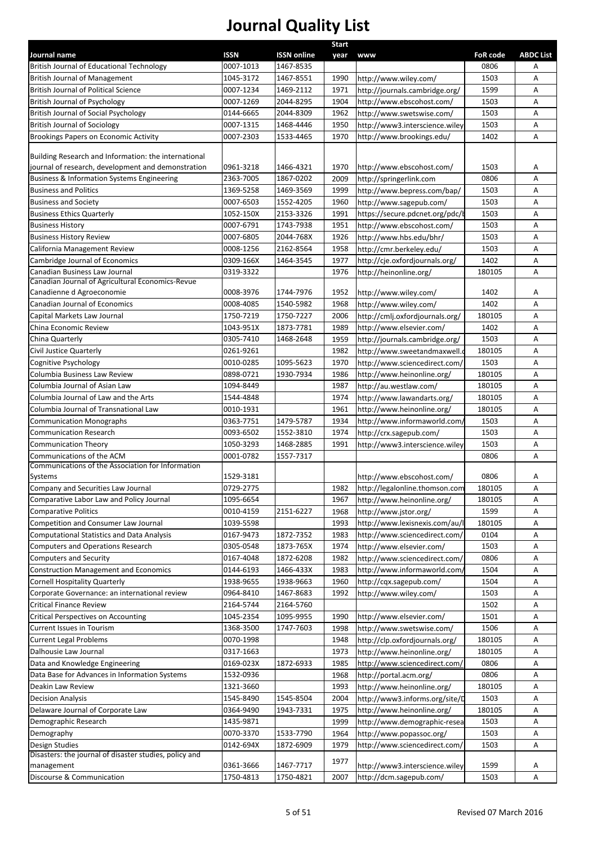|                                                                  |                        |                                 | <b>Start</b> |                                 |                         |                       |
|------------------------------------------------------------------|------------------------|---------------------------------|--------------|---------------------------------|-------------------------|-----------------------|
| Journal name<br><b>British Journal of Educational Technology</b> | ISSN<br>0007-1013      | <b>ISSN online</b><br>1467-8535 | year         | <b>www</b>                      | <b>FoR code</b><br>0806 | <b>ABDC List</b><br>Α |
| <b>British Journal of Management</b>                             | 1045-3172              | 1467-8551                       | 1990         | http://www.wiley.com/           | 1503                    | Α                     |
| <b>British Journal of Political Science</b>                      | 0007-1234              | 1469-2112                       | 1971         | http://journals.cambridge.org/  | 1599                    | Α                     |
| <b>British Journal of Psychology</b>                             | 0007-1269              | 2044-8295                       | 1904         | http://www.ebscohost.com/       | 1503                    | Α                     |
| British Journal of Social Psychology                             | 0144-6665              | 2044-8309                       | 1962         | http://www.swetswise.com/       | 1503                    | Α                     |
| <b>British Journal of Sociology</b>                              | 0007-1315              | 1468-4446                       | 1950         | http://www3.interscience.wiley  | 1503                    | Α                     |
| Brookings Papers on Economic Activity                            | 0007-2303              | 1533-4465                       | 1970         | http://www.brookings.edu/       | 1402                    | А                     |
|                                                                  |                        |                                 |              |                                 |                         |                       |
| Building Research and Information: the international             |                        |                                 |              |                                 |                         |                       |
| journal of research, development and demonstration               | 0961-3218              | 1466-4321                       | 1970         | http://www.ebscohost.com/       | 1503                    | Α                     |
| <b>Business &amp; Information Systems Engineering</b>            | 2363-7005              | 1867-0202                       | 2009         | http://springerlink.com         | 0806                    | А                     |
| <b>Business and Politics</b>                                     | 1369-5258              | 1469-3569                       | 1999         | http://www.bepress.com/bap/     | 1503                    | Α                     |
| <b>Business and Society</b>                                      | 0007-6503              | 1552-4205                       | 1960         | http://www.sagepub.com/         | 1503                    | Α                     |
| <b>Business Ethics Quarterly</b>                                 | 1052-150X              | 2153-3326                       | 1991         | https://secure.pdcnet.org/pdc/k | 1503                    | Α                     |
| <b>Business History</b>                                          | 0007-6791              | 1743-7938                       | 1951         | http://www.ebscohost.com/       | 1503                    | Α                     |
| <b>Business History Review</b>                                   | 0007-6805              | 2044-768X                       | 1926         | http://www.hbs.edu/bhr/         | 1503                    | Α                     |
| California Management Review                                     | 0008-1256              | 2162-8564                       | 1958         | http://cmr.berkeley.edu/        | 1503                    | Α                     |
| Cambridge Journal of Economics                                   |                        | 1464-3545                       |              |                                 | 1402                    | Α                     |
| <b>Canadian Business Law Journal</b>                             | 0309-166X<br>0319-3322 |                                 | 1977<br>1976 | http://cje.oxfordjournals.org/  | 180105                  | Α                     |
| Canadian Journal of Agricultural Economics-Revue                 |                        |                                 |              | http://heinonline.org/          |                         |                       |
| Canadienne d Agroeconomie                                        | 0008-3976              | 1744-7976                       | 1952         | http://www.wiley.com/           | 1402                    | Α                     |
| Canadian Journal of Economics                                    | 0008-4085              | 1540-5982                       | 1968         | http://www.wiley.com/           | 1402                    | Α                     |
| Capital Markets Law Journal                                      | 1750-7219              | 1750-7227                       | 2006         | http://cmlj.oxfordjournals.org/ | 180105                  | Α                     |
| China Economic Review                                            | 1043-951X              | 1873-7781                       | 1989         | http://www.elsevier.com/        | 1402                    | Α                     |
| China Quarterly                                                  | 0305-7410              | 1468-2648                       | 1959         |                                 | 1503                    | Α                     |
|                                                                  |                        |                                 |              | http://journals.cambridge.org/  |                         |                       |
| Civil Justice Quarterly                                          | 0261-9261              |                                 | 1982         | http://www.sweetandmaxwell.     | 180105                  | Α                     |
| Cognitive Psychology                                             | 0010-0285              | 1095-5623                       | 1970         | http://www.sciencedirect.com/   | 1503                    | Α                     |
| Columbia Business Law Review                                     | 0898-0721              | 1930-7934                       | 1986         | http://www.heinonline.org/      | 180105                  | Α                     |
| Columbia Journal of Asian Law                                    | 1094-8449              |                                 | 1987         | http://au.westlaw.com/          | 180105                  | Α                     |
| Columbia Journal of Law and the Arts                             | 1544-4848              |                                 | 1974         | http://www.lawandarts.org/      | 180105                  | Α                     |
| Columbia Journal of Transnational Law                            | 0010-1931              |                                 | 1961         | http://www.heinonline.org/      | 180105                  | Α                     |
| <b>Communication Monographs</b>                                  | 0363-7751              | 1479-5787                       | 1934         | http://www.informaworld.com/    | 1503                    | Α                     |
| <b>Communication Research</b>                                    | 0093-6502              | 1552-3810                       | 1974         | http://crx.sagepub.com/         | 1503                    | Α                     |
| <b>Communication Theory</b>                                      | 1050-3293              | 1468-2885                       | 1991         | http://www3.interscience.wiley  | 1503                    | Α                     |
| Communications of the ACM                                        | 0001-0782              | 1557-7317                       |              |                                 | 0806                    | Α                     |
| Communications of the Association for Information                |                        |                                 |              |                                 |                         |                       |
| Systems                                                          | 1529-3181              |                                 |              | http://www.ebscohost.com/       | 0806                    | Α                     |
| Company and Securities Law Journal                               | 0729-2775              |                                 | 1982         | http://legalonline.thomson.com  | 180105                  | Α                     |
| Comparative Labor Law and Policy Journal                         | 1095-6654              |                                 | 1967         | http://www.heinonline.org/      | 180105                  | Α                     |
| <b>Comparative Politics</b>                                      | 0010-4159              | 2151-6227                       | 1968         | http://www.jstor.org/           | 1599                    | Α                     |
| Competition and Consumer Law Journal                             | 1039-5598              |                                 | 1993         | http://www.lexisnexis.com/au/   | 180105                  | Α                     |
| <b>Computational Statistics and Data Analysis</b>                | 0167-9473              | 1872-7352                       | 1983         | http://www.sciencedirect.com/   | 0104                    | Α                     |
| <b>Computers and Operations Research</b>                         | 0305-0548              | 1873-765X                       | 1974         | http://www.elsevier.com/        | 1503                    | Α                     |
| <b>Computers and Security</b>                                    | 0167-4048              | 1872-6208                       | 1982         | http://www.sciencedirect.com/   | 0806                    | Α                     |
| <b>Construction Management and Economics</b>                     | 0144-6193              | 1466-433X                       | 1983         | http://www.informaworld.com/    | 1504                    | Α                     |
| <b>Cornell Hospitality Quarterly</b>                             | 1938-9655              | 1938-9663                       | 1960         | http://cqx.sagepub.com/         | 1504                    | Α                     |
| Corporate Governance: an international review                    | 0964-8410              | 1467-8683                       | 1992         | http://www.wiley.com/           | 1503                    | Α                     |
| <b>Critical Finance Review</b>                                   | 2164-5744              | 2164-5760                       |              |                                 | 1502                    | Α                     |
| <b>Critical Perspectives on Accounting</b>                       | 1045-2354              | 1095-9955                       | 1990         | http://www.elsevier.com/        | 1501                    | Α                     |
| Current Issues in Tourism                                        | 1368-3500              | 1747-7603                       | 1998         | http://www.swetswise.com/       | 1506                    | Α                     |
| <b>Current Legal Problems</b>                                    | 0070-1998              |                                 | 1948         | http://clp.oxfordjournals.org/  | 180105                  | Α                     |
| Dalhousie Law Journal                                            | 0317-1663              |                                 | 1973         | http://www.heinonline.org/      | 180105                  | Α                     |
| Data and Knowledge Engineering                                   | 0169-023X              | 1872-6933                       | 1985         | http://www.sciencedirect.com/   | 0806                    | Α                     |
| Data Base for Advances in Information Systems                    | 1532-0936              |                                 | 1968         | http://portal.acm.org/          | 0806                    | Α                     |
| Deakin Law Review                                                | 1321-3660              |                                 | 1993         | http://www.heinonline.org/      | 180105                  | Α                     |
|                                                                  |                        | 1545-8504                       |              | http://www3.informs.org/site/D  | 1503                    |                       |
| <b>Decision Analysis</b>                                         | 1545-8490              |                                 | 2004         |                                 |                         | Α                     |
| Delaware Journal of Corporate Law                                | 0364-9490              | 1943-7331                       | 1975         | http://www.heinonline.org/      | 180105                  | Α                     |
| Demographic Research                                             | 1435-9871              |                                 | 1999         | http://www.demographic-resea    | 1503                    | Α                     |
| Demography                                                       | 0070-3370              | 1533-7790                       | 1964         | http://www.popassoc.org/        | 1503                    | Α                     |
| Design Studies                                                   | 0142-694X              | 1872-6909                       | 1979         | http://www.sciencedirect.com/   | 1503                    | Α                     |
| Disasters: the journal of disaster studies, policy and           | 0361-3666              | 1467-7717                       | 1977         | http://www3.interscience.wiley  | 1599                    |                       |
| management                                                       |                        |                                 |              |                                 |                         | A                     |
| Discourse & Communication                                        | 1750-4813              | 1750-4821                       | 2007         | http://dcm.sagepub.com/         | 1503                    | Α                     |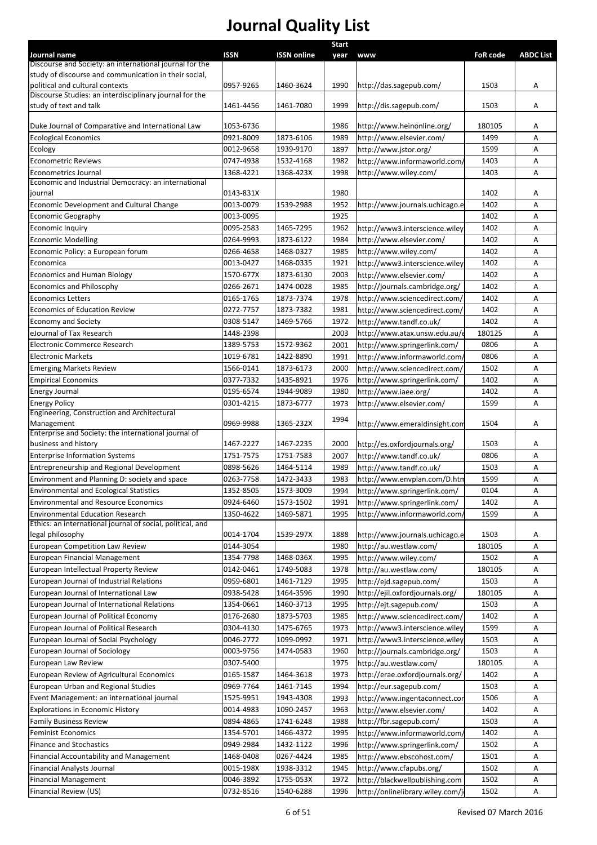|                                                                         |             |                    | <b>Start</b> |                                  |                 |                  |
|-------------------------------------------------------------------------|-------------|--------------------|--------------|----------------------------------|-----------------|------------------|
| Journal name<br>Discourse and Society: an international journal for the | <b>ISSN</b> | <b>ISSN online</b> | year         | <b>www</b>                       | <b>FoR code</b> | <b>ABDC List</b> |
| study of discourse and communication in their social,                   |             |                    |              |                                  |                 |                  |
| political and cultural contexts                                         | 0957-9265   | 1460-3624          | 1990         | http://das.sagepub.com/          | 1503            | Α                |
| Discourse Studies: an interdisciplinary journal for the                 |             |                    |              |                                  |                 |                  |
| study of text and talk                                                  | 1461-4456   | 1461-7080          | 1999         | http://dis.sagepub.com/          | 1503            | Α                |
|                                                                         |             |                    |              |                                  |                 |                  |
| Duke Journal of Comparative and International Law                       | 1053-6736   |                    | 1986         | http://www.heinonline.org/       | 180105          | Α                |
| <b>Ecological Economics</b>                                             | 0921-8009   | 1873-6106          | 1989         | http://www.elsevier.com/         | 1499            | A                |
| Ecology                                                                 | 0012-9658   | 1939-9170          | 1897         | http://www.jstor.org/            | 1599            | Α                |
| <b>Econometric Reviews</b>                                              | 0747-4938   | 1532-4168          | 1982         | http://www.informaworld.com/     | 1403            | Α                |
| Econometrics Journal                                                    | 1368-4221   | 1368-423X          | 1998         | http://www.wiley.com/            | 1403            | A                |
| Economic and Industrial Democracy: an international                     |             |                    |              |                                  |                 |                  |
| journal                                                                 | 0143-831X   |                    | 1980         |                                  | 1402            | Α                |
| Economic Development and Cultural Change                                | 0013-0079   | 1539-2988          | 1952         | http://www.journals.uchicago.e   | 1402            | A                |
| <b>Economic Geography</b>                                               | 0013-0095   |                    | 1925         |                                  | 1402            | Α                |
| Economic Inquiry                                                        | 0095-2583   | 1465-7295          | 1962         | http://www3.interscience.wiley   | 1402            | Α                |
| <b>Economic Modelling</b>                                               | 0264-9993   | 1873-6122          | 1984         | http://www.elsevier.com/         | 1402            | Α                |
| Economic Policy: a European forum                                       | 0266-4658   | 1468-0327          | 1985         | http://www.wiley.com/            | 1402            | Α                |
| Economica                                                               | 0013-0427   | 1468-0335          | 1921         | http://www3.interscience.wiley   | 1402            | A                |
| <b>Economics and Human Biology</b>                                      | 1570-677X   | 1873-6130          | 2003         | http://www.elsevier.com/         | 1402            | Α                |
| Economics and Philosophy                                                | 0266-2671   | 1474-0028          | 1985         | http://journals.cambridge.org/   | 1402            | Α                |
| <b>Economics Letters</b>                                                | 0165-1765   | 1873-7374          | 1978         | http://www.sciencedirect.com/    | 1402            | Α                |
| Economics of Education Review                                           | 0272-7757   | 1873-7382          | 1981         | http://www.sciencedirect.com/    | 1402            | Α                |
| <b>Economy and Society</b>                                              | 0308-5147   | 1469-5766          | 1972         | http://www.tandf.co.uk/          | 1402            | Α                |
| eJournal of Tax Research                                                | 1448-2398   |                    | 2003         | http://www.atax.unsw.edu.au/e    | 180125          | Α                |
| Electronic Commerce Research                                            | 1389-5753   | 1572-9362          | 2001         | http://www.springerlink.com/     | 0806            | Α                |
| <b>Electronic Markets</b>                                               | 1019-6781   | 1422-8890          | 1991         | http://www.informaworld.com/     | 0806            | Α                |
| <b>Emerging Markets Review</b>                                          | 1566-0141   | 1873-6173          | 2000         | http://www.sciencedirect.com/    | 1502            | Α                |
| <b>Empirical Economics</b>                                              | 0377-7332   | 1435-8921          | 1976         | http://www.springerlink.com/     | 1402            | Α                |
| Energy Journal                                                          | 0195-6574   | 1944-9089          | 1980         | http://www.iaee.org/             | 1402            | Α                |
| <b>Energy Policy</b>                                                    | 0301-4215   | 1873-6777          | 1973         | http://www.elsevier.com/         | 1599            | Α                |
| Engineering, Construction and Architectural                             |             |                    |              |                                  |                 |                  |
| Management                                                              | 0969-9988   | 1365-232X          | 1994         | http://www.emeraldinsight.com    | 1504            | Α                |
| Enterprise and Society: the international journal of                    |             |                    |              |                                  |                 |                  |
| business and history                                                    | 1467-2227   | 1467-2235          | 2000         | http://es.oxfordjournals.org/    | 1503            | Α                |
| <b>Enterprise Information Systems</b>                                   | 1751-7575   | 1751-7583          | 2007         | http://www.tandf.co.uk/          | 0806            | Α                |
| Entrepreneurship and Regional Development                               | 0898-5626   | 1464-5114          | 1989         | http://www.tandf.co.uk/          | 1503            | Α                |
| Environment and Planning D: society and space                           | 0263-7758   | 1472-3433          | 1983         | http://www.envplan.com/D.htm     | 1599            | Α                |
| <b>Environmental and Ecological Statistics</b>                          | 1352-8505   | 1573-3009          | 1994         | http://www.springerlink.com/     | 0104            | Α                |
| <b>Environmental and Resource Economics</b>                             | 0924-6460   | 1573-1502          | 1991         | http://www.springerlink.com/     | 1402            | Α                |
| <b>Environmental Education Research</b>                                 | 1350-4622   | 1469-5871          | 1995         | http://www.informaworld.com/     | 1599            | Α                |
| Ethics: an international journal of social, political, and              |             |                    |              |                                  |                 |                  |
| legal philosophy                                                        | 0014-1704   | 1539-297X          | 1888         | http://www.journals.uchicago.e   | 1503            | A                |
| <b>European Competition Law Review</b>                                  | 0144-3054   |                    | 1980         | http://au.westlaw.com/           | 180105          | Α                |
| <b>European Financial Management</b>                                    | 1354-7798   | 1468-036X          | 1995         | http://www.wiley.com/            | 1502            | Α                |
| European Intellectual Property Review                                   | 0142-0461   | 1749-5083          | 1978         | http://au.westlaw.com/           | 180105          | Α                |
| European Journal of Industrial Relations                                | 0959-6801   | 1461-7129          | 1995         | http://ejd.sagepub.com/          | 1503            | Α                |
| European Journal of International Law                                   | 0938-5428   | 1464-3596          | 1990         | http://ejil.oxfordjournals.org/  | 180105          | Α                |
| European Journal of International Relations                             | 1354-0661   | 1460-3713          | 1995         | http://ejt.sagepub.com/          | 1503            | Α                |
| European Journal of Political Economy                                   | 0176-2680   | 1873-5703          | 1985         | http://www.sciencedirect.com/    | 1402            | Α                |
| European Journal of Political Research                                  | 0304-4130   | 1475-6765          | 1973         | http://www3.interscience.wiley   | 1599            | Α                |
| European Journal of Social Psychology                                   | 0046-2772   | 1099-0992          | 1971         | http://www3.interscience.wiley   | 1503            | Α                |
| European Journal of Sociology                                           | 0003-9756   | 1474-0583          | 1960         | http://journals.cambridge.org/   | 1503            | Α                |
| European Law Review                                                     | 0307-5400   |                    | 1975         | http://au.westlaw.com/           | 180105          | Α                |
| European Review of Agricultural Economics                               | 0165-1587   | 1464-3618          | 1973         | http://erae.oxfordjournals.org/  | 1402            | Α                |
| European Urban and Regional Studies                                     | 0969-7764   | 1461-7145          | 1994         | http://eur.sagepub.com/          | 1503            | Α                |
| Event Management: an international journal                              | 1525-9951   | 1943-4308          | 1993         | http://www.ingentaconnect.con    | 1506            | Α                |
| <b>Explorations in Economic History</b>                                 | 0014-4983   | 1090-2457          | 1963         | http://www.elsevier.com/         | 1402            | Α                |
| <b>Family Business Review</b>                                           | 0894-4865   | 1741-6248          | 1988         | http://fbr.sagepub.com/          | 1503            | Α                |
| <b>Feminist Economics</b>                                               | 1354-5701   | 1466-4372          | 1995         | http://www.informaworld.com/     | 1402            | Α                |
| <b>Finance and Stochastics</b>                                          | 0949-2984   | 1432-1122          | 1996         | http://www.springerlink.com/     | 1502            | Α                |
|                                                                         |             |                    |              |                                  |                 |                  |
| <b>Financial Accountability and Management</b>                          | 1468-0408   | 0267-4424          | 1985         | http://www.ebscohost.com/        | 1501            | Α                |
| <b>Financial Analysts Journal</b>                                       | 0015-198X   | 1938-3312          | 1945         | http://www.cfapubs.org/          | 1502            | Α                |
| <b>Financial Management</b>                                             | 0046-3892   | 1755-053X          | 1972         | http://blackwellpublishing.com   | 1502            | Α                |
| Financial Review (US)                                                   | 0732-8516   | 1540-6288          | 1996         | http://onlinelibrary.wiley.com/j | 1502            | Α                |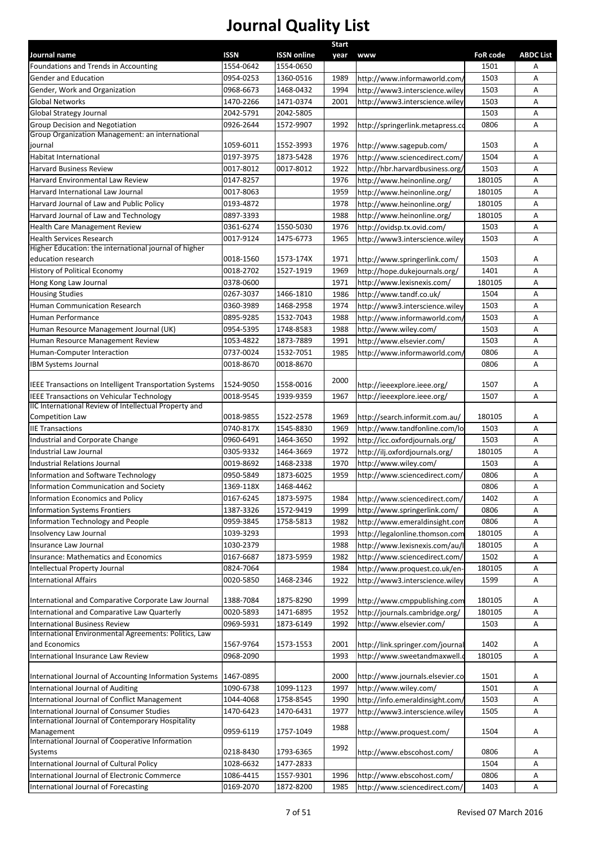|                                                                                                    |                        |                        | <b>Start</b> |                                  |              |                  |
|----------------------------------------------------------------------------------------------------|------------------------|------------------------|--------------|----------------------------------|--------------|------------------|
| Journal name                                                                                       | ISSN                   | <b>ISSN online</b>     | year         | <b>www</b>                       | FoR code     | <b>ABDC List</b> |
| Foundations and Trends in Accounting                                                               | 1554-0642              | 1554-0650              |              |                                  | 1501         | Α                |
| Gender and Education                                                                               | 0954-0253              | 1360-0516              | 1989         | http://www.informaworld.com/     | 1503         | Α                |
| Gender, Work and Organization                                                                      | 0968-6673              | 1468-0432              | 1994         | http://www3.interscience.wiley   | 1503         | A                |
| <b>Global Networks</b>                                                                             | 1470-2266              | 1471-0374              | 2001         | http://www3.interscience.wiley   | 1503         | Α                |
| Global Strategy Journal<br>Group Decision and Negotiation                                          | 2042-5791<br>0926-2644 | 2042-5805<br>1572-9907 | 1992         |                                  | 1503<br>0806 | Α<br>Α           |
| Group Organization Management: an international                                                    |                        |                        |              | http://springerlink.metapress.co |              |                  |
| journal                                                                                            | 1059-6011              | 1552-3993              | 1976         | http://www.sagepub.com/          | 1503         | Α                |
| <b>Habitat International</b>                                                                       | 0197-3975              | 1873-5428              | 1976         | http://www.sciencedirect.com/    | 1504         | Α                |
| <b>Harvard Business Review</b>                                                                     | 0017-8012              | 0017-8012              | 1922         | http://hbr.harvardbusiness.org/  | 1503         | Α                |
| Harvard Environmental Law Review                                                                   | 0147-8257              |                        | 1976         | http://www.heinonline.org/       | 180105       | Α                |
| Harvard International Law Journal                                                                  | 0017-8063              |                        | 1959         | http://www.heinonline.org/       | 180105       | Α                |
| Harvard Journal of Law and Public Policy                                                           | 0193-4872              |                        | 1978         | http://www.heinonline.org/       | 180105       | Α                |
| Harvard Journal of Law and Technology                                                              | 0897-3393              |                        | 1988         | http://www.heinonline.org/       | 180105       | Α                |
| <b>Health Care Management Review</b>                                                               | 0361-6274              | 1550-5030              | 1976         | http://ovidsp.tx.ovid.com/       | 1503         | А                |
| <b>Health Services Research</b>                                                                    | 0017-9124              | 1475-6773              | 1965         | http://www3.interscience.wiley   | 1503         | Α                |
| Higher Education: the international journal of higher                                              |                        |                        |              |                                  |              |                  |
| education research                                                                                 | 0018-1560              | 1573-174X              | 1971         | http://www.springerlink.com/     | 1503         | Α                |
| <b>History of Political Economy</b>                                                                | 0018-2702              | 1527-1919              | 1969         | http://hope.dukejournals.org/    | 1401         | Α                |
| Hong Kong Law Journal                                                                              | 0378-0600              |                        | 1971         | http://www.lexisnexis.com/       | 180105       | Α                |
| <b>Housing Studies</b>                                                                             | 0267-3037              | 1466-1810              | 1986         | http://www.tandf.co.uk/          | 1504         | Α                |
| Human Communication Research                                                                       | 0360-3989              | 1468-2958              | 1974         | http://www3.interscience.wiley   | 1503         | Α                |
| Human Performance                                                                                  | 0895-9285              | 1532-7043              | 1988         | http://www.informaworld.com/     | 1503         | Α                |
| Human Resource Management Journal (UK)                                                             | 0954-5395              | 1748-8583              | 1988         | http://www.wiley.com/            | 1503         | Α                |
| Human Resource Management Review                                                                   | 1053-4822              | 1873-7889              | 1991         | http://www.elsevier.com/         | 1503         | Α                |
| Human-Computer Interaction                                                                         | 0737-0024              | 1532-7051              | 1985         | http://www.informaworld.com/     | 0806         | Α                |
| <b>IBM Systems Journal</b>                                                                         | 0018-8670              | 0018-8670              |              |                                  | 0806         | Α                |
| IEEE Transactions on Intelligent Transportation Systems                                            | 1524-9050              | 1558-0016              | 2000         | http://ieeexplore.ieee.org/      | 1507         | Α                |
| IEEE Transactions on Vehicular Technology<br>IIC International Review of Intellectual Property and | 0018-9545              | 1939-9359              | 1967         | http://ieeexplore.ieee.org/      | 1507         | Α                |
| Competition Law                                                                                    | 0018-9855              | 1522-2578              | 1969         | http://search.informit.com.au/   | 180105       | Α                |
| <b>IIE Transactions</b>                                                                            | 0740-817X              | 1545-8830              | 1969         | http://www.tandfonline.com/lo    | 1503         | Α                |
| Industrial and Corporate Change                                                                    | 0960-6491              | 1464-3650              | 1992         | http://icc.oxfordjournals.org/   | 1503         | Α                |
| Industrial Law Journal                                                                             | 0305-9332              | 1464-3669              | 1972         | http://ilj.oxfordjournals.org/   | 180105       | Α                |
| Industrial Relations Journal                                                                       | 0019-8692              | 1468-2338              | 1970         | http://www.wiley.com/            | 1503         | Α                |
| Information and Software Technology                                                                | 0950-5849              | 1873-6025              | 1959         | http://www.sciencedirect.com/    | 0806         | Α                |
| Information Communication and Society                                                              | 1369-118X              | 1468-4462              |              |                                  | 0806         | Α                |
| Information Economics and Policy                                                                   | 0167-6245              | 1873-5975              | 1984         | http://www.sciencedirect.com/    | 1402         | Α                |
| <b>Information Systems Frontiers</b>                                                               | 1387-3326              | 1572-9419              | 1999         | http://www.springerlink.com/     | 0806         | А                |
| Information Technology and People                                                                  | 0959-3845              | 1758-5813              | 1982         | http://www.emeraldinsight.com    | 0806         | Α                |
| <b>Insolvency Law Journal</b>                                                                      | 1039-3293              |                        | 1993         | http://legalonline.thomson.com   | 180105       | Α                |
| Insurance Law Journal                                                                              | 1030-2379              |                        | 1988         | http://www.lexisnexis.com/au/    | 180105       | Α                |
| Insurance: Mathematics and Economics                                                               | 0167-6687              | 1873-5959              | 1982         | http://www.sciencedirect.com/    | 1502         | Α                |
| Intellectual Property Journal                                                                      | 0824-7064              |                        | 1984         | http://www.proquest.co.uk/en-    | 180105       | Α                |
| International Affairs                                                                              | 0020-5850              | 1468-2346              | 1922         | http://www3.interscience.wiley   | 1599         | Α                |
|                                                                                                    |                        |                        |              |                                  |              |                  |
| International and Comparative Corporate Law Journal                                                | 1388-7084              | 1875-8290              | 1999         | http://www.cmppublishing.com     | 180105       | Α                |
| International and Comparative Law Quarterly                                                        | 0020-5893              | 1471-6895              | 1952         | http://journals.cambridge.org/   | 180105       | Α                |
| International Business Review                                                                      | 0969-5931              | 1873-6149              | 1992         | http://www.elsevier.com/         | 1503         | Α                |
| International Environmental Agreements: Politics, Law                                              |                        |                        |              |                                  |              |                  |
| and Economics                                                                                      | 1567-9764              | 1573-1553              | 2001         | http://link.springer.com/journal | 1402         | A                |
| International Insurance Law Review                                                                 | 0968-2090              |                        | 1993         | http://www.sweetandmaxwell.      | 180105       | Α                |
| International Journal of Accounting Information Systems                                            | 1467-0895              |                        | 2000         | http://www.journals.elsevier.co  | 1501         | Α                |
| International Journal of Auditing                                                                  | 1090-6738              | 1099-1123              | 1997         | http://www.wiley.com/            | 1501         | Α                |
| International Journal of Conflict Management                                                       | 1044-4068              | 1758-8545              | 1990         | http://info.emeraldinsight.com/  | 1503         | Α                |
| International Journal of Consumer Studies                                                          | 1470-6423              | 1470-6431              | 1977         | http://www3.interscience.wiley   | 1505         | Α                |
| International Journal of Contemporary Hospitality                                                  |                        |                        |              |                                  |              |                  |
| Management                                                                                         | 0959-6119              | 1757-1049              | 1988         | http://www.proquest.com/         | 1504         | Α                |
| International Journal of Cooperative Information                                                   |                        |                        | 1992         |                                  |              |                  |
| Systems                                                                                            | 0218-8430              | 1793-6365              |              | http://www.ebscohost.com/        | 0806         | Α                |
| International Journal of Cultural Policy                                                           | 1028-6632              | 1477-2833              |              |                                  | 1504         | А                |
| International Journal of Electronic Commerce                                                       | 1086-4415              | 1557-9301              | 1996         | http://www.ebscohost.com/        | 0806         | А                |
| International Journal of Forecasting                                                               | 0169-2070              | 1872-8200              | 1985         | http://www.sciencedirect.com/    | 1403         | Α                |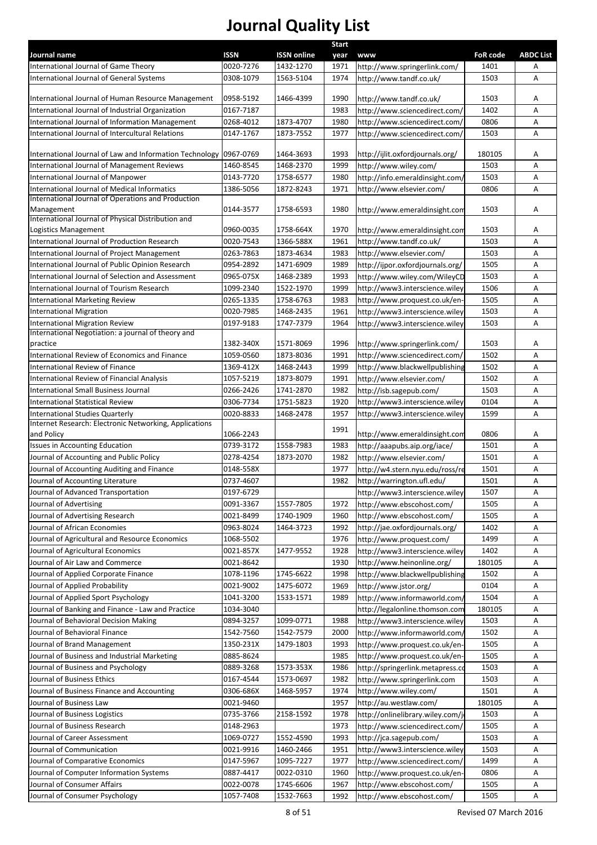|                                                                                           |             |                    | <b>Start</b> |                                  |                 |                  |
|-------------------------------------------------------------------------------------------|-------------|--------------------|--------------|----------------------------------|-----------------|------------------|
| Journal name                                                                              | <b>ISSN</b> | <b>ISSN online</b> | year         | <b>www</b>                       | <b>FoR code</b> | <b>ABDC List</b> |
| International Journal of Game Theory                                                      | 0020-7276   | 1432-1270          | 1971         | http://www.springerlink.com/     | 1401            | Α                |
| International Journal of General Systems                                                  | 0308-1079   | 1563-5104          | 1974         | http://www.tandf.co.uk/          | 1503            | Α                |
| International Journal of Human Resource Management                                        | 0958-5192   | 1466-4399          | 1990         | http://www.tandf.co.uk/          | 1503            | А                |
| International Journal of Industrial Organization                                          | 0167-7187   |                    | 1983         | http://www.sciencedirect.com/    | 1402            | Α                |
| International Journal of Information Management                                           | 0268-4012   | 1873-4707          | 1980         | http://www.sciencedirect.com/    | 0806            | Α                |
| International Journal of Intercultural Relations                                          | 0147-1767   | 1873-7552          | 1977         | http://www.sciencedirect.com/    | 1503            | Α                |
|                                                                                           |             |                    |              |                                  |                 |                  |
| International Journal of Law and Information Technology                                   | 0967-0769   | 1464-3693          | 1993         | http://ijlit.oxfordjournals.org/ | 180105          | Α                |
| International Journal of Management Reviews                                               | 1460-8545   | 1468-2370          | 1999         | http://www.wiley.com/            | 1503            | A                |
| International Journal of Manpower                                                         | 0143-7720   | 1758-6577          | 1980         | http://info.emeraldinsight.com/  | 1503            | Α                |
| International Journal of Medical Informatics                                              | 1386-5056   | 1872-8243          | 1971         | http://www.elsevier.com/         | 0806            | Α                |
| International Journal of Operations and Production                                        |             |                    |              |                                  |                 |                  |
| Management                                                                                | 0144-3577   | 1758-6593          | 1980         | http://www.emeraldinsight.com    | 1503            | Α                |
| International Journal of Physical Distribution and                                        |             |                    |              |                                  |                 |                  |
| Logistics Management                                                                      | 0960-0035   | 1758-664X          | 1970         | http://www.emeraldinsight.com    | 1503            | Α                |
| International Journal of Production Research                                              | 0020-7543   | 1366-588X          | 1961         | http://www.tandf.co.uk/          | 1503            | Α                |
| International Journal of Project Management                                               | 0263-7863   | 1873-4634          | 1983         | http://www.elsevier.com/         | 1503            | Α                |
| International Journal of Public Opinion Research                                          | 0954-2892   | 1471-6909          | 1989         | http://ijpor.oxfordjournals.org/ | 1505            | Α                |
| International Journal of Selection and Assessment                                         | 0965-075X   | 1468-2389          | 1993         | http://www.wiley.com/WileyCD     | 1503            | Α                |
| International Journal of Tourism Research                                                 | 1099-2340   | 1522-1970          | 1999         | http://www3.interscience.wiley   | 1506            | А                |
| <b>International Marketing Review</b>                                                     | 0265-1335   | 1758-6763          | 1983         | http://www.proquest.co.uk/en-    | 1505            | Α                |
| <b>International Migration</b>                                                            | 0020-7985   | 1468-2435          | 1961         | http://www3.interscience.wiley   | 1503            | Α                |
| <b>International Migration Review</b>                                                     | 0197-9183   | 1747-7379          | 1964         | http://www3.interscience.wiley   | 1503            | A                |
| International Negotiation: a journal of theory and                                        |             |                    |              |                                  |                 |                  |
| practice                                                                                  | 1382-340X   | 1571-8069          | 1996         | http://www.springerlink.com/     | 1503            | Α                |
| International Review of Economics and Finance                                             | 1059-0560   | 1873-8036          | 1991         | http://www.sciencedirect.com/    | 1502            | Α                |
| International Review of Finance                                                           | 1369-412X   | 1468-2443          | 1999         | http://www.blackwellpublishing   | 1502            | Α                |
| International Review of Financial Analysis                                                | 1057-5219   | 1873-8079          | 1991         | http://www.elsevier.com/         | 1502            | Α                |
| International Small Business Journal                                                      | 0266-2426   | 1741-2870          | 1982         | http://isb.sagepub.com/          | 1503            | Α                |
| <b>International Statistical Review</b>                                                   | 0306-7734   | 1751-5823          | 1920         | http://www3.interscience.wiley   | 0104            | Α                |
|                                                                                           |             |                    |              |                                  | 1599            | А                |
| International Studies Quarterly<br>Internet Research: Electronic Networking, Applications | 0020-8833   | 1468-2478          | 1957         | http://www3.interscience.wiley   |                 |                  |
| and Policy                                                                                | 1066-2243   |                    | 1991         | http://www.emeraldinsight.com    | 0806            | Α                |
| <b>Issues in Accounting Education</b>                                                     | 0739-3172   | 1558-7983          | 1983         | http://aaapubs.aip.org/iace/     | 1501            | Α                |
| Journal of Accounting and Public Policy                                                   | 0278-4254   | 1873-2070          | 1982         | http://www.elsevier.com/         | 1501            | Α                |
| Journal of Accounting Auditing and Finance                                                | 0148-558X   |                    | 1977         | http://w4.stern.nyu.edu/ross/re  | 1501            | Α                |
| Journal of Accounting Literature                                                          |             |                    |              |                                  |                 |                  |
|                                                                                           | 0737-4607   |                    | 1982         | http://warrington.ufl.edu/       | 1501            | Α                |
| Journal of Advanced Transportation                                                        | 0197-6729   |                    |              | http://www3.interscience.wiley   | 1507            | A                |
| Journal of Advertising                                                                    | 0091-3367   | 1557-7805          | 1972         | http://www.ebscohost.com/        | 1505            | Α                |
| Journal of Advertising Research                                                           | 0021-8499   | 1740-1909          | 1960         | http://www.ebscohost.com/        | 1505            | Α                |
| Journal of African Economies                                                              | 0963-8024   | 1464-3723          | 1992         | http://jae.oxfordjournals.org/   | 1402            | Α                |
| Journal of Agricultural and Resource Economics                                            | 1068-5502   |                    | 1976         | http://www.proquest.com/         | 1499            | Α                |
| Journal of Agricultural Economics                                                         | 0021-857X   | 1477-9552          | 1928         | http://www3.interscience.wiley   | 1402            | Α                |
| Journal of Air Law and Commerce                                                           | 0021-8642   |                    | 1930         | http://www.heinonline.org/       | 180105          | Α                |
| Journal of Applied Corporate Finance                                                      | 1078-1196   | 1745-6622          | 1998         | http://www.blackwellpublishing   | 1502            | Α                |
| Journal of Applied Probability                                                            | 0021-9002   | 1475-6072          | 1969         | http://www.jstor.org/            | 0104            | Α                |
| Journal of Applied Sport Psychology                                                       | 1041-3200   | 1533-1571          | 1989         | http://www.informaworld.com/     | 1504            | Α                |
| Journal of Banking and Finance - Law and Practice                                         | 1034-3040   |                    |              | http://legalonline.thomson.com   | 180105          | Α                |
| Journal of Behavioral Decision Making                                                     | 0894-3257   | 1099-0771          | 1988         | http://www3.interscience.wiley   | 1503            | Α                |
| Journal of Behavioral Finance                                                             | 1542-7560   | 1542-7579          | 2000         | http://www.informaworld.com/     | 1502            | Α                |
| Journal of Brand Management                                                               | 1350-231X   | 1479-1803          | 1993         | http://www.proquest.co.uk/en-    | 1505            | Α                |
| Journal of Business and Industrial Marketing                                              | 0885-8624   |                    | 1985         | http://www.proquest.co.uk/en-    | 1505            | Α                |
| Journal of Business and Psychology                                                        | 0889-3268   | 1573-353X          | 1986         | http://springerlink.metapress.co | 1503            | Α                |
| Journal of Business Ethics                                                                | 0167-4544   | 1573-0697          | 1982         | http://www.springerlink.com      | 1503            | Α                |
| Journal of Business Finance and Accounting                                                | 0306-686X   | 1468-5957          | 1974         | http://www.wiley.com/            | 1501            | Α                |
| Journal of Business Law                                                                   | 0021-9460   |                    | 1957         |                                  | 180105          | Α                |
|                                                                                           |             |                    |              | http://au.westlaw.com/           |                 |                  |
| Journal of Business Logistics                                                             | 0735-3766   | 2158-1592          | 1978         | http://onlinelibrary.wiley.com/j | 1503            | Α                |
| Journal of Business Research                                                              | 0148-2963   |                    | 1973         | http://www.sciencedirect.com/    | 1505            | Α                |
| Journal of Career Assessment                                                              | 1069-0727   | 1552-4590          | 1993         | http://jca.sagepub.com/          | 1503            | Α                |
| Journal of Communication                                                                  | 0021-9916   | 1460-2466          | 1951         | http://www3.interscience.wiley   | 1503            | Α                |
| Journal of Comparative Economics                                                          | 0147-5967   | 1095-7227          | 1977         | http://www.sciencedirect.com/    | 1499            | Α                |
| Journal of Computer Information Systems                                                   | 0887-4417   | 0022-0310          | 1960         | http://www.proquest.co.uk/en-    | 0806            | Α                |
| Journal of Consumer Affairs                                                               | 0022-0078   | 1745-6606          | 1967         | http://www.ebscohost.com/        | 1505            | Α                |
| Journal of Consumer Psychology                                                            | 1057-7408   | 1532-7663          | 1992         | http://www.ebscohost.com/        | 1505            | Α                |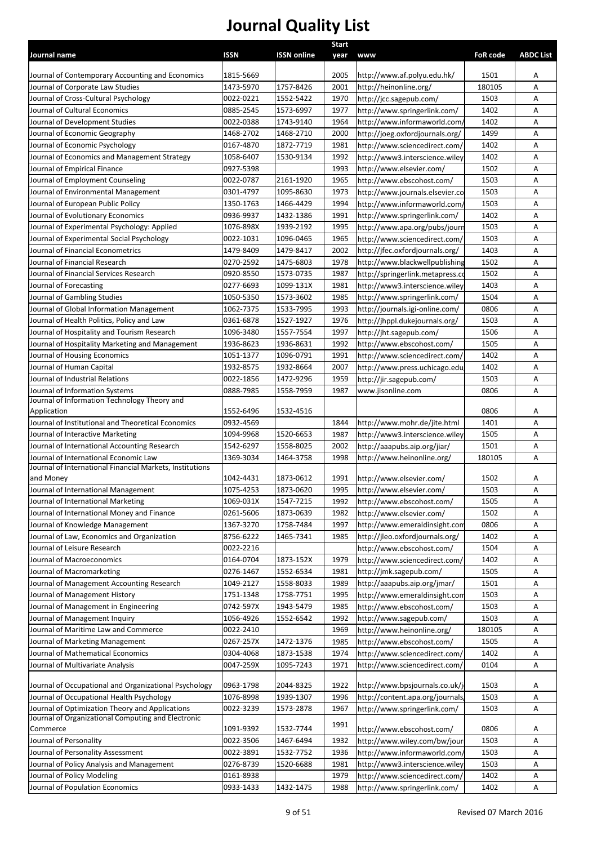|                                                                           |                        |                        | <b>Start</b> |                                  |                 |                  |
|---------------------------------------------------------------------------|------------------------|------------------------|--------------|----------------------------------|-----------------|------------------|
| Journal name                                                              | <b>ISSN</b>            | <b>ISSN online</b>     | year         | <b>WWW</b>                       | <b>FoR code</b> | <b>ABDC List</b> |
| Journal of Contemporary Accounting and Economics                          | 1815-5669              |                        | 2005         | http://www.af.polyu.edu.hk/      | 1501            | Α                |
| Journal of Corporate Law Studies                                          | 1473-5970              | 1757-8426              | 2001         | http://heinonline.org/           | 180105          | A                |
| Journal of Cross-Cultural Psychology                                      | 0022-0221              | 1552-5422              | 1970         | http://jcc.sagepub.com/          | 1503            | А                |
| Journal of Cultural Economics                                             | 0885-2545              | 1573-6997              | 1977         | http://www.springerlink.com/     | 1402            | Α                |
| Journal of Development Studies                                            | 0022-0388              | 1743-9140              | 1964         | http://www.informaworld.com/     | 1402            | A                |
| Journal of Economic Geography                                             | 1468-2702              | 1468-2710              | 2000         | http://joeg.oxfordjournals.org/  | 1499            | Α                |
| Journal of Economic Psychology                                            | 0167-4870              | 1872-7719              | 1981         | http://www.sciencedirect.com/    | 1402            | А                |
| Journal of Economics and Management Strategy                              | 1058-6407              | 1530-9134              | 1992         | http://www3.interscience.wiley   | 1402            | А                |
| Journal of Empirical Finance                                              | 0927-5398              |                        | 1993         | http://www.elsevier.com/         | 1502            | А                |
| Journal of Employment Counseling                                          | 0022-0787              | 2161-1920              | 1965         | http://www.ebscohost.com/        | 1503            | А                |
| Journal of Environmental Management                                       | 0301-4797              | 1095-8630              | 1973         | http://www.journals.elsevier.co  | 1503            | А                |
| Journal of European Public Policy                                         | 1350-1763              | 1466-4429              | 1994         | http://www.informaworld.com/     | 1503            | А                |
| Journal of Evolutionary Economics                                         | 0936-9937              | 1432-1386              | 1991         | http://www.springerlink.com/     | 1402            | А                |
| Journal of Experimental Psychology: Applied                               | 1076-898X              | 1939-2192              | 1995         | http://www.apa.org/pubs/jourr    | 1503            | A                |
| Journal of Experimental Social Psychology                                 | 0022-1031              | 1096-0465              | 1965         | http://www.sciencedirect.com/    | 1503            | А                |
| Journal of Financial Econometrics                                         | 1479-8409              | 1479-8417              | 2002         | http://jfec.oxfordjournals.org/  | 1403            | A                |
| Journal of Financial Research                                             | 0270-2592              | 1475-6803              | 1978         | http://www.blackwellpublishing   | 1502            | А                |
| Journal of Financial Services Research                                    | 0920-8550              | 1573-0735              | 1987         | http://springerlink.metapress.co | 1502            | A                |
| Journal of Forecasting                                                    | 0277-6693              | 1099-131X              | 1981         | http://www3.interscience.wiley   | 1403            | A                |
| Journal of Gambling Studies                                               | 1050-5350              | 1573-3602              | 1985         | http://www.springerlink.com/     | 1504            | A                |
| Journal of Global Information Management                                  | 1062-7375              | 1533-7995              | 1993         | http://journals.igi-online.com/  | 0806            | Α                |
| Journal of Health Politics, Policy and Law                                | 0361-6878              | 1527-1927              | 1976         | http://jhppl.dukejournals.org/   | 1503            | А                |
| Journal of Hospitality and Tourism Research                               | 1096-3480              | 1557-7554              | 1997         | http://jht.sagepub.com/          | 1506            | A                |
| Journal of Hospitality Marketing and Management                           | 1936-8623              | 1936-8631              | 1992         | http://www.ebscohost.com/        | 1505            | Α                |
| Journal of Housing Economics                                              | 1051-1377              | 1096-0791              | 1991         | http://www.sciencedirect.com/    | 1402            | А                |
| Journal of Human Capital                                                  | 1932-8575              | 1932-8664              | 2007         | http://www.press.uchicago.edu    | 1402            | Α                |
| Journal of Industrial Relations                                           | 0022-1856              | 1472-9296              | 1959         | http://jir.sagepub.com/          | 1503            | Α                |
| Journal of Information Systems                                            | 0888-7985              | 1558-7959              | 1987         | www.jisonline.com                | 0806            | A                |
| Journal of Information Technology Theory and                              |                        |                        |              |                                  |                 |                  |
| Application                                                               | 1552-6496              | 1532-4516              |              |                                  | 0806            | Α                |
| Journal of Institutional and Theoretical Economics                        | 0932-4569              |                        | 1844         | http://www.mohr.de/jite.html     | 1401            | Α                |
| Journal of Interactive Marketing                                          | 1094-9968              | 1520-6653              | 1987         | http://www3.interscience.wiley   | 1505            | Α                |
| Journal of International Accounting Research                              | 1542-6297              | 1558-8025              | 2002         | http://aaapubs.aip.org/jiar/     | 1501            | Α                |
| Journal of International Economic Law                                     | 1369-3034              | 1464-3758              | 1998         | http://www.heinonline.org/       | 180105          | Α                |
| Journal of International Financial Markets, Institutions                  |                        | 1873-0612              |              |                                  |                 |                  |
| and Money<br>Journal of International Management                          | 1042-4431              |                        | 1991         | http://www.elsevier.com/         | 1502            | Α                |
|                                                                           | 1075-4253<br>1069-031X | 1873-0620<br>1547-7215 | 1995         | http://www.elsevier.com/         | 1503            | Α                |
| Journal of International Marketing                                        |                        | 1873-0639              | 1992         | http://www.ebscohost.com/        | 1505            | Α                |
| Journal of International Money and Finance                                | 0261-5606<br>1367-3270 | 1758-7484              | 1982         | http://www.elsevier.com/         | 1502<br>0806    | Α                |
| Journal of Knowledge Management                                           |                        |                        | 1997         | http://www.emeraldinsight.com    |                 | Α                |
| Journal of Law, Economics and Organization<br>Journal of Leisure Research | 8756-6222              | 1465-7341              | 1985         | http://jleo.oxfordjournals.org/  | 1402            | Α                |
|                                                                           | 0022-2216              |                        |              | http://www.ebscohost.com/        | 1504            | Α                |
| Journal of Macroeconomics<br>Journal of Macromarketing                    | 0164-0704              | 1873-152X<br>1552-6534 | 1979         | http://www.sciencedirect.com/    | 1402            | Α                |
|                                                                           | 0276-1467              |                        | 1981         | http://jmk.sagepub.com/          | 1505            | Α                |
| Journal of Management Accounting Research                                 | 1049-2127              | 1558-8033              | 1989         | http://aaapubs.aip.org/jmar/     | 1501            | Α                |
| Journal of Management History                                             | 1751-1348              | 1758-7751<br>1943-5479 | 1995         | http://www.emeraldinsight.com    | 1503            | Α                |
| Journal of Management in Engineering<br>Journal of Management Inquiry     | 0742-597X              | 1552-6542              | 1985<br>1992 | http://www.ebscohost.com/        | 1503<br>1503    | Α                |
|                                                                           | 1056-4926              |                        |              | http://www.sagepub.com/          |                 | Α                |
| Journal of Maritime Law and Commerce                                      | 0022-2410              |                        | 1969         | http://www.heinonline.org/       | 180105          | А                |
| Journal of Marketing Management                                           | 0267-257X              | 1472-1376              | 1985         | http://www.ebscohost.com/        | 1505            | Α                |
| Journal of Mathematical Economics                                         | 0304-4068              | 1873-1538              | 1974         | http://www.sciencedirect.com/    | 1402            | Α                |
| Journal of Multivariate Analysis                                          | 0047-259X              | 1095-7243              | 1971         | http://www.sciencedirect.com/    | 0104            | А                |
| Journal of Occupational and Organizational Psychology                     | 0963-1798              | 2044-8325              | 1922         | http://www.bpsjournals.co.uk/j   | 1503            | Α                |
| Journal of Occupational Health Psychology                                 | 1076-8998              | 1939-1307              | 1996         | http://content.apa.org/journals, | 1503            | Α                |
| Journal of Optimization Theory and Applications                           | 0022-3239              | 1573-2878              | 1967         | http://www.springerlink.com/     | 1503            | Α                |
| Journal of Organizational Computing and Electronic                        |                        |                        |              |                                  |                 |                  |
| Commerce                                                                  | 1091-9392              | 1532-7744              | 1991         | http://www.ebscohost.com/        | 0806            | Α                |
| Journal of Personality                                                    | 0022-3506              | 1467-6494              | 1932         | http://www.wiley.com/bw/jour     | 1503            | Α                |
| Journal of Personality Assessment                                         | 0022-3891              | 1532-7752              | 1936         | http://www.informaworld.com/     | 1503            | Α                |
| Journal of Policy Analysis and Management                                 | 0276-8739              | 1520-6688              | 1981         | http://www3.interscience.wiley   | 1503            | Α                |
| Journal of Policy Modeling                                                | 0161-8938              |                        | 1979         | http://www.sciencedirect.com/    | 1402            | Α                |
| Journal of Population Economics                                           | 0933-1433              | 1432-1475              | 1988         | http://www.springerlink.com/     | 1402            | A                |
|                                                                           |                        |                        |              |                                  |                 |                  |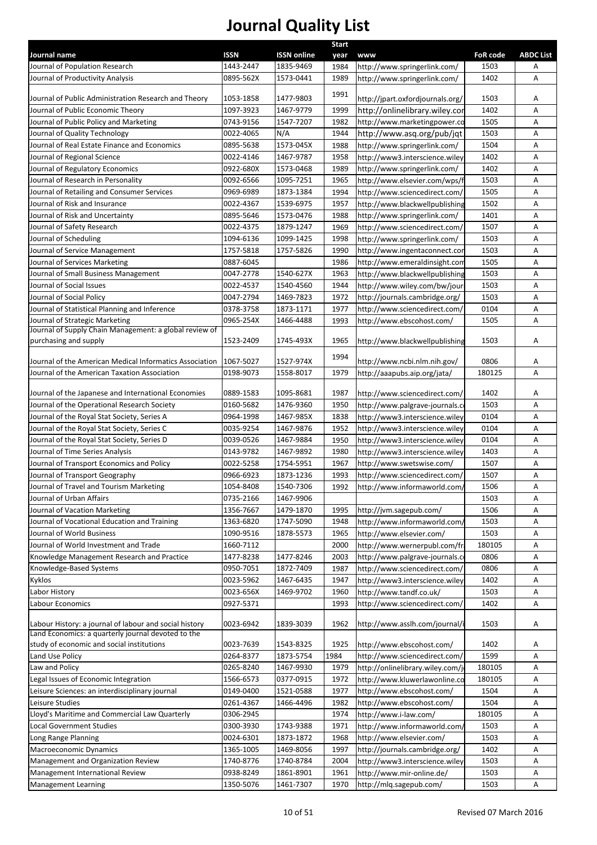|                                                         |             |                    | Start |                                  |                 |                  |
|---------------------------------------------------------|-------------|--------------------|-------|----------------------------------|-----------------|------------------|
| Journal name                                            | <b>ISSN</b> | <b>ISSN online</b> | year  | <b>www</b>                       | <b>FoR code</b> | <b>ABDC List</b> |
| Journal of Population Research                          | 1443-2447   | 1835-9469          | 1984  | http://www.springerlink.com/     | 1503            | Α                |
| Journal of Productivity Analysis                        | 0895-562X   | 1573-0441          | 1989  | http://www.springerlink.com/     | 1402            | Α                |
| Journal of Public Administration Research and Theory    | 1053-1858   | 1477-9803          | 1991  | http://jpart.oxfordjournals.org/ | 1503            | Α                |
| Journal of Public Economic Theory                       | 1097-3923   | 1467-9779          | 1999  | http://onlinelibrary.wiley.cor   | 1402            | Α                |
| Journal of Public Policy and Marketing                  | 0743-9156   | 1547-7207          | 1982  | http://www.marketingpower.co     | 1505            | Α                |
| Journal of Quality Technology                           | 0022-4065   | N/A                | 1944  | http://www.asq.org/pub/jqt       | 1503            | Α                |
| Journal of Real Estate Finance and Economics            | 0895-5638   | 1573-045X          | 1988  | http://www.springerlink.com/     | 1504            | Α                |
| Journal of Regional Science                             | 0022-4146   | 1467-9787          | 1958  | http://www3.interscience.wiley   | 1402            | Α                |
| Journal of Regulatory Economics                         | 0922-680X   | 1573-0468          | 1989  | http://www.springerlink.com/     | 1402            | Α                |
| Journal of Research in Personality                      | 0092-6566   | 1095-7251          | 1965  | http://www.elsevier.com/wps/f    | 1503            | Α                |
| Journal of Retailing and Consumer Services              | 0969-6989   | 1873-1384          | 1994  | http://www.sciencedirect.com/    | 1505            | Α                |
| Journal of Risk and Insurance                           | 0022-4367   | 1539-6975          | 1957  | http://www.blackwellpublishing   | 1502            | Α                |
| Journal of Risk and Uncertainty                         | 0895-5646   | 1573-0476          | 1988  | http://www.springerlink.com/     | 1401            | Α                |
| Journal of Safety Research                              | 0022-4375   | 1879-1247          | 1969  | http://www.sciencedirect.com/    | 1507            | A                |
| Journal of Scheduling                                   | 1094-6136   | 1099-1425          | 1998  | http://www.springerlink.com/     | 1503            | Α                |
| Journal of Service Management                           | 1757-5818   | 1757-5826          | 1990  | http://www.ingentaconnect.cor    | 1503            | A                |
| Journal of Services Marketing                           | 0887-6045   |                    | 1986  | http://www.emeraldinsight.com    | 1505            | Α                |
| Journal of Small Business Management                    | 0047-2778   | 1540-627X          | 1963  | http://www.blackwellpublishing   | 1503            | A                |
| Journal of Social Issues                                | 0022-4537   | 1540-4560          | 1944  | http://www.wiley.com/bw/jour     | 1503            | A                |
| Journal of Social Policy                                | 0047-2794   | 1469-7823          | 1972  | http://journals.cambridge.org/   | 1503            | Α                |
| Journal of Statistical Planning and Inference           | 0378-3758   | 1873-1171          | 1977  | http://www.sciencedirect.com/    | 0104            | A                |
| Journal of Strategic Marketing                          | 0965-254X   | 1466-4488          | 1993  | http://www.ebscohost.com/        | 1505            | A                |
| Journal of Supply Chain Management: a global review of  |             |                    |       |                                  |                 |                  |
| purchasing and supply                                   | 1523-2409   | 1745-493X          | 1965  | http://www.blackwellpublishing   | 1503            | Α                |
|                                                         |             |                    | 1994  |                                  |                 |                  |
| Journal of the American Medical Informatics Association | 1067-5027   | 1527-974X          |       | http://www.ncbi.nlm.nih.gov/     | 0806            | Α                |
| Journal of the American Taxation Association            | 0198-9073   | 1558-8017          | 1979  | http://aaapubs.aip.org/jata/     | 180125          | A                |
| Journal of the Japanese and International Economies     | 0889-1583   | 1095-8681          | 1987  | http://www.sciencedirect.com/    | 1402            | Α                |
| Journal of the Operational Research Society             | 0160-5682   | 1476-9360          | 1950  | http://www.palgrave-journals.c   | 1503            | Α                |
| Journal of the Royal Stat Society, Series A             | 0964-1998   | 1467-985X          | 1838  | http://www3.interscience.wiley   | 0104            | A                |
| Journal of the Royal Stat Society, Series C             | 0035-9254   | 1467-9876          | 1952  | http://www3.interscience.wiley   | 0104            | Α                |
| Journal of the Royal Stat Society, Series D             | 0039-0526   | 1467-9884          | 1950  | http://www3.interscience.wiley   | 0104            | Α                |
| Journal of Time Series Analysis                         | 0143-9782   | 1467-9892          | 1980  | http://www3.interscience.wiley   | 1403            | Α                |
| Journal of Transport Economics and Policy               | 0022-5258   | 1754-5951          | 1967  | http://www.swetswise.com/        | 1507            | Α                |
| Journal of Transport Geography                          | 0966-6923   | 1873-1236          | 1993  | http://www.sciencedirect.com/    | 1507            | Α                |
| Journal of Travel and Tourism Marketing                 | 1054-8408   | 1540-7306          | 1992  | http://www.informaworld.com/     | 1506            | Α                |
| Journal of Urban Affairs                                | 0735-2166   | 1467-9906          |       |                                  | 1503            | Α                |
| Journal of Vacation Marketing                           | 1356-7667   | 1479-1870          | 1995  | http://jvm.sagepub.com/          | 1506            | А                |
| Journal of Vocational Education and Training            | 1363-6820   | 1747-5090          | 1948  | http://www.informaworld.com/     | 1503            | Α                |
| Journal of World Business                               | 1090-9516   | 1878-5573          | 1965  | http://www.elsevier.com/         | 1503            | Α                |
| Journal of World Investment and Trade                   | 1660-7112   |                    | 2000  | http://www.wernerpubl.com/fr     | 180105          | Α                |
| Knowledge Management Research and Practice              | 1477-8238   | 1477-8246          | 2003  | http://www.palgrave-journals.c   | 0806            | Α                |
| Knowledge-Based Systems                                 | 0950-7051   | 1872-7409          | 1987  | http://www.sciencedirect.com/    | 0806            | A                |
| Kyklos                                                  | 0023-5962   | 1467-6435          | 1947  | http://www3.interscience.wiley   | 1402            | Α                |
| Labor History                                           | 0023-656X   | 1469-9702          | 1960  | http://www.tandf.co.uk/          | 1503            | Α                |
| Labour Economics                                        | 0927-5371   |                    | 1993  | http://www.sciencedirect.com/    | 1402            | Α                |
|                                                         |             |                    |       |                                  |                 |                  |
| Labour History: a journal of labour and social history  | 0023-6942   | 1839-3039          | 1962  | http://www.asslh.com/journal/i   | 1503            | Α                |
| Land Economics: a quarterly journal devoted to the      |             |                    |       |                                  |                 |                  |
| study of economic and social institutions               | 0023-7639   | 1543-8325          | 1925  | http://www.ebscohost.com/        | 1402            | Α                |
| Land Use Policy                                         | 0264-8377   | 1873-5754          | 1984  | http://www.sciencedirect.com/    | 1599            | Α                |
| Law and Policy                                          | 0265-8240   | 1467-9930          | 1979  | http://onlinelibrary.wiley.com/j | 180105          | Α                |
| Legal Issues of Economic Integration                    | 1566-6573   | 0377-0915          | 1972  | http://www.kluwerlawonline.co    | 180105          | Α                |
| Leisure Sciences: an interdisciplinary journal          | 0149-0400   | 1521-0588          | 1977  | http://www.ebscohost.com/        | 1504            | Α                |
| Leisure Studies                                         | 0261-4367   | 1466-4496          | 1982  | http://www.ebscohost.com/        | 1504            | Α                |
| Lloyd's Maritime and Commercial Law Quarterly           | 0306-2945   |                    | 1974  | http://www.i-law.com/            | 180105          | Α                |
| <b>Local Government Studies</b>                         | 0300-3930   | 1743-9388          | 1971  | http://www.informaworld.com/     | 1503            | Α                |
| Long Range Planning                                     | 0024-6301   | 1873-1872          | 1968  | http://www.elsevier.com/         | 1503            | Α                |
| <b>Macroeconomic Dynamics</b>                           | 1365-1005   | 1469-8056          | 1997  | http://journals.cambridge.org/   | 1402            | Α                |
| Management and Organization Review                      | 1740-8776   | 1740-8784          | 2004  | http://www3.interscience.wiley   | 1503            | Α                |
| Management International Review                         | 0938-8249   | 1861-8901          | 1961  | http://www.mir-online.de/        | 1503            | Α                |
| <b>Management Learning</b>                              | 1350-5076   | 1461-7307          | 1970  | http://mlq.sagepub.com/          | 1503            | Α                |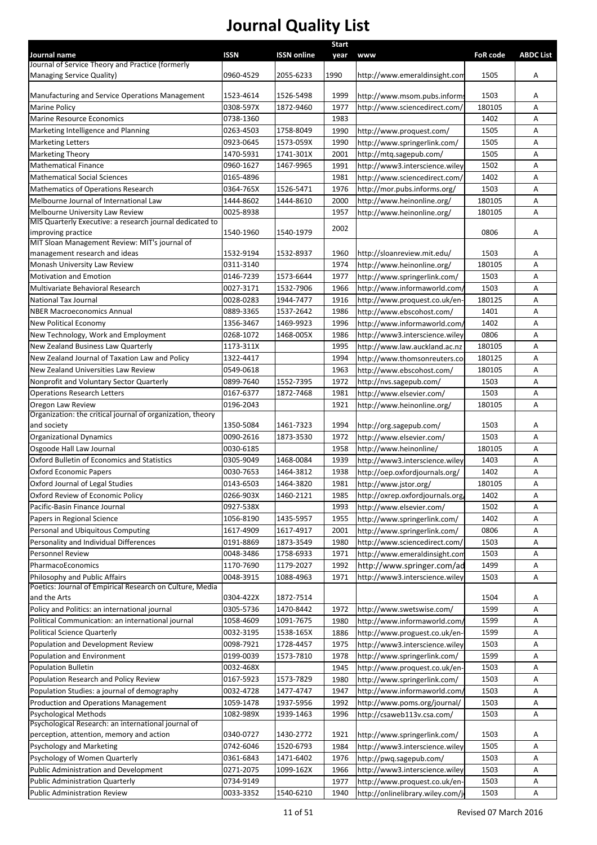|                                                                                      |             |                    | <b>Start</b> |                                  |                 |                  |
|--------------------------------------------------------------------------------------|-------------|--------------------|--------------|----------------------------------|-----------------|------------------|
| Journal name                                                                         | <b>ISSN</b> | <b>ISSN online</b> | year         | <b>www</b>                       | <b>FoR code</b> | <b>ABDC List</b> |
| Journal of Service Theory and Practice (formerly<br><b>Managing Service Quality)</b> | 0960-4529   | 2055-6233          | 1990         | http://www.emeraldinsight.com    | 1505            | Α                |
|                                                                                      |             |                    |              |                                  |                 |                  |
| Manufacturing and Service Operations Management                                      | 1523-4614   | 1526-5498          | 1999         | http://www.msom.pubs.informs     | 1503            | A                |
| <b>Marine Policy</b>                                                                 | 0308-597X   | 1872-9460          | 1977         | http://www.sciencedirect.com/    | 180105          | Α                |
| <b>Marine Resource Economics</b>                                                     | 0738-1360   |                    | 1983         |                                  | 1402            | A                |
| Marketing Intelligence and Planning                                                  | 0263-4503   | 1758-8049          | 1990         | http://www.proquest.com/         | 1505            | Α                |
| <b>Marketing Letters</b>                                                             | 0923-0645   | 1573-059X          | 1990         | http://www.springerlink.com/     | 1505            | Α                |
| <b>Marketing Theory</b>                                                              | 1470-5931   | 1741-301X          | 2001         | http://mtq.sagepub.com/          | 1505            | Α                |
| <b>Mathematical Finance</b>                                                          | 0960-1627   | 1467-9965          | 1991         | http://www3.interscience.wiley   | 1502            | A                |
| <b>Mathematical Social Sciences</b>                                                  | 0165-4896   |                    | 1981         | http://www.sciencedirect.com/    | 1402            | A                |
| Mathematics of Operations Research                                                   | 0364-765X   | 1526-5471          | 1976         | http://mor.pubs.informs.org/     | 1503            | Α                |
| Melbourne Journal of International Law                                               | 1444-8602   | 1444-8610          | 2000         | http://www.heinonline.org/       | 180105          | Α                |
| Melbourne University Law Review                                                      | 0025-8938   |                    | 1957         | http://www.heinonline.org/       | 180105          | A                |
| MIS Quarterly Executive: a research journal dedicated to                             |             |                    |              |                                  |                 |                  |
| improving practice                                                                   | 1540-1960   | 1540-1979          | 2002         |                                  | 0806            | Α                |
| MIT Sloan Management Review: MIT's journal of                                        |             |                    |              |                                  |                 |                  |
| management research and ideas                                                        | 1532-9194   | 1532-8937          | 1960         | http://sloanreview.mit.edu/      | 1503            | Α                |
| Monash University Law Review                                                         | 0311-3140   |                    | 1974         | http://www.heinonline.org/       | 180105          | Α                |
| <b>Motivation and Emotion</b>                                                        | 0146-7239   | 1573-6644          | 1977         | http://www.springerlink.com/     | 1503            | Α                |
| Multivariate Behavioral Research                                                     | 0027-3171   | 1532-7906          | 1966         | http://www.informaworld.com/     | 1503            | Α                |
| <b>National Tax Journal</b>                                                          | 0028-0283   | 1944-7477          | 1916         | http://www.proquest.co.uk/en-    | 180125          | Α                |
| <b>NBER Macroeconomics Annual</b>                                                    | 0889-3365   | 1537-2642          | 1986         | http://www.ebscohost.com/        | 1401            | A                |
| New Political Economy                                                                | 1356-3467   | 1469-9923          | 1996         | http://www.informaworld.com,     | 1402            | Α                |
| New Technology, Work and Employment                                                  | 0268-1072   | 1468-005X          | 1986         | http://www3.interscience.wiley   | 0806            | Α                |
| New Zealand Business Law Quarterly                                                   | 1173-311X   |                    | 1995         | http://www.law.auckland.ac.nz    | 180105          | Α                |
| New Zealand Journal of Taxation Law and Policy                                       | 1322-4417   |                    | 1994         | http://www.thomsonreuters.col    | 180125          | A                |
| New Zealand Universities Law Review                                                  | 0549-0618   |                    | 1963         | http://www.ebscohost.com/        | 180105          | A                |
| Nonprofit and Voluntary Sector Quarterly                                             | 0899-7640   | 1552-7395          | 1972         | http://nvs.sagepub.com/          | 1503            | Α                |
| <b>Operations Research Letters</b>                                                   | 0167-6377   | 1872-7468          | 1981         | http://www.elsevier.com/         | 1503            | Α                |
| Oregon Law Review                                                                    | 0196-2043   |                    | 1921         | http://www.heinonline.org/       | 180105          | Α                |
| Organization: the critical journal of organization, theory                           |             |                    |              |                                  |                 |                  |
| and society                                                                          | 1350-5084   | 1461-7323          | 1994         | http://org.sagepub.com/          | 1503            | Α                |
| <b>Organizational Dynamics</b>                                                       | 0090-2616   | 1873-3530          | 1972         | http://www.elsevier.com/         | 1503            | A                |
| Osgoode Hall Law Journal                                                             | 0030-6185   |                    | 1958         | http://www.heinonline/           | 180105          | Α                |
| Oxford Bulletin of Economics and Statistics                                          | 0305-9049   | 1468-0084          | 1939         | http://www3.interscience.wiley   | 1403            | A                |
| <b>Oxford Economic Papers</b>                                                        | 0030-7653   | 1464-3812          | 1938         | http://oep.oxfordjournals.org/   | 1402            | Α                |
| Oxford Journal of Legal Studies                                                      | 0143-6503   | 1464-3820          | 1981         | http://www.jstor.org/            | 180105          | Α                |
| Oxford Review of Economic Policy                                                     | 0266-903X   | 1460-2121          | 1985         | http://oxrep.oxfordjournals.org/ | 1402            | Α                |
| Pacific-Basin Finance Journal                                                        | 0927-538X   |                    | 1993         | http://www.elsevier.com/         | 1502            | Α                |
| Papers in Regional Science                                                           | 1056-8190   | 1435-5957          | 1955         | http://www.springerlink.com/     | 1402            | А                |
| Personal and Ubiquitous Computing                                                    | 1617-4909   | 1617-4917          | 2001         | http://www.springerlink.com/     | 0806            | A                |
| Personality and Individual Differences                                               | 0191-8869   | 1873-3549          | 1980         | http://www.sciencedirect.com/    | 1503            | Α                |
| Personnel Review                                                                     | 0048-3486   | 1758-6933          | 1971         | http://www.emeraldinsight.com    | 1503            | Α                |
| PharmacoEconomics                                                                    | 1170-7690   | 1179-2027          | 1992         | http://www.springer.com/ad       | 1499            | Α                |
| Philosophy and Public Affairs                                                        | 0048-3915   | 1088-4963          | 1971         | http://www3.interscience.wiley   | 1503            | А                |
| Poetics: Journal of Empirical Research on Culture, Media                             |             |                    |              |                                  |                 |                  |
| and the Arts                                                                         | 0304-422X   | 1872-7514          |              |                                  | 1504            | Α                |
| Policy and Politics: an international journal                                        | 0305-5736   | 1470-8442          | 1972         | http://www.swetswise.com/        | 1599            | Α                |
| Political Communication: an international journal                                    | 1058-4609   | 1091-7675          | 1980         | http://www.informaworld.com/     | 1599            | A                |
| <b>Political Science Quarterly</b>                                                   | 0032-3195   | 1538-165X          | 1886         | http://www.proguest.co.uk/en-    | 1599            | Α                |
| Population and Development Review                                                    | 0098-7921   | 1728-4457          | 1975         | http://www3.interscience.wiley   | 1503            | Α                |
| Population and Environment                                                           | 0199-0039   | 1573-7810          | 1978         | http://www.springerlink.com/     | 1599            | А                |
| <b>Population Bulletin</b>                                                           | 0032-468X   |                    | 1945         | http://www.proquest.co.uk/en-    | 1503            | Α                |
| Population Research and Policy Review                                                | 0167-5923   | 1573-7829          | 1980         | http://www.springerlink.com/     | 1503            | Α                |
| Population Studies: a journal of demography                                          | 0032-4728   | 1477-4747          | 1947         | http://www.informaworld.com/     | 1503            | Α                |
| Production and Operations Management                                                 | 1059-1478   | 1937-5956          | 1992         | http://www.poms.org/journal/     | 1503            | Α                |
| <b>Psychological Methods</b>                                                         | 1082-989X   | 1939-1463          | 1996         | http://csaweb113v.csa.com/       | 1503            | Α                |
| Psychological Research: an international journal of                                  |             |                    |              |                                  |                 |                  |
| perception, attention, memory and action                                             | 0340-0727   | 1430-2772          | 1921         | http://www.springerlink.com/     | 1503            | Α                |
| Psychology and Marketing                                                             | 0742-6046   | 1520-6793          | 1984         | http://www3.interscience.wiley   | 1505            | Α                |
| Psychology of Women Quarterly                                                        | 0361-6843   | 1471-6402          | 1976         | http://pwq.sagepub.com/          | 1503            | Α                |
| Public Administration and Development                                                | 0271-2075   | 1099-162X          | 1966         | http://www3.interscience.wiley   | 1503            | Α                |
| <b>Public Administration Quarterly</b>                                               | 0734-9149   |                    | 1977         | http://www.proquest.co.uk/en-    | 1503            | Α                |
| <b>Public Administration Review</b>                                                  | 0033-3352   | 1540-6210          | 1940         | http://onlinelibrary.wiley.com/j | 1503            | Α                |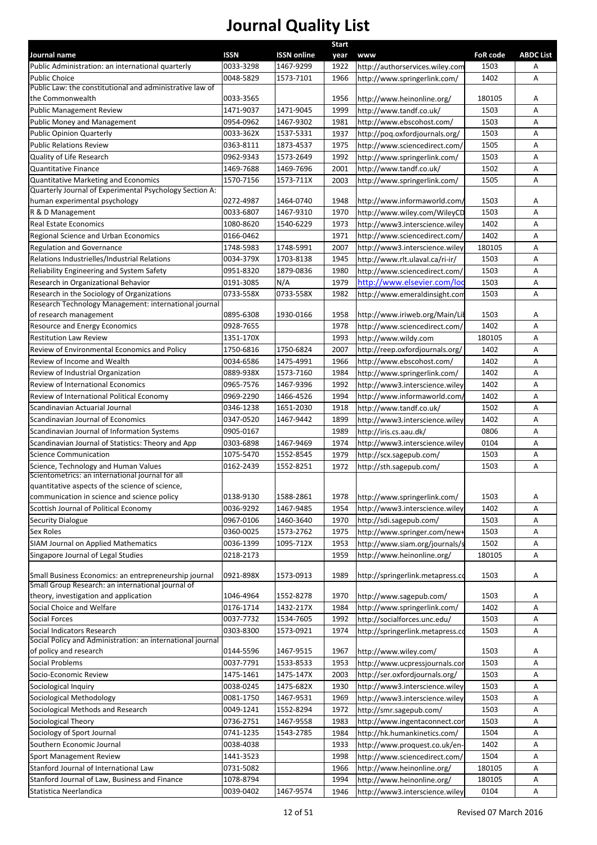|                                                                                          |           |                    | Start |                                  |                 |                  |
|------------------------------------------------------------------------------------------|-----------|--------------------|-------|----------------------------------|-----------------|------------------|
| Journal name                                                                             | ISSN      | <b>ISSN online</b> |       | year www                         | <b>FoR code</b> | <b>ABDC List</b> |
| Public Administration: an international quarterly                                        | 0033-3298 | 1467-9299          | 1922  | nttp://authorservices.wiley.com  | 1503            | A                |
| <b>Public Choice</b>                                                                     | 0048-5829 | 1573-7101          | 1966  | http://www.springerlink.com/     | 1402            | $\mathsf{A}$     |
| Public Law: the constitutional and administrative law of<br>the Commonwealth             | 0033-3565 |                    | 1956  | http://www.heinonline.org/       | 180105          | A                |
| Public Management Review                                                                 | 1471-9037 | 1471-9045          | 1999  | http://www.tandf.co.uk/          | 1503            | A                |
| Public Money and Management                                                              | 0954-0962 | 1467-9302          | 1981  | http://www.ebscohost.com/        | 1503            | A                |
| <b>Public Opinion Quarterly</b>                                                          | 0033-362X | 1537-5331          | 1937  | http://poq.oxfordjournals.org/   | 1503            | $\mathsf{A}$     |
| <b>Public Relations Review</b>                                                           | 0363-8111 | 1873-4537          | 1975  | /ttp://www.sciencedirect.com     | 1505            | $\mathsf{A}$     |
| Quality of Life Research                                                                 | 0962-9343 | 1573-2649          | 1992  | http://www.springerlink.com/     | 1503            | $\mathsf{A}$     |
| <b>Quantitative Finance</b>                                                              | 1469-7688 | 1469-7696          | 2001  | http://www.tandf.co.uk/          | 1502            | $\mathsf{A}$     |
| <b>Quantitative Marketing and Economics</b>                                              | 1570-7156 | 1573-711X          | 2003  | http://www.springerlink.com/     | 1505            | A                |
| Quarterly Journal of Experimental Psychology Section A:                                  |           |                    |       |                                  |                 |                  |
| human experimental psychology                                                            | 0272-4987 | 1464-0740          | 1948  | /ttp://www.informaworld.com      | 1503            | A                |
| R & D Management                                                                         | 0033-6807 | 1467-9310          | 1970  | nttp://www.wiley.com/WileyCD     | 1503            | A                |
| Real Estate Economics                                                                    | 1080-8620 | 1540-6229          | 1973  | http://www3.interscience.wiley   | 1402            | A                |
| Regional Science and Urban Economics                                                     | 0166-0462 |                    | 1971  | http://www.sciencedirect.com/    | 1402            | A                |
| Regulation and Governance                                                                | 1748-5983 | 1748-5991          | 2007  | nttp://www3.interscience.wiley   | 180105          | A                |
| Relations Industrielles/Industrial Relations                                             | 0034-379X | 1703-8138          | 1945  | /1ttp://www.rlt.ulaval.ca/ri-ir/ | 1503            | $\mathsf{A}$     |
| Reliability Engineering and System Safety                                                | 0951-8320 | 1879-0836          | 1980  | http://www.sciencedirect.com/    | 1503            | $\mathsf{A}$     |
| Research in Organizational Behavior                                                      | 0191-3085 | N/A                | 1979  | http://www.elsevier.com/lo       | 1503            | $\mathsf{A}$     |
| Research in the Sociology of Organizations                                               | 0733-558X | 0733-558X          | 1982  | ittp://www.emeraldinsight.con    | 1503            | Α                |
| Research Technology Management: international journal                                    |           |                    |       |                                  |                 |                  |
| of research management                                                                   | 0895-6308 | 1930-0166          | 1958  | ittp://www.iriweb.org/Main/Lil   | 1503            | A                |
| <b>Resource and Energy Economics</b>                                                     | 0928-7655 |                    | 1978  | http://www.sciencedirect.com/    | 1402            | $\mathsf{A}$     |
| <b>Restitution Law Review</b>                                                            | 1351-170X |                    | 1993  | nttp://www.wildy.com             | 180105          | $\mathsf{A}$     |
| Review of Environmental Economics and Policy                                             | 1750-6816 | 1750-6824          | 2007  | http://reep.oxfordjournals.org/  | 1402            | $\mathsf{A}$     |
| Review of Income and Wealth                                                              | 0034-6586 | 1475-4991          | 1966  | http://www.ebscohost.com/        | 1402            | $\mathsf{A}$     |
| Review of Industrial Organization                                                        | 0889-938X | 1573-7160          | 1984  | http://www.springerlink.com/     | 1402            | $\mathsf{A}$     |
| Review of International Economics                                                        | 0965-7576 | 1467-9396          | 1992  | ittp://www3.interscience.wiley   | 1402            | A                |
| Review of International Political Economy                                                | 0969-2290 | 1466-4526          | 1994  | /1ttp://www.informaworld.com     | 1402            | A                |
| Scandinavian Actuarial Journal                                                           | 0346-1238 | 1651-2030          | 1918  | http://www.tandf.co.uk/          | 1502            | A                |
| Scandinavian Journal of Economics                                                        | 0347-0520 | 1467-9442          | 1899  | http://www3.interscience.wiley   | 1402            | A                |
| Scandinavian Journal of Information Systems                                              | 0905-0167 |                    | 1989  | http://iris.cs.aau.dk/           | 0806            | A                |
| Scandinavian Journal of Statistics: Theory and App                                       | 0303-6898 | 1467-9469          | 1974  | nttp://www3.interscience.wiley   | 0104            | Α                |
| <b>Science Communication</b>                                                             | 1075-5470 | 1552-8545          | 1979  | nttp://scx.sagepub.com/          | 1503            | A                |
|                                                                                          | 0162-2439 | 1552-8251          |       |                                  | 1503            | A                |
| Science, Technology and Human Values<br>Scientometrics: an international journal for all |           |                    | 1972  | http://sth.sagepub.com/          |                 |                  |
| quantitative aspects of the science of science,                                          |           |                    |       |                                  |                 |                  |
| communication in science and science policy                                              | 0138-9130 | 1588-2861          | 1978  | http://www.springerlink.com/     | 1503            | A                |
| Scottish Journal of Political Economy                                                    | 0036-9292 | 1467-9485          | 1954  | nttp://www3.interscience.wiley   | 1402            | Α                |
| Security Dialogue                                                                        | 0967-0106 | 1460-3640          | 1970  | http://sdi.sagepub.com/          | 1503            | A                |
| Sex Roles                                                                                | 0360-0025 | 1573-2762          | 1975  | http://www.springer.com/new+     | 1503            | A                |
| SIAM Journal on Applied Mathematics                                                      | 0036-1399 | 1095-712X          | 1953  | nttp://www.siam.org/journals/s   | 1502            | A                |
| Singapore Journal of Legal Studies                                                       | 0218-2173 |                    | 1959  | http://www.heinonline.org/       | 180105          | $\mathsf{A}$     |
|                                                                                          |           |                    |       |                                  |                 |                  |
| Small Business Economics: an entrepreneurship journal                                    | 0921-898X | 1573-0913          | 1989  | nttp://springerlink.metapress.co | 1503            | A                |
| Small Group Research: an international journal of                                        |           |                    |       |                                  |                 |                  |
| theory, investigation and application                                                    | 1046-4964 | 1552-8278          | 1970  | http://www.sagepub.com/          | 1503            | A                |
| Social Choice and Welfare                                                                | 0176-1714 | 1432-217X          | 1984  | http://www.springerlink.com/     | 1402            | $\mathsf{A}$     |
| Social Forces                                                                            | 0037-7732 | 1534-7605          | 1992  | //ttp://socialforces.unc.edu     | 1503            | A                |
| Social Indicators Research                                                               | 0303-8300 | 1573-0921          | 1974  | http://springerlink.metapress.co | 1503            | A                |
| Social Policy and Administration: an international journal                               |           |                    |       |                                  |                 |                  |
| of policy and research                                                                   | 0144-5596 | 1467-9515          | 1967  | http://www.wiley.com/            | 1503            | A                |
| Social Problems                                                                          | 0037-7791 | 1533-8533          | 1953  | http://www.ucpressjournals.cor   | 1503            | $\mathsf{A}$     |
| Socio-Economic Review                                                                    | 1475-1461 | 1475-147X          | 2003  | /1ttp://ser.oxfordjournals.org/  | 1503            | $\mathsf{A}$     |
| Sociological Inquiry                                                                     | 0038-0245 | 1475-682X          | 1930  | http://www3.interscience.wiley   | 1503            | $\mathsf{A}$     |
| Sociological Methodology                                                                 | 0081-1750 | 1467-9531          | 1969  | http://www3.interscience.wiley   | 1503            | $\mathsf{A}$     |
| Sociological Methods and Research                                                        | 0049-1241 | 1552-8294          | 1972  | http://smr.sagepub.com/          | 1503            | A                |
| Sociological Theory                                                                      | 0736-2751 | 1467-9558          | 1983  | http://www.ingentaconnect.cor    | 1503            | A                |
| Sociology of Sport Journal                                                               | 0741-1235 | 1543-2785          |       |                                  | 1504            | A                |
|                                                                                          |           |                    | 1984  | http://hk.humankinetics.com/     |                 |                  |
| Southern Economic Journal                                                                | 0038-4038 |                    | 1933  | http://www.proquest.co.uk/en-    | 1402            | A                |
| Sport Management Review                                                                  | 1441-3523 |                    | 1998  | http://www.sciencedirect.com/    | 1504            | A                |
| Stanford Journal of International Law                                                    | 0731-5082 |                    | 1966  | http://www.heinonline.org/       | 180105          | A                |
| Stanford Journal of Law, Business and Finance                                            | 1078-8794 |                    | 1994  | //www.heinonline.org/            | 180105          | Α                |
| Statistica Neerlandica                                                                   | 0039-0402 | 1467-9574          | 1946  | nttp://www3.interscience.wiley   | 0104            | A                |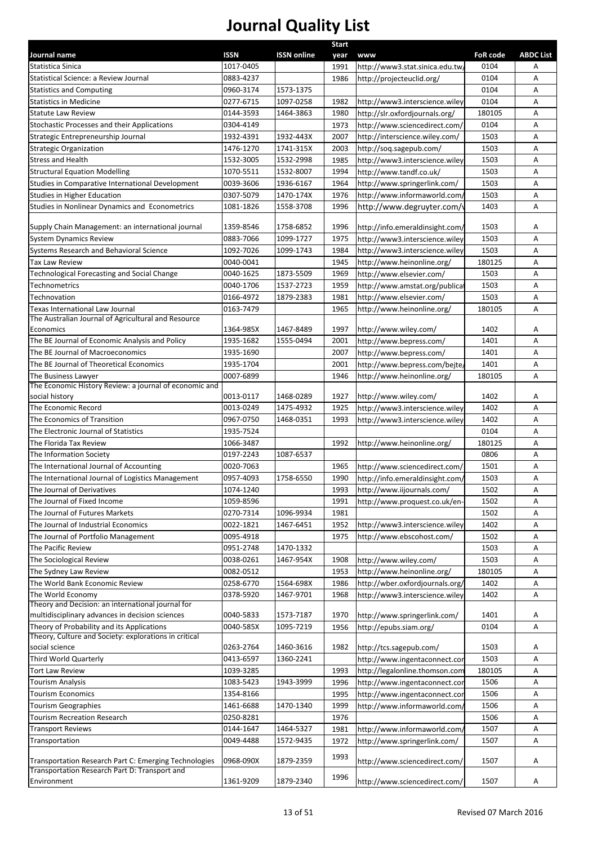| Journal name                                                                                           | <b>ISSN</b> | <b>ISSN online</b> | <b>Start</b><br>year | www                             | <b>FoR code</b> | <b>ABDC List</b> |
|--------------------------------------------------------------------------------------------------------|-------------|--------------------|----------------------|---------------------------------|-----------------|------------------|
| Statistica Sinica                                                                                      | 1017-0405   |                    | 1991                 | http://www3.stat.sinica.edu.tw, | 0104            | Α                |
| Statistical Science: a Review Journal                                                                  | 0883-4237   |                    | 1986                 | http://projecteuclid.org/       | 0104            | Α                |
| <b>Statistics and Computing</b>                                                                        | 0960-3174   | 1573-1375          |                      |                                 | 0104            | Α                |
| <b>Statistics in Medicine</b>                                                                          | 0277-6715   | 1097-0258          | 1982                 | http://www3.interscience.wiley  | 0104            | Α                |
| <b>Statute Law Review</b>                                                                              | 0144-3593   | 1464-3863          | 1980                 | http://slr.oxfordjournals.org/  | 180105          | Α                |
| Stochastic Processes and their Applications                                                            | 0304-4149   |                    | 1973                 | http://www.sciencedirect.com/   | 0104            | A                |
| Strategic Entrepreneurship Journal                                                                     | 1932-4391   | 1932-443X          | 2007                 | http://interscience.wiley.com/  | 1503            | Α                |
| <b>Strategic Organization</b>                                                                          | 1476-1270   | 1741-315X          | 2003                 | http://soq.sagepub.com/         | 1503            | Α                |
| <b>Stress and Health</b>                                                                               | 1532-3005   | 1532-2998          | 1985                 | http://www3.interscience.wiley  | 1503            | Α                |
| <b>Structural Equation Modelling</b>                                                                   | 1070-5511   | 1532-8007          | 1994                 | http://www.tandf.co.uk/         | 1503            | А                |
| Studies in Comparative International Development                                                       | 0039-3606   | 1936-6167          | 1964                 | http://www.springerlink.com/    | 1503            | А                |
| Studies in Higher Education                                                                            | 0307-5079   | 1470-174X          | 1976                 | http://www.informaworld.com/    | 1503            | Α                |
| Studies in Nonlinear Dynamics and Econometrics                                                         | 1081-1826   | 1558-3708          | 1996                 | http://www.degruyter.com/\      | 1403            | Α                |
|                                                                                                        |             |                    |                      |                                 |                 |                  |
| Supply Chain Management: an international journal                                                      | 1359-8546   | 1758-6852          | 1996                 | http://info.emeraldinsight.com/ | 1503            | Α                |
| <b>System Dynamics Review</b>                                                                          | 0883-7066   | 1099-1727          | 1975                 | http://www3.interscience.wiley  | 1503            | Α                |
| Systems Research and Behavioral Science                                                                | 1092-7026   | 1099-1743          | 1984                 | http://www3.interscience.wiley  | 1503            | Α                |
| <b>Tax Law Review</b>                                                                                  | 0040-0041   |                    | 1945                 | http://www.heinonline.org/      | 180125          | Α                |
| Technological Forecasting and Social Change                                                            | 0040-1625   | 1873-5509          | 1969                 | http://www.elsevier.com/        | 1503            | А                |
| Technometrics                                                                                          | 0040-1706   | 1537-2723          | 1959                 | http://www.amstat.org/publica   | 1503            | Α                |
| Technovation                                                                                           | 0166-4972   | 1879-2383          | 1981                 | http://www.elsevier.com/        | 1503            | Α                |
| Texas International Law Journal                                                                        | 0163-7479   |                    | 1965                 | http://www.heinonline.org/      | 180105          | Α                |
| The Australian Journal of Agricultural and Resource<br>Economics                                       | 1364-985X   | 1467-8489          | 1997                 | http://www.wiley.com/           | 1402            | Α                |
| The BE Journal of Economic Analysis and Policy                                                         | 1935-1682   | 1555-0494          | 2001                 | http://www.bepress.com/         | 1401            | A                |
| The BE Journal of Macroeconomics                                                                       | 1935-1690   |                    | 2007                 | http://www.bepress.com/         | 1401            | Α                |
| The BE Journal of Theoretical Economics                                                                | 1935-1704   |                    | 2001                 |                                 | 1401            | А                |
| The Business Lawyer                                                                                    | 0007-6899   |                    | 1946                 | http://www.bepress.com/bejte/   | 180105          | Α                |
| The Economic History Review: a journal of economic and                                                 |             |                    |                      | http://www.heinonline.org/      |                 |                  |
| social history                                                                                         | 0013-0117   | 1468-0289          | 1927                 | http://www.wiley.com/           | 1402            | Α                |
| The Economic Record                                                                                    | 0013-0249   | 1475-4932          | 1925                 | http://www3.interscience.wiley  | 1402            | Α                |
| The Economics of Transition                                                                            | 0967-0750   | 1468-0351          | 1993                 | http://www3.interscience.wiley  | 1402            | Α                |
| The Electronic Journal of Statistics                                                                   | 1935-7524   |                    |                      |                                 | 0104            | Α                |
| The Florida Tax Review                                                                                 | 1066-3487   |                    | 1992                 | http://www.heinonline.org/      | 180125          | Α                |
| The Information Society                                                                                | 0197-2243   | 1087-6537          |                      |                                 | 0806            | Α                |
| The International Journal of Accounting                                                                | 0020-7063   |                    | 1965                 | http://www.sciencedirect.com/   | 1501            | Α                |
| The International Journal of Logistics Management                                                      | 0957-4093   | 1758-6550          | 1990                 | http://info.emeraldinsight.com/ | 1503            | Α                |
| The Journal of Derivatives                                                                             | 1074-1240   |                    | 1993                 | http://www.iijournals.com/      | 1502            | Α                |
| The Journal of Fixed Income                                                                            | 1059-8596   |                    | 1991                 | http://www.proquest.co.uk/en-   | 1502            | Α                |
| The Journal of Futures Markets                                                                         | 0270-7314   | 1096-9934          | 1981                 |                                 | 1502            | А                |
| The Journal of Industrial Economics                                                                    | 0022-1821   | 1467-6451          | 1952                 | http://www3.interscience.wiley  | 1402            | Α                |
| The Journal of Portfolio Management                                                                    | 0095-4918   |                    | 1975                 | http://www.ebscohost.com/       | 1502            | Α                |
| The Pacific Review                                                                                     | 0951-2748   | 1470-1332          |                      |                                 | 1503            | Α                |
| The Sociological Review                                                                                | 0038-0261   | 1467-954X          | 1908                 | http://www.wiley.com/           | 1503            | А                |
| The Sydney Law Review                                                                                  | 0082-0512   |                    | 1953                 | http://www.heinonline.org/      | 180105          | Α                |
| The World Bank Economic Review                                                                         | 0258-6770   | 1564-698X          | 1986                 | http://wber.oxfordjournals.org/ | 1402            | А                |
| The World Economy                                                                                      | 0378-5920   | 1467-9701          | 1968                 | http://www3.interscience.wiley  | 1402            | Α                |
| Theory and Decision: an international journal for                                                      |             |                    |                      |                                 |                 |                  |
| multidisciplinary advances in decision sciences                                                        | 0040-5833   | 1573-7187          | 1970                 | http://www.springerlink.com/    | 1401            | Α                |
| Theory of Probability and its Applications<br>Theory, Culture and Society: explorations in critical    | 0040-585X   | 1095-7219          | 1956                 | http://epubs.siam.org/          | 0104            | Α                |
| social science                                                                                         | 0263-2764   | 1460-3616          | 1982                 | http://tcs.sagepub.com/         | 1503            | A                |
| Third World Quarterly                                                                                  | 0413-6597   | 1360-2241          |                      | http://www.ingentaconnect.cor   | 1503            | А                |
| Tort Law Review                                                                                        | 1039-3285   |                    | 1993                 | http://legalonline.thomson.com  | 180105          | А                |
| <b>Tourism Analysis</b>                                                                                | 1083-5423   | 1943-3999          | 1996                 | http://www.ingentaconnect.cor   | 1506            | Α                |
| <b>Tourism Economics</b>                                                                               | 1354-8166   |                    | 1995                 | http://www.ingentaconnect.cor   | 1506            | Α                |
| <b>Tourism Geographies</b>                                                                             | 1461-6688   | 1470-1340          | 1999                 | http://www.informaworld.com/    | 1506            | Α                |
| Tourism Recreation Research                                                                            | 0250-8281   |                    | 1976                 |                                 | 1506            | Α                |
| <b>Transport Reviews</b>                                                                               | 0144-1647   | 1464-5327          | 1981                 | http://www.informaworld.com/    | 1507            | Α                |
| Transportation                                                                                         | 0049-4488   | 1572-9435          | 1972                 | http://www.springerlink.com/    | 1507            | Α                |
|                                                                                                        |             |                    | 1993                 |                                 |                 |                  |
| Transportation Research Part C: Emerging Technologies<br>Transportation Research Part D: Transport and | 0968-090X   | 1879-2359          |                      | http://www.sciencedirect.com/   | 1507            | Α                |
| Environment                                                                                            | 1361-9209   | 1879-2340          | 1996                 | http://www.sciencedirect.com/   | 1507            | Α                |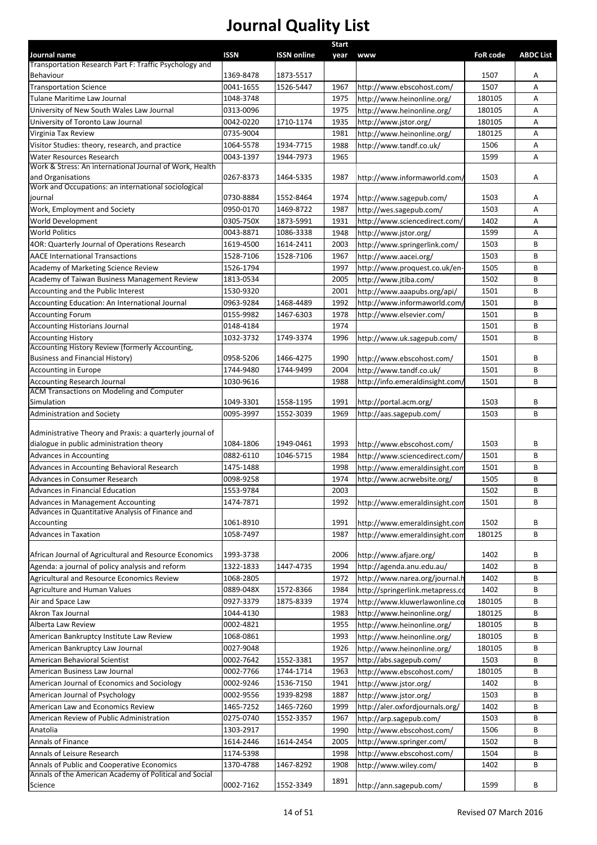| Journal name                                                                                         | <b>ISSN</b>            | <b>ISSN online</b> | <b>Start</b><br>year | <b>WWW</b>                                               | <b>FoR code</b> | <b>ABDC List</b> |
|------------------------------------------------------------------------------------------------------|------------------------|--------------------|----------------------|----------------------------------------------------------|-----------------|------------------|
| Transportation Research Part F: Traffic Psychology and                                               |                        |                    |                      |                                                          |                 |                  |
| Behaviour                                                                                            | 1369-8478              | 1873-5517          |                      |                                                          | 1507            | Α                |
| <b>Transportation Science</b>                                                                        | 0041-1655              | 1526-5447          | 1967                 | http://www.ebscohost.com/                                | 1507            | A                |
| Tulane Maritime Law Journal                                                                          | 1048-3748              |                    | 1975                 | http://www.heinonline.org/                               | 180105          | Α                |
| University of New South Wales Law Journal                                                            | 0313-0096              |                    | 1975                 | http://www.heinonline.org/                               | 180105          | Α                |
| University of Toronto Law Journal                                                                    | 0042-0220              | 1710-1174          | 1935                 | http://www.jstor.org/                                    | 180105          | A                |
| Virginia Tax Review                                                                                  | 0735-9004              |                    | 1981                 | http://www.heinonline.org/                               | 180125          | Α                |
| Visitor Studies: theory, research, and practice                                                      | 1064-5578              | 1934-7715          | 1988                 | http://www.tandf.co.uk/                                  | 1506            | Α                |
| Water Resources Research                                                                             | 0043-1397              | 1944-7973          | 1965                 |                                                          | 1599            | Α                |
| Work & Stress: An international Journal of Work, Health                                              |                        |                    |                      |                                                          |                 |                  |
| and Organisations                                                                                    | 0267-8373              | 1464-5335          | 1987                 | http://www.informaworld.com/                             | 1503            | Α                |
| Work and Occupations: an international sociological                                                  |                        |                    |                      |                                                          |                 |                  |
| journal                                                                                              | 0730-8884              | 1552-8464          | 1974                 | http://www.sagepub.com/                                  | 1503            | Α                |
| Work, Employment and Society                                                                         | 0950-0170              | 1469-8722          | 1987                 | http://wes.sagepub.com/                                  | 1503            | Α                |
| World Development                                                                                    | 0305-750X              | 1873-5991          | 1931                 | http://www.sciencedirect.com/                            | 1402            | Α                |
| <b>World Politics</b>                                                                                | 0043-8871              | 1086-3338          | 1948                 | http://www.jstor.org/                                    | 1599            | Α<br>B           |
| 4OR: Quarterly Journal of Operations Research                                                        | 1619-4500              | 1614-2411          | 2003                 | http://www.springerlink.com/                             | 1503            |                  |
| <b>AACE International Transactions</b>                                                               | 1528-7106              | 1528-7106          | 1967                 | http://www.aacei.org/                                    | 1503            | В                |
| Academy of Marketing Science Review                                                                  | 1526-1794              |                    | 1997                 | http://www.proquest.co.uk/en-                            | 1505            | B<br>B           |
| Academy of Taiwan Business Management Review<br>Accounting and the Public Interest                   | 1813-0534              |                    | 2005                 | http://www.jtiba.com/                                    | 1502            |                  |
|                                                                                                      | 1530-9320<br>0963-9284 |                    | 2001                 | http://www.aaapubs.org/api/                              | 1501            | B                |
| Accounting Education: An International Journal                                                       | 0155-9982              | 1468-4489          | 1992<br>1978         | http://www.informaworld.com/<br>http://www.elsevier.com/ | 1501<br>1501    | В<br>B           |
| <b>Accounting Forum</b>                                                                              | 0148-4184              | 1467-6303          | 1974                 |                                                          | 1501            | B                |
| <b>Accounting Historians Journal</b><br><b>Accounting History</b>                                    | 1032-3732              | 1749-3374          | 1996                 |                                                          | 1501            | В                |
| Accounting History Review (formerly Accounting,                                                      |                        |                    |                      | http://www.uk.sagepub.com/                               |                 |                  |
| <b>Business and Financial History)</b>                                                               | 0958-5206              | 1466-4275          | 1990                 | http://www.ebscohost.com/                                | 1501            | В                |
| Accounting in Europe                                                                                 | 1744-9480              | 1744-9499          | 2004                 | http://www.tandf.co.uk/                                  | 1501            | B                |
| <b>Accounting Research Journal</b>                                                                   | 1030-9616              |                    | 1988                 | http://info.emeraldinsight.com/                          | 1501            | B                |
| <b>ACM Transactions on Modeling and Computer</b>                                                     |                        |                    |                      |                                                          |                 |                  |
| Simulation                                                                                           | 1049-3301              | 1558-1195          | 1991                 | http://portal.acm.org/                                   | 1503            | В                |
| Administration and Society                                                                           | 0095-3997              | 1552-3039          | 1969                 | http://aas.sagepub.com/                                  | 1503            | B                |
|                                                                                                      |                        |                    |                      |                                                          |                 |                  |
| Administrative Theory and Praxis: a quarterly journal of<br>dialogue in public administration theory |                        |                    | 1993                 |                                                          | 1503            | B                |
|                                                                                                      | 1084-1806<br>0882-6110 | 1949-0461          | 1984                 | http://www.ebscohost.com/                                | 1501            | B                |
| Advances in Accounting<br>Advances in Accounting Behavioral Research                                 |                        | 1046-5715          | 1998                 | http://www.sciencedirect.com/                            |                 | В                |
| Advances in Consumer Research                                                                        | 1475-1488<br>0098-9258 |                    |                      | http://www.emeraldinsight.com                            | 1501<br>1505    | В                |
| Advances in Financial Education                                                                      | 1553-9784              |                    | 1974<br>2003         | http://www.acrwebsite.org/                               | 1502            | B                |
| Advances in Management Accounting                                                                    | 1474-7871              |                    | 1992                 | http://www.emeraldinsight.com                            | 1501            | B                |
| Advances in Quantitative Analysis of Finance and                                                     |                        |                    |                      |                                                          |                 |                  |
| Accounting                                                                                           | 1061-8910              |                    | 1991                 | http://www.emeraldinsight.com                            | 1502            | В                |
| <b>Advances in Taxation</b>                                                                          | 1058-7497              |                    | 1987                 | http://www.emeraldinsight.com                            | 180125          | B                |
|                                                                                                      |                        |                    |                      |                                                          |                 |                  |
| African Journal of Agricultural and Resource Economics                                               | 1993-3738              |                    | 2006                 | http://www.afjare.org/                                   | 1402            | В                |
| Agenda: a journal of policy analysis and reform                                                      | 1322-1833              | 1447-4735          | 1994                 | http://agenda.anu.edu.au/                                | 1402            | В                |
| Agricultural and Resource Economics Review                                                           | 1068-2805              |                    | 1972                 | http://www.narea.org/journal.h                           | 1402            | В                |
| <b>Agriculture and Human Values</b>                                                                  | 0889-048X              | 1572-8366          | 1984                 | http://springerlink.metapress.co                         | 1402            | В                |
| Air and Space Law                                                                                    | 0927-3379              | 1875-8339          | 1974                 | http://www.kluwerlawonline.co                            | 180105          | В                |
| Akron Tax Journal                                                                                    | 1044-4130              |                    | 1983                 | http://www.heinonline.org/                               | 180125          | В                |
| Alberta Law Review                                                                                   | 0002-4821              |                    | 1955                 | http://www.heinonline.org/                               | 180105          | В                |
| American Bankruptcy Institute Law Review                                                             | 1068-0861              |                    | 1993                 | http://www.heinonline.org/                               | 180105          | В                |
| American Bankruptcy Law Journal                                                                      | 0027-9048              |                    | 1926                 | http://www.heinonline.org/                               | 180105          | B                |
| American Behavioral Scientist                                                                        | 0002-7642              | 1552-3381          | 1957                 | http://abs.sagepub.com/                                  | 1503            | В                |
| American Business Law Journal                                                                        | 0002-7766              | 1744-1714          | 1963                 | http://www.ebscohost.com/                                | 180105          | В                |
| American Journal of Economics and Sociology                                                          | 0002-9246              | 1536-7150          | 1941                 | http://www.jstor.org/                                    | 1402            | В                |
| American Journal of Psychology                                                                       | 0002-9556              | 1939-8298          | 1887                 | http://www.jstor.org/                                    | 1503            | В                |
| American Law and Economics Review                                                                    | 1465-7252              | 1465-7260          | 1999                 | http://aler.oxfordjournals.org/                          | 1402            | В                |
| American Review of Public Administration                                                             | 0275-0740              | 1552-3357          | 1967                 | http://arp.sagepub.com/                                  | 1503            | В                |
| Anatolia                                                                                             | 1303-2917              |                    | 1990                 | http://www.ebscohost.com/                                | 1506            | В                |
| Annals of Finance                                                                                    | 1614-2446              | 1614-2454          | 2005                 | http://www.springer.com/                                 | 1502            | В                |
| Annals of Leisure Research                                                                           | 1174-5398              |                    | 1998                 | http://www.ebscohost.com/                                | 1504            | В                |
| Annals of Public and Cooperative Economics                                                           | 1370-4788              | 1467-8292          | 1908                 | http://www.wiley.com/                                    | 1402            | В                |
| Annals of the American Academy of Political and Social                                               |                        |                    | 1891                 |                                                          |                 |                  |
| Science                                                                                              | 0002-7162              | 1552-3349          |                      | http://ann.sagepub.com/                                  | 1599            | В                |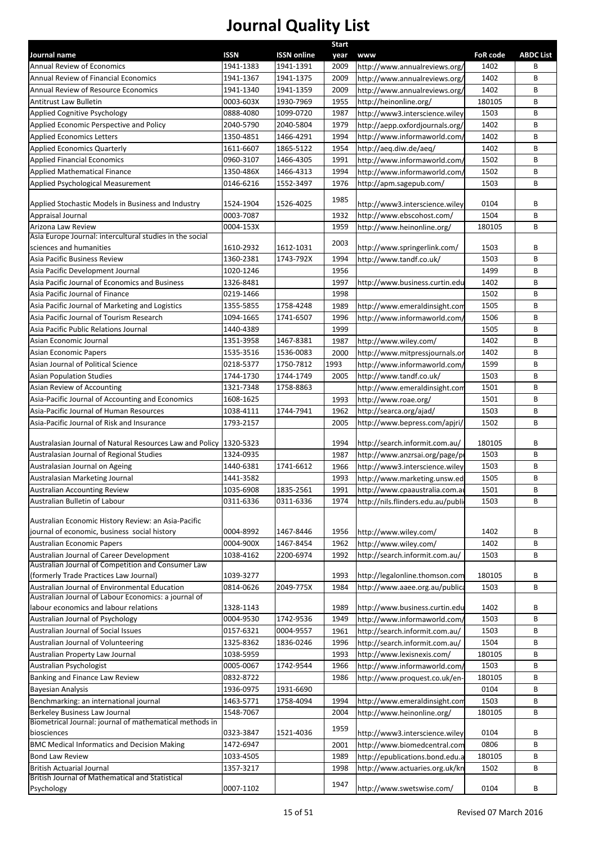|                                                                                              |                        |                        | <b>Start</b> |                                                                  |                 |                  |
|----------------------------------------------------------------------------------------------|------------------------|------------------------|--------------|------------------------------------------------------------------|-----------------|------------------|
| Journal name                                                                                 | <b>ISSN</b>            | <b>ISSN online</b>     | year         | <b>www</b>                                                       | <b>FoR code</b> | <b>ABDC List</b> |
| Annual Review of Economics                                                                   | 1941-1383              | 1941-1391              | 2009         | http://www.annualreviews.org/                                    | 1402            | B                |
| Annual Review of Financial Economics                                                         | 1941-1367              | 1941-1375              | 2009         | http://www.annualreviews.org/                                    | 1402<br>1402    | В<br>B           |
| <b>Annual Review of Resource Economics</b>                                                   | 1941-1340              | 1941-1359              | 2009         | http://www.annualreviews.org/                                    |                 |                  |
| Antitrust Law Bulletin                                                                       | 0003-603X<br>0888-4080 | 1930-7969<br>1099-0720 | 1955<br>1987 | http://heinonline.org/                                           | 180105          | В<br>B           |
| Applied Cognitive Psychology                                                                 | 2040-5790              | 2040-5804              | 1979         | http://www3.interscience.wiley                                   | 1503<br>1402    | B                |
| Applied Economic Perspective and Policy<br><b>Applied Economics Letters</b>                  | 1350-4851              | 1466-4291              | 1994         | http://aepp.oxfordjournals.org/<br>http://www.informaworld.com/  | 1402            | B                |
| <b>Applied Economics Quarterly</b>                                                           | 1611-6607              | 1865-5122              | 1954         |                                                                  | 1402            | B                |
| <b>Applied Financial Economics</b>                                                           | 0960-3107              | 1466-4305              | 1991         | http://aeq.diw.de/aeq/<br>http://www.informaworld.com/           | 1502            | B                |
| <b>Applied Mathematical Finance</b>                                                          | 1350-486X              | 1466-4313              | 1994         | http://www.informaworld.com/                                     | 1502            | B                |
| Applied Psychological Measurement                                                            | 0146-6216              | 1552-3497              | 1976         | http://apm.sagepub.com/                                          | 1503            | B                |
|                                                                                              |                        |                        |              |                                                                  |                 |                  |
| Applied Stochastic Models in Business and Industry                                           | 1524-1904              | 1526-4025              | 1985         | http://www3.interscience.wiley                                   | 0104            | В                |
| <b>Appraisal Journal</b>                                                                     | 0003-7087              |                        | 1932         | http://www.ebscohost.com/                                        | 1504            | B                |
| Arizona Law Review                                                                           | 0004-153X              |                        | 1959         | http://www.heinonline.org/                                       | 180105          | B                |
| Asia Europe Journal: intercultural studies in the social                                     |                        |                        |              |                                                                  |                 |                  |
| sciences and humanities                                                                      | 1610-2932              | 1612-1031              | 2003         | http://www.springerlink.com/                                     | 1503            | В                |
| Asia Pacific Business Review                                                                 | 1360-2381              | 1743-792X              | 1994         | http://www.tandf.co.uk/                                          | 1503            | В                |
| Asia Pacific Development Journal                                                             | 1020-1246              |                        | 1956         |                                                                  | 1499            | B                |
| Asia Pacific Journal of Economics and Business                                               | 1326-8481              |                        | 1997         | http://www.business.curtin.edu                                   | 1402            | B                |
| Asia Pacific Journal of Finance                                                              | 0219-1466              |                        | 1998         |                                                                  | 1502            | В                |
| Asia Pacific Journal of Marketing and Logistics                                              | 1355-5855              | 1758-4248              | 1989         | http://www.emeraldinsight.com                                    | 1505            | B                |
| Asia Pacific Journal of Tourism Research                                                     | 1094-1665              | 1741-6507              | 1996         | http://www.informaworld.com/                                     | 1506            | B                |
| Asia Pacific Public Relations Journal                                                        | 1440-4389              |                        | 1999         |                                                                  | 1505            | B                |
| Asian Economic Journal                                                                       | 1351-3958              | 1467-8381              | 1987         | http://www.wiley.com/                                            | 1402            | B                |
| Asian Economic Papers                                                                        | 1535-3516              | 1536-0083              | 2000         | http://www.mitpressjournals.or                                   | 1402            | B                |
| Asian Journal of Political Science                                                           | 0218-5377              | 1750-7812              | 1993         | http://www.informaworld.com/                                     | 1599            | B                |
| <b>Asian Population Studies</b>                                                              | 1744-1730              | 1744-1749              | 2005         | http://www.tandf.co.uk/                                          | 1503            | B                |
| Asian Review of Accounting                                                                   | 1321-7348              | 1758-8863              |              | http://www.emeraldinsight.com                                    | 1501            | В                |
| Asia-Pacific Journal of Accounting and Economics                                             | 1608-1625              |                        | 1993         | http://www.roae.org/                                             | 1501            | B                |
| Asia-Pacific Journal of Human Resources                                                      | 1038-4111              | 1744-7941              | 1962         | http://searca.org/ajad/                                          | 1503            | B                |
| Asia-Pacific Journal of Risk and Insurance                                                   | 1793-2157              |                        | 2005         | http://www.bepress.com/apjri/                                    | 1502            | B                |
| Australasian Journal of Natural Resources Law and Policy 1320-5323                           |                        |                        | 1994         | http://search.informit.com.au/                                   | 180105          | В                |
| Australasian Journal of Regional Studies                                                     | 1324-0935              |                        | 1987         | http://www.anzrsai.org/page/pi                                   | 1503            | B                |
| Australasian Journal on Ageing                                                               | 1440-6381              | 1741-6612              | 1966         | http://www3.interscience.wiley                                   | 1503            | B                |
| Australasian Marketing Journal                                                               | 1441-3582              |                        | 1993         | http://www.marketing.unsw.ed                                     | 1505            | В                |
| <b>Australian Accounting Review</b>                                                          | 1035-6908              | 1835-2561              | 1991         | http://www.cpaaustralia.com.au                                   | 1501            | B                |
| Australian Bulletin of Labour                                                                | 0311-6336              | 0311-6336              | 1974         | http://nils.flinders.edu.au/publi                                | 1503            | B                |
|                                                                                              |                        |                        |              |                                                                  |                 |                  |
| Australian Economic History Review: an Asia-Pacific                                          |                        |                        |              |                                                                  |                 |                  |
| journal of economic, business social history                                                 | 0004-8992              | 1467-8446              | 1956         | http://www.wiley.com/                                            | 1402            | В                |
| <b>Australian Economic Papers</b>                                                            | 0004-900X              | 1467-8454              | 1962         | http://www.wiley.com/                                            | 1402            | В                |
| Australian Journal of Career Development                                                     | 1038-4162              | 2200-6974              | 1992         | http://search.informit.com.au/                                   | 1503            | В                |
| Australian Journal of Competition and Consumer Law<br>(formerly Trade Practices Law Journal) | 1039-3277              |                        | 1993         |                                                                  | 180105          | В                |
| Australian Journal of Environmental Education                                                | 0814-0626              | 2049-775X              | 1984         | http://legalonline.thomson.com<br>http://www.aaee.org.au/publica | 1503            | В                |
| Australian Journal of Labour Economics: a journal of                                         |                        |                        |              |                                                                  |                 |                  |
| labour economics and labour relations                                                        | 1328-1143              |                        | 1989         | http://www.business.curtin.edu                                   | 1402            | В                |
| Australian Journal of Psychology                                                             | 0004-9530              | 1742-9536              | 1949         | http://www.informaworld.com/                                     | 1503            | В                |
| Australian Journal of Social Issues                                                          | 0157-6321              | 0004-9557              | 1961         | http://search.informit.com.au/                                   | 1503            | В                |
| Australian Journal of Volunteering                                                           | 1325-8362              | 1836-0246              | 1996         | http://search.informit.com.au/                                   | 1504            | В                |
| Australian Property Law Journal                                                              | 1038-5959              |                        | 1993         | http://www.lexisnexis.com/                                       | 180105          | B                |
| Australian Psychologist                                                                      | 0005-0067              | 1742-9544              | 1966         | http://www.informaworld.com/                                     | 1503            | В                |
| Banking and Finance Law Review                                                               | 0832-8722              |                        | 1986         | http://www.proquest.co.uk/en-                                    | 180105          | В                |
| <b>Bayesian Analysis</b>                                                                     | 1936-0975              | 1931-6690              |              |                                                                  | 0104            | В                |
| Benchmarking: an international journal                                                       | 1463-5771              | 1758-4094              | 1994         | http://www.emeraldinsight.com                                    | 1503            | В                |
| <b>Berkeley Business Law Journal</b>                                                         | 1548-7067              |                        | 2004         | http://www.heinonline.org/                                       | 180105          | В                |
| Biometrical Journal: journal of mathematical methods in                                      |                        |                        | 1959         |                                                                  |                 |                  |
| biosciences                                                                                  | 0323-3847              | 1521-4036              |              | http://www3.interscience.wiley                                   | 0104            | В                |
| <b>BMC Medical Informatics and Decision Making</b>                                           | 1472-6947              |                        | 2001         | http://www.biomedcentral.com                                     | 0806            | B                |
| <b>Bond Law Review</b>                                                                       | 1033-4505              |                        | 1989         | http://epublications.bond.edu.a                                  | 180105          | В                |
| <b>British Actuarial Journal</b>                                                             | 1357-3217              |                        | 1998         | http://www.actuaries.org.uk/kn                                   | 1502            | В                |
| British Journal of Mathematical and Statistical                                              |                        |                        | 1947         |                                                                  |                 |                  |
| Psychology                                                                                   | 0007-1102              |                        |              | http://www.swetswise.com/                                        | 0104            | В                |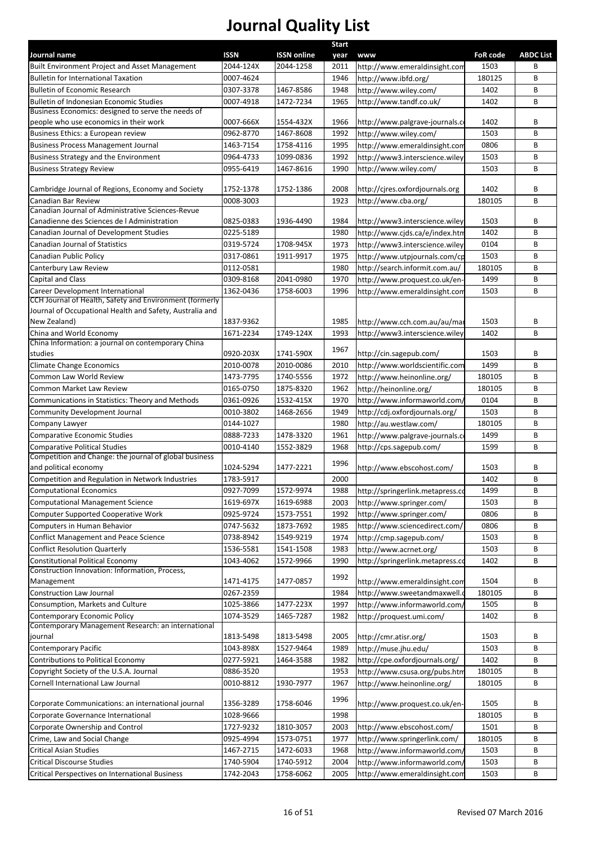|                                                                                                                                                         |             |                        | <b>Start</b> |                                       |                 |                  |
|---------------------------------------------------------------------------------------------------------------------------------------------------------|-------------|------------------------|--------------|---------------------------------------|-----------------|------------------|
| Journal name                                                                                                                                            | <b>ISSN</b> | <b>ISSN online</b>     | year         | <b>www</b>                            | <b>FoR code</b> | <b>ABDC List</b> |
| Built Environment Project and Asset Management                                                                                                          | 2044-124X   | 2044-1258              | 2011         | http://www.emeraldinsight.com         | 1503            | В                |
| <b>Bulletin for International Taxation</b>                                                                                                              | 0007-4624   |                        | 1946         | http://www.ibfd.org/                  | 180125          | В                |
| <b>Bulletin of Economic Research</b><br>Bulletin of Indonesian Economic Studies                                                                         | 0307-3378   | 1467-8586<br>1472-7234 | 1948<br>1965 | http://www.wiley.com/                 | 1402<br>1402    | B<br>B           |
| Business Economics: designed to serve the needs of                                                                                                      | 0007-4918   |                        |              | http://www.tandf.co.uk/               |                 |                  |
| people who use economics in their work                                                                                                                  | 0007-666X   | 1554-432X              | 1966         | http://www.palgrave-journals.co       | 1402            | В                |
| Business Ethics: a European review                                                                                                                      | 0962-8770   | 1467-8608              | 1992         | http://www.wiley.com/                 | 1503            | B                |
| <b>Business Process Management Journal</b>                                                                                                              | 1463-7154   | 1758-4116              | 1995         | http://www.emeraldinsight.com         | 0806            | В                |
| Business Strategy and the Environment                                                                                                                   | 0964-4733   | 1099-0836              | 1992         | http://www3.interscience.wiley        | 1503            | В                |
| <b>Business Strategy Review</b>                                                                                                                         | 0955-6419   | 1467-8616              | 1990         | http://www.wiley.com/                 | 1503            | B                |
|                                                                                                                                                         |             |                        |              |                                       |                 |                  |
| Cambridge Journal of Regions, Economy and Society                                                                                                       | 1752-1378   | 1752-1386              | 2008         | http://cjres.oxfordjournals.org       | 1402            | В                |
| Canadian Bar Review                                                                                                                                     | 0008-3003   |                        | 1923         | http://www.cba.org/                   | 180105          | B                |
| Canadian Journal of Administrative Sciences-Revue                                                                                                       |             |                        |              |                                       |                 |                  |
| Canadienne des Sciences de l Administration                                                                                                             | 0825-0383   | 1936-4490              | 1984         | http://www3.interscience.wiley        | 1503            | В                |
| Canadian Journal of Development Studies                                                                                                                 | 0225-5189   |                        | 1980         | http://www.cjds.ca/e/index.htm        | 1402            | B                |
| Canadian Journal of Statistics                                                                                                                          | 0319-5724   | 1708-945X              | 1973         | http://www3.interscience.wiley        | 0104            | B                |
| Canadian Public Policy                                                                                                                                  | 0317-0861   | 1911-9917              | 1975         | http://www.utpjournals.com/cp         | 1503            | B                |
| Canterbury Law Review                                                                                                                                   | 0112-0581   |                        | 1980         | http://search.informit.com.au/        | 180105          | B                |
| <b>Capital and Class</b>                                                                                                                                | 0309-8168   | 2041-0980              | 1970         | http://www.proquest.co.uk/en-         | 1499            | B                |
| Career Development International<br>CCH Journal of Health, Safety and Environment (formerly<br>Journal of Occupational Health and Safety, Australia and | 1362-0436   | 1758-6003              | 1996         | http://www.emeraldinsight.com         | 1503            | В                |
| New Zealand)                                                                                                                                            | 1837-9362   |                        | 1985         | http://www.cch.com.au/au/mai          | 1503            | В                |
| China and World Economy                                                                                                                                 | 1671-2234   | 1749-124X              | 1993         | http://www3.interscience.wiley        | 1402            | B                |
| China Information: a journal on contemporary China                                                                                                      |             |                        | 1967         |                                       |                 |                  |
| studies                                                                                                                                                 | 0920-203X   | 1741-590X              |              | http://cin.sagepub.com/               | 1503            | В                |
| <b>Climate Change Economics</b>                                                                                                                         | 2010-0078   | 2010-0086              | 2010         | http://www.worldscientific.com        | 1499            | B                |
| Common Law World Review                                                                                                                                 | 1473-7795   | 1740-5556              | 1972         | http://www.heinonline.org/            | 180105          | B                |
| Common Market Law Review                                                                                                                                | 0165-0750   | 1875-8320              | 1962         | http://heinonline.org/                | 180105          | B                |
| Communications in Statistics: Theory and Methods                                                                                                        | 0361-0926   | 1532-415X              | 1970         | http://www.informaworld.com/          | 0104            | B                |
| Community Development Journal                                                                                                                           | 0010-3802   | 1468-2656              | 1949         | http://cdj.oxfordjournals.org/        | 1503            | B                |
| Company Lawyer                                                                                                                                          | 0144-1027   |                        | 1980         | http://au.westlaw.com/                | 180105          | В                |
| <b>Comparative Economic Studies</b>                                                                                                                     | 0888-7233   | 1478-3320              | 1961         | http://www.palgrave-journals.c        | 1499            | B                |
| <b>Comparative Political Studies</b><br>Competition and Change: the journal of global business                                                          | 0010-4140   | 1552-3829              | 1968         | http://cps.sagepub.com/               | 1599            | B                |
| and political economy                                                                                                                                   | 1024-5294   | 1477-2221              | 1996         | http://www.ebscohost.com/             | 1503            | В                |
| Competition and Regulation in Network Industries                                                                                                        | 1783-5917   |                        | 2000         |                                       | 1402            | B                |
| Computational Economics                                                                                                                                 | 0927-7099   | 1572-9974              |              | 1988 http://springerlink.metapress.co | 1499            | B                |
| <b>Computational Management Science</b>                                                                                                                 | 1619-697X   | 1619-6988              | 2003         | http://www.springer.com/              | 1503            | B                |
| Computer Supported Cooperative Work                                                                                                                     | 0925-9724   | 1573-7551              | 1992         | http://www.springer.com/              | 0806            | В                |
| Computers in Human Behavior                                                                                                                             | 0747-5632   | 1873-7692              | 1985         | http://www.sciencedirect.com/         | 0806            | В                |
| <b>Conflict Management and Peace Science</b>                                                                                                            | 0738-8942   | 1549-9219              | 1974         | http://cmp.sagepub.com/               | 1503            | B                |
| <b>Conflict Resolution Quarterly</b>                                                                                                                    | 1536-5581   | 1541-1508              | 1983         | http://www.acrnet.org/                | 1503            | В                |
| <b>Constitutional Political Economy</b>                                                                                                                 | 1043-4062   | 1572-9966              | 1990         | http://springerlink.metapress.co      | 1402            | В                |
| Construction Innovation: Information, Process,                                                                                                          |             |                        | 1992         |                                       |                 |                  |
| Management                                                                                                                                              | 1471-4175   | 1477-0857              |              | http://www.emeraldinsight.com         | 1504            | В                |
| <b>Construction Law Journal</b>                                                                                                                         | 0267-2359   |                        | 1984         | http://www.sweetandmaxwell.o          | 180105          | В                |
| Consumption, Markets and Culture                                                                                                                        | 1025-3866   | 1477-223X              | 1997         | http://www.informaworld.com/          | 1505            | В                |
| Contemporary Economic Policy                                                                                                                            | 1074-3529   | 1465-7287              | 1982         | http://proquest.umi.com/              | 1402            | В                |
| Contemporary Management Research: an international                                                                                                      |             |                        |              |                                       |                 |                  |
| journal                                                                                                                                                 | 1813-5498   | 1813-5498              | 2005         | http://cmr.atisr.org/                 | 1503            | В                |
| Contemporary Pacific                                                                                                                                    | 1043-898X   | 1527-9464              | 1989         | http://muse.jhu.edu/                  | 1503            | B                |
| Contributions to Political Economy                                                                                                                      | 0277-5921   | 1464-3588              | 1982         | http://cpe.oxfordjournals.org/        | 1402            | В                |
| Copyright Society of the U.S.A. Journal                                                                                                                 | 0886-3520   |                        | 1953         | http://www.csusa.org/pubs.htm         | 180105          | B                |
| Cornell International Law Journal                                                                                                                       | 0010-8812   | 1930-7977              | 1967         | http://www.heinonline.org/            | 180105          | В                |
| Corporate Communications: an international journal                                                                                                      | 1356-3289   | 1758-6046              | 1996         | http://www.proquest.co.uk/en-         | 1505            | В                |
| Corporate Governance International                                                                                                                      | 1028-9666   |                        | 1998         |                                       | 180105          | В                |
| Corporate Ownership and Control                                                                                                                         | 1727-9232   | 1810-3057              | 2003         | http://www.ebscohost.com/             | 1501            | B                |
| Crime, Law and Social Change                                                                                                                            | 0925-4994   | 1573-0751              | 1977         | http://www.springerlink.com/          | 180105          | B                |
| <b>Critical Asian Studies</b>                                                                                                                           | 1467-2715   | 1472-6033              | 1968         | http://www.informaworld.com/          | 1503            | B                |
| <b>Critical Discourse Studies</b>                                                                                                                       | 1740-5904   | 1740-5912              | 2004         | http://www.informaworld.com/          | 1503            | В                |
| <b>Critical Perspectives on International Business</b>                                                                                                  | 1742-2043   | 1758-6062              | 2005         | http://www.emeraldinsight.com         | 1503            | В                |
|                                                                                                                                                         |             |                        |              |                                       |                 |                  |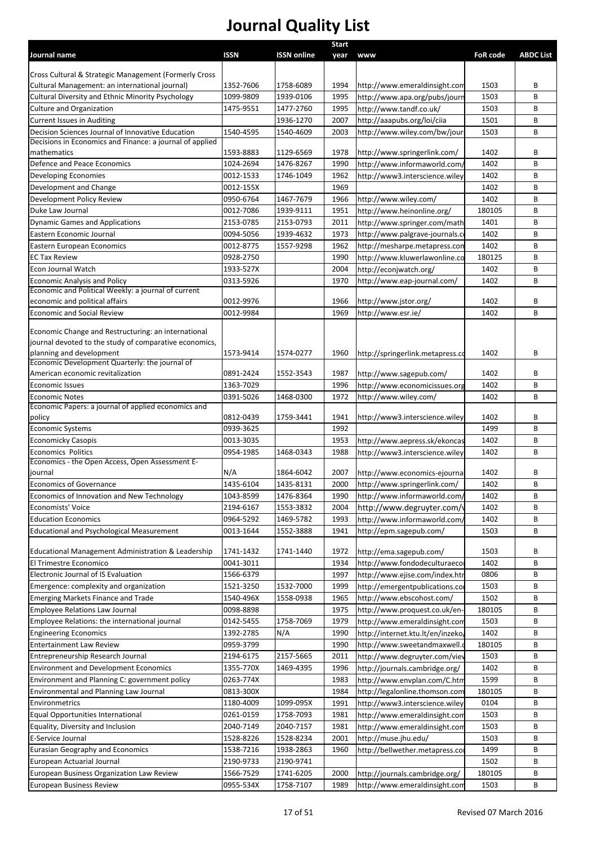|                                                                                                               |             |                        | Start        |                                                        |                 |                  |
|---------------------------------------------------------------------------------------------------------------|-------------|------------------------|--------------|--------------------------------------------------------|-----------------|------------------|
| Journal name                                                                                                  | <b>ISSN</b> | <b>ISSN online</b>     | year         | <b>www</b>                                             | <b>FoR code</b> | <b>ABDC List</b> |
|                                                                                                               |             |                        |              |                                                        |                 |                  |
| Cross Cultural & Strategic Management (Formerly Cross                                                         |             |                        |              |                                                        |                 |                  |
| Cultural Management: an international journal)                                                                | 1352-7606   | 1758-6089<br>1939-0106 | 1994         | http://www.emeraldinsight.com                          | 1503            | B                |
| <b>Cultural Diversity and Ethnic Minority Psychology</b>                                                      | 1099-9809   | 1477-2760              | 1995         | http://www.apa.org/pubs/journ                          | 1503<br>1503    | B                |
| Culture and Organization<br><b>Current Issues in Auditing</b>                                                 | 1475-9551   |                        | 1995<br>2007 | http://www.tandf.co.uk/<br>http://aaapubs.org/loi/ciia | 1501            | В<br>В           |
| Decision Sciences Journal of Innovative Education                                                             | 1540-4595   | 1936-1270<br>1540-4609 | 2003         | http://www.wiley.com/bw/jour                           | 1503            | B                |
| Decisions in Economics and Finance: a journal of applied                                                      |             |                        |              |                                                        |                 |                  |
| mathematics                                                                                                   | 1593-8883   | 1129-6569              | 1978         | http://www.springerlink.com/                           | 1402            | В                |
| Defence and Peace Economics                                                                                   | 1024-2694   | 1476-8267              | 1990         | http://www.informaworld.com/                           | 1402            | B                |
| Developing Economies                                                                                          | 0012-1533   | 1746-1049              | 1962         | http://www3.interscience.wiley                         | 1402            | B                |
| Development and Change                                                                                        | 0012-155X   |                        | 1969         |                                                        | 1402            | В                |
| Development Policy Review                                                                                     | 0950-6764   | 1467-7679              | 1966         | http://www.wiley.com/                                  | 1402            | B                |
| Duke Law Journal                                                                                              | 0012-7086   | 1939-9111              | 1951         | http://www.heinonline.org/                             | 180105          | B                |
| <b>Dynamic Games and Applications</b>                                                                         | 2153-0785   | 2153-0793              | 2011         | http://www.springer.com/math                           | 1401            | B                |
| Eastern Economic Journal                                                                                      | 0094-5056   | 1939-4632              | 1973         | http://www.palgrave-journals.c                         | 1402            | B                |
| Eastern European Economics                                                                                    | 0012-8775   | 1557-9298              | 1962         | http://mesharpe.metapress.con                          | 1402            | B                |
| <b>EC Tax Review</b>                                                                                          | 0928-2750   |                        | 1990         | http://www.kluwerlawonline.co                          | 180125          | B                |
| Econ Journal Watch                                                                                            | 1933-527X   |                        | 2004         | http://econjwatch.org/                                 | 1402            | B                |
|                                                                                                               |             |                        |              |                                                        |                 |                  |
| <b>Economic Analysis and Policy</b><br>Economic and Political Weekly: a journal of current                    | 0313-5926   |                        | 1970         | http://www.eap-journal.com/                            | 1402            | B                |
| economic and political affairs                                                                                | 0012-9976   |                        | 1966         | http://www.jstor.org/                                  | 1402            | В                |
| <b>Economic and Social Review</b>                                                                             | 0012-9984   |                        | 1969         | http://www.esr.ie/                                     | 1402            | B                |
|                                                                                                               |             |                        |              |                                                        |                 |                  |
| Economic Change and Restructuring: an international<br>journal devoted to the study of comparative economics, |             |                        |              |                                                        |                 |                  |
| planning and development                                                                                      | 1573-9414   | 1574-0277              | 1960         | http://springerlink.metapress.co                       | 1402            | B                |
| Economic Development Quarterly: the journal of                                                                |             |                        |              |                                                        |                 |                  |
| American economic revitalization                                                                              | 0891-2424   | 1552-3543              | 1987         | http://www.sagepub.com/                                | 1402            | В                |
| <b>Economic Issues</b>                                                                                        | 1363-7029   |                        | 1996         | http://www.economicissues.org                          | 1402            | B                |
| <b>Economic Notes</b>                                                                                         | 0391-5026   | 1468-0300              | 1972         | http://www.wiley.com/                                  | 1402            | B                |
| Economic Papers: a journal of applied economics and                                                           |             |                        |              |                                                        |                 |                  |
| policy                                                                                                        | 0812-0439   | 1759-3441              | 1941         | http://www3.interscience.wiley                         | 1402            | В                |
| <b>Economic Systems</b>                                                                                       | 0939-3625   |                        | 1992         |                                                        | 1499            | B                |
| <b>Economicky Casopis</b>                                                                                     | 0013-3035   |                        | 1953         | http://www.aepress.sk/ekoncas                          | 1402            | B                |
| Economics Politics<br>Economics - the Open Access, Open Assessment E-                                         | 0954-1985   | 1468-0343              | 1988         | http://www3.interscience.wiley                         | 1402            | B                |
| journal                                                                                                       | N/A         | 1864-6042              | 2007         | http://www.economics-ejournal                          | 1402            | В                |
| Economics of Governance                                                                                       | 1435-6104   | 1435-8131              | 2000         | http://www.springerlink.com/                           | 1402            | B                |
| Economics of Innovation and New Technology                                                                    | 1043-8599   | 1476-8364              | 1990         | http://www.informaworld.com/                           | 1402            | В                |
| Economists' Voice                                                                                             | 2194-6167   | 1553-3832              | 2004         | http://www.degruyter.com/v                             | 1402            | B                |
| <b>Education Economics</b>                                                                                    | 0964-5292   | 1469-5782              | 1993         | http://www.informaworld.com/                           | 1402            | B                |
|                                                                                                               | 0013-1644   | 1552-3888              | 1941         |                                                        | 1503            | B                |
| <b>Educational and Psychological Measurement</b>                                                              |             |                        |              | http://epm.sagepub.com/                                |                 |                  |
| Educational Management Administration & Leadership                                                            | 1741-1432   | 1741-1440              | 1972         | http://ema.sagepub.com/                                | 1503            | В                |
| El Trimestre Economico                                                                                        | 0041-3011   |                        | 1934         | http://www.fondodeculturaeco                           | 1402            | B                |
| Electronic Journal of IS Evaluation                                                                           | 1566-6379   |                        | 1997         | http://www.ejise.com/index.htr                         | 0806            | B                |
| Emergence: complexity and organization                                                                        | 1521-3250   | 1532-7000              | 1999         | http://emergentpublications.com                        | 1503            | B                |
| <b>Emerging Markets Finance and Trade</b>                                                                     | 1540-496X   | 1558-0938              | 1965         | http://www.ebscohost.com/                              | 1502            | B                |
|                                                                                                               |             |                        |              |                                                        |                 |                  |
| <b>Employee Relations Law Journal</b>                                                                         | 0098-8898   |                        | 1975         | http://www.proquest.co.uk/en-                          | 180105          | B                |
| Employee Relations: the international journal                                                                 | 0142-5455   | 1758-7069              | 1979         | http://www.emeraldinsight.com                          | 1503            | B                |
| <b>Engineering Economics</b>                                                                                  | 1392-2785   | N/A                    | 1990         | http://internet.ktu.lt/en/inzeko/                      | 1402            | В                |
| <b>Entertainment Law Review</b>                                                                               | 0959-3799   |                        | 1990         | http://www.sweetandmaxwell.c                           | 180105          | В                |
| Entrepreneurship Research Journal                                                                             | 2194-6175   | 2157-5665              | 2011         | http://www.degruyter.com/viev                          | 1503            | В                |
| <b>Environment and Development Economics</b>                                                                  | 1355-770X   | 1469-4395              | 1996         | http://journals.cambridge.org/                         | 1402            | В                |
| Environment and Planning C: government policy                                                                 | 0263-774X   |                        | 1983         | http://www.envplan.com/C.htm                           | 1599            | В                |
| Environmental and Planning Law Journal                                                                        | 0813-300X   |                        | 1984         | http://legalonline.thomson.com                         | 180105          | В                |
| Environmetrics                                                                                                | 1180-4009   | 1099-095X              | 1991         | http://www3.interscience.wiley                         | 0104            | В                |
| Equal Opportunities International                                                                             | 0261-0159   | 1758-7093              | 1981         | http://www.emeraldinsight.com                          | 1503            | B                |
| Equality, Diversity and Inclusion                                                                             | 2040-7149   | 2040-7157              | 1981         | http://www.emeraldinsight.com                          | 1503            | B                |
| E-Service Journal                                                                                             | 1528-8226   | 1528-8234              | 2001         | http://muse.jhu.edu/                                   | 1503            | B                |
| Eurasian Geography and Economics                                                                              | 1538-7216   | 1938-2863              | 1960         | http://bellwether.metapress.co                         | 1499            | B                |
| European Actuarial Journal                                                                                    | 2190-9733   | 2190-9741              |              |                                                        | 1502            | B                |
| European Business Organization Law Review                                                                     | 1566-7529   | 1741-6205              | 2000         | http://journals.cambridge.org/                         | 180105          | B                |
| <b>European Business Review</b>                                                                               | 0955-534X   | 1758-7107              | 1989         | http://www.emeraldinsight.com                          | 1503            | В                |
|                                                                                                               |             |                        |              |                                                        |                 |                  |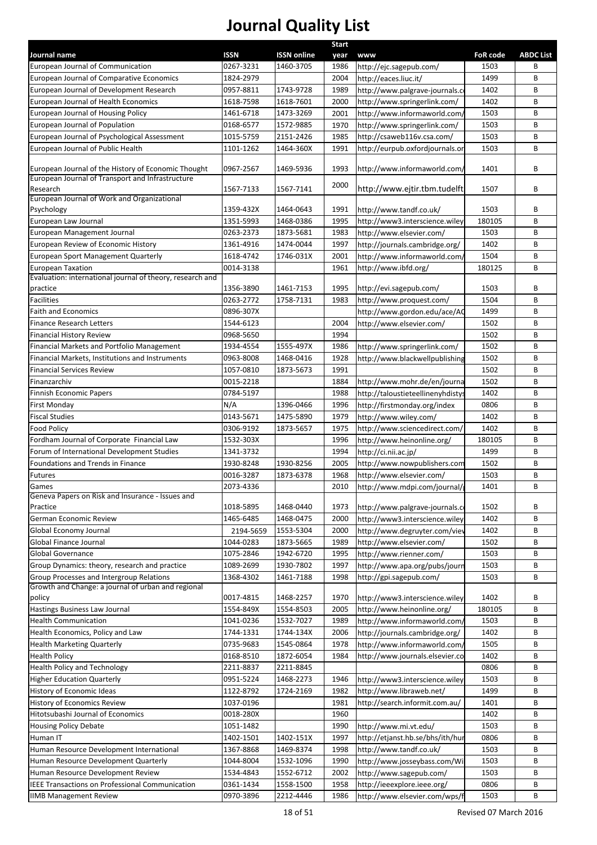|                                                                                  |                        |                    | <b>Start</b> |                                                                |                 |                  |
|----------------------------------------------------------------------------------|------------------------|--------------------|--------------|----------------------------------------------------------------|-----------------|------------------|
| Journal name                                                                     | <b>ISSN</b>            | <b>ISSN online</b> | year         | <b>www</b>                                                     | <b>FoR code</b> | <b>ABDC List</b> |
| European Journal of Communication<br>European Journal of Comparative Economics   | 0267-3231<br>1824-2979 | 1460-3705          | 1986<br>2004 | http://ejc.sagepub.com/<br>http://eaces.liuc.it/               | 1503<br>1499    | В<br>B           |
|                                                                                  |                        | 1743-9728          |              |                                                                |                 | B                |
| European Journal of Development Research<br>European Journal of Health Economics | 0957-8811<br>1618-7598 | 1618-7601          | 1989<br>2000 | http://www.palgrave-journals.c<br>http://www.springerlink.com/ | 1402<br>1402    | B                |
| European Journal of Housing Policy                                               | 1461-6718              | 1473-3269          | 2001         | http://www.informaworld.com,                                   | 1503            | B                |
| European Journal of Population                                                   | 0168-6577              | 1572-9885          | 1970         | http://www.springerlink.com/                                   | 1503            | B                |
| European Journal of Psychological Assessment                                     | 1015-5759              | 2151-2426          | 1985         | http://csaweb116v.csa.com/                                     | 1503            | B                |
| European Journal of Public Health                                                | 1101-1262              | 1464-360X          | 1991         | http://eurpub.oxfordjournals.or                                | 1503            | B                |
| European Journal of the History of Economic Thought                              | 0967-2567              | 1469-5936          | 1993         | http://www.informaworld.com/                                   | 1401            | В                |
| European Journal of Transport and Infrastructure                                 |                        |                    |              |                                                                |                 |                  |
| Research<br>European Journal of Work and Organizational                          | 1567-7133              | 1567-7141          | 2000         | http://www.ejtir.tbm.tudelft                                   | 1507            | B                |
| Psychology                                                                       | 1359-432X              | 1464-0643          | 1991         | http://www.tandf.co.uk/                                        | 1503            | B                |
| European Law Journal                                                             | 1351-5993              | 1468-0386          | 1995         | http://www3.interscience.wiley                                 | 180105          | B                |
| European Management Journal                                                      | 0263-2373              | 1873-5681          | 1983         | http://www.elsevier.com/                                       | 1503            | B                |
| European Review of Economic History                                              | 1361-4916              | 1474-0044          | 1997         | http://journals.cambridge.org/                                 | 1402            | B                |
| European Sport Management Quarterly                                              | 1618-4742              | 1746-031X          | 2001         | http://www.informaworld.com,                                   | 1504            | B                |
| <b>European Taxation</b>                                                         | 0014-3138              |                    | 1961         | http://www.ibfd.org/                                           | 180125          | B                |
| Evaluation: international journal of theory, research and                        |                        |                    |              |                                                                |                 |                  |
| practice                                                                         | 1356-3890              | 1461-7153          | 1995         | http://evi.sagepub.com/                                        | 1503            | B                |
| Facilities                                                                       | 0263-2772              | 1758-7131          | 1983         | http://www.proquest.com/                                       | 1504            | B                |
| <b>Faith and Economics</b>                                                       | 0896-307X              |                    |              | http://www.gordon.edu/ace/AC                                   | 1499            | B                |
| <b>Finance Research Letters</b>                                                  | 1544-6123              |                    | 2004         | http://www.elsevier.com/                                       | 1502            | B                |
| <b>Financial History Review</b>                                                  | 0968-5650              |                    | 1994         |                                                                | 1502            | B                |
| Financial Markets and Portfolio Management                                       | 1934-4554              | 1555-497X          | 1986         | http://www.springerlink.com/                                   | 1502            | B                |
| Financial Markets, Institutions and Instruments                                  | 0963-8008              | 1468-0416          | 1928         | http://www.blackwellpublishing                                 | 1502            | B                |
| <b>Financial Services Review</b>                                                 | 1057-0810              | 1873-5673          | 1991         |                                                                | 1502            | B                |
| Finanzarchiv                                                                     | 0015-2218              |                    | 1884         | http://www.mohr.de/en/journa                                   | 1502            | B                |
| Finnish Economic Papers                                                          | 0784-5197              |                    | 1988         | http://taloustieteellinenyhdistys                              | 1402            | B                |
| First Monday                                                                     | N/A                    | 1396-0466          | 1996         | http://firstmonday.org/index                                   | 0806            | B                |
| <b>Fiscal Studies</b>                                                            | 0143-5671              | 1475-5890          | 1979         | http://www.wiley.com/                                          | 1402            | B                |
| <b>Food Policy</b>                                                               | 0306-9192              | 1873-5657          | 1975         | http://www.sciencedirect.com/                                  | 1402            | B                |
| Fordham Journal of Corporate Financial Law                                       | 1532-303X              |                    | 1996         | http://www.heinonline.org/                                     | 180105          | B                |
| Forum of International Development Studies                                       | 1341-3732              |                    | 1994         | http://ci.nii.ac.jp/                                           | 1499            | B                |
| Foundations and Trends in Finance                                                | 1930-8248              | 1930-8256          | 2005         | http://www.nowpublishers.com                                   | 1502            | B                |
| <b>Futures</b>                                                                   | 0016-3287              | 1873-6378          | 1968         | http://www.elsevier.com/                                       | 1503            | B                |
| Games<br>Geneva Papers on Risk and Insurance - Issues and                        | 2073-4336              |                    | 2010         | http://www.mdpi.com/journal/g                                  | 1401            | B                |
| Practice                                                                         | 1018-5895              | 1468-0440          | 1973         | http://www.palgrave-journals.co                                | 1502            | B                |
| German Economic Review                                                           | 1465-6485              | 1468-0475          | 2000         | http://www3.interscience.wiley                                 | 1402            | B                |
| Global Economy Journal                                                           | 2194-5659              | 1553-5304          | 2000         | http://www.degruyter.com/viev                                  | 1402            | В                |
| Global Finance Journal                                                           | 1044-0283              | 1873-5665          | 1989         | http://www.elsevier.com/                                       | 1502            | В                |
| <b>Global Governance</b>                                                         | 1075-2846              | 1942-6720          | 1995         | http://www.rienner.com/                                        | 1503            | В                |
| Group Dynamics: theory, research and practice                                    | 1089-2699              | 1930-7802          | 1997         | http://www.apa.org/pubs/journ                                  | 1503            | B                |
| Group Processes and Intergroup Relations                                         | 1368-4302              | 1461-7188          | 1998         | http://gpi.sagepub.com/                                        | 1503            | В                |
| Growth and Change: a journal of urban and regional                               |                        |                    |              |                                                                |                 |                  |
| policy                                                                           | 0017-4815              | 1468-2257          | 1970         | http://www3.interscience.wiley                                 | 1402            | В                |
| Hastings Business Law Journal                                                    | 1554-849X              | 1554-8503          | 2005         | http://www.heinonline.org/                                     | 180105          | B                |
| <b>Health Communication</b>                                                      | 1041-0236              | 1532-7027          | 1989         | http://www.informaworld.com/                                   | 1503            | В                |
| Health Economics, Policy and Law                                                 | 1744-1331              | 1744-134X          | 2006         | http://journals.cambridge.org/                                 | 1402            | В                |
| <b>Health Marketing Quarterly</b>                                                | 0735-9683              | 1545-0864          | 1978         | http://www.informaworld.com/                                   | 1505            | В                |
| <b>Health Policy</b>                                                             | 0168-8510              | 1872-6054          | 1984         | http://www.journals.elsevier.co                                | 1402            | В                |
| Health Policy and Technology                                                     | 2211-8837              | 2211-8845          |              |                                                                | 0806            | В                |
| <b>Higher Education Quarterly</b>                                                | 0951-5224              | 1468-2273          | 1946         | http://www3.interscience.wiley                                 | 1503            | B                |
| History of Economic Ideas                                                        | 1122-8792              | 1724-2169          | 1982         | http://www.libraweb.net/                                       | 1499            | B                |
| History of Economics Review                                                      | 1037-0196              |                    | 1981         | http://search.informit.com.au/                                 | 1401            | B                |
| Hitotsubashi Journal of Economics                                                | 0018-280X              |                    | 1960         |                                                                | 1402            | B                |
| <b>Housing Policy Debate</b>                                                     | 1051-1482              |                    | 1990         | http://www.mi.vt.edu/                                          | 1503            | B                |
| Human IT                                                                         | 1402-1501              | 1402-151X          | 1997         | http://etjanst.hb.se/bhs/ith/hui                               | 0806            | B                |
| Human Resource Development International                                         | 1367-8868              | 1469-8374          | 1998         | http://www.tandf.co.uk/                                        | 1503            | B                |
| Human Resource Development Quarterly                                             | 1044-8004              | 1532-1096          | 1990         | http://www.josseybass.com/Wi                                   | 1503            | B                |
| Human Resource Development Review                                                | 1534-4843              | 1552-6712          | 2002         | http://www.sagepub.com/                                        | 1503            | B                |
| IEEE Transactions on Professional Communication                                  | 0361-1434              | 1558-1500          | 1958         | http://ieeexplore.ieee.org/                                    | 0806            | B                |
| <b>IIMB Management Review</b>                                                    | 0970-3896              | 2212-4446          | 1986         | http://www.elsevier.com/wps/f                                  | 1503            | B                |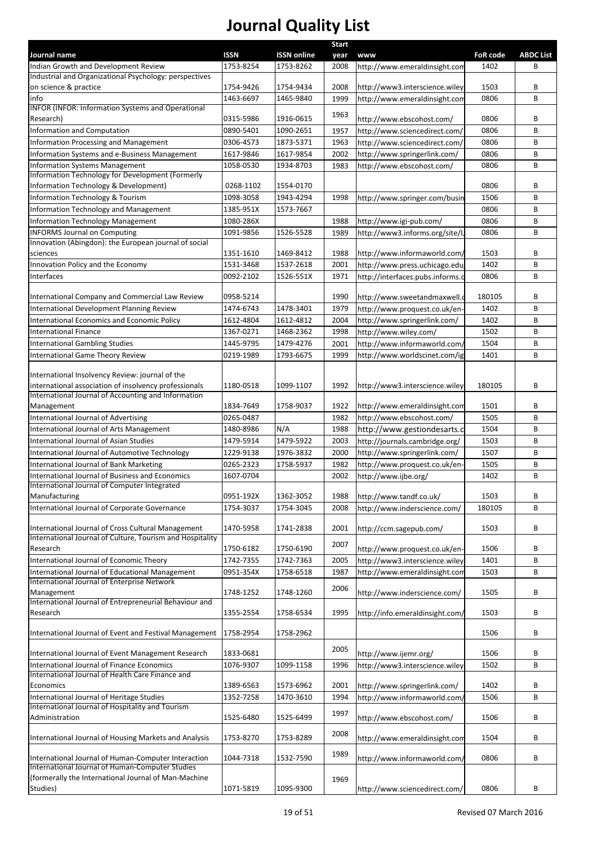| Journal name                                                                                                    |             |                    | <b>Start</b> |                                  |                 |                  |
|-----------------------------------------------------------------------------------------------------------------|-------------|--------------------|--------------|----------------------------------|-----------------|------------------|
|                                                                                                                 | <b>ISSN</b> | <b>ISSN online</b> | year         | <b>www</b>                       | <b>FoR code</b> | <b>ABDC List</b> |
| Indian Growth and Development Review<br>Industrial and Organizational Psychology: perspectives                  | 1753-8254   | 1753-8262          | 2008         | http://www.emeraldinsight.com    | 1402            | В                |
| on science & practice                                                                                           | 1754-9426   | 1754-9434          | 2008         | http://www3.interscience.wiley   | 1503            | B                |
| info                                                                                                            | 1463-6697   | 1465-9840          | 1999         | http://www.emeraldinsight.com    | 0806            | B                |
| <b>INFOR (INFOR: Information Systems and Operational</b>                                                        |             |                    |              |                                  |                 |                  |
| Research)                                                                                                       | 0315-5986   | 1916-0615          | 1963         | http://www.ebscohost.com/        | 0806            | B                |
| Information and Computation                                                                                     | 0890-5401   | 1090-2651          | 1957         | http://www.sciencedirect.com/    | 0806            | B                |
| Information Processing and Management                                                                           | 0306-4573   | 1873-5371          | 1963         | http://www.sciencedirect.com/    | 0806            | B                |
| Information Systems and e-Business Management                                                                   | 1617-9846   | 1617-9854          | 2002         | http://www.springerlink.com/     | 0806            | B                |
| <b>Information Systems Management</b>                                                                           | 1058-0530   | 1934-8703          | 1983         | http://www.ebscohost.com/        | 0806            | B                |
| Information Technology for Development (Formerly                                                                |             |                    |              |                                  |                 |                  |
| Information Technology & Development)                                                                           | 0268-1102   | 1554-0170          |              |                                  | 0806            | B                |
| Information Technology & Tourism                                                                                | 1098-3058   | 1943-4294          | 1998         | http://www.springer.com/busir    | 1506            | B                |
| Information Technology and Management                                                                           | 1385-951X   | 1573-7667          |              |                                  | 0806            | B                |
| Information Technology Management                                                                               | 1080-286X   |                    | 1988         | http://www.igi-pub.com/          | 0806            | B                |
| <b>INFORMS Journal on Computing</b>                                                                             | 1091-9856   | 1526-5528          | 1989         | http://www3.informs.org/site/IJ  | 0806            | B                |
| Innovation (Abingdon): the European journal of social                                                           |             |                    |              |                                  | 1503            | B                |
| sciences                                                                                                        | 1351-1610   | 1469-8412          | 1988         | http://www.informaworld.com/     |                 |                  |
| Innovation Policy and the Economy                                                                               | 1531-3468   | 1537-2618          | 2001         | http://www.press.uchicago.edu    | 1402            | B                |
| Interfaces                                                                                                      | 0092-2102   | 1526-551X          | 1971         | http://interfaces.pubs.informs.c | 0806            | B                |
| International Company and Commercial Law Review                                                                 | 0958-5214   |                    | 1990         | http://www.sweetandmaxwell.o     | 180105          | B                |
| International Development Planning Review                                                                       | 1474-6743   | 1478-3401          | 1979         | http://www.proquest.co.uk/en-    | 1402            | B                |
| International Economics and Economic Policy                                                                     | 1612-4804   | 1612-4812          | 2004         | http://www.springerlink.com/     | 1402            | B                |
| <b>International Finance</b>                                                                                    | 1367-0271   | 1468-2362          | 1998         | http://www.wiley.com/            | 1502            | B                |
| <b>International Gambling Studies</b>                                                                           | 1445-9795   | 1479-4276          | 2001         | http://www.informaworld.com/     | 1504            | B                |
| <b>International Game Theory Review</b>                                                                         | 0219-1989   | 1793-6675          | 1999         | http://www.worldscinet.com/ig    | 1401            | B                |
|                                                                                                                 |             |                    |              |                                  |                 |                  |
| International Insolvency Review: journal of the                                                                 |             |                    |              |                                  |                 |                  |
| international association of insolvency professionals                                                           | 1180-0518   | 1099-1107          | 1992         | http://www3.interscience.wiley   | 180105          | B                |
| International Journal of Accounting and Information                                                             |             |                    |              |                                  |                 |                  |
| Management                                                                                                      | 1834-7649   | 1758-9037          | 1922         | http://www.emeraldinsight.com    | 1501            | B                |
| International Journal of Advertising                                                                            | 0265-0487   |                    | 1982         | http://www.ebscohost.com/        | 1505            | B                |
| International Journal of Arts Management                                                                        | 1480-8986   | N/A                | 1988         | http://www.gestiondesarts.c      | 1504            | B                |
| International Journal of Asian Studies                                                                          | 1479-5914   | 1479-5922          | 2003         | http://journals.cambridge.org/   | 1503            | B                |
| International Journal of Automotive Technology                                                                  | 1229-9138   | 1976-3832          | 2000         | http://www.springerlink.com/     | 1507            | B                |
| International Journal of Bank Marketing                                                                         | 0265-2323   | 1758-5937          | 1982         | http://www.proquest.co.uk/en-    | 1505            | B                |
| International Journal of Business and Economics                                                                 | 1607-0704   |                    | 2002         | http://www.ijbe.org/             | 1402            | B                |
| International Journal of Computer Integrated                                                                    |             |                    |              |                                  |                 |                  |
| Manufacturing                                                                                                   | 0951-192X   | 1362-3052          | 1988         | http://www.tandf.co.uk/          | 1503            | B                |
| International Journal of Corporate Governance                                                                   | 1754-3037   | 1754-3045          | 2008         | http://www.inderscience.com/     | 180105          | B                |
|                                                                                                                 |             |                    |              |                                  |                 | B                |
| International Journal of Cross Cultural Management<br>International Journal of Culture, Tourism and Hospitality | 1470-5958   | 1741-2838          | 2001         | http://ccm.sagepub.com/          | 1503            |                  |
| Research                                                                                                        | 1750-6182   | 1750-6190          | 2007         | http://www.proquest.co.uk/en-    | 1506            | B                |
| International Journal of Economic Theory                                                                        | 1742-7355   | 1742-7363          | 2005         | http://www3.interscience.wiley   | 1401            | B                |
| International Journal of Educational Management                                                                 | 0951-354X   | 1758-6518          | 1987         | http://www.emeraldinsight.com    | 1503            | B                |
| International Journal of Enterprise Network                                                                     |             |                    |              |                                  |                 |                  |
| Management                                                                                                      | 1748-1252   | 1748-1260          | 2006         | http://www.inderscience.com/     | 1505            | B                |
| International Journal of Entrepreneurial Behaviour and                                                          |             |                    |              |                                  |                 |                  |
| Research                                                                                                        | 1355-2554   | 1758-6534          | 1995         | http://info.emeraldinsight.com/  | 1503            | В                |
|                                                                                                                 |             |                    |              |                                  |                 |                  |
| International Journal of Event and Festival Management                                                          | 1758-2954   | 1758-2962          |              |                                  | 1506            | B                |
| International Journal of Event Management Research                                                              | 1833-0681   |                    | 2005         | http://www.ijemr.org/            | 1506            | В                |
| International Journal of Finance Economics                                                                      | 1076-9307   | 1099-1158          | 1996         | http://www3.interscience.wiley   | 1502            | B                |
| International Journal of Health Care Finance and                                                                |             |                    |              |                                  |                 |                  |
| Economics                                                                                                       | 1389-6563   | 1573-6962          | 2001         | http://www.springerlink.com/     | 1402            | В                |
| International Journal of Heritage Studies                                                                       | 1352-7258   | 1470-3610          | 1994         | http://www.informaworld.com/     | 1506            | B                |
| International Journal of Hospitality and Tourism                                                                |             |                    |              |                                  |                 |                  |
| Administration                                                                                                  | 1525-6480   | 1525-6499          | 1997         | http://www.ebscohost.com/        | 1506            | B                |
|                                                                                                                 |             |                    | 2008         |                                  |                 |                  |
| International Journal of Housing Markets and Analysis                                                           | 1753-8270   | 1753-8289          |              | http://www.emeraldinsight.com    | 1504            | B                |
|                                                                                                                 |             |                    | 1989         |                                  |                 |                  |
| International Journal of Human-Computer Interaction<br>International Journal of Human-Computer Studies          | 1044-7318   | 1532-7590          |              | http://www.informaworld.com/     | 0806            | B                |
| (formerally the International Journal of Man-Machine                                                            |             |                    | 1969         |                                  |                 |                  |
| Studies)                                                                                                        | 1071-5819   | 1095-9300          |              | http://www.sciencedirect.com/    | 0806            | B                |
|                                                                                                                 |             |                    |              |                                  |                 |                  |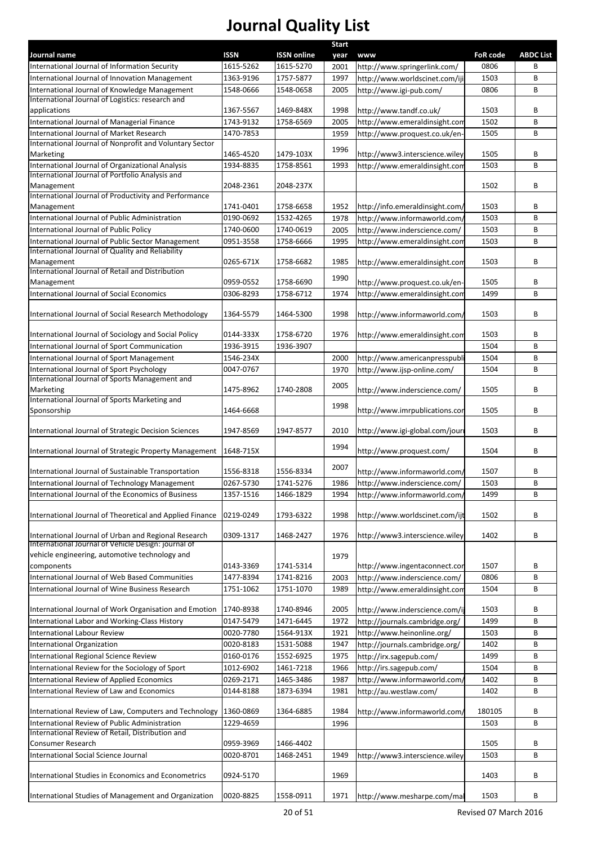|                                                                                                 |                        |                        | <b>Start</b> |                                                           |                 |                  |
|-------------------------------------------------------------------------------------------------|------------------------|------------------------|--------------|-----------------------------------------------------------|-----------------|------------------|
| Journal name                                                                                    | <b>ISSN</b>            | <b>ISSN online</b>     | year         | www                                                       | <b>FoR code</b> | <b>ABDC List</b> |
| International Journal of Information Security                                                   | 1615-5262              | 1615-5270<br>1757-5877 | 2001         | http://www.springerlink.com/                              | 0806            | B                |
| International Journal of Innovation Management<br>International Journal of Knowledge Management | 1363-9196<br>1548-0666 | 1548-0658              | 1997         | http://www.worldscinet.com/iji<br>http://www.igi-pub.com/ | 1503<br>0806    | B<br>B           |
| International Journal of Logistics: research and                                                |                        |                        | 2005         |                                                           |                 |                  |
| applications                                                                                    | 1367-5567              | 1469-848X              | 1998         | http://www.tandf.co.uk/                                   | 1503            | В                |
| International Journal of Managerial Finance                                                     | 1743-9132              | 1758-6569              | 2005         | http://www.emeraldinsight.com                             | 1502            | B                |
| International Journal of Market Research                                                        | 1470-7853              |                        | 1959         | http://www.proquest.co.uk/en-                             | 1505            | B                |
| International Journal of Nonprofit and Voluntary Sector                                         |                        |                        | 1996         |                                                           |                 |                  |
| Marketing                                                                                       | 1465-4520              | 1479-103X              |              | http://www3.interscience.wiley                            | 1505            | В                |
| International Journal of Organizational Analysis                                                | 1934-8835              | 1758-8561              | 1993         | http://www.emeraldinsight.com                             | 1503            | B                |
| International Journal of Portfolio Analysis and                                                 | 2048-2361              |                        |              |                                                           |                 |                  |
| Management<br>International Journal of Productivity and Performance                             |                        | 2048-237X              |              |                                                           | 1502            | B                |
| Management                                                                                      | 1741-0401              | 1758-6658              | 1952         | http://info.emeraldinsight.com/                           | 1503            | В                |
| International Journal of Public Administration                                                  | 0190-0692              | 1532-4265              | 1978         | http://www.informaworld.com/                              | 1503            | B                |
| International Journal of Public Policy                                                          | 1740-0600              | 1740-0619              | 2005         | http://www.inderscience.com/                              | 1503            | В                |
| International Journal of Public Sector Management                                               | 0951-3558              | 1758-6666              | 1995         | http://www.emeraldinsight.com                             | 1503            | B                |
| International Journal of Quality and Reliability                                                |                        |                        |              |                                                           |                 |                  |
| Management                                                                                      | 0265-671X              | 1758-6682              | 1985         | http://www.emeraldinsight.com                             | 1503            | B                |
| International Journal of Retail and Distribution                                                |                        |                        | 1990         |                                                           |                 |                  |
| Management                                                                                      | 0959-0552              | 1758-6690              |              | http://www.proquest.co.uk/en-                             | 1505            | B                |
| International Journal of Social Economics                                                       | 0306-8293              | 1758-6712              | 1974         | http://www.emeraldinsight.com                             | 1499            | B                |
| International Journal of Social Research Methodology                                            | 1364-5579              | 1464-5300              | 1998         | http://www.informaworld.com/                              | 1503            | B                |
|                                                                                                 |                        |                        |              |                                                           |                 |                  |
| International Journal of Sociology and Social Policy                                            | 0144-333X              | 1758-6720              | 1976         | http://www.emeraldinsight.com                             | 1503            | В                |
| International Journal of Sport Communication                                                    | 1936-3915              | 1936-3907              |              |                                                           | 1504            | B                |
| International Journal of Sport Management                                                       | 1546-234X              |                        | 2000         | http://www.americanpresspubli                             | 1504            | B                |
| International Journal of Sport Psychology                                                       | 0047-0767              |                        | 1970         | http://www.ijsp-online.com/                               | 1504            | B                |
| International Journal of Sports Management and                                                  |                        |                        | 2005         |                                                           |                 |                  |
| Marketing                                                                                       | 1475-8962              | 1740-2808              |              | http://www.inderscience.com/                              | 1505            | B                |
| International Journal of Sports Marketing and                                                   | 1464-6668              |                        | 1998         |                                                           | 1505            | В                |
| Sponsorship                                                                                     |                        |                        |              | http://www.imrpublications.cor                            |                 |                  |
| International Journal of Strategic Decision Sciences                                            | 1947-8569              | 1947-8577              | 2010         | http://www.igi-global.com/jouri                           | 1503            | B                |
|                                                                                                 |                        |                        |              |                                                           |                 |                  |
| International Journal of Strategic Property Management                                          | 1648-715X              |                        | 1994         | http://www.proquest.com/                                  | 1504            | B                |
|                                                                                                 |                        |                        | 2007         |                                                           |                 |                  |
| International Journal of Sustainable Transportation                                             | 1556-8318              | 1556-8334              |              | http://www.informaworld.com/                              | 1507            | В                |
| International Journal of Technology Management                                                  | 0267-5730              | 1741-5276              | 1986         | http://www.inderscience.com/                              | 1503            | B                |
| International Journal of the Economics of Business                                              | 1357-1516              | 1466-1829              | 1994         | http://www.informaworld.com/                              | 1499            | В                |
| International Journal of Theoretical and Applied Finance                                        | 0219-0249              | 1793-6322              | 1998         | http://www.worldscinet.com/ijt                            | 1502            | В                |
|                                                                                                 |                        |                        |              |                                                           |                 |                  |
| International Journal of Urban and Regional Research                                            | 0309-1317              | 1468-2427              | 1976         | http://www3.interscience.wiley                            | 1402            | В                |
| International Journal of Vehicle Design: journal of                                             |                        |                        |              |                                                           |                 |                  |
| vehicle engineering, automotive technology and                                                  |                        |                        | 1979         |                                                           |                 |                  |
| components                                                                                      | 0143-3369              | 1741-5314              |              | http://www.ingentaconnect.cor                             | 1507            | В                |
| International Journal of Web Based Communities                                                  | 1477-8394              | 1741-8216              | 2003         | http://www.inderscience.com/                              | 0806            | В                |
| International Journal of Wine Business Research                                                 | 1751-1062              | 1751-1070              | 1989         | http://www.emeraldinsight.com                             | 1504            | В                |
| International Journal of Work Organisation and Emotion                                          | 1740-8938              | 1740-8946              | 2005         | http://www.inderscience.com/ij                            | 1503            | В                |
| International Labor and Working-Class History                                                   | 0147-5479              | 1471-6445              | 1972         | http://journals.cambridge.org/                            | 1499            | В                |
| <b>International Labour Review</b>                                                              | 0020-7780              | 1564-913X              | 1921         | http://www.heinonline.org/                                | 1503            | В                |
| International Organization                                                                      | 0020-8183              | 1531-5088              | 1947         | http://journals.cambridge.org/                            | 1402            | В                |
| International Regional Science Review                                                           | 0160-0176              | 1552-6925              | 1975         | http://irx.sagepub.com/                                   | 1499            | В                |
| International Review for the Sociology of Sport                                                 | 1012-6902              | 1461-7218              | 1966         | http://irs.sagepub.com/                                   | 1504            | В                |
| International Review of Applied Economics                                                       | 0269-2171              | 1465-3486              | 1987         | http://www.informaworld.com,                              | 1402            | В                |
| International Review of Law and Economics                                                       | 0144-8188              | 1873-6394              | 1981         | http://au.westlaw.com/                                    | 1402            | В                |
|                                                                                                 |                        |                        |              |                                                           |                 |                  |
| International Review of Law, Computers and Technology                                           | 1360-0869              | 1364-6885              | 1984         | http://www.informaworld.com/                              | 180105          | В                |
| International Review of Public Administration                                                   | 1229-4659              |                        | 1996         |                                                           | 1503            | В                |
| International Review of Retail, Distribution and                                                |                        |                        |              |                                                           |                 |                  |
| Consumer Research                                                                               | 0959-3969              | 1466-4402              |              |                                                           | 1505            | В                |
| International Social Science Journal                                                            | 0020-8701              | 1468-2451              | 1949         | http://www3.interscience.wiley                            | 1503            | B                |
| International Studies in Economics and Econometrics                                             | 0924-5170              |                        | 1969         |                                                           | 1403            | В                |
|                                                                                                 |                        |                        |              |                                                           |                 |                  |
| International Studies of Management and Organization                                            | 0020-8825              | 1558-0911              | 1971         | http://www.mesharpe.com/mal                               | 1503            | B                |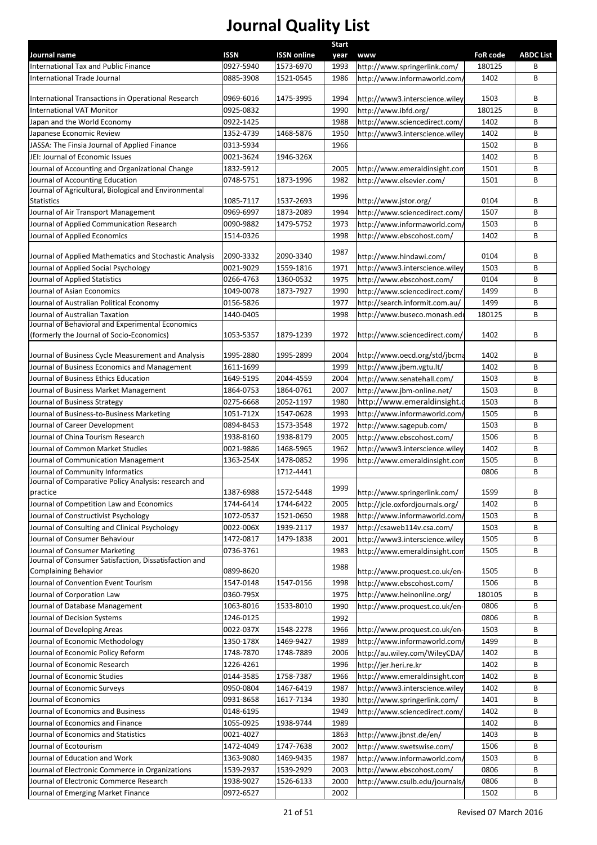| Journal name                                                                         | <b>ISSN</b> | <b>ISSN online</b> | <b>Start</b><br>year | www                             | <b>FoR code</b> | <b>ABDC List</b> |
|--------------------------------------------------------------------------------------|-------------|--------------------|----------------------|---------------------------------|-----------------|------------------|
| International Tax and Public Finance                                                 | 0927-5940   | 1573-6970          | 1993                 | http://www.springerlink.com/    | 180125          | В                |
| <b>International Trade Journal</b>                                                   | 0885-3908   | 1521-0545          | 1986                 | http://www.informaworld.com/    | 1402            | B                |
|                                                                                      |             |                    |                      |                                 |                 |                  |
| International Transactions in Operational Research                                   | 0969-6016   | 1475-3995          | 1994                 | http://www3.interscience.wiley  | 1503            | B                |
| <b>International VAT Monitor</b>                                                     | 0925-0832   |                    | 1990                 | http://www.ibfd.org/            | 180125          | B                |
| Japan and the World Economy                                                          | 0922-1425   |                    | 1988                 | http://www.sciencedirect.com/   | 1402            | B                |
| Japanese Economic Review                                                             | 1352-4739   | 1468-5876          | 1950                 | http://www3.interscience.wiley  | 1402            | B                |
| JASSA: The Finsia Journal of Applied Finance                                         | 0313-5934   |                    | 1966                 |                                 | 1502            | В                |
| JEI: Journal of Economic Issues                                                      | 0021-3624   | 1946-326X          |                      |                                 | 1402            | В                |
| Journal of Accounting and Organizational Change                                      | 1832-5912   |                    | 2005                 | http://www.emeraldinsight.com   | 1501            | В                |
| Journal of Accounting Education                                                      | 0748-5751   | 1873-1996          | 1982                 | http://www.elsevier.com/        | 1501            | В                |
| Journal of Agricultural, Biological and Environmental                                |             |                    |                      |                                 |                 |                  |
| <b>Statistics</b>                                                                    | 1085-7117   | 1537-2693          | 1996                 | http://www.jstor.org/           | 0104            | B                |
| Journal of Air Transport Management                                                  | 0969-6997   | 1873-2089          | 1994                 | http://www.sciencedirect.com/   | 1507            | B                |
| Journal of Applied Communication Research                                            | 0090-9882   | 1479-5752          | 1973                 | http://www.informaworld.com/    | 1503            | B                |
| Journal of Applied Economics                                                         | 1514-0326   |                    | 1998                 | http://www.ebscohost.com/       | 1402            | B                |
|                                                                                      |             |                    | 1987                 |                                 |                 |                  |
| Journal of Applied Mathematics and Stochastic Analysis                               | 2090-3332   | 2090-3340          |                      | http://www.hindawi.com/         | 0104            | В                |
| Journal of Applied Social Psychology                                                 | 0021-9029   | 1559-1816          | 1971                 | http://www3.interscience.wiley  | 1503            | B                |
| Journal of Applied Statistics                                                        | 0266-4763   | 1360-0532          | 1975                 | http://www.ebscohost.com/       | 0104            | B                |
| Journal of Asian Economics                                                           | 1049-0078   | 1873-7927          | 1990                 | http://www.sciencedirect.com/   | 1499            | В                |
| Journal of Australian Political Economy                                              | 0156-5826   |                    | 1977                 | http://search.informit.com.au/  | 1499            | B                |
| Journal of Australian Taxation                                                       | 1440-0405   |                    | 1998                 | http://www.buseco.monash.ed     | 180125          | В                |
| Journal of Behavioral and Experimental Economics                                     |             |                    |                      |                                 |                 |                  |
| (formerly the Journal of Socio-Economics)                                            | 1053-5357   | 1879-1239          | 1972                 | http://www.sciencedirect.com/   | 1402            | B                |
| Journal of Business Cycle Measurement and Analysis                                   | 1995-2880   | 1995-2899          | 2004                 | http://www.oecd.org/std/jbcma   | 1402            | B                |
| Journal of Business Economics and Management                                         | 1611-1699   |                    | 1999                 | http://www.jbem.vgtu.lt/        | 1402            | B                |
| Journal of Business Ethics Education                                                 | 1649-5195   | 2044-4559          | 2004                 |                                 | 1503            | В                |
|                                                                                      |             |                    |                      | http://www.senatehall.com/      |                 |                  |
| Journal of Business Market Management                                                | 1864-0753   | 1864-0761          | 2007                 | http://www.jbm-online.net/      | 1503            | B                |
| Journal of Business Strategy                                                         | 0275-6668   | 2052-1197          | 1980                 | http://www.emeraldinsight.o     | 1503            | B                |
| Journal of Business-to-Business Marketing                                            | 1051-712X   | 1547-0628          | 1993                 | http://www.informaworld.com/    | 1505            | B                |
| Journal of Career Development                                                        | 0894-8453   | 1573-3548          | 1972                 | http://www.sagepub.com/         | 1503            | B                |
| Journal of China Tourism Research                                                    | 1938-8160   | 1938-8179          | 2005                 | http://www.ebscohost.com/       | 1506            | B                |
| Journal of Common Market Studies                                                     | 0021-9886   | 1468-5965          | 1962                 | http://www3.interscience.wiley  | 1402            | B                |
| Journal of Communication Management                                                  | 1363-254X   | 1478-0852          | 1996                 | http://www.emeraldinsight.com   | 1505            | B                |
| Journal of Community Informatics                                                     |             | 1712-4441          |                      |                                 | 0806            | B                |
| Journal of Comparative Policy Analysis: research and                                 |             |                    | 1999                 |                                 |                 |                  |
| practice                                                                             | 1387-6988   | 1572-5448          |                      | http://www.springerlink.com/    | 1599            | В                |
| Journal of Competition Law and Economics                                             | 1744-6414   | 1744-6422          | 2005                 | http://jcle.oxfordjournals.org/ | 1402            | B                |
| Journal of Constructivist Psychology                                                 | 1072-0537   | 1521-0650          | 1988                 | http://www.informaworld.com/    | 1503            | B                |
| Journal of Consulting and Clinical Psychology                                        | 0022-006X   | 1939-2117          | 1937                 | http://csaweb114v.csa.com/      | 1503            | В                |
| Journal of Consumer Behaviour                                                        | 1472-0817   | 1479-1838          | 2001                 | http://www3.interscience.wiley  | 1505            | В                |
| Journal of Consumer Marketing                                                        | 0736-3761   |                    | 1983                 | http://www.emeraldinsight.com   | 1505            | В                |
| Journal of Consumer Satisfaction, Dissatisfaction and<br><b>Complaining Behavior</b> | 0899-8620   |                    | 1988                 |                                 | 1505            | В                |
|                                                                                      |             |                    |                      | http://www.proquest.co.uk/en-   |                 |                  |
| Journal of Convention Event Tourism                                                  | 1547-0148   | 1547-0156          | 1998                 | http://www.ebscohost.com/       | 1506            | В                |
| Journal of Corporation Law                                                           | 0360-795X   |                    | 1975                 | http://www.heinonline.org/      | 180105          | В                |
| Journal of Database Management                                                       | 1063-8016   | 1533-8010          | 1990                 | http://www.proquest.co.uk/en-   | 0806            | В                |
| Journal of Decision Systems                                                          | 1246-0125   |                    | 1992                 |                                 | 0806            | В                |
| Journal of Developing Areas                                                          | 0022-037X   | 1548-2278          | 1966                 | http://www.proquest.co.uk/en-   | 1503            | В                |
| Journal of Economic Methodology                                                      | 1350-178X   | 1469-9427          | 1989                 | http://www.informaworld.com/    | 1499            | В                |
| Journal of Economic Policy Reform                                                    | 1748-7870   | 1748-7889          | 2006                 | http://au.wiley.com/WileyCDA/   | 1402            | В                |
| Journal of Economic Research                                                         | 1226-4261   |                    | 1996                 | http://jer.heri.re.kr           | 1402            | В                |
| Journal of Economic Studies                                                          | 0144-3585   | 1758-7387          | 1966                 | http://www.emeraldinsight.com   | 1402            | В                |
| Journal of Economic Surveys                                                          | 0950-0804   | 1467-6419          | 1987                 | http://www3.interscience.wiley  | 1402            | В                |
| Journal of Economics                                                                 | 0931-8658   | 1617-7134          | 1930                 | http://www.springerlink.com/    | 1401            | В                |
| Journal of Economics and Business                                                    | 0148-6195   |                    | 1949                 | http://www.sciencedirect.com/   | 1402            | В                |
| Journal of Economics and Finance                                                     | 1055-0925   | 1938-9744          | 1989                 |                                 | 1402            | В                |
| Journal of Economics and Statistics                                                  | 0021-4027   |                    | 1863                 | http://www.jbnst.de/en/         | 1403            | В                |
| Journal of Ecotourism                                                                | 1472-4049   | 1747-7638          | 2002                 | http://www.swetswise.com/       | 1506            | В                |
| Journal of Education and Work                                                        | 1363-9080   | 1469-9435          | 1987                 | http://www.informaworld.com/    | 1503            | В                |
| Journal of Electronic Commerce in Organizations                                      | 1539-2937   | 1539-2929          | 2003                 | http://www.ebscohost.com/       | 0806            | В                |
| Journal of Electronic Commerce Research                                              | 1938-9027   | 1526-6133          | 2000                 | http://www.csulb.edu/journals/  | 0806            | В                |
| Journal of Emerging Market Finance                                                   | 0972-6527   |                    | 2002                 |                                 | 1502            | В                |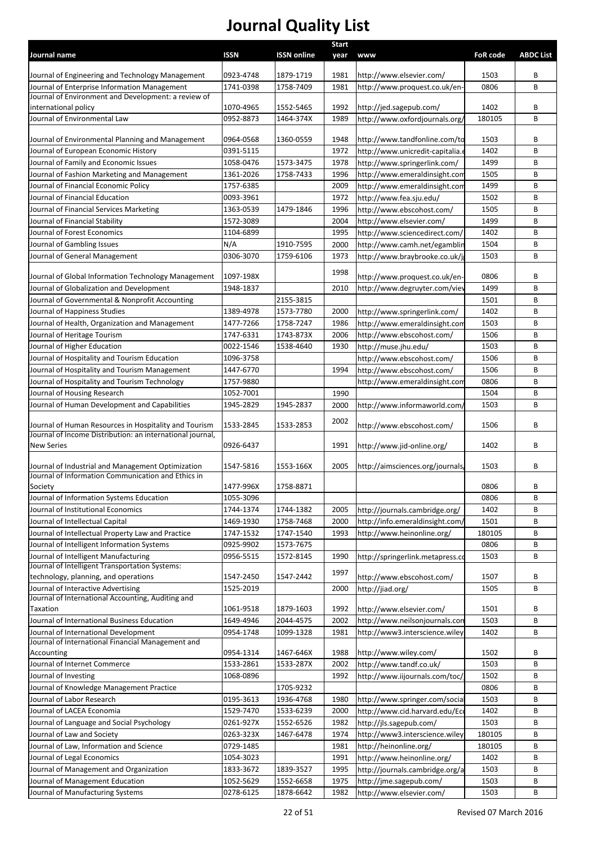| Journal name                                                  | <b>ISSN</b>            | <b>ISSN online</b>     | <b>Start</b> | <b>www</b>                                                | <b>FoR code</b> | <b>ABDC List</b> |
|---------------------------------------------------------------|------------------------|------------------------|--------------|-----------------------------------------------------------|-----------------|------------------|
|                                                               |                        |                        | year         |                                                           |                 |                  |
| Journal of Engineering and Technology Management              | 0923-4748              | 1879-1719              | 1981         | http://www.elsevier.com/                                  | 1503            | В                |
| Journal of Enterprise Information Management                  | 1741-0398              | 1758-7409              | 1981         | http://www.proquest.co.uk/en-                             | 0806            | B                |
| Journal of Environment and Development: a review of           |                        |                        |              |                                                           |                 |                  |
| international policy<br>Journal of Environmental Law          | 1070-4965<br>0952-8873 | 1552-5465<br>1464-374X | 1992<br>1989 | http://jed.sagepub.com/<br>http://www.oxfordjournals.org/ | 1402<br>180105  | В<br>B           |
|                                                               |                        |                        |              |                                                           |                 |                  |
| Journal of Environmental Planning and Management              | 0964-0568              | 1360-0559              | 1948         | http://www.tandfonline.com/to                             | 1503            | В                |
| Journal of European Economic History                          | 0391-5115              |                        | 1972         | http://www.unicredit-capitalia.e                          | 1402            | В                |
| Journal of Family and Economic Issues                         | 1058-0476              | 1573-3475              | 1978         | http://www.springerlink.com/                              | 1499            | В                |
| Journal of Fashion Marketing and Management                   | 1361-2026              | 1758-7433              | 1996         | http://www.emeraldinsight.com                             | 1505            | В                |
| Journal of Financial Economic Policy                          | 1757-6385              |                        | 2009         | http://www.emeraldinsight.com                             | 1499            | В                |
| Journal of Financial Education                                | 0093-3961              |                        | 1972         | http://www.fea.sju.edu/                                   | 1502            | В                |
| Journal of Financial Services Marketing                       | 1363-0539              | 1479-1846              | 1996         | http://www.ebscohost.com/                                 | 1505            | В                |
| Journal of Financial Stability                                | 1572-3089              |                        | 2004         | http://www.elsevier.com/                                  | 1499            | B                |
| Journal of Forest Economics                                   | 1104-6899              |                        | 1995         | http://www.sciencedirect.com/                             | 1402            | В                |
| Journal of Gambling Issues                                    | N/A                    | 1910-7595              | 2000         | http://www.camh.net/egamblin                              | 1504            | B                |
| Journal of General Management                                 | 0306-3070              | 1759-6106              | 1973         | http://www.braybrooke.co.uk/i                             | 1503            | В                |
| Journal of Global Information Technology Management           | 1097-198X              |                        | 1998         | http://www.proquest.co.uk/en-                             | 0806            | В                |
| Journal of Globalization and Development                      | 1948-1837              |                        | 2010         | http://www.degruyter.com/viev                             | 1499            | В                |
| Journal of Governmental & Nonprofit Accounting                |                        | 2155-3815              |              |                                                           | 1501            | В                |
| Journal of Happiness Studies                                  | 1389-4978              | 1573-7780              | 2000         | http://www.springerlink.com/                              | 1402            | B                |
| Journal of Health, Organization and Management                | 1477-7266              | 1758-7247              | 1986         | http://www.emeraldinsight.com                             | 1503            | B                |
| Journal of Heritage Tourism                                   | 1747-6331              | 1743-873X              | 2006         | http://www.ebscohost.com/                                 | 1506            | В                |
| Journal of Higher Education                                   | 0022-1546              | 1538-4640              | 1930         | http://muse.jhu.edu/                                      | 1503            | B                |
| Journal of Hospitality and Tourism Education                  | 1096-3758              |                        |              | http://www.ebscohost.com/                                 | 1506            | В                |
| Journal of Hospitality and Tourism Management                 | 1447-6770              |                        | 1994         | http://www.ebscohost.com/                                 | 1506            | B                |
| Journal of Hospitality and Tourism Technology                 | 1757-9880              |                        |              | http://www.emeraldinsight.com                             | 0806            | В                |
| Journal of Housing Research                                   | 1052-7001              |                        | 1990         |                                                           | 1504            | B                |
| Journal of Human Development and Capabilities                 | 1945-2829              | 1945-2837              | 2000         | http://www.informaworld.com,                              | 1503            | В                |
|                                                               |                        |                        |              |                                                           |                 |                  |
| Journal of Human Resources in Hospitality and Tourism         | 1533-2845              | 1533-2853              | 2002         | http://www.ebscohost.com/                                 | 1506            | В                |
| Journal of Income Distribution: an international journal,     |                        |                        |              |                                                           |                 |                  |
| <b>New Series</b>                                             | 0926-6437              |                        | 1991         | http://www.jid-online.org/                                | 1402            | В                |
| Journal of Industrial and Management Optimization             | 1547-5816              | 1553-166X              | 2005         | http://aimsciences.org/journals                           | 1503            | В                |
| Journal of Information Communication and Ethics in            |                        |                        |              |                                                           |                 |                  |
| Society                                                       | 1477-996X              | 1758-8871              |              |                                                           | 0806            | В                |
| Journal of Information Systems Education                      | 1055-3096              |                        |              |                                                           | 0806            | В                |
| Journal of Institutional Economics                            | 1744-1374              | 1744-1382              | 2005         | http://journals.cambridge.org/                            | 1402            | B                |
| Journal of Intellectual Capital                               | 1469-1930              | 1758-7468              | 2000         | http://info.emeraldinsight.com/                           | 1501            | В                |
| Journal of Intellectual Property Law and Practice             | 1747-1532              | 1747-1540              | 1993         | http://www.heinonline.org/                                | 180105          | B                |
| Journal of Intelligent Information Systems                    | 0925-9902              | 1573-7675              |              |                                                           | 0806            | B                |
| Journal of Intelligent Manufacturing                          | 0956-5515              | 1572-8145              | 1990         | http://springerlink.metapress.co                          | 1503            | B                |
| Journal of Intelligent Transportation Systems:                |                        |                        | 1997         |                                                           |                 |                  |
| technology, planning, and operations                          | 1547-2450              | 1547-2442              |              | http://www.ebscohost.com/                                 | 1507            | В                |
| Journal of Interactive Advertising                            | 1525-2019              |                        | 2000         | http://jiad.org/                                          | 1505            | B                |
| Journal of International Accounting, Auditing and<br>Taxation | 1061-9518              | 1879-1603              | 1992         | http://www.elsevier.com/                                  | 1501            | В                |
| Journal of International Business Education                   | 1649-4946              | 2044-4575              | 2002         | http://www.neilsonjournals.con                            | 1503            | В                |
| Journal of International Development                          | 0954-1748              | 1099-1328              | 1981         | http://www3.interscience.wiley                            | 1402            | В                |
| Journal of International Financial Management and             |                        |                        |              |                                                           |                 |                  |
| Accounting                                                    | 0954-1314              | 1467-646X              | 1988         | http://www.wiley.com/                                     | 1502            | В                |
| Journal of Internet Commerce                                  | 1533-2861              | 1533-287X              | 2002         | http://www.tandf.co.uk/                                   | 1503            | B                |
| Journal of Investing                                          | 1068-0896              |                        | 1992         | http://www.iijournals.com/toc/                            | 1502            | В                |
| Journal of Knowledge Management Practice                      |                        | 1705-9232              |              |                                                           | 0806            | B                |
| Journal of Labor Research                                     | 0195-3613              | 1936-4768              | 1980         | http://www.springer.com/socia                             | 1503            | В                |
| Journal of LACEA Economia                                     | 1529-7470              | 1533-6239              | 2000         | http://www.cid.harvard.edu/Eco                            | 1402            | В                |
| Journal of Language and Social Psychology                     | 0261-927X              | 1552-6526              | 1982         | http://jls.sagepub.com/                                   | 1503            | В                |
| Journal of Law and Society                                    | 0263-323X              | 1467-6478              | 1974         | http://www3.interscience.wiley                            | 180105          | В                |
| Journal of Law, Information and Science                       | 0729-1485              |                        | 1981         | http://heinonline.org/                                    | 180105          | В                |
| Journal of Legal Economics                                    | 1054-3023              |                        | 1991         | http://www.heinonline.org/                                | 1402            | В                |
| Journal of Management and Organization                        | 1833-3672              | 1839-3527              | 1995         | http://journals.cambridge.org/a                           | 1503            | В                |
| Journal of Management Education                               | 1052-5629              | 1552-6658              | 1975         | http://jme.sagepub.com/                                   | 1503            | В                |
| Journal of Manufacturing Systems                              | 0278-6125              | 1878-6642              | 1982         | http://www.elsevier.com/                                  | 1503            | В                |
|                                                               |                        |                        |              |                                                           |                 |                  |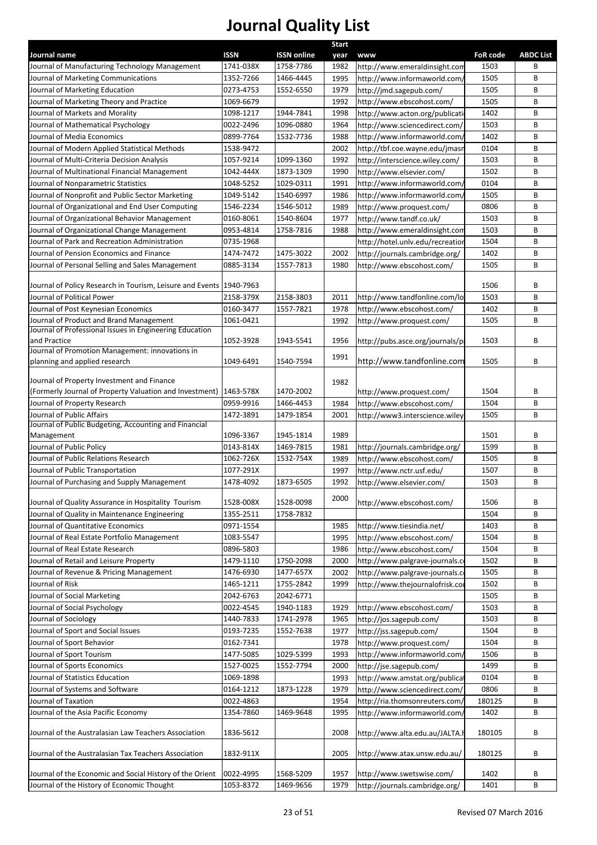| Journal name                                                          | <b>ISSN</b> | <b>ISSN online</b> | <b>Start</b><br>year | <b>www</b>                       | <b>FoR code</b> | <b>ABDC List</b> |
|-----------------------------------------------------------------------|-------------|--------------------|----------------------|----------------------------------|-----------------|------------------|
| Journal of Manufacturing Technology Management                        | 1741-038X   | 1758-7786          | 1982                 | http://www.emeraldinsight.com    | 1503            | B                |
| Journal of Marketing Communications                                   | 1352-7266   | 1466-4445          | 1995                 | http://www.informaworld.com/     | 1505            | B                |
| Journal of Marketing Education                                        | 0273-4753   | 1552-6550          | 1979                 | http://jmd.sagepub.com/          | 1505            | B                |
| Journal of Marketing Theory and Practice                              | 1069-6679   |                    | 1992                 | http://www.ebscohost.com/        | 1505            | B                |
| Journal of Markets and Morality                                       | 1098-1217   | 1944-7841          | 1998                 | http://www.acton.org/publicati   | 1402            | B                |
| Journal of Mathematical Psychology                                    | 0022-2496   | 1096-0880          | 1964                 | http://www.sciencedirect.com/    | 1503            | B                |
| Journal of Media Economics                                            | 0899-7764   | 1532-7736          | 1988                 | http://www.informaworld.com,     | 1402            | B                |
| Journal of Modern Applied Statistical Methods                         | 1538-9472   |                    | 2002                 | http://tbf.coe.wayne.edu/jmasn   | 0104            | B                |
| Journal of Multi-Criteria Decision Analysis                           | 1057-9214   | 1099-1360          | 1992                 | http://interscience.wiley.com/   | 1503            | B                |
| Journal of Multinational Financial Management                         | 1042-444X   | 1873-1309          | 1990                 | http://www.elsevier.com/         | 1502            | B                |
| Journal of Nonparametric Statistics                                   | 1048-5252   | 1029-0311          | 1991                 | http://www.informaworld.com/     | 0104            | B                |
| Journal of Nonprofit and Public Sector Marketing                      | 1049-5142   | 1540-6997          | 1986                 | http://www.informaworld.com/     | 1505            | B                |
| Journal of Organizational and End User Computing                      | 1546-2234   | 1546-5012          | 1989                 | http://www.proquest.com/         | 0806            | B                |
| Journal of Organizational Behavior Management                         | 0160-8061   | 1540-8604          | 1977                 | http://www.tandf.co.uk/          | 1503            | B                |
| Journal of Organizational Change Management                           | 0953-4814   | 1758-7816          | 1988                 | http://www.emeraldinsight.com    | 1503            | B                |
| Journal of Park and Recreation Administration                         | 0735-1968   |                    |                      | http://hotel.unlv.edu/recreation | 1504            | B                |
| Journal of Pension Economics and Finance                              | 1474-7472   | 1475-3022          | 2002                 | http://journals.cambridge.org/   | 1402            | B                |
| Journal of Personal Selling and Sales Management                      | 0885-3134   | 1557-7813          | 1980                 | http://www.ebscohost.com/        | 1505            | B                |
|                                                                       |             |                    |                      |                                  |                 |                  |
| Journal of Policy Research in Tourism, Leisure and Events   1940-7963 |             |                    |                      |                                  | 1506            | B                |
| Journal of Political Power                                            | 2158-379X   | 2158-3803          | 2011                 | http://www.tandfonline.com/lo    | 1503            | B                |
| Journal of Post Keynesian Economics                                   | 0160-3477   | 1557-7821          | 1978                 | http://www.ebscohost.com/        | 1402            | B                |
| Journal of Product and Brand Management                               | 1061-0421   |                    | 1992                 | http://www.proquest.com/         | 1505            | B                |
| Journal of Professional Issues in Engineering Education               |             |                    |                      |                                  |                 |                  |
| and Practice<br>Journal of Promotion Management: innovations in       | 1052-3928   | 1943-5541          | 1956                 | http://pubs.asce.org/journals/pi | 1503            | B                |
| planning and applied research                                         | 1049-6491   | 1540-7594          | 1991                 | http://www.tandfonline.com       | 1505            | В                |
|                                                                       |             |                    |                      |                                  |                 |                  |
| Journal of Property Investment and Finance                            |             |                    | 1982                 |                                  |                 |                  |
| (Formerly Journal of Property Valuation and Investment)   1463-578X   |             | 1470-2002          |                      | http://www.proquest.com/         | 1504            | B                |
| Journal of Property Research                                          | 0959-9916   | 1466-4453          | 1984                 | http://www.ebscohost.com/        | 1504            | B                |
| Journal of Public Affairs                                             | 1472-3891   | 1479-1854          | 2001                 | http://www3.interscience.wiley   | 1505            | B                |
| Journal of Public Budgeting, Accounting and Financial                 |             |                    |                      |                                  |                 |                  |
| Management                                                            | 1096-3367   | 1945-1814          | 1989                 |                                  | 1501            | B                |
| Journal of Public Policy                                              | 0143-814X   | 1469-7815          | 1981                 | http://journals.cambridge.org/   | 1599            | B                |
| Journal of Public Relations Research                                  | 1062-726X   | 1532-754X          | 1989                 | http://www.ebscohost.com/        | 1505            | B                |
| Journal of Public Transportation                                      | 1077-291X   |                    | 1997                 | http://www.nctr.usf.edu/         | 1507            | B                |
| Journal of Purchasing and Supply Management                           | 1478-4092   | 1873-6505          | 1992                 | http://www.elsevier.com/         | 1503            | B                |
| Journal of Quality Assurance in Hospitality Tourism                   | 1528-008X   | 1528-0098          | 2000                 | http://www.ebscohost.com/        | 1506            | В                |
| Journal of Quality in Maintenance Engineering                         | 1355-2511   | 1758-7832          |                      |                                  | 1504            | В                |
| Journal of Quantitative Economics                                     | 0971-1554   |                    | 1985                 | http://www.tiesindia.net/        | 1403            | В                |
| Journal of Real Estate Portfolio Management                           | 1083-5547   |                    | 1995                 | http://www.ebscohost.com/        | 1504            | В                |
| Journal of Real Estate Research                                       | 0896-5803   |                    | 1986                 | http://www.ebscohost.com/        | 1504            | В                |
| Journal of Retail and Leisure Property                                | 1479-1110   | 1750-2098          | 2000                 | http://www.palgrave-journals.co  | 1502            | В                |
| Journal of Revenue & Pricing Management                               | 1476-6930   | 1477-657X          | 2002                 | http://www.palgrave-journals.co  | 1505            | В                |
| Journal of Risk                                                       | 1465-1211   | 1755-2842          | 1999                 | http://www.thejournalofrisk.cor  | 1502            | В                |
| Journal of Social Marketing                                           | 2042-6763   | 2042-6771          |                      |                                  | 1505            | В                |
| Journal of Social Psychology                                          | 0022-4545   | 1940-1183          | 1929                 | http://www.ebscohost.com/        | 1503            | В                |
| Journal of Sociology                                                  | 1440-7833   | 1741-2978          | 1965                 | http://jos.sagepub.com/          | 1503            | В                |
| Journal of Sport and Social Issues                                    | 0193-7235   | 1552-7638          |                      |                                  | 1504            | В                |
| Journal of Sport Behavior                                             | 0162-7341   |                    | 1977                 | http://jss.sagepub.com/          | 1504            | В                |
|                                                                       |             |                    | 1978                 | http://www.proquest.com/         |                 | B                |
| Journal of Sport Tourism                                              | 1477-5085   | 1029-5399          | 1993                 | http://www.informaworld.com,     | 1506            |                  |
| Journal of Sports Economics                                           | 1527-0025   | 1552-7794          | 2000                 | http://jse.sagepub.com/          | 1499            | В                |
| Journal of Statistics Education                                       | 1069-1898   |                    | 1993                 | http://www.amstat.org/publica    | 0104            | В                |
| Journal of Systems and Software                                       | 0164-1212   | 1873-1228          | 1979                 | http://www.sciencedirect.com/    | 0806            | В                |
| Journal of Taxation                                                   | 0022-4863   |                    | 1954                 | http://ria.thomsonreuters.com/   | 180125          | B                |
| Journal of the Asia Pacific Economy                                   | 1354-7860   | 1469-9648          | 1995                 | http://www.informaworld.com/     | 1402            | В                |
| Journal of the Australasian Law Teachers Association                  | 1836-5612   |                    | 2008                 | http://www.alta.edu.au/JALTA.h   | 180105          | В                |
| Journal of the Australasian Tax Teachers Association                  | 1832-911X   |                    | 2005                 | http://www.atax.unsw.edu.au/     | 180125          | В                |
| Journal of the Economic and Social History of the Orient              | 0022-4995   | 1568-5209          | 1957                 | http://www.swetswise.com/        | 1402            | В                |
| Journal of the History of Economic Thought                            | 1053-8372   | 1469-9656          | 1979                 | http://journals.cambridge.org/   | 1401            | B                |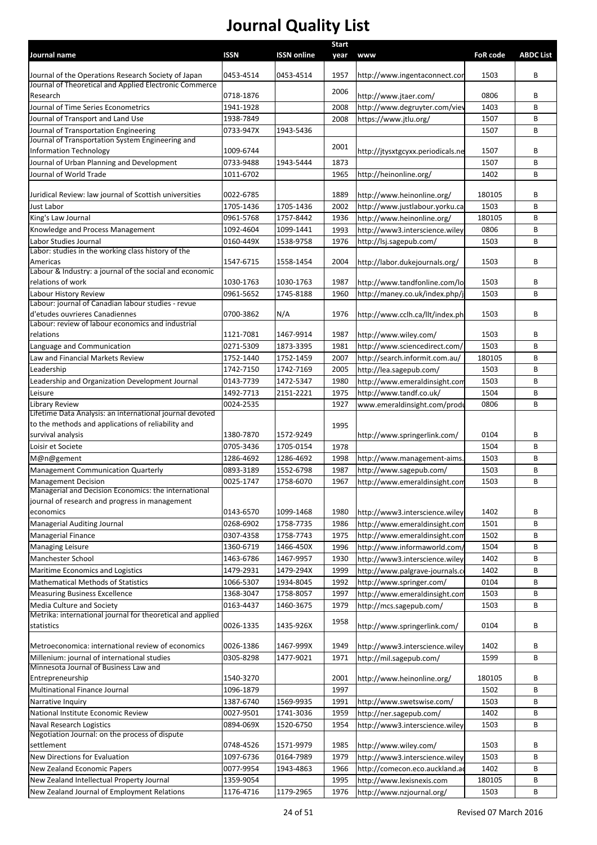| Journal name                                                                         | <b>ISSN</b>            | <b>ISSN online</b>     | <b>Start</b><br>year | www                                                             | <b>FoR code</b> | <b>ABDC List</b> |
|--------------------------------------------------------------------------------------|------------------------|------------------------|----------------------|-----------------------------------------------------------------|-----------------|------------------|
|                                                                                      |                        |                        |                      |                                                                 |                 |                  |
| Journal of the Operations Research Society of Japan                                  | 0453-4514              | 0453-4514              | 1957                 | http://www.ingentaconnect.cor                                   | 1503            | В                |
| Journal of Theoretical and Applied Electronic Commerce<br>Research                   | 0718-1876              |                        | 2006                 | http://www.jtaer.com/                                           | 0806            | В                |
| Journal of Time Series Econometrics                                                  | 1941-1928              |                        | 2008                 | http://www.degruyter.com/viev                                   | 1403            | B                |
| Journal of Transport and Land Use                                                    | 1938-7849              |                        | 2008                 | https://www.jtlu.org/                                           | 1507            | В                |
| Journal of Transportation Engineering                                                | 0733-947X              | 1943-5436              |                      |                                                                 | 1507            | B                |
| Journal of Transportation System Engineering and                                     |                        |                        |                      |                                                                 |                 |                  |
| <b>Information Technology</b>                                                        | 1009-6744              |                        | 2001                 | http://jtysxtgcyxx.periodicals.ne                               | 1507            | В                |
| Journal of Urban Planning and Development                                            | 0733-9488              | 1943-5444              | 1873                 |                                                                 | 1507            | В                |
| Journal of World Trade                                                               | 1011-6702              |                        | 1965                 | http://heinonline.org/                                          | 1402            | В                |
| Juridical Review: law journal of Scottish universities                               | 0022-6785              |                        | 1889                 | http://www.heinonline.org/                                      | 180105          | В                |
| <b>Just Labor</b>                                                                    | 1705-1436              | 1705-1436              | 2002                 | http://www.justlabour.yorku.ca                                  | 1503            | B                |
| King's Law Journal                                                                   | 0961-5768              | 1757-8442              | 1936                 | http://www.heinonline.org/                                      | 180105          | B                |
| Knowledge and Process Management                                                     | 1092-4604              | 1099-1441              | 1993                 | http://www3.interscience.wiley                                  | 0806            | В                |
| Labor Studies Journal                                                                | 0160-449X              | 1538-9758              | 1976                 | http://lsj.sagepub.com/                                         | 1503            | B                |
| Labor: studies in the working class history of the                                   |                        |                        |                      |                                                                 |                 |                  |
| Americas                                                                             | 1547-6715              | 1558-1454              | 2004                 | http://labor.dukejournals.org/                                  | 1503            | В                |
| Labour & Industry: a journal of the social and economic<br>relations of work         | 1030-1763              | 1030-1763              | 1987                 |                                                                 | 1503            | В                |
| Labour History Review                                                                | 0961-5652              | 1745-8188              | 1960                 | http://www.tandfonline.com/lo<br>http://maney.co.uk/index.php/j | 1503            | В                |
| Labour: journal of Canadian labour studies - revue                                   |                        |                        |                      |                                                                 |                 |                  |
| d'etudes ouvrieres Canadiennes                                                       | 0700-3862              | N/A                    | 1976                 | http://www.cclh.ca/llt/index.ph                                 | 1503            | В                |
| Labour: review of labour economics and industrial                                    |                        |                        |                      |                                                                 |                 |                  |
| relations                                                                            | 1121-7081              | 1467-9914              | 1987                 | http://www.wiley.com/                                           | 1503            | В                |
| Language and Communication                                                           | 0271-5309              | 1873-3395              | 1981                 | http://www.sciencedirect.com/                                   | 1503            | B                |
| Law and Financial Markets Review                                                     | 1752-1440              | 1752-1459              | 2007                 | http://search.informit.com.au/                                  | 180105          | B                |
| Leadership                                                                           | 1742-7150              | 1742-7169              | 2005                 | http://lea.sagepub.com/                                         | 1503            | В                |
| Leadership and Organization Development Journal                                      | 0143-7739              | 1472-5347              | 1980                 | http://www.emeraldinsight.con                                   | 1503            | В                |
| Leisure                                                                              | 1492-7713              | 2151-2221              | 1975                 | http://www.tandf.co.uk/                                         | 1504            | В                |
| <b>Library Review</b><br>Lifetime Data Analysis: an international journal devoted    | 0024-2535              |                        | 1927                 | www.emeraldinsight.com/produ                                    | 0806            | B                |
| to the methods and applications of reliability and                                   |                        |                        | 1995                 |                                                                 |                 |                  |
| survival analysis                                                                    | 1380-7870              | 1572-9249              |                      | http://www.springerlink.com/                                    | 0104            | В                |
| Loisir et Societe                                                                    | 0705-3436              | 1705-0154              | 1978                 |                                                                 | 1504            | B                |
| M@n@gement                                                                           | 1286-4692              | 1286-4692              | 1998                 | http://www.management-aims                                      | 1503            | В                |
| <b>Management Communication Quarterly</b>                                            | 0893-3189              | 1552-6798              | 1987                 | http://www.sagepub.com/                                         | 1503            | В                |
| <b>Management Decision</b>                                                           | 0025-1747              | 1758-6070              | 1967                 | http://www.emeraldinsight.con                                   | 1503            | B                |
| Managerial and Decision Economics: the international                                 |                        |                        |                      |                                                                 |                 |                  |
| journal of research and progress in management                                       |                        |                        |                      |                                                                 |                 |                  |
| economics                                                                            | 0143-6570              | 1099-1468              | 1980                 | http://www3.interscience.wiley                                  | 1402            | В                |
| Managerial Auditing Journal                                                          | 0268-6902              | 1758-7735              | 1986                 | http://www.emeraldinsight.com                                   | 1501            | В                |
| Managerial Finance                                                                   | 0307-4358              | 1758-7743              | 1975                 | http://www.emeraldinsight.com                                   | 1502            | В                |
| <b>Managing Leisure</b><br>Manchester School                                         | 1360-6719              | 1466-450X<br>1467-9957 | 1996                 | http://www.informaworld.com/                                    | 1504            | В                |
| Maritime Economics and Logistics                                                     | 1463-6786<br>1479-2931 | 1479-294X              | 1930<br>1999         | http://www3.interscience.wiley                                  | 1402<br>1402    | В<br>В           |
| <b>Mathematical Methods of Statistics</b>                                            | 1066-5307              | 1934-8045              | 1992                 | http://www.palgrave-journals.c<br>http://www.springer.com/      | 0104            | В                |
| <b>Measuring Business Excellence</b>                                                 | 1368-3047              | 1758-8057              | 1997                 | http://www.emeraldinsight.com                                   | 1503            | В                |
| Media Culture and Society                                                            | 0163-4437              | 1460-3675              | 1979                 | http://mcs.sagepub.com/                                         | 1503            | B                |
| Metrika: international journal for theoretical and applied                           |                        |                        |                      |                                                                 |                 |                  |
| statistics                                                                           | 0026-1335              | 1435-926X              | 1958                 | http://www.springerlink.com/                                    | 0104            | В                |
|                                                                                      |                        |                        |                      |                                                                 |                 |                  |
| Metroeconomica: international review of economics                                    | 0026-1386              | 1467-999X              | 1949                 | http://www3.interscience.wiley                                  | 1402            | В                |
| Millenium: journal of international studies<br>Minnesota Journal of Business Law and | 0305-8298              | 1477-9021              | 1971                 | http://mil.sagepub.com/                                         | 1599            | В                |
| Entrepreneurship                                                                     | 1540-3270              |                        | 2001                 | http://www.heinonline.org/                                      | 180105          | В                |
| Multinational Finance Journal                                                        | 1096-1879              |                        | 1997                 |                                                                 | 1502            | В                |
| Narrative Inquiry                                                                    | 1387-6740              | 1569-9935              | 1991                 | http://www.swetswise.com/                                       | 1503            | В                |
| National Institute Economic Review                                                   | 0027-9501              | 1741-3036              | 1959                 | http://ner.sagepub.com/                                         | 1402            | В                |
| Naval Research Logistics                                                             | 0894-069X              | 1520-6750              | 1954                 | http://www3.interscience.wiley                                  | 1503            | В                |
| Negotiation Journal: on the process of dispute                                       |                        |                        |                      |                                                                 |                 |                  |
| settlement                                                                           | 0748-4526              | 1571-9979              | 1985                 | http://www.wiley.com/                                           | 1503            | В                |
| New Directions for Evaluation                                                        | 1097-6736              | 0164-7989              | 1979                 | http://www3.interscience.wiley                                  | 1503            | В                |
| New Zealand Economic Papers                                                          | 0077-9954              | 1943-4863              | 1966                 | http://comecon.eco.auckland.a                                   | 1402            | В                |
| New Zealand Intellectual Property Journal                                            | 1359-9054              |                        | 1995                 | http://www.lexisnexis.com                                       | 180105          | В                |
| New Zealand Journal of Employment Relations                                          | 1176-4716              | 1179-2965              | 1976                 | http://www.nzjournal.org/                                       | 1503            | В                |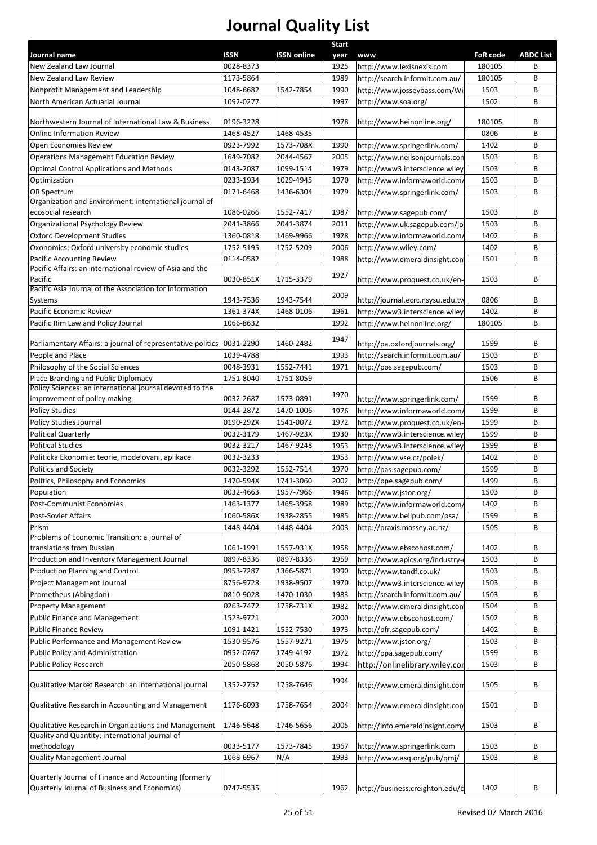|                                                                       |                          |                    | <b>Start</b> |                                                             |                           |                  |
|-----------------------------------------------------------------------|--------------------------|--------------------|--------------|-------------------------------------------------------------|---------------------------|------------------|
| Journal name<br>New Zealand Law Journal                               | <b>ISSN</b><br>0028-8373 | <b>ISSN online</b> | year         | <b>WWW</b>                                                  | <b>FoR code</b><br>180105 | <b>ABDC List</b> |
| New Zealand Law Review                                                | 1173-5864                |                    | 1925<br>1989 | http://www.lexisnexis.com<br>http://search.informit.com.au/ | 180105                    | В<br>В           |
| Nonprofit Management and Leadership                                   | 1048-6682                | 1542-7854          | 1990         | http://www.josseybass.com/Wil                               | 1503                      | В                |
| North American Actuarial Journal                                      | 1092-0277                |                    | 1997         | http://www.soa.org/                                         | 1502                      | В                |
|                                                                       |                          |                    |              |                                                             |                           |                  |
| Northwestern Journal of International Law & Business                  | 0196-3228                |                    | 1978         | http://www.heinonline.org/                                  | 180105                    | В                |
| <b>Online Information Review</b>                                      | 1468-4527                | 1468-4535          |              |                                                             | 0806                      | В                |
| Open Economies Review                                                 | 0923-7992                | 1573-708X          | 1990         | http://www.springerlink.com/                                | 1402                      | В                |
| <b>Operations Management Education Review</b>                         | 1649-7082                | 2044-4567          | 2005         | http://www.neilsonjournals.con                              | 1503                      | В                |
| <b>Optimal Control Applications and Methods</b>                       | 0143-2087                | 1099-1514          | 1979         | http://www3.interscience.wiley                              | 1503                      | В                |
| Optimization                                                          | 0233-1934                | 1029-4945          | 1970         | http://www.informaworld.com/                                | 1503                      | В                |
| OR Spectrum                                                           | 0171-6468                | 1436-6304          | 1979         | http://www.springerlink.com/                                | 1503                      | В                |
| Organization and Environment: international journal of                |                          |                    |              |                                                             |                           |                  |
| ecosocial research                                                    | 1086-0266                | 1552-7417          | 1987         | http://www.sagepub.com/                                     | 1503                      | В                |
| Organizational Psychology Review                                      | 2041-3866                | 2041-3874          | 2011         | http://www.uk.sagepub.com/jo                                | 1503                      | В                |
| <b>Oxford Development Studies</b>                                     | 1360-0818                | 1469-9966          | 1928         | http://www.informaworld.com/                                | 1402                      | В                |
| Oxonomics: Oxford university economic studies                         | 1752-5195                | 1752-5209          | 2006         | http://www.wiley.com/                                       | 1402                      | В                |
| Pacific Accounting Review                                             | 0114-0582                |                    | 1988         | http://www.emeraldinsight.com                               | 1501                      | B                |
| Pacific Affairs: an international review of Asia and the              |                          |                    |              |                                                             |                           |                  |
| Pacific                                                               | 0030-851X                | 1715-3379          | 1927         | http://www.proquest.co.uk/en-                               | 1503                      | B                |
| Pacific Asia Journal of the Association for Information               |                          |                    | 2009         |                                                             |                           |                  |
| Systems                                                               | 1943-7536                | 1943-7544          |              | http://journal.ecrc.nsysu.edu.tw                            | 0806                      | В                |
| Pacific Economic Review                                               | 1361-374X                | 1468-0106          | 1961         | http://www3.interscience.wiley                              | 1402                      | B                |
| Pacific Rim Law and Policy Journal                                    | 1066-8632                |                    | 1992         | http://www.heinonline.org/                                  | 180105                    | B                |
| Parliamentary Affairs: a journal of representative politics 0031-2290 |                          | 1460-2482          | 1947         | http://pa.oxfordjournals.org/                               | 1599                      | В                |
| People and Place                                                      | 1039-4788                |                    | 1993         | http://search.informit.com.au/                              | 1503                      | В                |
| Philosophy of the Social Sciences                                     | 0048-3931                | 1552-7441          | 1971         | http://pos.sagepub.com/                                     | 1503                      | B                |
| Place Branding and Public Diplomacy                                   | 1751-8040                | 1751-8059          |              |                                                             | 1506                      | В                |
| Policy Sciences: an international journal devoted to the              |                          |                    |              |                                                             |                           |                  |
| improvement of policy making                                          | 0032-2687                | 1573-0891          | 1970         | http://www.springerlink.com/                                | 1599                      | В                |
| <b>Policy Studies</b>                                                 | 0144-2872                | 1470-1006          | 1976         | http://www.informaworld.com/                                | 1599                      | В                |
| Policy Studies Journal                                                | 0190-292X                | 1541-0072          | 1972         | http://www.proquest.co.uk/en-                               | 1599                      | В                |
| Political Quarterly                                                   | 0032-3179                | 1467-923X          | 1930         | http://www3.interscience.wiley                              | 1599                      | В                |
| <b>Political Studies</b>                                              | 0032-3217                | 1467-9248          | 1953         | http://www3.interscience.wiley                              | 1599                      | В                |
| Politicka Ekonomie: teorie, modelovani, aplikace                      | 0032-3233                |                    | 1953         | http://www.vse.cz/polek/                                    | 1402                      | В                |
| <b>Politics and Society</b>                                           | 0032-3292                | 1552-7514          | 1970         | http://pas.sagepub.com/                                     | 1599                      | В                |
| Politics, Philosophy and Economics                                    | 1470-594X                | 1741-3060          | 2002         | http://ppe.sagepub.com/                                     | 1499                      | В                |
| Population                                                            | 0032-4663                | 1957-7966          | 1946         | http://www.jstor.org/                                       | 1503                      | В                |
| Post-Communist Economies                                              | 1463-1377                | 1465-3958          | 1989         | http://www.informaworld.com,                                | 1402                      | B                |
| Post-Soviet Affairs                                                   | 1060-586X                | 1938-2855          | 1985         | http://www.bellpub.com/psa/                                 | 1599                      | В                |
| Prism                                                                 | 1448-4404                | 1448-4404          | 2003         | http://praxis.massey.ac.nz/                                 | 1505                      | В                |
| Problems of Economic Transition: a journal of                         |                          |                    |              |                                                             |                           |                  |
| translations from Russian                                             | 1061-1991                | 1557-931X          | 1958         | http://www.ebscohost.com/                                   | 1402                      | В                |
| Production and Inventory Management Journal                           | 0897-8336                | 0897-8336          | 1959         | http://www.apics.org/industry-                              | 1503                      | В                |
| Production Planning and Control                                       | 0953-7287                | 1366-5871          | 1990         | http://www.tandf.co.uk/                                     | 1503                      | В                |
| Project Management Journal                                            | 8756-9728                | 1938-9507          | 1970         | http://www3.interscience.wiley                              | 1503                      | В                |
| Prometheus (Abingdon)                                                 | 0810-9028                | 1470-1030          | 1983         | http://search.informit.com.au/                              | 1503                      | В                |
| <b>Property Management</b>                                            | 0263-7472                | 1758-731X          | 1982         | http://www.emeraldinsight.com                               | 1504                      | В                |
| Public Finance and Management                                         | 1523-9721                |                    | 2000         | http://www.ebscohost.com/                                   | 1502                      | В                |
| <b>Public Finance Review</b>                                          | 1091-1421                | 1552-7530          | 1973         | http://pfr.sagepub.com/                                     | 1402                      | В                |
| Public Performance and Management Review                              | 1530-9576                | 1557-9271          | 1975         | http://www.jstor.org/                                       | 1503                      | В                |
| Public Policy and Administration                                      | 0952-0767                | 1749-4192          | 1972         | http://ppa.sagepub.com/                                     | 1599                      | В                |
| Public Policy Research                                                | 2050-5868                | 2050-5876          | 1994         | http://onlinelibrary.wiley.cor                              | 1503                      | В                |
|                                                                       |                          |                    | 1994         |                                                             |                           |                  |
| Qualitative Market Research: an international journal                 | 1352-2752                | 1758-7646          |              | http://www.emeraldinsight.com                               | 1505                      | В                |
|                                                                       |                          |                    |              |                                                             |                           |                  |
| Qualitative Research in Accounting and Management                     | 1176-6093                | 1758-7654          | 2004         | http://www.emeraldinsight.com                               | 1501                      | В                |
| Qualitative Research in Organizations and Management                  | 1746-5648                | 1746-5656          | 2005         | http://info.emeraldinsight.com/                             | 1503                      | В                |
| Quality and Quantity: international journal of                        |                          |                    |              |                                                             |                           |                  |
| methodology                                                           | 0033-5177                | 1573-7845          | 1967         | http://www.springerlink.com                                 | 1503                      | В                |
| <b>Quality Management Journal</b>                                     | 1068-6967                | N/A                | 1993         | http://www.asq.org/pub/qmj/                                 | 1503                      | В                |
|                                                                       |                          |                    |              |                                                             |                           |                  |
| Quarterly Journal of Finance and Accounting (formerly                 |                          |                    |              |                                                             |                           |                  |
| Quarterly Journal of Business and Economics)                          | 0747-5535                |                    | 1962         | http://business.creighton.edu/c                             | 1402                      | В                |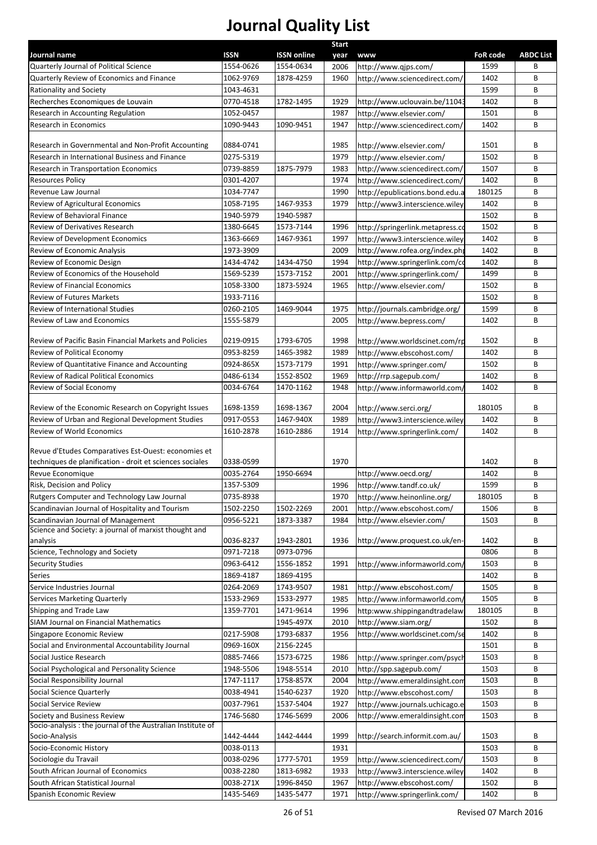|                                                                                             |                          |                                 | <b>Start</b> |                                                                 |                         |                       |
|---------------------------------------------------------------------------------------------|--------------------------|---------------------------------|--------------|-----------------------------------------------------------------|-------------------------|-----------------------|
| Journal name<br>Quarterly Journal of Political Science                                      | <b>ISSN</b><br>1554-0626 | <b>ISSN online</b><br>1554-0634 | year<br>2006 | <b>www</b><br>http://www.qjps.com/                              | <b>FoR code</b><br>1599 | <b>ABDC List</b><br>В |
| Quarterly Review of Economics and Finance                                                   | 1062-9769                | 1878-4259                       | 1960         | http://www.sciencedirect.com/                                   | 1402                    | В                     |
| Rationality and Society                                                                     | 1043-4631                |                                 |              |                                                                 | 1599                    | B                     |
| Recherches Economiques de Louvain                                                           | 0770-4518                | 1782-1495                       | 1929         | http://www.uclouvain.be/11043                                   | 1402                    | B                     |
| Research in Accounting Regulation                                                           | 1052-0457                |                                 | 1987         | http://www.elsevier.com/                                        | 1501                    | B                     |
| Research in Economics                                                                       | 1090-9443                | 1090-9451                       | 1947         | http://www.sciencedirect.com/                                   | 1402                    | B                     |
|                                                                                             |                          |                                 |              |                                                                 |                         |                       |
| Research in Governmental and Non-Profit Accounting                                          | 0884-0741                |                                 | 1985         | http://www.elsevier.com/                                        | 1501                    | B                     |
| Research in International Business and Finance                                              | 0275-5319                |                                 | 1979         | http://www.elsevier.com/                                        | 1502                    | В                     |
| Research in Transportation Economics                                                        | 0739-8859                | 1875-7979                       | 1983         | http://www.sciencedirect.com/                                   | 1507                    | В                     |
| <b>Resources Policy</b>                                                                     | 0301-4207                |                                 | 1974         | http://www.sciencedirect.com/                                   | 1402                    | B                     |
| Revenue Law Journal                                                                         | 1034-7747                |                                 | 1990         | http://epublications.bond.edu.a                                 | 180125                  | В                     |
| Review of Agricultural Economics                                                            | 1058-7195                | 1467-9353                       | 1979         | http://www3.interscience.wiley                                  | 1402                    | B                     |
| Review of Behavioral Finance                                                                | 1940-5979                | 1940-5987                       |              |                                                                 | 1502                    | B                     |
| Review of Derivatives Research                                                              | 1380-6645                | 1573-7144                       | 1996         | http://springerlink.metapress.co                                | 1502                    | B                     |
| Review of Development Economics                                                             | 1363-6669                | 1467-9361                       | 1997         | http://www3.interscience.wiley                                  | 1402                    | B<br>B                |
| Review of Economic Analysis<br>Review of Economic Design                                    | 1973-3909                |                                 | 2009         | http://www.rofea.org/index.php                                  | 1402                    | B                     |
| Review of Economics of the Household                                                        | 1434-4742                | 1434-4750                       | 1994         | http://www.springerlink.com/co                                  | 1402                    | B                     |
| Review of Financial Economics                                                               | 1569-5239<br>1058-3300   | 1573-7152<br>1873-5924          | 2001<br>1965 | http://www.springerlink.com/<br>http://www.elsevier.com/        | 1499<br>1502            | B                     |
| <b>Review of Futures Markets</b>                                                            | 1933-7116                |                                 |              |                                                                 | 1502                    | B                     |
| Review of International Studies                                                             | 0260-2105                | 1469-9044                       | 1975         | http://journals.cambridge.org/                                  | 1599                    | B                     |
| Review of Law and Economics                                                                 | 1555-5879                |                                 | 2005         | http://www.bepress.com/                                         | 1402                    | B                     |
|                                                                                             |                          |                                 |              |                                                                 |                         |                       |
| Review of Pacific Basin Financial Markets and Policies                                      | 0219-0915                | 1793-6705                       | 1998         | http://www.worldscinet.com/rp                                   | 1502                    | В                     |
| Review of Political Economy                                                                 | 0953-8259                | 1465-3982                       | 1989         | http://www.ebscohost.com/                                       | 1402                    | B                     |
| Review of Quantitative Finance and Accounting                                               | 0924-865X                | 1573-7179                       | 1991         | http://www.springer.com/                                        | 1502                    | B                     |
| <b>Review of Radical Political Economics</b>                                                | 0486-6134                | 1552-8502                       | 1969         | http://rrp.sagepub.com/                                         | 1402                    | B                     |
| Review of Social Economy                                                                    | 0034-6764                | 1470-1162                       | 1948         | http://www.informaworld.com/                                    | 1402                    | B                     |
| Review of the Economic Research on Copyright Issues                                         | 1698-1359                | 1698-1367                       | 2004         | http://www.serci.org/                                           | 180105                  | В                     |
| Review of Urban and Regional Development Studies                                            | 0917-0553                | 1467-940X                       | 1989         | http://www3.interscience.wiley                                  | 1402                    | B                     |
| Review of World Economics                                                                   | 1610-2878                | 1610-2886                       | 1914         | http://www.springerlink.com/                                    | 1402                    | B                     |
|                                                                                             |                          |                                 |              |                                                                 |                         |                       |
| Revue d'Etudes Comparatives Est-Ouest: economies et                                         |                          |                                 |              |                                                                 |                         |                       |
| techniques de planification - droit et sciences sociales                                    | 0338-0599                |                                 | 1970         |                                                                 | 1402                    | B                     |
| Revue Economique                                                                            | 0035-2764                | 1950-6694                       |              | http://www.oecd.org/                                            | 1402                    | B                     |
| Risk, Decision and Policy                                                                   | 1357-5309                |                                 | 1996         | http://www.tandf.co.uk/                                         | 1599                    | B                     |
| Rutgers Computer and Technology Law Journal                                                 | 0735-8938                |                                 | 1970         | http://www.heinonline.org/                                      | 180105                  | B                     |
| Scandinavian Journal of Hospitality and Tourism                                             | 1502-2250                | 1502-2269                       | 2001         | http://www.ebscohost.com/                                       | 1506                    | B                     |
| Scandinavian Journal of Management<br>Science and Society: a journal of marxist thought and | 0956-5221                | 1873-3387                       | 1984         | http://www.elsevier.com/                                        | 1503                    | B                     |
| analysis                                                                                    | 0036-8237                | 1943-2801                       | 1936         | http://www.proquest.co.uk/en-                                   | 1402                    | В                     |
| Science, Technology and Society                                                             | 0971-7218                | 0973-0796                       |              |                                                                 | 0806                    | B                     |
| <b>Security Studies</b>                                                                     | 0963-6412                | 1556-1852                       | 1991         | http://www.informaworld.com/                                    | 1503                    | B                     |
| Series                                                                                      | 1869-4187                | 1869-4195                       |              |                                                                 | 1402                    | B                     |
| Service Industries Journal                                                                  | 0264-2069                | 1743-9507                       | 1981         | http://www.ebscohost.com/                                       | 1505                    | B                     |
| Services Marketing Quarterly                                                                | 1533-2969                | 1533-2977                       | 1985         | http://www.informaworld.com/                                    | 1505                    | B                     |
| Shipping and Trade Law                                                                      | 1359-7701                | 1471-9614                       | 1996         | http:www.shippingandtradelaw                                    | 180105                  | B                     |
| SIAM Journal on Financial Mathematics                                                       |                          | 1945-497X                       | 2010         | http://www.siam.org/                                            | 1502                    | В                     |
| Singapore Economic Review                                                                   | 0217-5908                | 1793-6837                       | 1956         | http://www.worldscinet.com/se                                   | 1402                    | B                     |
| Social and Environmental Accountability Journal                                             | 0969-160X                | 2156-2245                       |              |                                                                 | 1501                    | В                     |
| Social Justice Research                                                                     | 0885-7466                | 1573-6725                       | 1986         | http://www.springer.com/psych                                   | 1503                    | В                     |
| Social Psychological and Personality Science                                                | 1948-5506                | 1948-5514                       | 2010         | http://spp.sagepub.com/                                         | 1503                    | В                     |
| Social Responsibility Journal                                                               | 1747-1117                | 1758-857X                       | 2004         | http://www.emeraldinsight.com                                   | 1503                    | В                     |
| Social Science Quarterly                                                                    | 0038-4941                | 1540-6237                       | 1920         | http://www.ebscohost.com/                                       | 1503                    | В                     |
| Social Service Review                                                                       | 0037-7961                | 1537-5404                       | 1927         | http://www.journals.uchicago.e                                  | 1503                    | В                     |
| Society and Business Review                                                                 | 1746-5680                | 1746-5699                       | 2006         | http://www.emeraldinsight.com                                   | 1503                    | B                     |
| Socio-analysis : the journal of the Australian Institute of<br>Socio-Analysis               | 1442-4444                | 1442-4444                       | 1999         |                                                                 | 1503                    | В                     |
| Socio-Economic History                                                                      | 0038-0113                |                                 | 1931         | http://search.informit.com.au/                                  | 1503                    | В                     |
| Sociologie du Travail                                                                       | 0038-0296                | 1777-5701                       | 1959         |                                                                 | 1503                    | В                     |
| South African Journal of Economics                                                          | 0038-2280                | 1813-6982                       | 1933         | http://www.sciencedirect.com/<br>http://www3.interscience.wiley | 1402                    | В                     |
| South African Statistical Journal                                                           | 0038-271X                | 1996-8450                       | 1967         | http://www.ebscohost.com/                                       | 1502                    | В                     |
| Spanish Economic Review                                                                     | 1435-5469                | 1435-5477                       | 1971         | http://www.springerlink.com/                                    | 1402                    | В                     |
|                                                                                             |                          |                                 |              |                                                                 |                         |                       |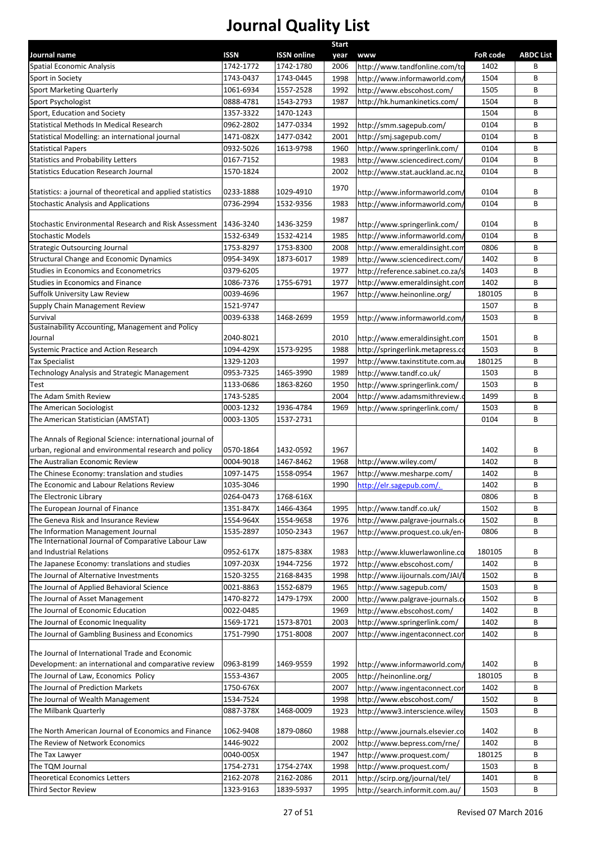|                                                                                                                   |             |                    | <b>Start</b> |                                  |                 |                  |
|-------------------------------------------------------------------------------------------------------------------|-------------|--------------------|--------------|----------------------------------|-----------------|------------------|
| Journal name                                                                                                      | <b>ISSN</b> | <b>ISSN</b> online | year         | www                              | <b>FoR</b> code | <b>ABDC List</b> |
| <b>Spatial Economic Analysis</b>                                                                                  | 1742-1772   | 1742-1780          | 2006         | http://www.tandfonline.com/to    | 1402            | В                |
| Sport in Society                                                                                                  | 1743-0437   | 1743-0445          | 1998         | http://www.informaworld.com/     | 1504            | B                |
| <b>Sport Marketing Quarterly</b>                                                                                  | 1061-6934   | 1557-2528          | 1992         | http://www.ebscohost.com/        | 1505            | В                |
| Sport Psychologist                                                                                                | 0888-4781   | 1543-2793          | 1987         | http://hk.humankinetics.com/     | 1504            | В                |
| Sport, Education and Society                                                                                      | 1357-3322   | 1470-1243          |              |                                  | 1504            | B                |
| Statistical Methods In Medical Research                                                                           | 0962-2802   | 1477-0334          | 1992         | http://smm.sagepub.com/          | 0104            | B                |
| Statistical Modelling: an international journal                                                                   | 1471-082X   | 1477-0342          | 2001         | http://smj.sagepub.com/          | 0104            | B                |
| <b>Statistical Papers</b>                                                                                         | 0932-5026   | 1613-9798          | 1960         | http://www.springerlink.com/     | 0104            | В                |
| <b>Statistics and Probability Letters</b>                                                                         | 0167-7152   |                    | 1983         | http://www.sciencedirect.com/    | 0104            | B                |
| <b>Statistics Education Research Journal</b>                                                                      | 1570-1824   |                    | 2002<br>1970 | http://www.stat.auckland.ac.nz,  | 0104            | B                |
| Statistics: a journal of theoretical and applied statistics                                                       | 0233-1888   | 1029-4910          |              | http://www.informaworld.com/     | 0104            | В                |
| <b>Stochastic Analysis and Applications</b>                                                                       | 0736-2994   | 1532-9356          | 1983         | http://www.informaworld.com/     | 0104            | B                |
| Stochastic Environmental Research and Risk Assessment                                                             | 1436-3240   | 1436-3259          | 1987         | http://www.springerlink.com/     | 0104            | В                |
| <b>Stochastic Models</b>                                                                                          | 1532-6349   | 1532-4214          | 1985         | http://www.informaworld.com/     | 0104            | В                |
| <b>Strategic Outsourcing Journal</b>                                                                              | 1753-8297   | 1753-8300          | 2008         | http://www.emeraldinsight.com    | 0806            | В                |
| <b>Structural Change and Economic Dynamics</b>                                                                    | 0954-349X   | 1873-6017          | 1989         | http://www.sciencedirect.com/    | 1402            | В                |
| Studies in Economics and Econometrics                                                                             | 0379-6205   |                    | 1977         | http://reference.sabinet.co.za/s | 1403            | В                |
| Studies in Economics and Finance                                                                                  | 1086-7376   | 1755-6791          | 1977         | http://www.emeraldinsight.com    | 1402            | B                |
| Suffolk University Law Review                                                                                     | 0039-4696   |                    | 1967         | http://www.heinonline.org/       | 180105          | В                |
| Supply Chain Management Review                                                                                    | 1521-9747   |                    |              |                                  | 1507            | B                |
| Survival                                                                                                          | 0039-6338   | 1468-2699          | 1959         | http://www.informaworld.com/     | 1503            | B                |
| Sustainability Accounting, Management and Policy<br>Journal                                                       | 2040-8021   |                    | 2010         | http://www.emeraldinsight.com    | 1501            | В                |
| Systemic Practice and Action Research                                                                             | 1094-429X   | 1573-9295          | 1988         | http://springerlink.metapress.co | 1503            | В                |
| <b>Tax Specialist</b>                                                                                             | 1329-1203   |                    | 1997         | http://www.taxinstitute.com.au   | 180125          | В                |
| Technology Analysis and Strategic Management                                                                      | 0953-7325   | 1465-3990          | 1989         | http://www.tandf.co.uk/          | 1503            | В                |
| Test                                                                                                              | 1133-0686   | 1863-8260          | 1950         | http://www.springerlink.com/     | 1503            | В                |
| The Adam Smith Review                                                                                             | 1743-5285   |                    | 2004         | http://www.adamsmithreview.c     | 1499            | B                |
| The American Sociologist                                                                                          | 0003-1232   | 1936-4784          | 1969         | http://www.springerlink.com/     | 1503            | B                |
| The American Statistician (AMSTAT)                                                                                | 0003-1305   | 1537-2731          |              |                                  | 0104            | B                |
| The Annals of Regional Science: international journal of<br>urban, regional and environmental research and policy | 0570-1864   | 1432-0592          | 1967         |                                  | 1402            | В                |
| The Australian Economic Review                                                                                    | 0004-9018   | 1467-8462          | 1968         | http://www.wiley.com/            | 1402            | B                |
| The Chinese Economy: translation and studies                                                                      | 1097-1475   | 1558-0954          | 1967         | http://www.mesharpe.com/         | 1402            | В                |
| The Economic and Labour Relations Review                                                                          | 1035-3046   |                    | 1990         | http://elr.sagepub.com/.         | 1402            | B                |
| The Electronic Library                                                                                            | 0264-0473   | 1768-616X          |              |                                  | 0806            | B                |
| The European Journal of Finance                                                                                   | 1351-847X   | 1466-4364          | 1995         | http://www.tandf.co.uk/          | 1502            | B                |
| The Geneva Risk and Insurance Review                                                                              | 1554-964X   | 1554-9658          | 1976         | http://www.palgrave-journals.co  | 1502            | B                |
| The Information Management Journal                                                                                | 1535-2897   | 1050-2343          | 1967         | http://www.proquest.co.uk/en-    | 0806            | B                |
| The International Journal of Comparative Labour Law                                                               |             |                    |              |                                  |                 |                  |
| and Industrial Relations                                                                                          | 0952-617X   | 1875-838X          | 1983         | http://www.kluwerlawonline.co    | 180105          | В                |
| The Japanese Economy: translations and studies                                                                    | 1097-203X   | 1944-7256          | 1972         | http://www.ebscohost.com/        | 1402            | B                |
| The Journal of Alternative Investments                                                                            | 1520-3255   | 2168-8435          | 1998         | http://www.iijournals.com/JAI/I  | 1502            | B                |
| The Journal of Applied Behavioral Science                                                                         | 0021-8863   | 1552-6879          | 1965         | http://www.sagepub.com/          | 1503            | B                |
| The Journal of Asset Management                                                                                   | 1470-8272   | 1479-179X          | 2000         | http://www.palgrave-journals.c   | 1502            | B                |
| The Journal of Economic Education                                                                                 | 0022-0485   |                    | 1969         | http://www.ebscohost.com/        | 1402            | B                |
| The Journal of Economic Inequality                                                                                | 1569-1721   | 1573-8701          | 2003         | http://www.springerlink.com/     | 1402            | В                |
| The Journal of Gambling Business and Economics                                                                    | 1751-7990   | 1751-8008          | 2007         | http://www.ingentaconnect.con    | 1402            | B                |
| The Journal of International Trade and Economic                                                                   |             |                    |              |                                  |                 |                  |
| Development: an international and comparative review                                                              | 0963-8199   | 1469-9559          | 1992         | http://www.informaworld.com/     | 1402            | В                |
| The Journal of Law, Economics Policy                                                                              | 1553-4367   |                    | 2005         | http://heinonline.org/           | 180105          | B                |
| The Journal of Prediction Markets                                                                                 | 1750-676X   |                    | 2007         | http://www.ingentaconnect.con    | 1402            | B                |
| The Journal of Wealth Management                                                                                  | 1534-7524   |                    | 1998         | http://www.ebscohost.com/        | 1502            | В                |
| The Milbank Quarterly                                                                                             | 0887-378X   | 1468-0009          | 1923         | http://www3.interscience.wiley   | 1503            | B                |
| The North American Journal of Economics and Finance                                                               | 1062-9408   | 1879-0860          | 1988         | http://www.journals.elsevier.co  | 1402            | В                |
| The Review of Network Economics                                                                                   | 1446-9022   |                    | 2002         | http://www.bepress.com/rne/      | 1402            | B                |
| The Tax Lawyer                                                                                                    | 0040-005X   |                    | 1947         | http://www.proquest.com/         | 180125          | В                |
| The TQM Journal                                                                                                   | 1754-2731   | 1754-274X          | 1998         | http://www.proquest.com/         | 1503            | B                |
| <b>Theoretical Economics Letters</b>                                                                              | 2162-2078   | 2162-2086          | 2011         | http://scirp.org/journal/tel/    | 1401            | В                |
| Third Sector Review                                                                                               | 1323-9163   | 1839-5937          | 1995         | http://search.informit.com.au/   | 1503            | B                |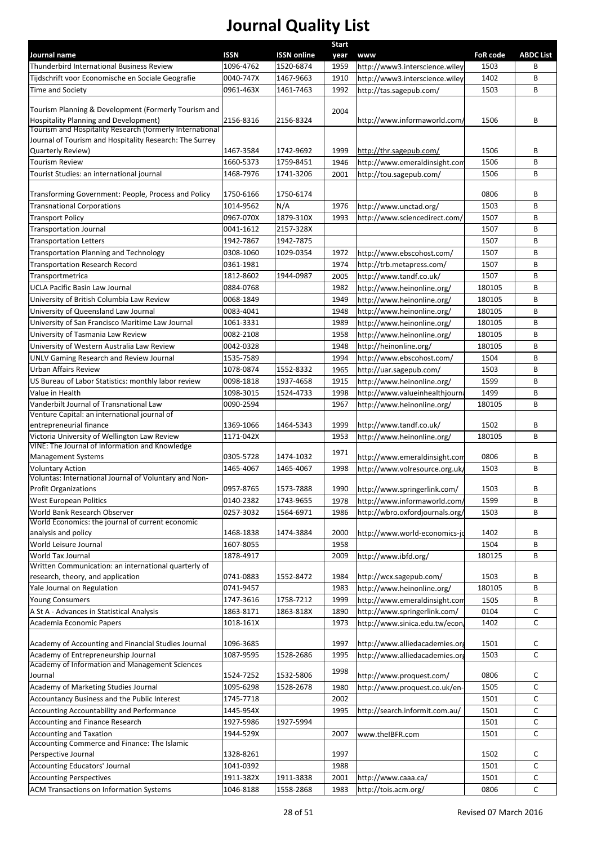| Journal name                                                                                      | <b>ISSN</b>            | <b>ISSN online</b> | <b>Start</b><br>year | <b>WWW</b>                      | <b>FoR code</b> | <b>ABDC List</b> |
|---------------------------------------------------------------------------------------------------|------------------------|--------------------|----------------------|---------------------------------|-----------------|------------------|
| Thunderbird International Business Review                                                         | 1096-4762              | 1520-6874          | 1959                 | http://www3.interscience.wiley  | 1503            | В                |
| Tijdschrift voor Economische en Sociale Geografie                                                 | 0040-747X              | 1467-9663          | 1910                 | http://www3.interscience.wiley  | 1402            | B                |
| Time and Society                                                                                  | 0961-463X              | 1461-7463          | 1992                 | http://tas.sagepub.com/         | 1503            | B                |
|                                                                                                   |                        |                    |                      |                                 |                 |                  |
| Tourism Planning & Development (Formerly Tourism and                                              |                        |                    | 2004                 |                                 |                 |                  |
| Hospitality Planning and Development)<br>Tourism and Hospitality Research (formerly International | 2156-8316              | 2156-8324          |                      | http://www.informaworld.com/    | 1506            | В                |
| Journal of Tourism and Hospitality Research: The Surrey                                           |                        |                    |                      |                                 |                 |                  |
| Quarterly Review)                                                                                 | 1467-3584              | 1742-9692          | 1999                 | http://thr.sagepub.com/         | 1506            | В                |
| <b>Tourism Review</b>                                                                             | 1660-5373              | 1759-8451          | 1946                 | http://www.emeraldinsight.com   | 1506            | B                |
| Tourist Studies: an international journal                                                         | 1468-7976              | 1741-3206          | 2001                 | http://tou.sagepub.com/         | 1506            | B                |
|                                                                                                   |                        |                    |                      |                                 |                 |                  |
| Transforming Government: People, Process and Policy                                               | 1750-6166              | 1750-6174          |                      |                                 | 0806            | В                |
| <b>Transnational Corporations</b>                                                                 | 1014-9562<br>0967-070X | N/A<br>1879-310X   | 1976<br>1993         | http://www.unctad.org/          | 1503<br>1507    | B<br>B           |
| <b>Transport Policy</b><br><b>Transportation Journal</b>                                          | 0041-1612              | 2157-328X          |                      | http://www.sciencedirect.com/   | 1507            | B                |
| <b>Transportation Letters</b>                                                                     | 1942-7867              | 1942-7875          |                      |                                 | 1507            | B                |
| <b>Transportation Planning and Technology</b>                                                     | 0308-1060              | 1029-0354          | 1972                 | http://www.ebscohost.com/       | 1507            | B                |
| <b>Transportation Research Record</b>                                                             | 0361-1981              |                    | 1974                 | http://trb.metapress.com/       | 1507            | B                |
| Transportmetrica                                                                                  | 1812-8602              | 1944-0987          | 2005                 | http://www.tandf.co.uk/         | 1507            | B                |
| <b>UCLA Pacific Basin Law Journal</b>                                                             | 0884-0768              |                    | 1982                 | http://www.heinonline.org/      | 180105          | B                |
| University of British Columbia Law Review                                                         | 0068-1849              |                    | 1949                 | http://www.heinonline.org/      | 180105          | B                |
| University of Queensland Law Journal                                                              | 0083-4041              |                    | 1948                 | http://www.heinonline.org/      | 180105          | B                |
| University of San Francisco Maritime Law Journal                                                  | 1061-3331              |                    | 1989                 | http://www.heinonline.org/      | 180105          | B                |
| University of Tasmania Law Review                                                                 | 0082-2108              |                    | 1958                 | http://www.heinonline.org/      | 180105          | B                |
| University of Western Australia Law Review                                                        | 0042-0328              |                    | 1948                 | http://heinonline.org/          | 180105          | B                |
| <b>UNLV Gaming Research and Review Journal</b>                                                    | 1535-7589              |                    | 1994                 | http://www.ebscohost.com/       | 1504            | B                |
| <b>Urban Affairs Review</b>                                                                       | 1078-0874              | 1552-8332          | 1965                 | http://uar.sagepub.com/         | 1503            | B                |
| US Bureau of Labor Statistics: monthly labor review                                               | 0098-1818              | 1937-4658          | 1915                 | http://www.heinonline.org/      | 1599            | B                |
| Value in Health                                                                                   | 1098-3015              | 1524-4733          | 1998                 | http://www.valueinhealthjourn   | 1499            | B                |
| Vanderbilt Journal of Transnational Law                                                           | 0090-2594              |                    | 1967                 | http://www.heinonline.org/      | 180105          | B                |
| Venture Capital: an international journal of                                                      |                        |                    |                      |                                 |                 |                  |
| entrepreneurial finance                                                                           | 1369-1066              | 1464-5343          | 1999                 | http://www.tandf.co.uk/         | 1502            | B                |
| Victoria University of Wellington Law Review<br>VINE: The Journal of Information and Knowledge    | 1171-042X              |                    | 1953                 | http://www.heinonline.org/      | 180105          | B                |
| <b>Management Systems</b>                                                                         | 0305-5728              | 1474-1032          | 1971                 | http://www.emeraldinsight.com   | 0806            | B                |
| <b>Voluntary Action</b>                                                                           | 1465-4067              | 1465-4067          | 1998                 | http://www.volresource.org.uk   | 1503            | B                |
| Voluntas: International Journal of Voluntary and Non-                                             |                        |                    |                      |                                 |                 |                  |
| Profit Organizations                                                                              | 0957-8765              | 1573-7888          | 1990                 | http://www.springerlink.com/    | 1503            | В                |
| West European Politics                                                                            | 0140-2382              | 1743-9655          | 1978                 | http://www.informaworld.com/    | 1599            | B                |
| World Bank Research Observer                                                                      | 0257-3032              | 1564-6971          | 1986                 | http://wbro.oxfordjournals.org, | 1503            | В                |
| World Economics: the journal of current economic                                                  |                        |                    |                      |                                 |                 |                  |
| analysis and policy<br>World Leisure Journal                                                      | 1468-1838<br>1607-8055 | 1474-3884          | 2000                 | http://www.world-economics-jd   | 1402            | В<br>B           |
| <b>World Tax Journal</b>                                                                          | 1878-4917              |                    | 1958<br>2009         | http://www.ibfd.org/            | 1504<br>180125  | В                |
| Written Communication: an international quarterly of                                              |                        |                    |                      |                                 |                 |                  |
| research, theory, and application                                                                 | 0741-0883              | 1552-8472          | 1984                 | http://wcx.sagepub.com/         | 1503            | В                |
| Yale Journal on Regulation                                                                        | 0741-9457              |                    | 1983                 | http://www.heinonline.org/      | 180105          | B                |
| <b>Young Consumers</b>                                                                            | 1747-3616              | 1758-7212          | 1999                 | http://www.emeraldinsight.com   | 1505            | В                |
| A St A - Advances in Statistical Analysis                                                         | 1863-8171              | 1863-818X          | 1890                 | http://www.springerlink.com/    | 0104            | C                |
| Academia Economic Papers                                                                          | 1018-161X              |                    | 1973                 | http://www.sinica.edu.tw/econ   | 1402            | C                |
|                                                                                                   |                        |                    |                      |                                 |                 |                  |
| Academy of Accounting and Financial Studies Journal                                               | 1096-3685              |                    | 1997                 | http://www.alliedacademies.org  | 1501            | c                |
| Academy of Entrepreneurship Journal<br>Academy of Information and Management Sciences             | 1087-9595              | 1528-2686          | 1995                 | http://www.alliedacademies.or   | 1503            | C                |
| Journal                                                                                           | 1524-7252              | 1532-5806          | 1998                 | http://www.proquest.com/        | 0806            | C                |
| Academy of Marketing Studies Journal                                                              | 1095-6298              | 1528-2678          | 1980                 | http://www.proquest.co.uk/en-   | 1505            | с                |
| Accountancy Business and the Public Interest                                                      | 1745-7718              |                    | 2002                 |                                 | 1501            | c                |
| Accounting Accountability and Performance                                                         | 1445-954X              |                    | 1995                 | http://search.informit.com.au/  | 1501            | c                |
| Accounting and Finance Research                                                                   | 1927-5986              | 1927-5994          |                      |                                 | 1501            | c                |
| <b>Accounting and Taxation</b>                                                                    | 1944-529X              |                    | 2007                 | www.theIBFR.com                 | 1501            | $\mathsf{C}$     |
| Accounting Commerce and Finance: The Islamic                                                      |                        |                    |                      |                                 |                 |                  |
| Perspective Journal                                                                               | 1328-8261              |                    | 1997                 |                                 | 1502            | С                |
| <b>Accounting Educators' Journal</b>                                                              | 1041-0392              |                    | 1988                 |                                 | 1501            | C                |
| <b>Accounting Perspectives</b>                                                                    | 1911-382X              | 1911-3838          | 2001                 | http://www.caaa.ca/             | 1501            | С                |
| <b>ACM Transactions on Information Systems</b>                                                    | 1046-8188              | 1558-2868          | 1983                 | http://tois.acm.org/            | 0806            | с                |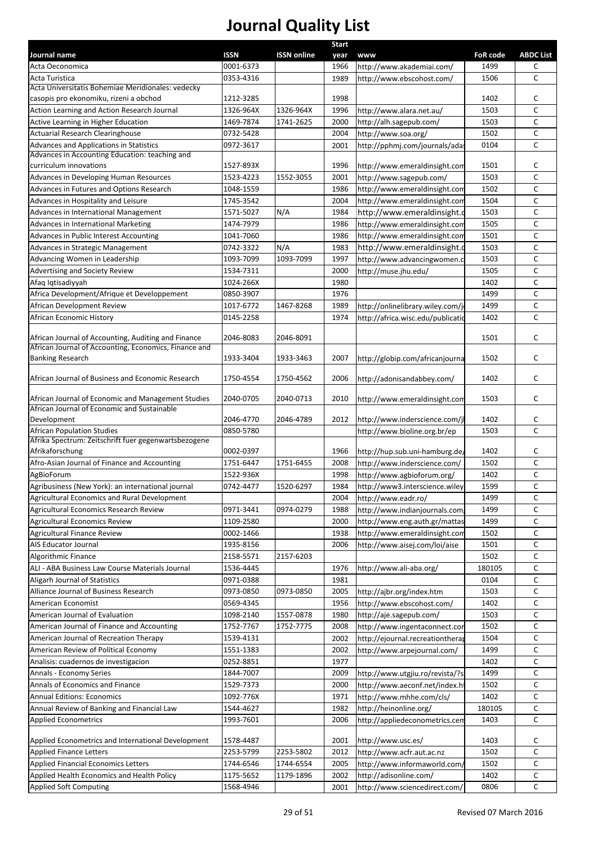|                                                                                             |             |                    | <b>Start</b> |                                                      |                 |           |
|---------------------------------------------------------------------------------------------|-------------|--------------------|--------------|------------------------------------------------------|-----------------|-----------|
| Journal name                                                                                | <b>ISSN</b> | <b>ISSN online</b> | year         | <b>www</b>                                           | <b>FoR code</b> | ABDC List |
| Acta Oeconomica                                                                             | 0001-6373   |                    | 1966         | http://www.akademiai.com/                            | 1499            | С         |
| Acta Turistica                                                                              | 0353-4316   |                    | 1989         | http://www.ebscohost.com/                            | 1506            | c         |
| Acta Universitatis Bohemiae Meridionales: vedecky<br>casopis pro ekonomiku, rizeni a obchod | 1212-3285   |                    | 1998         |                                                      | 1402            | c         |
| Action Learning and Action Research Journal                                                 | 1326-964X   | 1326-964X          | 1996         | http://www.alara.net.au/                             | 1503            | C         |
| Active Learning in Higher Education                                                         | 1469-7874   | 1741-2625          | 2000         | http://alh.sagepub.com/                              | 1503            | с         |
| <b>Actuarial Research Clearinghouse</b>                                                     | 0732-5428   |                    | 2004         |                                                      | 1502            | С         |
|                                                                                             |             |                    |              | http://www.soa.org/<br>http://pphmj.com/journals/ada |                 | c         |
| Advances and Applications in Statistics<br>Advances in Accounting Education: teaching and   | 0972-3617   |                    | 2001         |                                                      | 0104            |           |
| curriculum innovations                                                                      | 1527-893X   |                    | 1996         | http://www.emeraldinsight.com                        | 1501            | c         |
| Advances in Developing Human Resources                                                      | 1523-4223   | 1552-3055          | 2001         | http://www.sagepub.com/                              | 1503            | C         |
| Advances in Futures and Options Research                                                    | 1048-1559   |                    | 1986         | http://www.emeraldinsight.com                        | 1502            | c         |
| Advances in Hospitality and Leisure                                                         | 1745-3542   |                    | 2004         | http://www.emeraldinsight.com                        | 1504            | c         |
| Advances in International Management                                                        | 1571-5027   | N/A                | 1984         | http://www.emeraldinsight.c                          | 1503            | с         |
| Advances in International Marketing                                                         | 1474-7979   |                    | 1986         | http://www.emeraldinsight.com                        | 1505            | С         |
| Advances in Public Interest Accounting                                                      |             |                    |              |                                                      | 1501            |           |
|                                                                                             | 1041-7060   |                    | 1986         | http://www.emeraldinsight.com                        |                 | с         |
| Advances in Strategic Management                                                            | 0742-3322   | N/A                | 1983         | http://www.emeraldinsight.c                          | 1503            | c         |
| Advancing Women in Leadership                                                               | 1093-7099   | 1093-7099          | 1997         | http://www.advancingwomen.c                          | 1503            | c         |
| Advertising and Society Review                                                              | 1534-7311   |                    | 2000         | http://muse.jhu.edu/                                 | 1505            | c         |
| Afaq Iqtisadiyyah                                                                           | 1024-266X   |                    | 1980         |                                                      | 1402            | C         |
| Africa Development/Afrique et Developpement                                                 | 0850-3907   |                    | 1976         |                                                      | 1499            | c         |
| African Development Review                                                                  | 1017-6772   | 1467-8268          | 1989         | http://onlinelibrary.wiley.com/j                     | 1499            | C         |
| African Economic History                                                                    | 0145-2258   |                    | 1974         | http://africa.wisc.edu/publicatio                    | 1402            | C         |
| African Journal of Accounting, Auditing and Finance                                         | 2046-8083   | 2046-8091          |              |                                                      | 1501            | с         |
| African Journal of Accounting, Economics, Finance and                                       |             |                    |              |                                                      |                 |           |
| <b>Banking Research</b>                                                                     | 1933-3404   | 1933-3463          | 2007         | http://globip.com/africanjourna                      | 1502            | C         |
| African Journal of Business and Economic Research                                           | 1750-4554   | 1750-4562          | 2006         | http://adonisandabbey.com/                           | 1402            | c         |
|                                                                                             |             |                    |              |                                                      |                 |           |
| African Journal of Economic and Management Studies                                          | 2040-0705   | 2040-0713          | 2010         | http://www.emeraldinsight.com                        | 1503            | c         |
| African Journal of Economic and Sustainable                                                 |             |                    |              |                                                      |                 |           |
| Development                                                                                 | 2046-4770   | 2046-4789          | 2012         | http://www.inderscience.com/jl                       | 1402            | с         |
| <b>African Population Studies</b>                                                           | 0850-5780   |                    |              | http://www.bioline.org.br/ep                         | 1503            | C         |
| Afrika Spectrum: Zeitschrift fuer gegenwartsbezogene                                        |             |                    |              |                                                      |                 |           |
| Afrikaforschung                                                                             | 0002-0397   |                    | 1966         | http://hup.sub.uni-hamburg.de,                       | 1402            | С         |
| Afro-Asian Journal of Finance and Accounting                                                | 1751-6447   | 1751-6455          | 2008         | http://www.inderscience.com/                         | 1502            | c         |
| AgBioForum                                                                                  | 1522-936X   |                    | 1998         | http://www.agbioforum.org/                           | 1402            | c         |
| Agribusiness (New York): an international journal                                           | 0742-4477   | 1520-6297          | 1984         | http://www3.interscience.wiley                       | 1599            | C         |
| Agricultural Economics and Rural Development                                                |             |                    | 2004         | http://www.eadr.ro/                                  | 1499            | c         |
| Agricultural Economics Research Review                                                      | 0971-3441   | 0974-0279          | 1988         | http://www.indianjournals.com                        | 1499            | C         |
| Agricultural Economics Review                                                               | 1109-2580   |                    | 2000         | http://www.eng.auth.gr/mattas                        | 1499            | c         |
| <b>Agricultural Finance Review</b>                                                          | 0002-1466   |                    | 1938         | http://www.emeraldinsight.con                        | 1502            | C         |
| AIS Educator Journal                                                                        | 1935-8156   |                    | 2006         | http://www.aisej.com/loi/aise                        | 1501            | C         |
| Algorithmic Finance                                                                         | 2158-5571   | 2157-6203          |              |                                                      | 1502            | C         |
| ALI - ABA Business Law Course Materials Journal                                             | 1536-4445   |                    | 1976         | http://www.ali-aba.org/                              | 180105          | c         |
| Aligarh Journal of Statistics                                                               | 0971-0388   |                    | 1981         |                                                      | 0104            | c         |
| Alliance Journal of Business Research                                                       | 0973-0850   | 0973-0850          | 2005         | http://ajbr.org/index.htm                            | 1503            | c         |
| American Economist                                                                          | 0569-4345   |                    | 1956         | http://www.ebscohost.com/                            | 1402            | С         |
| American Journal of Evaluation                                                              | 1098-2140   | 1557-0878          | 1980         | http://aje.sagepub.com/                              | 1503            | с         |
| American Journal of Finance and Accounting                                                  | 1752-7767   | 1752-7775          | 2008         | http://www.ingentaconnect.cor                        | 1502            | с         |
| American Journal of Recreation Therapy                                                      | 1539-4131   |                    | 2002         | http://ejournal.recreationtherap                     | 1504            | с         |
| American Review of Political Economy                                                        | 1551-1383   |                    | 2002         | http://www.arpejournal.com/                          | 1499            | c         |
|                                                                                             |             |                    |              |                                                      |                 |           |
| Analisis: cuadernos de investigacion                                                        | 0252-8851   |                    | 1977         |                                                      | 1402            | c         |
| Annals - Economy Series                                                                     | 1844-7007   |                    | 2009         | http://www.utgjiu.ro/revista/?s                      | 1499            | c         |
| Annals of Economics and Finance                                                             | 1529-7373   |                    | 2000         | http://www.aeconf.net/index.h                        | 1502            | c         |
| <b>Annual Editions: Economics</b>                                                           | 1092-776X   |                    | 1971         | http://www.mhhe.com/cls/                             | 1402            | C         |
| Annual Review of Banking and Financial Law                                                  | 1544-4627   |                    | 1982         | http://heinonline.org/                               | 180105          | C         |
| <b>Applied Econometrics</b>                                                                 | 1993-7601   |                    | 2006         | http://appliedeconometrics.cem                       | 1403            | C         |
| Applied Econometrics and International Development                                          | 1578-4487   |                    | 2001         | http://www.usc.es/                                   | 1403            | С         |
| <b>Applied Finance Letters</b>                                                              | 2253-5799   | 2253-5802          | 2012         | http://www.acfr.aut.ac.nz                            | 1502            | C         |
| <b>Applied Financial Economics Letters</b>                                                  | 1744-6546   | 1744-6554          | 2005         | http://www.informaworld.com,                         | 1502            | с         |
| Applied Health Economics and Health Policy                                                  | 1175-5652   | 1179-1896          | 2002         | http://adisonline.com/                               | 1402            | c         |
| <b>Applied Soft Computing</b>                                                               | 1568-4946   |                    | 2001         | http://www.sciencedirect.com/                        | 0806            | C         |
|                                                                                             |             |                    |              |                                                      |                 |           |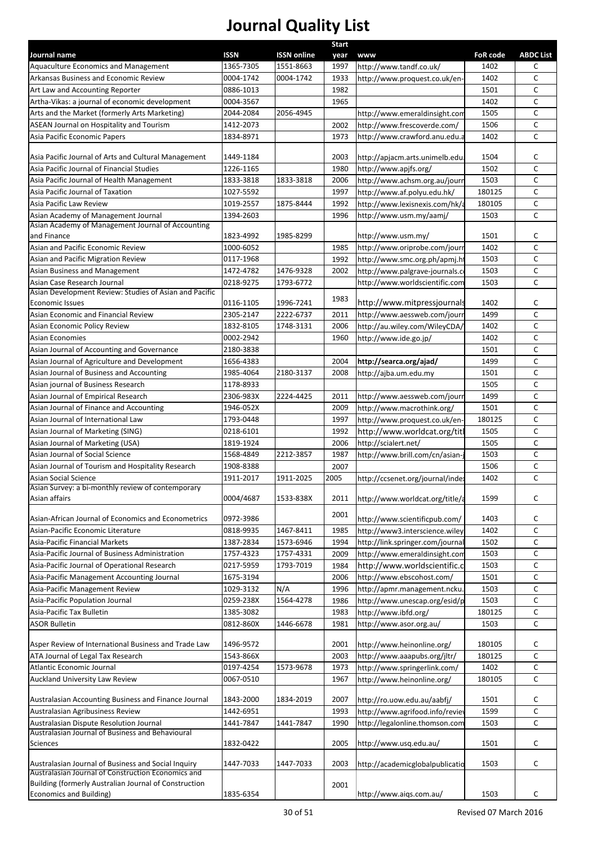|                                                        |           |                    | Start |                                  |          |                  |
|--------------------------------------------------------|-----------|--------------------|-------|----------------------------------|----------|------------------|
| Journal name                                           | ISSN      | <b>ISSN online</b> | year  | <b>www</b>                       | FoR code | <b>ABDC List</b> |
| Aquaculture Economics and Management                   | 1365-7305 | 1551-8663          | 1997  | http://www.tandf.co.uk/          | 1402     | с                |
| Arkansas Business and Economic Review                  | 0004-1742 | 0004-1742          | 1933  | http://www.proquest.co.uk/en-    | 1402     | C                |
| Art Law and Accounting Reporter                        | 0886-1013 |                    | 1982  |                                  | 1501     | $\mathsf{C}$     |
| Artha-Vikas: a journal of economic development         | 0004-3567 |                    | 1965  |                                  | 1402     | $\mathsf{C}$     |
| Arts and the Market (formerly Arts Marketing)          | 2044-2084 | 2056-4945          |       | http://www.emeraldinsight.con    | 1505     | $\mathsf{C}$     |
| ASEAN Journal on Hospitality and Tourism               | 1412-2073 |                    | 2002  | http://www.frescoverde.com/      | 1506     | $\mathsf{C}$     |
| Asia Pacific Economic Papers                           | 1834-8971 |                    | 1973  | http://www.crawford.anu.edu.a    | 1402     | $\mathsf{C}$     |
|                                                        |           |                    |       |                                  |          |                  |
| Asia Pacific Journal of Arts and Cultural Management   | 1449-1184 |                    | 2003  | http://apjacm.arts.unimelb.edu.  | 1504     | С                |
| Asia Pacific Journal of Financial Studies              | 1226-1165 |                    | 1980  | http://www.apjfs.org/            | 1502     | C                |
| Asia Pacific Journal of Health Management              | 1833-3818 | 1833-3818          | 2006  | http://www.achsm.org.au/journ    | 1503     | $\mathsf{C}$     |
| Asia Pacific Journal of Taxation                       | 1027-5592 |                    | 1997  | http://www.af.polyu.edu.hk/      | 180125   | $\mathsf{C}$     |
| Asia Pacific Law Review                                | 1019-2557 | 1875-8444          | 1992  | http://www.lexisnexis.com/hk/a   | 180105   | $\mathsf{C}$     |
| Asian Academy of Management Journal                    | 1394-2603 |                    | 1996  | http://www.usm.my/aamj/          | 1503     | $\mathsf{C}$     |
| Asian Academy of Management Journal of Accounting      |           |                    |       |                                  |          |                  |
| and Finance                                            | 1823-4992 | 1985-8299          |       | http://www.usm.my/               | 1501     | С                |
| Asian and Pacific Economic Review                      | 1000-6052 |                    | 1985  | http://www.oriprobe.com/jourr    | 1402     | C                |
| Asian and Pacific Migration Review                     | 0117-1968 |                    | 1992  | http://www.smc.org.ph/apmj.ht    | 1503     | C                |
| Asian Business and Management                          | 1472-4782 | 1476-9328          | 2002  | http://www.palgrave-journals.co  | 1503     | C                |
| Asian Case Research Journal                            | 0218-9275 | 1793-6772          |       | http://www.worldscientific.com   | 1503     | C                |
| Asian Development Review: Studies of Asian and Pacific |           |                    | 1983  |                                  |          |                  |
| Economic Issues                                        | 0116-1105 | 1996-7241          |       | http://www.mitpressjournals      | 1402     | c                |
| Asian Economic and Financial Review                    | 2305-2147 | 2222-6737          | 2011  | http://www.aessweb.com/jourr     | 1499     | $\mathsf{C}$     |
| Asian Economic Policy Review                           | 1832-8105 | 1748-3131          | 2006  | http://au.wiley.com/WileyCDA/    | 1402     | C                |
| <b>Asian Economies</b>                                 | 0002-2942 |                    | 1960  | http://www.ide.go.jp/            | 1402     | C                |
| Asian Journal of Accounting and Governance             | 2180-3838 |                    |       |                                  | 1501     | C                |
| Asian Journal of Agriculture and Development           | 1656-4383 |                    | 2004  | http://searca.org/ajad/          | 1499     | $\mathsf{C}$     |
| Asian Journal of Business and Accounting               | 1985-4064 | 2180-3137          | 2008  | http://ajba.um.edu.my            | 1501     | $\mathsf{C}$     |
| Asian journal of Business Research                     | 1178-8933 |                    |       |                                  | 1505     | $\mathsf{C}$     |
| Asian Journal of Empirical Research                    | 2306-983X | 2224-4425          | 2011  | http://www.aessweb.com/journ     | 1499     | $\mathsf{C}$     |
| Asian Journal of Finance and Accounting                | 1946-052X |                    | 2009  | http://www.macrothink.org/       | 1501     | $\mathsf{C}$     |
| Asian Journal of International Law                     | 1793-0448 |                    | 1997  | http://www.proquest.co.uk/en-    | 180125   | $\mathsf{C}$     |
| Asian Journal of Marketing (SING)                      | 0218-6101 |                    | 1992  | http://www.worldcat.org/titl     | 1505     | C                |
| Asian Journal of Marketing (USA)                       | 1819-1924 |                    | 2006  | http://scialert.net/             | 1505     | C                |
| Asian Journal of Social Science                        | 1568-4849 | 2212-3857          | 1987  | http://www.brill.com/cn/asian-   | 1503     | $\mathsf{C}$     |
| Asian Journal of Tourism and Hospitality Research      | 1908-8388 |                    | 2007  |                                  | 1506     | C                |
| Asian Social Science                                   | 1911-2017 | 1911-2025          | 2005  | http://ccsenet.org/journal/index | 1402     | $\mathsf{C}$     |
| Asian Survey: a bi-monthly review of contemporary      |           |                    |       |                                  |          |                  |
| Asian affairs                                          | 0004/4687 | 1533-838X          | 2011  | http://www.worldcat.org/title/a  | 1599     | C                |
|                                                        |           |                    |       |                                  |          |                  |
| Asian-African Journal of Economics and Econometrics    | 0972-3986 |                    | 2001  | http://www.scientificpub.com/    | 1403     | C                |
| Asian-Pacific Economic Literature                      | 0818-9935 | 1467-8411          | 1985  | http://www3.interscience.wiley   | 1402     | C                |
| Asia-Pacific Financial Markets                         | 1387-2834 | 1573-6946          | 1994  | http://link.springer.com/journal | 1502     | c                |
| Asia-Pacific Journal of Business Administration        | 1757-4323 | 1757-4331          | 2009  | http://www.emeraldinsight.com    | 1503     | C                |
| Asia-Pacific Journal of Operational Research           | 0217-5959 | 1793-7019          | 1984  | http://www.worldscientific.c     | 1503     | C                |
| Asia-Pacific Management Accounting Journal             | 1675-3194 |                    | 2006  | http://www.ebscohost.com/        | 1501     | C                |
| Asia-Pacific Management Review                         | 1029-3132 | N/A                | 1996  | http://apmr.management.ncku.     | 1503     | C                |
| Asia-Pacific Population Journal                        | 0259-238X | 1564-4278          | 1986  | http://www.unescap.org/esid/p    | 1503     | C                |
| Asia-Pacific Tax Bulletin                              | 1385-3082 |                    | 1983  | http://www.ibfd.org/             | 180125   | C                |
| <b>ASOR Bulletin</b>                                   | 0812-860X | 1446-6678          | 1981  | http://www.asor.org.au/          | 1503     | $\mathsf{C}$     |
|                                                        |           |                    |       |                                  |          |                  |
| Asper Review of International Business and Trade Law   | 1496-9572 |                    | 2001  | http://www.heinonline.org/       | 180105   | С                |
| ATA Journal of Legal Tax Research                      | 1543-866X |                    | 2003  | http://www.aaapubs.org/jltr/     | 180125   | C                |
| Atlantic Economic Journal                              | 0197-4254 | 1573-9678          | 1973  | http://www.springerlink.com/     | 1402     | С                |
| <b>Auckland University Law Review</b>                  | 0067-0510 |                    | 1967  | http://www.heinonline.org/       | 180105   | C                |
|                                                        |           |                    |       |                                  |          |                  |
| Australasian Accounting Business and Finance Journal   | 1843-2000 | 1834-2019          | 2007  | http://ro.uow.edu.au/aabfj/      | 1501     | C                |
| Australasian Agribusiness Review                       | 1442-6951 |                    | 1993  | http://www.agrifood.info/reviev  | 1599     | $\mathsf{C}$     |
| Australasian Dispute Resolution Journal                | 1441-7847 | 1441-7847          | 1990  | http://legalonline.thomson.com   | 1503     | C                |
| Australasian Journal of Business and Behavioural       |           |                    |       |                                  |          |                  |
| Sciences                                               | 1832-0422 |                    | 2005  | http://www.usq.edu.au/           | 1501     | C                |
|                                                        |           |                    |       |                                  |          |                  |
| Australasian Journal of Business and Social Inquiry    | 1447-7033 | 1447-7033          | 2003  | http://academicglobalpublicatio  | 1503     | C                |
| Australasian Journal of Construction Economics and     |           |                    |       |                                  |          |                  |
| Building (formerly Australian Journal of Construction  |           |                    | 2001  |                                  |          |                  |
| Economics and Building)                                | 1835-6354 |                    |       | http://www.aiqs.com.au/          | 1503     | C                |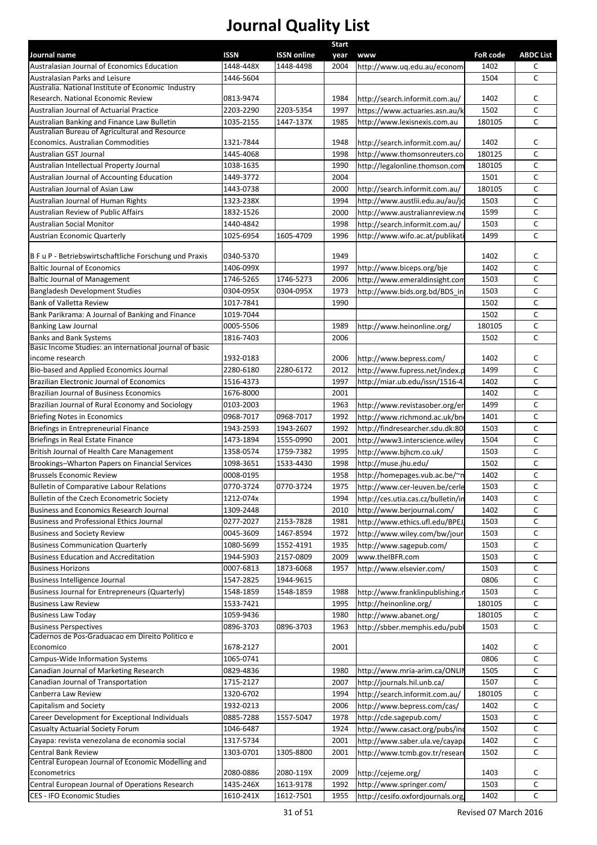|                                                                                               |             |                    | <b>Start</b> |                                    |                 |                  |
|-----------------------------------------------------------------------------------------------|-------------|--------------------|--------------|------------------------------------|-----------------|------------------|
| Journal name                                                                                  | <b>ISSN</b> | <b>ISSN online</b> | year         | www                                | <b>FoR code</b> | <b>ABDC List</b> |
| Australasian Journal of Economics Education                                                   | 1448-448X   | 1448-4498          | 2004         | http://www.uq.edu.au/econom        | 1402            | C                |
| Australasian Parks and Leisure                                                                | 1446-5604   |                    |              |                                    | 1504            | C                |
| Australia. National Institute of Economic Industry<br>Research. National Economic Review      | 0813-9474   |                    | 1984         |                                    | 1402            | C                |
| Australian Journal of Actuarial Practice                                                      | 2203-2290   | 2203-5354          | 1997         | http://search.informit.com.au/     | 1502            | $\mathsf{C}$     |
|                                                                                               | 1035-2155   | 1447-137X          | 1985         | https://www.actuaries.asn.au/k     | 180105          | C                |
| Australian Banking and Finance Law Bulletin<br>Australian Bureau of Agricultural and Resource |             |                    |              | http://www.lexisnexis.com.au       |                 |                  |
| Economics. Australian Commodities                                                             | 1321-7844   |                    | 1948         | http://search.informit.com.au/     | 1402            | C                |
| Australian GST Journal                                                                        | 1445-4068   |                    | 1998         | http://www.thomsonreuters.co       | 180125          | $\mathsf{C}$     |
| Australian Intellectual Property Journal                                                      | 1038-1635   |                    | 1990         | http://legalonline.thomson.com     | 180105          | C                |
| Australian Journal of Accounting Education                                                    | 1449-3772   |                    | 2004         |                                    | 1501            | C                |
| Australian Journal of Asian Law                                                               | 1443-0738   |                    | 2000         | http://search.informit.com.au/     | 180105          | C                |
| Australian Journal of Human Rights                                                            | 1323-238X   |                    | 1994         |                                    | 1503            | C                |
|                                                                                               |             |                    |              | http://www.austlii.edu.au/au/jo    |                 | C                |
| Australian Review of Public Affairs                                                           | 1832-1526   |                    | 2000         | http://www.australianreview.ne     | 1599            |                  |
| <b>Australian Social Monitor</b>                                                              | 1440-4842   |                    | 1998         | http://search.informit.com.au/     | 1503            | C                |
| <b>Austrian Economic Quarterly</b>                                                            | 1025-6954   | 1605-4709          | 1996         | http://www.wifo.ac.at/publikat     | 1499            | $\mathsf{C}$     |
| B F u P - Betriebswirtschaftliche Forschung und Praxis                                        | 0340-5370   |                    | 1949         |                                    | 1402            | C                |
| <b>Baltic Journal of Economics</b>                                                            | 1406-099X   |                    | 1997         | http://www.biceps.org/bje          | 1402            | $\mathsf{C}$     |
| <b>Baltic Journal of Management</b>                                                           | 1746-5265   | 1746-5273          | 2006         |                                    | 1503            | C                |
|                                                                                               | 0304-095X   |                    |              | http://www.emeraldinsight.com      |                 |                  |
| <b>Bangladesh Development Studies</b>                                                         |             | 0304-095X          | 1973         | http://www.bids.org.bd/BDS in      | 1503            | C                |
| Bank of Valletta Review                                                                       | 1017-7841   |                    | 1990         |                                    | 1502            | $\mathsf{C}$     |
| Bank Parikrama: A Journal of Banking and Finance                                              | 1019-7044   |                    |              |                                    | 1502            | C                |
| <b>Banking Law Journal</b>                                                                    | 0005-5506   |                    | 1989         | http://www.heinonline.org/         | 180105          | $\mathsf{C}$     |
| <b>Banks and Bank Systems</b>                                                                 | 1816-7403   |                    | 2006         |                                    | 1502            | C                |
| Basic Income Studies: an international journal of basic                                       |             |                    |              |                                    |                 |                  |
| income research                                                                               | 1932-0183   |                    | 2006         | http://www.bepress.com/            | 1402            | C                |
| Bio-based and Applied Economics Journal                                                       | 2280-6180   | 2280-6172          | 2012         | http://www.fupress.net/index.p     | 1499            | C                |
| <b>Brazilian Electronic Journal of Economics</b>                                              | 1516-4373   |                    | 1997         | http://miar.ub.edu/issn/1516-4     | 1402            | C                |
| <b>Brazilian Journal of Business Economics</b>                                                | 1676-8000   |                    | 2001         |                                    | 1402            | $\mathsf{C}$     |
| Brazilian Journal of Rural Economy and Sociology                                              | 0103-2003   |                    | 1963         | http://www.revistasober.org/er     | 1499            | C                |
| <b>Briefing Notes in Economics</b>                                                            | 0968-7017   | 0968-7017          | 1992         | http://www.richmond.ac.uk/bn       | 1401            | C                |
| Briefings in Entrepreneurial Finance                                                          | 1943-2593   | 1943-2607          | 1992         | http://findresearcher.sdu.dk:80    | 1503            | C                |
| Briefings in Real Estate Finance                                                              | 1473-1894   | 1555-0990          | 2001         | http://www3.interscience.wiley     | 1504            | $\mathsf{C}$     |
| British Journal of Health Care Management                                                     | 1358-0574   | 1759-7382          | 1995         | http://www.bihcm.co.uk/            | 1503            | C                |
| Brookings-Wharton Papers on Financial Services                                                | 1098-3651   | 1533-4430          | 1998         | http://muse.jhu.edu/               | 1502            | C                |
| <b>Brussels Economic Review</b>                                                               | 0008-0195   |                    | 1958         | http://homepages.vub.ac.be/~n      | 1402            | C                |
| <b>Bulletin of Comparative Labour Relations</b>                                               | 0770-3724   | 0770-3724          | 1975         | http://www.cer-leuven.be/cerle     | 1503            | $\mathsf{C}$     |
| Bulletin of the Czech Econometric Society                                                     | 1212-074x   |                    | 1994         | http://ces.utia.cas.cz/bulletin/in | 1403            | C                |
| <b>Business and Economics Research Journal</b>                                                | 1309-2448   |                    | 2010         | http://www.berjournal.com/         | 1402            | $\mathsf{C}$     |
| <b>Business and Professional Ethics Journal</b>                                               | 0277-2027   | 2153-7828          | 1981         | http://www.ethics.ufl.edu/BPEJ,    | 1503            | C                |
| <b>Business and Society Review</b>                                                            | 0045-3609   | 1467-8594          | 1972         | http://www.wiley.com/bw/jour       | 1503            | C                |
| <b>Business Communication Quarterly</b>                                                       | 1080-5699   | 1552-4191          | 1935         | http://www.sagepub.com/            | 1503            | C                |
| <b>Business Education and Accreditation</b>                                                   | 1944-5903   | 2157-0809          | 2009         | www.theIBFR.com                    | 1503            | C                |
|                                                                                               |             |                    |              |                                    |                 |                  |
| <b>Business Horizons</b>                                                                      | 0007-6813   | 1873-6068          | 1957         | http://www.elsevier.com/           | 1503            | C                |
| Business Intelligence Journal                                                                 | 1547-2825   | 1944-9615          |              |                                    | 0806            | C                |
| <b>Business Journal for Entrepreneurs (Quarterly)</b>                                         | 1548-1859   | 1548-1859          | 1988         | http://www.franklinpublishing.r    | 1503            | $\mathsf{C}$     |
| <b>Business Law Review</b>                                                                    | 1533-7421   |                    | 1995         | http://heinonline.org/             | 180105          | C                |
| <b>Business Law Today</b>                                                                     | 1059-9436   |                    | 1980         | http://www.abanet.org/             | 180105          | C                |
| <b>Business Perspectives</b>                                                                  | 0896-3703   | 0896-3703          | 1963         | http://sbber.memphis.edu/publ      | 1503            | C                |
| Cadernos de Pos-Graduacao em Direito Politico e                                               |             |                    |              |                                    |                 |                  |
| Economico                                                                                     | 1678-2127   |                    | 2001         |                                    | 1402            | C                |
| Campus-Wide Information Systems                                                               | 1065-0741   |                    |              |                                    | 0806            | C                |
| Canadian Journal of Marketing Research                                                        | 0829-4836   |                    | 1980         | http://www.mria-arim.ca/ONLI       | 1505            | c                |
| Canadian Journal of Transportation                                                            | 1715-2127   |                    | 2007         | http://journals.hil.unb.ca/        | 1507            | C                |
| Canberra Law Review                                                                           | 1320-6702   |                    | 1994         | http://search.informit.com.au/     | 180105          | C                |
| Capitalism and Society                                                                        | 1932-0213   |                    | 2006         | http://www.bepress.com/cas/        | 1402            | C                |
| Career Development for Exceptional Individuals                                                | 0885-7288   | 1557-5047          | 1978         | http://cde.sagepub.com/            | 1503            | C                |
| Casualty Actuarial Society Forum                                                              | 1046-6487   |                    | 1924         | http://www.casact.org/pubs/ind     | 1502            | C                |
| Cayapa: revista venezolana de economia social                                                 | 1317-5734   |                    | 2001         | http://www.saber.ula.ve/cayapa     | 1402            | C                |
| Central Bank Review                                                                           | 1303-0701   | 1305-8800          | 2001         | http://www.tcmb.gov.tr/resear      | 1502            | C                |
| Central European Journal of Economic Modelling and                                            |             |                    |              |                                    |                 |                  |
| Econometrics                                                                                  | 2080-0886   | 2080-119X          | 2009         | http://cejeme.org/                 | 1403            | c                |
| Central European Journal of Operations Research                                               | 1435-246X   | 1613-9178          | 1992         | http://www.springer.com/           | 1503            | C                |
| CES - IFO Economic Studies                                                                    | 1610-241X   | 1612-7501          | 1955         | http://cesifo.oxfordjournals.org,  | 1402            | $\mathsf{C}$     |
|                                                                                               |             |                    |              |                                    |                 |                  |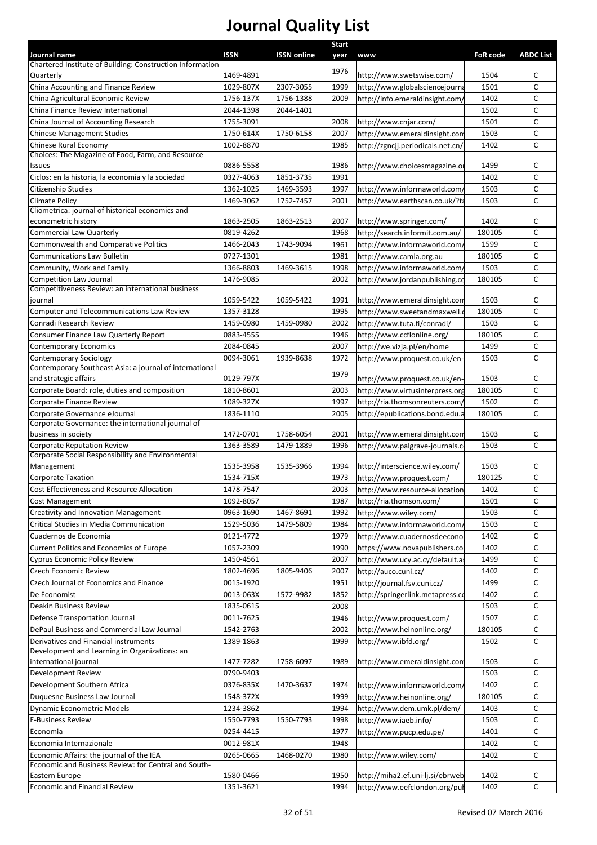| Journal name                                                                                     | <b>ISSN</b>            | <b>ISSN online</b> | <b>Start</b> |                                                                   | <b>FoR code</b> | <b>ABDC List</b> |
|--------------------------------------------------------------------------------------------------|------------------------|--------------------|--------------|-------------------------------------------------------------------|-----------------|------------------|
| Chartered Institute of Building: Construction Information                                        |                        |                    | year         | <b>www</b>                                                        |                 |                  |
| Quarterly                                                                                        | 1469-4891              |                    | 1976         | http://www.swetswise.com/                                         | 1504            | C                |
| China Accounting and Finance Review                                                              | 1029-807X              | 2307-3055          | 1999         | http://www.globalsciencejourna                                    | 1501            | $\mathsf{C}$     |
| China Agricultural Economic Review                                                               | 1756-137X              | 1756-1388          | 2009         | http://info.emeraldinsight.com/                                   | 1402            | C                |
| China Finance Review International                                                               | 2044-1398              | 2044-1401          |              |                                                                   | 1502            | C                |
| China Journal of Accounting Research                                                             | 1755-3091              |                    | 2008         | http://www.cnjar.com/                                             | 1501            | С                |
| <b>Chinese Management Studies</b>                                                                | 1750-614X              | 1750-6158          | 2007         | http://www.emeraldinsight.com                                     | 1503            | C                |
| Chinese Rural Economy                                                                            | 1002-8870              |                    | 1985         | http://zgncjj.periodicals.net.cn/                                 | 1402            | C                |
| Choices: The Magazine of Food, Farm, and Resource<br>Issues                                      | 0886-5558              |                    | 1986         | http://www.choicesmagazine.or                                     | 1499            | C                |
| Ciclos: en la historia, la economia y la sociedad                                                | 0327-4063              | 1851-3735          | 1991         |                                                                   | 1402            | $\mathsf{C}$     |
| Citizenship Studies                                                                              | 1362-1025              | 1469-3593          | 1997         | http://www.informaworld.com/                                      | 1503            | C                |
| <b>Climate Policy</b>                                                                            | 1469-3062              | 1752-7457          | 2001         | http://www.earthscan.co.uk/?ta                                    | 1503            | C                |
| Cliometrica: journal of historical economics and                                                 |                        |                    |              |                                                                   |                 |                  |
| econometric history                                                                              | 1863-2505              | 1863-2513          | 2007         | http://www.springer.com/                                          | 1402            | С                |
| <b>Commercial Law Quarterly</b><br>Commonwealth and Comparative Politics                         | 0819-4262<br>1466-2043 | 1743-9094          | 1968<br>1961 | http://search.informit.com.au/<br>http://www.informaworld.com/    | 180105<br>1599  | C<br>C           |
| <b>Communications Law Bulletin</b>                                                               | 0727-1301              |                    | 1981         | http://www.camla.org.au                                           | 180105          | C                |
| Community, Work and Family                                                                       | 1366-8803              | 1469-3615          | 1998         | http://www.informaworld.com,                                      | 1503            | C                |
| <b>Competition Law Journal</b>                                                                   | 1476-9085              |                    | 2002         | http://www.jordanpublishing.co                                    | 180105          | $\mathsf{C}$     |
| Competitiveness Review: an international business                                                |                        |                    |              |                                                                   |                 |                  |
| journal                                                                                          | 1059-5422              | 1059-5422          | 1991         | http://www.emeraldinsight.com                                     | 1503            | C                |
| Computer and Telecommunications Law Review                                                       | 1357-3128              |                    | 1995         | http://www.sweetandmaxwell.c                                      | 180105          | C                |
| Conradi Research Review                                                                          | 1459-0980              | 1459-0980          | 2002         | http://www.tuta.fi/conradi/                                       | 1503            | C                |
| Consumer Finance Law Quarterly Report                                                            | 0883-4555              |                    | 1946         | http://www.ccflonline.org/                                        | 180105          | C                |
| <b>Contemporary Economics</b>                                                                    | 2084-0845              |                    | 2007         | http://we.vizja.pl/en/home                                        | 1499            | $\mathsf{C}$     |
| <b>Contemporary Sociology</b>                                                                    | 0094-3061              | 1939-8638          | 1972         | http://www.proquest.co.uk/en-                                     | 1503            | $\mathsf{C}$     |
| Contemporary Southeast Asia: a journal of international                                          |                        |                    | 1979         |                                                                   |                 |                  |
| and strategic affairs                                                                            | 0129-797X              |                    |              | http://www.proquest.co.uk/en-                                     | 1503            | C<br>C           |
| Corporate Board: role, duties and composition                                                    | 1810-8601              |                    | 2003         | http://www.virtusinterpress.org<br>http://ria.thomsonreuters.com/ | 180105<br>1502  | C                |
| Corporate Finance Review<br>Corporate Governance eJournal                                        | 1089-327X<br>1836-1110 |                    | 1997<br>2005 |                                                                   | 180105          | $\mathsf{C}$     |
| Corporate Governance: the international journal of                                               |                        |                    |              | http://epublications.bond.edu.a                                   |                 |                  |
| business in society                                                                              | 1472-0701              | 1758-6054          | 2001         | http://www.emeraldinsight.com                                     | 1503            | c                |
| <b>Corporate Reputation Review</b>                                                               | 1363-3589              | 1479-1889          | 1996         | http://www.palgrave-journals.co                                   | 1503            | C                |
| Corporate Social Responsibility and Environmental                                                |                        |                    |              |                                                                   |                 |                  |
| Management                                                                                       | 1535-3958              | 1535-3966          | 1994         | http://interscience.wiley.com/                                    | 1503            | c                |
| <b>Corporate Taxation</b>                                                                        | 1534-715X              |                    | 1973         | http://www.proquest.com/                                          | 180125          | C                |
| Cost Effectiveness and Resource Allocation                                                       | 1478-7547              |                    | 2003         | http://www.resource-allocation                                    | 1402            | C                |
| <b>Cost Management</b>                                                                           | 1092-8057              |                    | 1987         | http://ria.thomson.com/                                           | 1501            | C                |
| Creativity and Innovation Management                                                             | 0963-1690              | 1467-8691          | 1992         | http://www.wiley.com/                                             | 1503            | с                |
| Critical Studies in Media Communication                                                          | 1529-5036              | 1479-5809          | 1984         | http://www.informaworld.com/                                      | 1503            | С                |
| Cuadernos de Economia<br><b>Current Politics and Economics of Europe</b>                         | 0121-4772<br>1057-2309 |                    | 1979<br>1990 | http://www.cuadernosdeeconol<br>https://www.novapublishers.co     | 1402<br>1402    | C<br>C           |
| Cyprus Economic Policy Review                                                                    | 1450-4561              |                    | 2007         | http://www.ucy.ac.cy/default.as                                   | 1499            | C                |
| Czech Economic Review                                                                            | 1802-4696              | 1805-9406          | 2007         | http://auco.cuni.cz/                                              | 1402            | c                |
| Czech Journal of Economics and Finance                                                           | 0015-1920              |                    | 1951         | http://journal.fsv.cuni.cz/                                       | 1499            | C                |
| De Economist                                                                                     | 0013-063X              | 1572-9982          | 1852         | http://springerlink.metapress.co                                  | 1402            | C                |
| Deakin Business Review                                                                           | 1835-0615              |                    | 2008         |                                                                   | 1503            | C                |
| Defense Transportation Journal                                                                   | 0011-7625              |                    | 1946         | http://www.proquest.com/                                          | 1507            | C                |
| DePaul Business and Commercial Law Journal                                                       | 1542-2763              |                    | 2002         | http://www.heinonline.org/                                        | 180105          | $\mathsf{C}$     |
| Derivatives and Financial instruments                                                            | 1389-1863              |                    | 1999         | http://www.ibfd.org/                                              | 1502            | $\mathsf{C}$     |
| Development and Learning in Organizations: an                                                    |                        |                    |              |                                                                   |                 |                  |
| international journal                                                                            | 1477-7282              | 1758-6097          | 1989         | http://www.emeraldinsight.com                                     | 1503            | С                |
| Development Review                                                                               | 0790-9403              |                    |              |                                                                   | 1503            | C                |
| Development Southern Africa                                                                      | 0376-835X              | 1470-3637          | 1974         | http://www.informaworld.com/                                      | 1402            | C                |
| Duquesne Business Law Journal                                                                    | 1548-372X              |                    | 1999         | http://www.heinonline.org/                                        | 180105          | C                |
| <b>Dynamic Econometric Models</b>                                                                | 1234-3862              |                    | 1994         | http://www.dem.umk.pl/dem/                                        | 1403            | с                |
| <b>E-Business Review</b>                                                                         | 1550-7793              | 1550-7793          | 1998         | http://www.iaeb.info/                                             | 1503            | C                |
| Economia                                                                                         | 0254-4415              |                    | 1977         | http://www.pucp.edu.pe/                                           | 1401            | $\mathsf{C}$     |
| Economia Internazionale                                                                          | 0012-981X              |                    | 1948         |                                                                   | 1402            | C                |
| Economic Affairs: the journal of the IEA<br>Economic and Business Review: for Central and South- | 0265-0665              | 1468-0270          | 1980         | http://www.wiley.com/                                             | 1402            | $\mathsf{C}$     |
| Eastern Europe                                                                                   | 1580-0466              |                    | 1950         | http://miha2.ef.uni-lj.si/ebrweb                                  | 1402            | c                |
| <b>Economic and Financial Review</b>                                                             | 1351-3621              |                    | 1994         | http://www.eefclondon.org/pul                                     | 1402            | C                |
|                                                                                                  |                        |                    |              |                                                                   |                 |                  |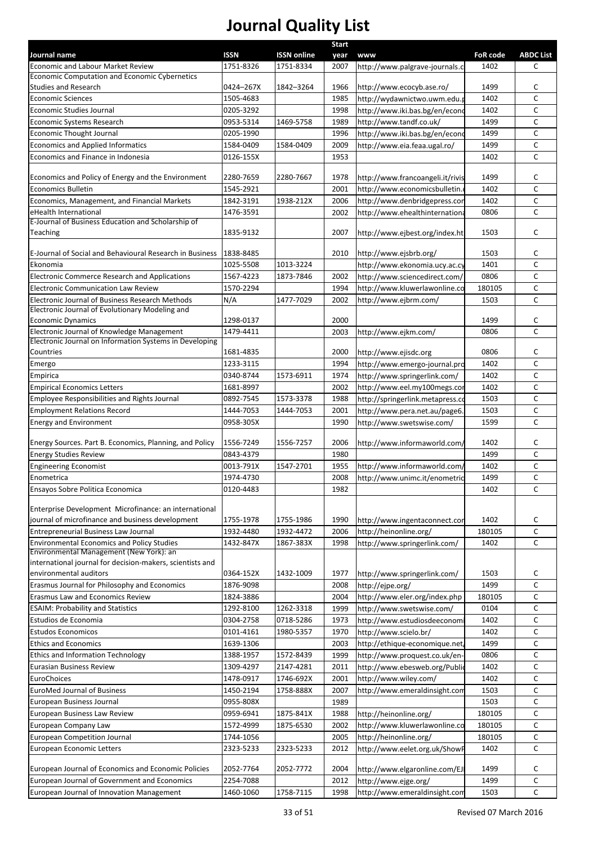| Journal name                                                                | <b>ISSN</b> | <b>ISSN online</b> | <b>Start</b> |                                       | <b>FoR code</b> | <b>ABDC List</b> |
|-----------------------------------------------------------------------------|-------------|--------------------|--------------|---------------------------------------|-----------------|------------------|
| <b>Economic and Labour Market Review</b>                                    | 1751-8326   | 1751-8334          | year<br>2007 | www<br>http://www.palgrave-journals.c | 1402            | c                |
| Economic Computation and Economic Cybernetics                               |             |                    |              |                                       |                 |                  |
| Studies and Research                                                        | 0424-267X   | 1842-3264          | 1966         | http://www.ecocyb.ase.ro/             | 1499            | c                |
| <b>Economic Sciences</b>                                                    | 1505-4683   |                    | 1985         | http://wydawnictwo.uwm.edu.           | 1402            | C                |
| <b>Economic Studies Journal</b>                                             | 0205-3292   |                    | 1998         | http://www.iki.bas.bg/en/econd        | 1402            | C                |
| Economic Systems Research                                                   | 0953-5314   | 1469-5758          | 1989         | http://www.tandf.co.uk/               | 1499            | C                |
| <b>Economic Thought Journal</b>                                             | 0205-1990   |                    | 1996         | http://www.iki.bas.bg/en/econd        | 1499            | C                |
| <b>Economics and Applied Informatics</b>                                    | 1584-0409   | 1584-0409          | 2009         | http://www.eia.feaa.ugal.ro/          | 1499            | c                |
| Economics and Finance in Indonesia                                          | 0126-155X   |                    | 1953         |                                       | 1402            | $\mathsf C$      |
|                                                                             |             |                    |              |                                       |                 |                  |
| Economics and Policy of Energy and the Environment                          | 2280-7659   | 2280-7667          | 1978         | http://www.francoangeli.it/rivis      | 1499            | c                |
| <b>Economics Bulletin</b>                                                   | 1545-2921   |                    | 2001         | http://www.economicsbulletin.         | 1402            | C                |
| Economics, Management, and Financial Markets                                | 1842-3191   | 1938-212X          | 2006         | http://www.denbridgepress.con         | 1402            | C                |
| eHealth International<br>E-Journal of Business Education and Scholarship of | 1476-3591   |                    | 2002         | http://www.ehealthinternationa        | 0806            | $\mathsf C$      |
| Teaching                                                                    | 1835-9132   |                    | 2007         | http://www.ejbest.org/index.ht        | 1503            | C                |
|                                                                             |             |                    |              |                                       |                 |                  |
| E-Journal of Social and Behavioural Research in Business                    | 1838-8485   |                    | 2010         | http://www.ejsbrb.org/                | 1503            | c                |
| Ekonomia                                                                    | 1025-5508   | 1013-3224          |              | http://www.ekonomia.ucy.ac.cy         | 1401            | C                |
| <b>Electronic Commerce Research and Applications</b>                        | 1567-4223   | 1873-7846          | 2002         | http://www.sciencedirect.com/         | 0806            | $\mathsf C$      |
| <b>Electronic Communication Law Review</b>                                  | 1570-2294   |                    | 1994         | http://www.kluwerlawonline.co         | 180105          | C                |
| Electronic Journal of Business Research Methods                             | N/A         | 1477-7029          | 2002         | http://www.ejbrm.com/                 | 1503            | $\mathsf C$      |
| Electronic Journal of Evolutionary Modeling and                             |             |                    |              |                                       |                 |                  |
| <b>Economic Dynamics</b>                                                    | 1298-0137   |                    | 2000         |                                       | 1499            | c                |
| Electronic Journal of Knowledge Management                                  | 1479-4411   |                    | 2003         | http://www.ejkm.com/                  | 0806            | C                |
| Electronic Journal on Information Systems in Developing                     |             |                    |              |                                       |                 |                  |
| Countries                                                                   | 1681-4835   |                    | 2000         | http://www.ejisdc.org                 | 0806            | c                |
| Emergo                                                                      | 1233-3115   |                    | 1994         | http://www.emergo-journal.pro         | 1402            | $\mathsf{C}$     |
| Empirica                                                                    | 0340-8744   | 1573-6911          | 1974         | http://www.springerlink.com/          | 1402            | C                |
| <b>Empirical Economics Letters</b>                                          | 1681-8997   |                    | 2002         | http://www.eel.my100megs.cor          | 1402            | $\mathsf C$      |
| Employee Responsibilities and Rights Journal                                | 0892-7545   | 1573-3378          | 1988         | http://springerlink.metapress.cd      | 1503            | C                |
| <b>Employment Relations Record</b>                                          | 1444-7053   | 1444-7053          | 2001         | http://www.pera.net.au/page6.         | 1503            | $\mathsf C$      |
| <b>Energy and Environment</b>                                               | 0958-305X   |                    | 1990         | http://www.swetswise.com/             | 1599            | C                |
|                                                                             |             |                    |              |                                       |                 |                  |
| Energy Sources. Part B. Economics, Planning, and Policy                     | 1556-7249   | 1556-7257          | 2006         | http://www.informaworld.com/          | 1402            | c                |
| <b>Energy Studies Review</b>                                                | 0843-4379   |                    | 1980         |                                       | 1499            | $\mathsf{C}$     |
| <b>Engineering Economist</b>                                                | 0013-791X   | 1547-2701          | 1955         | http://www.informaworld.com/          | 1402            | C                |
| Enometrica                                                                  | 1974-4730   |                    | 2008         | http://www.unimc.it/enometric         | 1499            | $\mathsf C$      |
| Ensayos Sobre Politica Economica                                            | 0120-4483   |                    | 1982         |                                       | 1402            | C                |
| Enterprise Development Microfinance: an international                       |             |                    |              |                                       |                 |                  |
| journal of microfinance and business development                            | 1755-1978   | 1755-1986          | 1990         | http://www.ingentaconnect.con         | 1402            | c                |
| <b>Entrepreneurial Business Law Journal</b>                                 | 1932-4480   | 1932-4472          | 2006         | http://heinonline.org/                | 180105          | C                |
| <b>Environmental Economics and Policy Studies</b>                           | 1432-847X   | 1867-383X          | 1998         | http://www.springerlink.com/          | 1402            | $\mathsf C$      |
| Environmental Management (New York): an                                     |             |                    |              |                                       |                 |                  |
| international journal for decision-makers, scientists and                   |             |                    |              |                                       |                 |                  |
| environmental auditors                                                      | 0364-152X   | 1432-1009          | 1977         | http://www.springerlink.com/          | 1503            | c                |
| Erasmus Journal for Philosophy and Economics                                | 1876-9098   |                    | 2008         | http://ejpe.org/                      | 1499            | C                |
| Erasmus Law and Economics Review                                            | 1824-3886   |                    | 2004         | http://www.eler.org/index.php         | 180105          | c                |
| <b>ESAIM: Probability and Statistics</b>                                    | 1292-8100   | 1262-3318          | 1999         | http://www.swetswise.com/             | 0104            | C                |
| Estudios de Economia                                                        | 0304-2758   | 0718-5286          | 1973         | http://www.estudiosdeeconomi          | 1402            | C                |
| <b>Estudos Economicos</b>                                                   | 0101-4161   | 1980-5357          | 1970         | http://www.scielo.br/                 | 1402            | C                |
| <b>Ethics and Economics</b>                                                 | 1639-1306   |                    | 2003         | http://ethique-economique.net,        | 1499            | $\mathsf C$      |
| <b>Ethics and Information Technology</b>                                    | 1388-1957   | 1572-8439          | 1999         | http://www.proquest.co.uk/en-         | 0806            | $\mathsf C$      |
| Eurasian Business Review                                                    | 1309-4297   | 2147-4281          | 2011         | http://www.ebesweb.org/Public         | 1402            | $\mathsf C$      |
| EuroChoices                                                                 | 1478-0917   | 1746-692X          | 2001         | http://www.wiley.com/                 | 1402            | $\mathsf C$      |
| EuroMed Journal of Business                                                 | 1450-2194   | 1758-888X          | 2007         | http://www.emeraldinsight.com         | 1503            | C                |
| European Business Journal                                                   | 0955-808X   |                    | 1989         |                                       | 1503            | $\mathsf C$      |
| European Business Law Review                                                | 0959-6941   | 1875-841X          | 1988         | http://heinonline.org/                | 180105          | $\mathsf C$      |
| European Company Law                                                        | 1572-4999   | 1875-6530          | 2002         | http://www.kluwerlawonline.co         | 180105          | $\mathsf C$      |
| <b>European Competition Journal</b>                                         | 1744-1056   |                    | 2005         | http://heinonline.org/                | 180105          | $\mathsf C$      |
| European Economic Letters                                                   | 2323-5233   | 2323-5233          | 2012         | http://www.eelet.org.uk/ShowP         | 1402            | C                |
|                                                                             |             |                    |              |                                       |                 |                  |
| European Journal of Economics and Economic Policies                         | 2052-7764   | 2052-7772          | 2004         | http://www.elgaronline.com/EJI        | 1499            | c                |
| European Journal of Government and Economics                                | 2254-7088   |                    | 2012         | http://www.ejge.org/                  | 1499            | $\mathsf C$      |
| European Journal of Innovation Management                                   | 1460-1060   | 1758-7115          | 1998         | http://www.emeraldinsight.com         | 1503            | C                |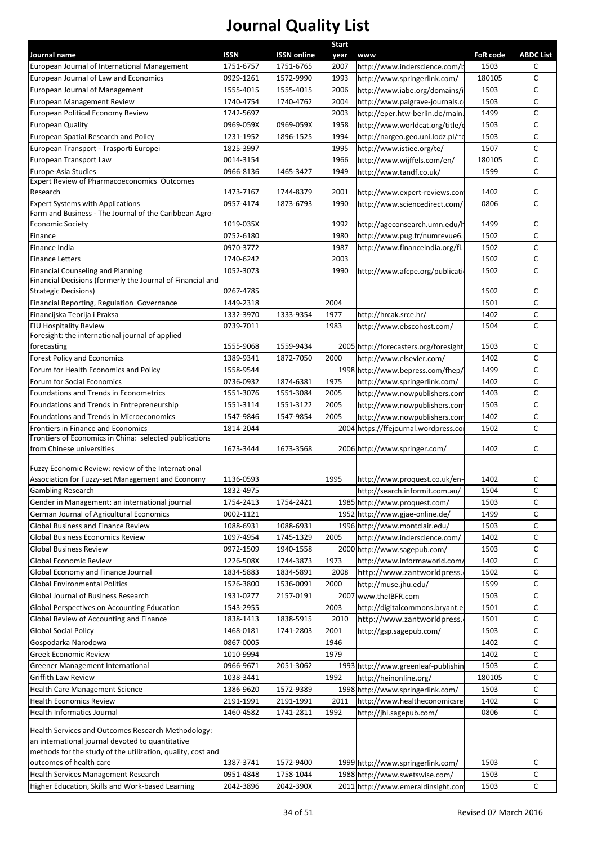|                                                                           |                        |                    | <b>Start</b> |                                        |                 |                   |
|---------------------------------------------------------------------------|------------------------|--------------------|--------------|----------------------------------------|-----------------|-------------------|
| Journal name                                                              | <b>ISSN</b>            | <b>ISSN</b> online | year         | <b>www</b>                             | <b>FoR code</b> | <b>ABDC List</b>  |
| European Journal of International Management                              | 1751-6757              | 1751-6765          | 2007         | http://www.inderscience.com/b          | 1503            | C                 |
| <b>European Journal of Law and Economics</b>                              | 0929-1261              | 1572-9990          | 1993         | http://www.springerlink.com/           | 180105          | C<br>$\mathsf{C}$ |
| European Journal of Management                                            | 1555-4015              | 1555-4015          | 2006         | http://www.iabe.org/domains/i          | 1503            |                   |
| European Management Review                                                | 1740-4754              | 1740-4762          | 2004         | http://www.palgrave-journals.c         | 1503            | C<br>$\mathsf{C}$ |
| European Political Economy Review                                         | 1742-5697              |                    | 2003         | http://eper.htw-berlin.de/main         | 1499            | $\mathsf{C}$      |
| <b>European Quality</b>                                                   | 0969-059X              | 0969-059X          | 1958         | http://www.worldcat.org/title/e        | 1503            | $\mathsf{C}$      |
| European Spatial Research and Policy                                      | 1231-1952              | 1896-1525          | 1994         | http://nargeo.geo.uni.lodz.pl/~        | 1503            | $\mathsf{C}$      |
| European Transport - Trasporti Europei<br>European Transport Law          | 1825-3997<br>0014-3154 |                    | 1995         | http://www.istiee.org/te/              | 1507            | C                 |
|                                                                           |                        | 1465-3427          | 1966         | http://www.wijffels.com/en/            | 180105          | $\mathsf{C}$      |
| Europe-Asia Studies<br><b>Expert Review of Pharmacoeconomics Outcomes</b> | 0966-8136              |                    | 1949         | http://www.tandf.co.uk/                | 1599            |                   |
| Research                                                                  | 1473-7167              | 1744-8379          | 2001         | http://www.expert-reviews.com          | 1402            | c                 |
| <b>Expert Systems with Applications</b>                                   | 0957-4174              | 1873-6793          | 1990         | http://www.sciencedirect.com/          | 0806            | $\mathsf{C}$      |
| Farm and Business - The Journal of the Caribbean Agro-                    |                        |                    |              |                                        |                 |                   |
| <b>Economic Society</b>                                                   | 1019-035X              |                    | 1992         | http://ageconsearch.umn.edu/h          | 1499            | c                 |
| Finance                                                                   | 0752-6180              |                    | 1980         | http://www.pug.fr/numrevue6.           | 1502            | C                 |
| Finance India                                                             | 0970-3772              |                    | 1987         | http://www.financeindia.org/fi.        | 1502            | C                 |
| <b>Finance Letters</b>                                                    | 1740-6242              |                    | 2003         |                                        | 1502            | C                 |
| <b>Financial Counseling and Planning</b>                                  | 1052-3073              |                    | 1990         | http://www.afcpe.org/publicati         | 1502            | $\mathsf{C}$      |
| Financial Decisions (formerly the Journal of Financial and                |                        |                    |              |                                        |                 |                   |
| <b>Strategic Decisions)</b>                                               | 0267-4785              |                    |              |                                        | 1502            | c                 |
| Financial Reporting, Regulation Governance                                | 1449-2318              |                    | 2004         |                                        | 1501            | $\mathsf{C}$      |
| Financijska Teorija i Praksa                                              | 1332-3970              | 1333-9354          | 1977         | http://hrcak.srce.hr/                  | 1402            | C                 |
| FIU Hospitality Review                                                    | 0739-7011              |                    | 1983         | http://www.ebscohost.com/              | 1504            | C                 |
| Foresight: the international journal of applied                           |                        |                    |              |                                        |                 |                   |
| forecasting                                                               | 1555-9068              | 1559-9434          |              | 2005 http://forecasters.org/foresight, | 1503            | c                 |
| <b>Forest Policy and Economics</b>                                        | 1389-9341              | 1872-7050          | 2000         | http://www.elsevier.com/               | 1402            | C                 |
| Forum for Health Economics and Policy                                     | 1558-9544              |                    |              | 1998 http://www.bepress.com/fhep/      | 1499            | C                 |
| Forum for Social Economics                                                | 0736-0932              | 1874-6381          | 1975         | http://www.springerlink.com/           | 1402            | C                 |
| Foundations and Trends in Econometrics                                    | 1551-3076              | 1551-3084          | 2005         | http://www.nowpublishers.com           | 1403            | $\mathsf{C}$      |
| Foundations and Trends in Entrepreneurship                                | 1551-3114              | 1551-3122          | 2005         | http://www.nowpublishers.com           | 1503            | C                 |
| Foundations and Trends in Microeconomics                                  | 1547-9846              | 1547-9854          | 2005         | http://www.nowpublishers.com           | 1402            | C                 |
| Frontiers in Finance and Economics                                        | 1814-2044              |                    |              | 2004 https://ffejournal.wordpress.co   | 1502            | C                 |
| Frontiers of Economics in China: selected publications                    |                        |                    |              |                                        |                 |                   |
| from Chinese universities                                                 | 1673-3444              | 1673-3568          |              | 2006 http://www.springer.com/          | 1402            | C                 |
| Fuzzy Economic Review: review of the International                        |                        |                    |              |                                        |                 |                   |
| Association for Fuzzy-set Management and Economy                          | 1136-0593              |                    | 1995         | http://www.proquest.co.uk/en-          | 1402            | C                 |
| <b>Gambling Research</b>                                                  | 1832-4975              |                    |              | http://search.informit.com.au/         | 1504            | C                 |
| Gender in Management: an international journal                            | 1754-2413              | 1754-2421          |              | 1985 http://www.proquest.com/          | 1503            | C                 |
| German Journal of Agricultural Economics                                  | 0002-1121              |                    |              | 1952 http://www.gjae-online.de/        | 1499            | C                 |
| <b>Global Business and Finance Review</b>                                 | 1088-6931              | 1088-6931          |              |                                        |                 | C                 |
|                                                                           |                        |                    |              | 1996 http://www.montclair.edu/         | 1503            |                   |
| <b>Global Business Economics Review</b>                                   | 1097-4954              | 1745-1329          | 2005         | http://www.inderscience.com/           | 1402            | C                 |
| <b>Global Business Review</b>                                             | 0972-1509              | 1940-1558          |              | 2000 http://www.sagepub.com/           | 1503            | C                 |
| Global Economic Review                                                    | 1226-508X              | 1744-3873          | 1973         | http://www.informaworld.com,           | 1402            | c                 |
| Global Economy and Finance Journal                                        | 1834-5883              | 1834-5891          | 2008         | http://www.zantworldpress.             | 1502            | C                 |
| <b>Global Environmental Politics</b>                                      | 1526-3800              | 1536-0091          | 2000         | http://muse.jhu.edu/                   | 1599            | C                 |
| Global Journal of Business Research                                       | 1931-0277              | 2157-0191          | 2007         | www.theIBFR.com                        | 1503            | C                 |
| Global Perspectives on Accounting Education                               | 1543-2955              |                    | 2003         | http://digitalcommons.bryant.e         | 1501            | C                 |
| Global Review of Accounting and Finance                                   | 1838-1413              | 1838-5915          | 2010         | http://www.zantworldpress.             | 1501            | C                 |
| <b>Global Social Policy</b>                                               | 1468-0181              | 1741-2803          | 2001         | http://gsp.sagepub.com/                | 1503            | C                 |
| Gospodarka Narodowa                                                       | 0867-0005              |                    | 1946         |                                        | 1402            | C                 |
| Greek Economic Review                                                     | 1010-9994              |                    | 1979         |                                        | 1402            | C                 |
| Greener Management International                                          | 0966-9671              | 2051-3062          |              | 1993 http://www.greenleaf-publishin    | 1503            | C                 |
| Griffith Law Review                                                       | 1038-3441              |                    | 1992         | http://heinonline.org/                 | 180105          | C                 |
| Health Care Management Science                                            | 1386-9620              | 1572-9389          |              | 1998 http://www.springerlink.com/      | 1503            | C                 |
| <b>Health Economics Review</b>                                            | 2191-1991              | 2191-1991          | 2011         | http://www.healtheconomicsre           | 1402            | C                 |
| Health Informatics Journal                                                | 1460-4582              | 1741-2811          | 1992         | http://jhi.sagepub.com/                | 0806            | C                 |
|                                                                           |                        |                    |              |                                        |                 |                   |
| Health Services and Outcomes Research Methodology:                        |                        |                    |              |                                        |                 |                   |
| an international journal devoted to quantitative                          |                        |                    |              |                                        |                 |                   |
| methods for the study of the utilization, quality, cost and               |                        |                    |              |                                        |                 |                   |
| outcomes of health care                                                   | 1387-3741              | 1572-9400          |              | 1999 http://www.springerlink.com/      | 1503            | C                 |
| Health Services Management Research                                       | 0951-4848              | 1758-1044          |              | 1988 http://www.swetswise.com/         | 1503            | C                 |
| Higher Education, Skills and Work-based Learning                          | 2042-3896              | 2042-390X          |              | 2011 http://www.emeraldinsight.com     | 1503            | $\mathsf{C}$      |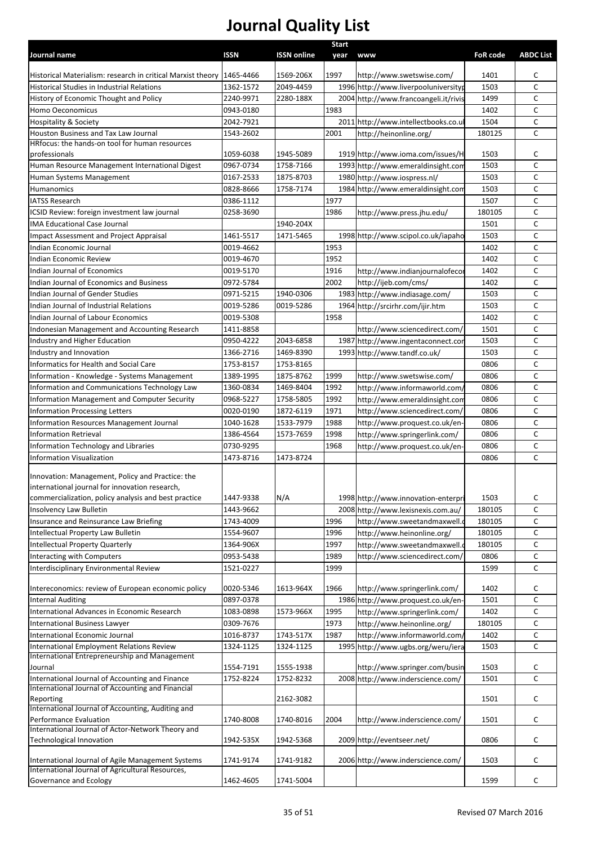|                                                                                                       |           |                    | Start    |                                       |                 |                  |
|-------------------------------------------------------------------------------------------------------|-----------|--------------------|----------|---------------------------------------|-----------------|------------------|
| Journal name                                                                                          | ISSN      | <b>ISSN online</b> | year www |                                       | <b>FoR code</b> | <b>ABDC List</b> |
|                                                                                                       |           |                    |          |                                       |                 |                  |
| Historical Materialism: research in critical Marxist theory 1465-4466                                 |           | 1569-206X          | 1997     | http://www.swetswise.com/             | 1401            | C                |
| Historical Studies in Industrial Relations                                                            | 1362-1572 | 2049-4459          |          | 1996 http://www.liverpooluniversityp  | 1503            | C                |
| History of Economic Thought and Policy                                                                | 2240-9971 | 2280-188X          |          | 2004 http://www.francoangeli.it/rivis | 1499            | C                |
| Homo Oeconomicus                                                                                      | 0943-0180 |                    | 1983     |                                       | 1402            | $\mathsf{C}$     |
| <b>Hospitality &amp; Society</b>                                                                      | 2042-7921 |                    | 2011     | http://www.intellectbooks.co.ul       | 1504            | $\mathsf{C}$     |
| Houston Business and Tax Law Journal                                                                  | 1543-2602 |                    | 2001     | http://heinonline.org/                | 180125          | C                |
| HRfocus: the hands-on tool for human resources                                                        |           |                    |          |                                       |                 |                  |
| professionals                                                                                         | 1059-6038 | 1945-5089          |          | 1919 http://www.ioma.com/issues/H     | 1503            | C                |
| Human Resource Management International Digest                                                        | 0967-0734 | 1758-7166          |          | 1993 http://www.emeraldinsight.con    | 1503            | $\mathsf{C}$     |
| Human Systems Management                                                                              | 0167-2533 | 1875-8703          |          | 1980 http://www.iospress.nl/          | 1503            | C                |
| Humanomics                                                                                            | 0828-8666 | 1758-7174          |          | 1984 http://www.emeraldinsight.con    | 1503            | C                |
| <b>IATSS Research</b>                                                                                 | 0386-1112 |                    | 1977     |                                       | 1507            | C                |
| ICSID Review: foreign investment law journal                                                          | 0258-3690 |                    | 1986     | http://www.press.jhu.edu/             | 180105          | C                |
| <b>IMA Educational Case Journal</b>                                                                   |           | 1940-204X          |          |                                       | 1501            | $\mathsf{C}$     |
| Impact Assessment and Project Appraisal                                                               | 1461-5517 | 1471-5465          |          | 1998 http://www.scipol.co.uk/iapaho   | 1503            | $\mathsf{C}$     |
| Indian Economic Journal                                                                               | 0019-4662 |                    | 1953     |                                       | 1402            | $\mathsf{C}$     |
| Indian Economic Review                                                                                |           |                    | 1952     |                                       |                 | $\mathsf{C}$     |
|                                                                                                       | 0019-4670 |                    |          |                                       | 1402            |                  |
| Indian Journal of Economics                                                                           | 0019-5170 |                    | 1916     | http://www.indianjournalofeco         | 1402            | $\mathsf{C}$     |
| Indian Journal of Economics and Business                                                              | 0972-5784 |                    | 2002     | http://ijeb.com/cms/                  | 1402            | $\mathsf{C}$     |
| Indian Journal of Gender Studies                                                                      | 0971-5215 | 1940-0306          |          | 1983 http://www.indiasage.com/        | 1503            | $\mathsf{C}$     |
| Indian Journal of Industrial Relations                                                                | 0019-5286 | 0019-5286          |          | 1964 http://srcirhr.com/ijir.htm      | 1503            | $\mathsf{C}$     |
| Indian Journal of Labour Economics                                                                    | 0019-5308 |                    | 1958     |                                       | 1402            | C                |
| Indonesian Management and Accounting Research                                                         | 1411-8858 |                    |          | http://www.sciencedirect.com/         | 1501            | $\mathsf{C}$     |
| Industry and Higher Education                                                                         | 0950-4222 | 2043-6858          | 1987     | http://www.ingentaconnect.co          | 1503            | C                |
| Industry and Innovation                                                                               | 1366-2716 | 1469-8390          | 1993     | http://www.tandf.co.uk/               | 1503            | $\mathsf{C}$     |
| Informatics for Health and Social Care                                                                | 1753-8157 | 1753-8165          |          |                                       | 0806            | $\mathsf{C}$     |
|                                                                                                       |           | 1875-8762          | 1999     |                                       | 0806            | C                |
| Information - Knowledge - Systems Management                                                          | 1389-1995 |                    |          | http://www.swetswise.com/             |                 |                  |
| Information and Communications Technology Law                                                         | 1360-0834 | 1469-8404          | 1992     | http://www.informaworld.com           | 0806            | C                |
| Information Management and Computer Security                                                          | 0968-5227 | 1758-5805          | 1992     | http://www.emeraldinsight.cor         | 0806            | $\mathsf{C}$     |
| <b>Information Processing Letters</b>                                                                 | 0020-0190 | 1872-6119          | 1971     | http://www.sciencedirect.com/         | 0806            | C                |
| Information Resources Management Journal                                                              | 1040-1628 | 1533-7979          | 1988     | nttp://www.proquest.co.uk/en          | 0806            | $\mathsf{C}$     |
| <b>Information Retrieval</b>                                                                          | 1386-4564 | 1573-7659          | 1998     | http://www.springerlink.com/          | 0806            | $\mathsf{C}$     |
| Information Technology and Libraries                                                                  | 0730-9295 |                    | 1968     | http://www.proquest.co.uk/en-         | 0806            | $\mathsf{C}$     |
| <b>Information Visualization</b>                                                                      | 1473-8716 | 1473-8724          |          |                                       | 0806            | C                |
|                                                                                                       |           |                    |          |                                       |                 |                  |
| Innovation: Management, Policy and Practice: the                                                      |           |                    |          |                                       |                 |                  |
| international journal for innovation research,                                                        |           |                    |          |                                       |                 |                  |
| commercialization, policy analysis and best practice                                                  | 1447-9338 | N/A                |          | 1998 http://www.innovation-enterpr    | 1503            | C                |
| Insolvency Law Bulletin                                                                               | 1443-9662 |                    |          | 2008 http://www.lexisnexis.com.au/    | 180105          | $\mathsf{C}$     |
|                                                                                                       | 1743-4009 |                    | 1996     |                                       | 180105          | $\mathsf{C}$     |
| Insurance and Reinsurance Law Briefing                                                                |           |                    |          | nttp://www.sweetandmaxwell.c          |                 |                  |
| Intellectual Property Law Bulletin                                                                    | 1554-9607 |                    | 1996     | http://www.heinonline.org/            | 180105          | $\mathsf{C}$     |
| Intellectual Property Quarterly                                                                       | 1364-906X |                    | 1997     | http://www.sweetandmaxwell.           | 180105          | $\mathsf{C}$     |
| Interacting with Computers                                                                            | 0953-5438 |                    | 1989     | /1ttp://www.sciencedirect.com         | 0806            | C                |
| Interdisciplinary Environmental Review                                                                | 1521-0227 |                    | 1999     |                                       | 1599            | C                |
|                                                                                                       |           |                    |          |                                       |                 |                  |
| Intereconomics: review of European economic policy                                                    | 0020-5346 | 1613-964X          | 1966     | http://www.springerlink.com/          | 1402            | C                |
| <b>Internal Auditing</b>                                                                              | 0897-0378 |                    |          | 1986 http://www.proquest.co.uk/en-    | 1501            | $\mathsf{C}$     |
| International Advances in Economic Research                                                           | 1083-0898 | 1573-966X          | 1995     | http://www.springerlink.com/          | 1402            | C                |
|                                                                                                       | 0309-7676 |                    | 1973     |                                       | 180105          | $\mathsf{C}$     |
| International Business Lawyer                                                                         |           |                    |          | http://www.heinonline.org/            |                 |                  |
| International Economic Journal                                                                        | 1016-8737 | 1743-517X          | 1987     | http://www.informaworld.com           | 1402            | C                |
| International Employment Relations Review                                                             | 1324-1125 | 1324-1125          |          | 1995 http://www.ugbs.org/weru/iera    | 1503            | $\mathsf{C}$     |
| International Entrepreneurship and Management                                                         |           |                    |          |                                       |                 |                  |
| Journal                                                                                               | 1554-7191 | 1555-1938          |          | http://www.springer.com/busir         | 1503            | C                |
| International Journal of Accounting and Finance                                                       | 1752-8224 | 1752-8232          |          | 2008 http://www.inderscience.com/     | 1501            | C                |
| International Journal of Accounting and Financial                                                     |           |                    |          |                                       |                 |                  |
| Reporting                                                                                             |           | 2162-3082          |          |                                       | 1501            | C                |
| International Journal of Accounting, Auditing and                                                     |           |                    |          |                                       |                 |                  |
| Performance Evaluation                                                                                | 1740-8008 | 1740-8016          | 2004     | http://www.inderscience.com/          | 1501            | C                |
| International Journal of Actor-Network Theory and                                                     |           |                    |          |                                       |                 |                  |
| Technological Innovation                                                                              | 1942-535X | 1942-5368          |          | 2009 http://eventseer.net/            | 0806            | C                |
|                                                                                                       |           |                    |          |                                       |                 |                  |
| International Journal of Agile Management Systems<br>International Journal of Agricultural Resources, | 1741-9174 | 1741-9182          |          | 2006 http://www.inderscience.com/     | 1503            | C                |
|                                                                                                       |           |                    |          |                                       |                 |                  |
| Governance and Ecology                                                                                | 1462-4605 | 1741-5004          |          |                                       | 1599            | $\mathsf{C}$     |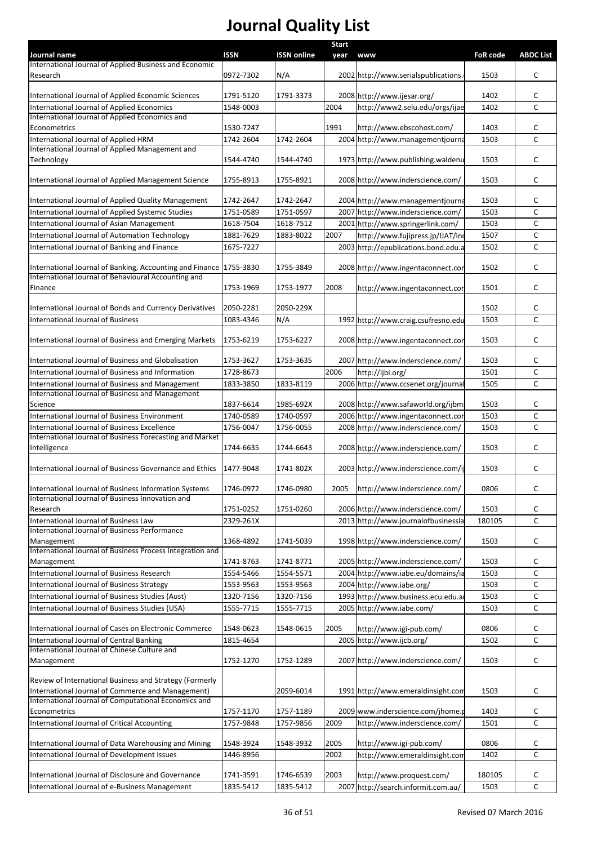| Journal name                                                                           | <b>ISSN</b> | <b>ISSN online</b> | <b>Start</b><br>year | <b>www</b>                           | <b>FoR code</b> | <b>ABDC List</b> |
|----------------------------------------------------------------------------------------|-------------|--------------------|----------------------|--------------------------------------|-----------------|------------------|
| International Journal of Applied Business and Economic                                 |             |                    |                      |                                      |                 |                  |
| Research                                                                               | 0972-7302   | N/A                |                      | 2002 http://www.serialspublications. | 1503            | C                |
| International Journal of Applied Economic Sciences                                     | 1791-5120   | 1791-3373          |                      | 2008 http://www.ijesar.org/          | 1402            | c                |
| International Journal of Applied Economics                                             | 1548-0003   |                    | 2004                 | http://www2.selu.edu/orgs/ijae       | 1402            | C                |
| International Journal of Applied Economics and                                         |             |                    |                      |                                      |                 |                  |
| Econometrics                                                                           | 1530-7247   |                    | 1991                 | http://www.ebscohost.com/            | 1403            | c                |
| International Journal of Applied HRM                                                   | 1742-2604   | 1742-2604          |                      | 2004 http://www.managementjourna     | 1503            | C                |
| International Journal of Applied Management and                                        |             |                    |                      |                                      |                 |                  |
| Technology                                                                             | 1544-4740   | 1544-4740          |                      | 1973 http://www.publishing.waldenu   | 1503            | C                |
| International Journal of Applied Management Science                                    | 1755-8913   | 1755-8921          |                      | 2008 http://www.inderscience.com/    | 1503            | c                |
| International Journal of Applied Quality Management                                    | 1742-2647   | 1742-2647          |                      | 2004 http://www.managementjourna     | 1503            | c                |
| International Journal of Applied Systemic Studies                                      | 1751-0589   | 1751-0597          |                      | 2007 http://www.inderscience.com/    | 1503            | C                |
| International Journal of Asian Management                                              | 1618-7504   | 1618-7512          |                      | 2001 http://www.springerlink.com/    | 1503            | c                |
| International Journal of Automation Technology                                         | 1881-7629   | 1883-8022          | 2007                 | http://www.fujipress.jp/IJAT/ind     | 1507            | C                |
| International Journal of Banking and Finance                                           | 1675-7227   |                    |                      | 2003 http://epublications.bond.edu.a | 1502            | c                |
|                                                                                        |             |                    |                      |                                      |                 |                  |
| International Journal of Banking, Accounting and Finance 1755-3830                     |             | 1755-3849          |                      | 2008 http://www.ingentaconnect.con   | 1502            | c                |
| International Journal of Behavioural Accounting and<br>Finance                         | 1753-1969   | 1753-1977          | 2008                 | http://www.ingentaconnect.con        | 1501            | c                |
| International Journal of Bonds and Currency Derivatives                                | 2050-2281   | 2050-229X          |                      |                                      | 1502            | C                |
| International Journal of Business                                                      | 1083-4346   | N/A                |                      | 1992 http://www.craig.csufresno.edu  | 1503            | C                |
|                                                                                        |             |                    |                      |                                      |                 |                  |
| International Journal of Business and Emerging Markets                                 | 1753-6219   | 1753-6227          |                      | 2008 http://www.ingentaconnect.con   | 1503            | C                |
| International Journal of Business and Globalisation                                    | 1753-3627   | 1753-3635          |                      | 2007 http://www.inderscience.com/    | 1503            | c                |
| International Journal of Business and Information                                      | 1728-8673   |                    | 2006                 | http://ijbi.org/                     | 1501            | C                |
| International Journal of Business and Management                                       | 1833-3850   | 1833-8119          |                      | 2006 http://www.ccsenet.org/journa   | 1505            | C                |
| International Journal of Business and Management                                       |             |                    |                      |                                      |                 |                  |
| Science                                                                                | 1837-6614   | 1985-692X          |                      | 2008 http://www.safaworld.org/ijbms  | 1503            | c                |
| International Journal of Business Environment                                          | 1740-0589   | 1740-0597          |                      | 2006 http://www.ingentaconnect.con   | 1503            | C                |
| International Journal of Business Excellence                                           | 1756-0047   | 1756-0055          |                      | 2008 http://www.inderscience.com/    | 1503            | c                |
| International Journal of Business Forecasting and Market<br>Intelligence               | 1744-6635   | 1744-6643          |                      | 2008 http://www.inderscience.com/    | 1503            | c                |
|                                                                                        |             |                    |                      |                                      |                 |                  |
| International Journal of Business Governance and Ethics                                | 1477-9048   | 1741-802X          |                      | 2003 http://www.inderscience.com/ij  | 1503            | c                |
| International Journal of Business Information Systems                                  | 1746-0972   | 1746-0980          |                      | 2005 http://www.inderscience.com/    | 0806            | С                |
| International Journal of Business Innovation and                                       |             |                    |                      |                                      |                 |                  |
| Research                                                                               | 1751-0252   | 1751-0260          |                      | 2006 http://www.inderscience.com/    | 1503            | c                |
| International Journal of Business Law<br>International Journal of Business Performance | 2329-261X   |                    |                      | 2013 http://www.journalofbusinessla  | 180105          | C                |
| Management                                                                             | 1368-4892   | 1741-5039          |                      | 1998 http://www.inderscience.com/    | 1503            | C                |
| International Journal of Business Process Integration and                              |             |                    |                      |                                      |                 |                  |
| Management                                                                             | 1741-8763   | 1741-8771          |                      | 2005 http://www.inderscience.com/    | 1503            | c                |
| International Journal of Business Research                                             | 1554-5466   | 1554-5571          |                      | 2004 http://www.iabe.eu/domains/ia   | 1503            | C                |
| International Journal of Business Strategy                                             | 1553-9563   | 1553-9563          |                      | 2004 http://www.iabe.org/            | 1503            | С                |
| International Journal of Business Studies (Aust)                                       | 1320-7156   | 1320-7156          |                      | 1993 http://www.business.ecu.edu.a   | 1503            | c                |
| International Journal of Business Studies (USA)                                        | 1555-7715   | 1555-7715          |                      | 2005 http://www.iabe.com/            | 1503            | С                |
| International Journal of Cases on Electronic Commerce                                  | 1548-0623   | 1548-0615          | 2005                 | http://www.igi-pub.com/              | 0806            | c                |
| International Journal of Central Banking                                               | 1815-4654   |                    |                      | 2005 http://www.ijcb.org/            | 1502            | C                |
| International Journal of Chinese Culture and                                           |             |                    |                      |                                      |                 |                  |
| Management                                                                             | 1752-1270   | 1752-1289          |                      | 2007 http://www.inderscience.com/    | 1503            | C                |
| Review of International Business and Strategy (Formerly                                |             |                    |                      |                                      |                 |                  |
| International Journal of Commerce and Management)                                      |             | 2059-6014          |                      | 1991 http://www.emeraldinsight.com   | 1503            | C                |
| International Journal of Computational Economics and                                   |             |                    |                      |                                      |                 |                  |
| Econometrics                                                                           | 1757-1170   | 1757-1189          |                      | 2009 www.inderscience.com/jhome.p    | 1403            | c                |
| International Journal of Critical Accounting                                           | 1757-9848   | 1757-9856          | 2009                 | http://www.inderscience.com/         | 1501            | C                |
| International Journal of Data Warehousing and Mining                                   | 1548-3924   | 1548-3932          | 2005                 | http://www.igi-pub.com/              | 0806            | c                |
| International Journal of Development Issues                                            | 1446-8956   |                    | 2002                 | http://www.emeraldinsight.com        | 1402            | C                |
| International Journal of Disclosure and Governance                                     | 1741-3591   | 1746-6539          | 2003                 | http://www.proquest.com/             | 180105          | С                |
| International Journal of e-Business Management                                         | 1835-5412   | 1835-5412          |                      | 2007 http://search.informit.com.au/  | 1503            | C                |
|                                                                                        |             |                    |                      |                                      |                 |                  |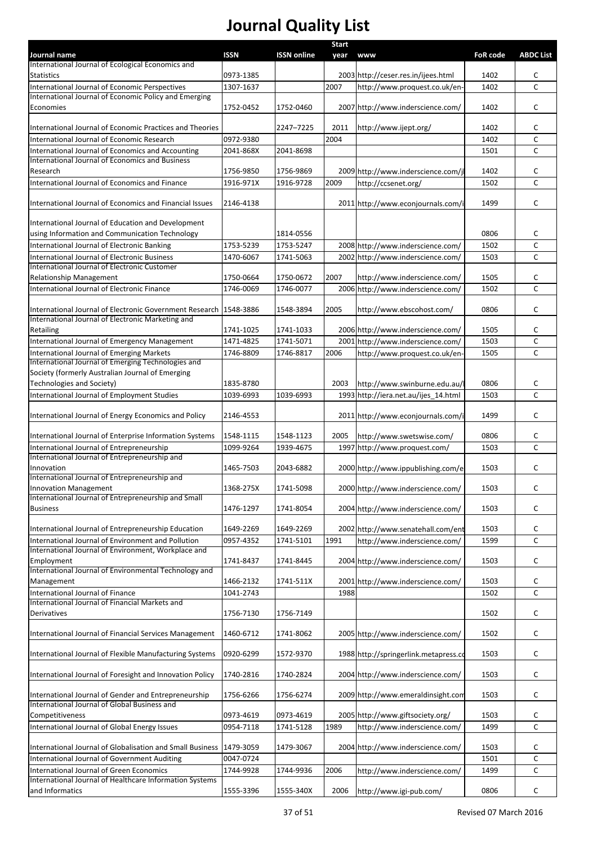|                                                                                                         |             |                    | <b>Start</b> |                                       |                 |                   |
|---------------------------------------------------------------------------------------------------------|-------------|--------------------|--------------|---------------------------------------|-----------------|-------------------|
| Journal name                                                                                            | <b>ISSN</b> | <b>ISSN online</b> | year         | <b>www</b>                            | <b>FoR code</b> | <b>ABDC List</b>  |
| International Journal of Ecological Economics and                                                       |             |                    |              |                                       |                 |                   |
| <b>Statistics</b>                                                                                       | 0973-1385   |                    | 2007         | 2003 http://ceser.res.in/ijees.html   | 1402            | c<br>$\mathsf{C}$ |
| International Journal of Economic Perspectives<br>International Journal of Economic Policy and Emerging | 1307-1637   |                    |              | http://www.proquest.co.uk/en-         | 1402            |                   |
| Economies                                                                                               | 1752-0452   | 1752-0460          |              | 2007 http://www.inderscience.com/     | 1402            | c                 |
|                                                                                                         |             |                    |              |                                       |                 |                   |
| International Journal of Economic Practices and Theories                                                |             | 2247-7225          | 2011         | http://www.ijept.org/                 | 1402            | C                 |
| International Journal of Economic Research                                                              | 0972-9380   |                    | 2004         |                                       | 1402            | C                 |
| International Journal of Economics and Accounting                                                       | 2041-868X   | 2041-8698          |              |                                       | 1501            | C                 |
| International Journal of Economics and Business                                                         |             |                    |              |                                       |                 |                   |
| Research                                                                                                | 1756-9850   | 1756-9869          |              | 2009 http://www.inderscience.com/j    | 1402            | c                 |
| International Journal of Economics and Finance                                                          | 1916-971X   | 1916-9728          | 2009         | http://ccsenet.org/                   | 1502            | C                 |
|                                                                                                         |             |                    |              |                                       |                 |                   |
| International Journal of Economics and Financial Issues                                                 | 2146-4138   |                    |              | 2011 http://www.econjournals.com/i    | 1499            | c                 |
| International Journal of Education and Development                                                      |             |                    |              |                                       |                 |                   |
| using Information and Communication Technology                                                          |             | 1814-0556          |              |                                       | 0806            | c                 |
| International Journal of Electronic Banking                                                             | 1753-5239   | 1753-5247          |              | 2008 http://www.inderscience.com/     | 1502            | C                 |
| International Journal of Electronic Business                                                            | 1470-6067   | 1741-5063          |              | 2002 http://www.inderscience.com/     | 1503            | C                 |
| International Journal of Electronic Customer                                                            |             |                    |              |                                       |                 |                   |
| <b>Relationship Management</b>                                                                          | 1750-0664   | 1750-0672          | 2007         | http://www.inderscience.com/          | 1505            | c                 |
| International Journal of Electronic Finance                                                             | 1746-0069   | 1746-0077          |              | 2006 http://www.inderscience.com/     | 1502            | C                 |
|                                                                                                         |             |                    |              |                                       |                 |                   |
| International Journal of Electronic Government Research                                                 | 1548-3886   | 1548-3894          | 2005         | http://www.ebscohost.com/             | 0806            | C                 |
| International Journal of Electronic Marketing and                                                       |             |                    |              |                                       |                 |                   |
| Retailing                                                                                               | 1741-1025   | 1741-1033          |              | 2006 http://www.inderscience.com/     | 1505            | c                 |
| International Journal of Emergency Management                                                           | 1471-4825   | 1741-5071          |              | 2001 http://www.inderscience.com/     | 1503            | $\mathsf{C}$      |
| International Journal of Emerging Markets                                                               | 1746-8809   | 1746-8817          | 2006         | http://www.proquest.co.uk/en-         | 1505            | C                 |
| International Journal of Emerging Technologies and                                                      |             |                    |              |                                       |                 |                   |
| Society (formerly Australian Journal of Emerging<br>Technologies and Society)                           | 1835-8780   |                    | 2003         |                                       | 0806            | c                 |
|                                                                                                         | 1039-6993   | 1039-6993          |              | http://www.swinburne.edu.au/          | 1503            | C                 |
| International Journal of Employment Studies                                                             |             |                    |              | 1993 http://iera.net.au/ijes_14.html  |                 |                   |
| International Journal of Energy Economics and Policy                                                    | 2146-4553   |                    |              | 2011 http://www.econjournals.com/i    | 1499            | C                 |
|                                                                                                         |             |                    |              |                                       |                 |                   |
| International Journal of Enterprise Information Systems                                                 | 1548-1115   | 1548-1123          | 2005         | http://www.swetswise.com/             | 0806            | c                 |
| International Journal of Entrepreneurship                                                               | 1099-9264   | 1939-4675          |              | 1997 http://www.proquest.com/         | 1503            | $\mathsf{C}$      |
| International Journal of Entrepreneurship and                                                           |             |                    |              |                                       |                 |                   |
| Innovation                                                                                              | 1465-7503   | 2043-6882          |              | 2000 http://www.ippublishing.com/e    | 1503            | c                 |
| International Journal of Entrepreneurship and                                                           |             |                    |              |                                       |                 |                   |
| <b>Innovation Management</b><br>International Journal of Entrepreneurship and Small                     | 1368-275X   | 1741-5098          |              | 2000 http://www.inderscience.com/     | 1503            | c                 |
| <b>Business</b>                                                                                         | 1476-1297   | 1741-8054          |              | 2004 http://www.inderscience.com/     | 1503            | C                 |
|                                                                                                         |             |                    |              |                                       |                 |                   |
| International Journal of Entrepreneurship Education                                                     | 1649-2269   | 1649-2269          |              | 2002 http://www.senatehall.com/ent    | 1503            | c                 |
| International Journal of Environment and Pollution                                                      | 0957-4352   | 1741-5101          | 1991         | http://www.inderscience.com/          | 1599            | $\mathsf{C}$      |
| International Journal of Environment, Workplace and                                                     |             |                    |              |                                       |                 |                   |
| Employment                                                                                              | 1741-8437   | 1741-8445          |              | 2004 http://www.inderscience.com/     | 1503            | C                 |
| International Journal of Environmental Technology and                                                   |             |                    |              |                                       |                 |                   |
| Management                                                                                              | 1466-2132   | 1741-511X          |              | 2001 http://www.inderscience.com/     | 1503            | c                 |
| International Journal of Finance                                                                        | 1041-2743   |                    | 1988         |                                       | 1502            | C                 |
| International Journal of Financial Markets and                                                          |             |                    |              |                                       |                 |                   |
| Derivatives                                                                                             | 1756-7130   | 1756-7149          |              |                                       | 1502            | c                 |
| International Journal of Financial Services Management                                                  | 1460-6712   | 1741-8062          |              | 2005 http://www.inderscience.com/     | 1502            | C                 |
|                                                                                                         |             |                    |              |                                       |                 |                   |
| International Journal of Flexible Manufacturing Systems                                                 | 0920-6299   | 1572-9370          |              | 1988 http://springerlink.metapress.co | 1503            | C                 |
|                                                                                                         |             |                    |              |                                       |                 |                   |
| International Journal of Foresight and Innovation Policy                                                | 1740-2816   | 1740-2824          |              | 2004 http://www.inderscience.com/     | 1503            | C                 |
|                                                                                                         |             |                    |              |                                       |                 |                   |
| International Journal of Gender and Entrepreneurship                                                    | 1756-6266   | 1756-6274          |              | 2009 http://www.emeraldinsight.com    | 1503            | C                 |
| International Journal of Global Business and                                                            |             |                    |              |                                       |                 |                   |
| Competitiveness                                                                                         | 0973-4619   | 0973-4619          |              | 2005 http://www.giftsociety.org/      | 1503            | c                 |
| International Journal of Global Energy Issues                                                           | 0954-7118   | 1741-5128          | 1989         | http://www.inderscience.com/          | 1499            | $\mathsf{C}$      |
|                                                                                                         |             |                    |              |                                       |                 |                   |
| International Journal of Globalisation and Small Business                                               | 1479-3059   | 1479-3067          |              | 2004 http://www.inderscience.com/     | 1503            | c                 |
| International Journal of Government Auditing                                                            | 0047-0724   |                    |              |                                       | 1501            | C                 |
| International Journal of Green Economics<br>International Journal of Healthcare Information Systems     | 1744-9928   | 1744-9936          | 2006         | http://www.inderscience.com/          | 1499            | C                 |
| and Informatics                                                                                         | 1555-3396   | 1555-340X          | 2006         | http://www.igi-pub.com/               | 0806            | C                 |
|                                                                                                         |             |                    |              |                                       |                 |                   |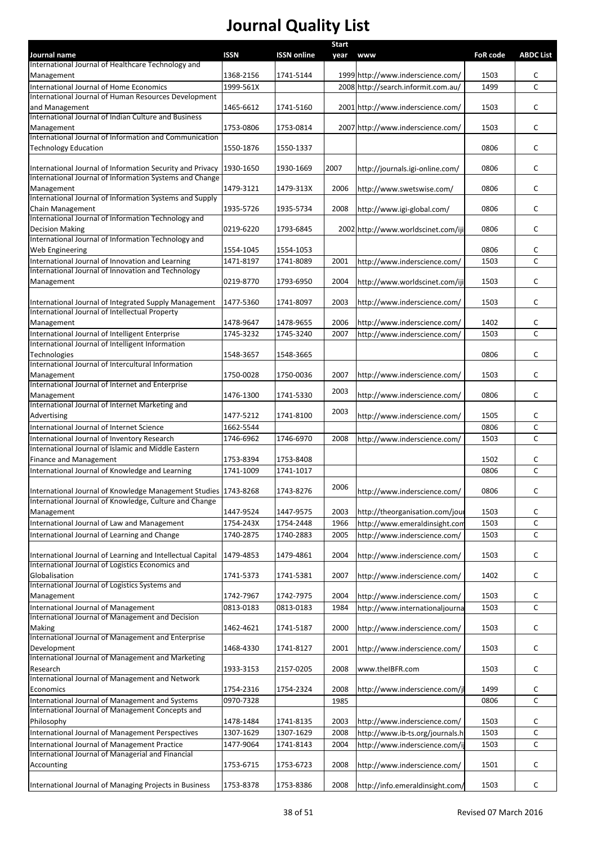|                                                                                                                      |             |                    | <b>Start</b> |                                     |                 |                  |
|----------------------------------------------------------------------------------------------------------------------|-------------|--------------------|--------------|-------------------------------------|-----------------|------------------|
| Journal name                                                                                                         | <b>ISSN</b> | <b>ISSN online</b> | year         | www                                 | <b>FoR code</b> | <b>ABDC List</b> |
| International Journal of Healthcare Technology and<br>Management                                                     | 1368-2156   | 1741-5144          |              | 1999 http://www.inderscience.com/   | 1503            | c                |
| International Journal of Home Economics                                                                              | 1999-561X   |                    |              | 2008 http://search.informit.com.au/ | 1499            | $\mathsf{C}$     |
| International Journal of Human Resources Development                                                                 |             |                    |              |                                     |                 |                  |
| and Management                                                                                                       | 1465-6612   | 1741-5160          |              | 2001 http://www.inderscience.com/   | 1503            | c                |
| International Journal of Indian Culture and Business                                                                 |             |                    |              |                                     |                 |                  |
| Management                                                                                                           | 1753-0806   | 1753-0814          |              | 2007 http://www.inderscience.com/   | 1503            | C                |
| International Journal of Information and Communication                                                               |             |                    |              |                                     |                 |                  |
| <b>Technology Education</b>                                                                                          | 1550-1876   | 1550-1337          |              |                                     | 0806            | C                |
|                                                                                                                      |             |                    |              |                                     |                 |                  |
| International Journal of Information Security and Privacy<br>International Journal of Information Systems and Change | 1930-1650   | 1930-1669          | 2007         | http://journals.igi-online.com/     | 0806            | c                |
| Management                                                                                                           | 1479-3121   | 1479-313X          | 2006         | http://www.swetswise.com/           | 0806            | C                |
| International Journal of Information Systems and Supply                                                              |             |                    |              |                                     |                 |                  |
| Chain Management                                                                                                     | 1935-5726   | 1935-5734          | 2008         | http://www.igi-global.com/          | 0806            | C                |
| International Journal of Information Technology and                                                                  |             |                    |              |                                     |                 |                  |
| <b>Decision Making</b>                                                                                               | 0219-6220   | 1793-6845          |              | 2002 http://www.worldscinet.com/iji | 0806            | c                |
| International Journal of Information Technology and                                                                  |             |                    |              |                                     |                 |                  |
| Web Engineering                                                                                                      | 1554-1045   | 1554-1053          |              |                                     | 0806            | c                |
| International Journal of Innovation and Learning                                                                     | 1471-8197   | 1741-8089          | 2001         | http://www.inderscience.com/        | 1503            | $\mathsf{C}$     |
| International Journal of Innovation and Technology                                                                   |             |                    |              |                                     |                 |                  |
| Management                                                                                                           | 0219-8770   | 1793-6950          | 2004         | http://www.worldscinet.com/iji      | 1503            | C                |
|                                                                                                                      |             |                    |              |                                     |                 |                  |
| International Journal of Integrated Supply Management                                                                | 1477-5360   | 1741-8097          | 2003         | http://www.inderscience.com/        | 1503            | C                |
| International Journal of Intellectual Property                                                                       |             |                    |              |                                     |                 |                  |
| Management                                                                                                           | 1478-9647   | 1478-9655          | 2006         | http://www.inderscience.com/        | 1402            | С                |
| International Journal of Intelligent Enterprise<br>International Journal of Intelligent Information                  | 1745-3232   | 1745-3240          | 2007         | http://www.inderscience.com/        | 1503            | $\mathsf{C}$     |
| Technologies                                                                                                         | 1548-3657   | 1548-3665          |              |                                     | 0806            | C                |
| International Journal of Intercultural Information                                                                   |             |                    |              |                                     |                 |                  |
| Management                                                                                                           | 1750-0028   | 1750-0036          | 2007         | http://www.inderscience.com/        | 1503            | C                |
| International Journal of Internet and Enterprise                                                                     |             |                    |              |                                     |                 |                  |
| Management                                                                                                           | 1476-1300   | 1741-5330          | 2003         | http://www.inderscience.com/        | 0806            | C                |
| International Journal of Internet Marketing and                                                                      |             |                    |              |                                     |                 |                  |
| Advertising                                                                                                          | 1477-5212   | 1741-8100          | 2003         | http://www.inderscience.com/        | 1505            | c                |
| International Journal of Internet Science                                                                            | 1662-5544   |                    |              |                                     | 0806            | C                |
| International Journal of Inventory Research                                                                          | 1746-6962   | 1746-6970          | 2008         | http://www.inderscience.com/        | 1503            | C                |
| International Journal of Islamic and Middle Eastern                                                                  |             |                    |              |                                     |                 |                  |
| Finance and Management                                                                                               | 1753-8394   | 1753-8408          |              |                                     | 1502            | c                |
| International Journal of Knowledge and Learning                                                                      | 1741-1009   | 1741-1017          |              |                                     | 0806            | C                |
|                                                                                                                      |             |                    | 2006         |                                     |                 |                  |
| International Journal of Knowledge Management Studies 1743-8268                                                      |             | 1743-8276          |              | http://www.inderscience.com/        | 0806            | с                |
| International Journal of Knowledge, Culture and Change                                                               |             |                    |              |                                     |                 |                  |
| Management                                                                                                           | 1447-9524   | 1447-9575          | 2003         | http://theorganisation.com/jour     | 1503            | c                |
| International Journal of Law and Management                                                                          | 1754-243X   | 1754-2448          | 1966         | http://www.emeraldinsight.com       | 1503            | c                |
| International Journal of Learning and Change                                                                         | 1740-2875   | 1740-2883          | 2005         | http://www.inderscience.com/        | 1503            | c                |
|                                                                                                                      |             |                    |              |                                     |                 |                  |
| International Journal of Learning and Intellectual Capital                                                           | 1479-4853   | 1479-4861          | 2004         | http://www.inderscience.com/        | 1503            | c                |
| International Journal of Logistics Economics and<br>Globalisation                                                    |             |                    |              |                                     | 1402            | c                |
| International Journal of Logistics Systems and                                                                       | 1741-5373   | 1741-5381          | 2007         | http://www.inderscience.com/        |                 |                  |
| Management                                                                                                           | 1742-7967   | 1742-7975          | 2004         | http://www.inderscience.com/        | 1503            | С                |
| International Journal of Management                                                                                  | 0813-0183   | 0813-0183          | 1984         | http://www.internationaljourna      | 1503            | c                |
| International Journal of Management and Decision                                                                     |             |                    |              |                                     |                 |                  |
| Making                                                                                                               | 1462-4621   | 1741-5187          | 2000         | http://www.inderscience.com/        | 1503            | c                |
| International Journal of Management and Enterprise                                                                   |             |                    |              |                                     |                 |                  |
| Development                                                                                                          | 1468-4330   | 1741-8127          | 2001         | http://www.inderscience.com/        | 1503            | c                |
| International Journal of Management and Marketing                                                                    |             |                    |              |                                     |                 |                  |
| Research                                                                                                             | 1933-3153   | 2157-0205          | 2008         | www.theIBFR.com                     | 1503            | c                |
| International Journal of Management and Network                                                                      |             |                    |              |                                     |                 |                  |
| Economics                                                                                                            | 1754-2316   | 1754-2324          | 2008         | http://www.inderscience.com/jl      | 1499            | c                |
| International Journal of Management and Systems                                                                      | 0970-7328   |                    | 1985         |                                     | 0806            | $\mathsf{C}$     |
| International Journal of Management Concepts and                                                                     |             |                    |              |                                     |                 |                  |
| Philosophy                                                                                                           | 1478-1484   | 1741-8135          | 2003         | http://www.inderscience.com/        | 1503            | с                |
| International Journal of Management Perspectives                                                                     | 1307-1629   | 1307-1629          | 2008         | http://www.ib-ts.org/journals.h     | 1503            | C                |
| International Journal of Management Practice                                                                         | 1477-9064   | 1741-8143          | 2004         | http://www.inderscience.com/ij      | 1503            | $\mathsf{C}$     |
| International Journal of Managerial and Financial                                                                    |             |                    |              |                                     |                 |                  |
| Accounting                                                                                                           | 1753-6715   | 1753-6723          | 2008         | http://www.inderscience.com/        | 1501            | c                |
|                                                                                                                      |             |                    |              |                                     |                 |                  |
| International Journal of Managing Projects in Business                                                               | 1753-8378   | 1753-8386          | 2008         | http://info.emeraldinsight.com/     | 1503            | C                |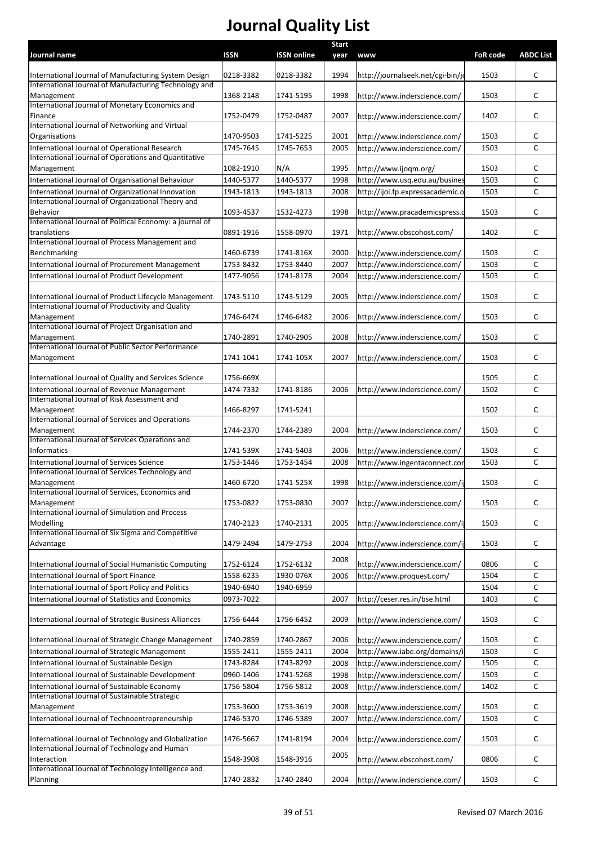| Journal name                                                                                             | <b>ISSN</b>            | <b>ISSN online</b>     | <b>Start</b><br>year | www                                                          | <b>FoR code</b> | <b>ABDC List</b> |
|----------------------------------------------------------------------------------------------------------|------------------------|------------------------|----------------------|--------------------------------------------------------------|-----------------|------------------|
| International Journal of Manufacturing System Design                                                     | 0218-3382              | 0218-3382              | 1994                 | http://journalseek.net/cgi-bin/jo                            | 1503            | C                |
| International Journal of Manufacturing Technology and                                                    |                        |                        |                      |                                                              |                 |                  |
| Management                                                                                               | 1368-2148              | 1741-5195              | 1998                 | http://www.inderscience.com/                                 | 1503            | c                |
| International Journal of Monetary Economics and                                                          |                        |                        |                      |                                                              |                 |                  |
| Finance<br>International Journal of Networking and Virtual                                               | 1752-0479              | 1752-0487              | 2007                 | http://www.inderscience.com/                                 | 1402            | c                |
| Organisations                                                                                            | 1470-9503              | 1741-5225              | 2001                 | http://www.inderscience.com/                                 | 1503            | С                |
| International Journal of Operational Research                                                            | 1745-7645              | 1745-7653              | 2005                 | http://www.inderscience.com/                                 | 1503            | C                |
| International Journal of Operations and Quantitative                                                     |                        |                        |                      |                                                              |                 |                  |
| Management                                                                                               | 1082-1910              | N/A                    | 1995                 | http://www.ijoqm.org/                                        | 1503            | c                |
| International Journal of Organisational Behaviour                                                        | 1440-5377              | 1440-5377              | 1998                 | http://www.usq.edu.au/busines                                | 1503            | C                |
| International Journal of Organizational Innovation<br>International Journal of Organizational Theory and | 1943-1813              | 1943-1813              | 2008                 | http://ijoi.fp.expressacademic.o                             | 1503            | C                |
| Behavior                                                                                                 | 1093-4537              | 1532-4273              | 1998                 | http://www.pracademicspress.c                                | 1503            | c                |
| International Journal of Political Economy: a journal of                                                 |                        |                        |                      |                                                              |                 |                  |
| translations                                                                                             | 0891-1916              | 1558-0970              | 1971                 | http://www.ebscohost.com/                                    | 1402            | С                |
| International Journal of Process Management and                                                          |                        |                        |                      |                                                              |                 |                  |
| Benchmarking                                                                                             | 1460-6739              | 1741-816X              | 2000                 | http://www.inderscience.com/                                 | 1503            | c                |
| International Journal of Procurement Management<br>International Journal of Product Development          | 1753-8432<br>1477-9056 | 1753-8440<br>1741-8178 | 2007<br>2004         | http://www.inderscience.com/<br>http://www.inderscience.com/ | 1503<br>1503    | C<br>C           |
|                                                                                                          |                        |                        |                      |                                                              |                 |                  |
| International Journal of Product Lifecycle Management                                                    | 1743-5110              | 1743-5129              | 2005                 | http://www.inderscience.com/                                 | 1503            | c                |
| International Journal of Productivity and Quality                                                        |                        |                        |                      |                                                              |                 |                  |
| Management<br>International Journal of Project Organisation and                                          | 1746-6474              | 1746-6482              | 2006                 | http://www.inderscience.com/                                 | 1503            | С                |
| Management                                                                                               | 1740-2891              | 1740-2905              | 2008                 | http://www.inderscience.com/                                 | 1503            | C                |
| International Journal of Public Sector Performance                                                       |                        |                        |                      |                                                              |                 |                  |
| Management                                                                                               | 1741-1041              | 1741-105X              | 2007                 | http://www.inderscience.com/                                 | 1503            | c                |
|                                                                                                          |                        |                        |                      |                                                              |                 |                  |
| International Journal of Quality and Services Science                                                    | 1756-669X              |                        |                      |                                                              | 1505            | c                |
| International Journal of Revenue Management<br>International Journal of Risk Assessment and              | 1474-7332              | 1741-8186              | 2006                 | http://www.inderscience.com/                                 | 1502            | C                |
| Management                                                                                               | 1466-8297              | 1741-5241              |                      |                                                              | 1502            | c                |
| International Journal of Services and Operations                                                         |                        |                        |                      |                                                              |                 |                  |
| Management                                                                                               | 1744-2370              | 1744-2389              | 2004                 | http://www.inderscience.com/                                 | 1503            | C                |
| International Journal of Services Operations and                                                         |                        |                        |                      |                                                              |                 |                  |
| <b>Informatics</b>                                                                                       | 1741-539X              | 1741-5403              | 2006                 | http://www.inderscience.com/                                 | 1503            | c                |
| International Journal of Services Science<br>International Journal of Services Technology and            | 1753-1446              | 1753-1454              | 2008                 | http://www.ingentaconnect.con                                | 1503            | $\mathsf{C}$     |
| Management                                                                                               | 1460-6720              | 1741-525X              | 1998                 | http://www.inderscience.com/ij                               | 1503            | c                |
| International Journal of Services, Economics and                                                         |                        |                        |                      |                                                              |                 |                  |
| Management                                                                                               | 1753-0822              | 1753-0830              | 2007                 | http://www.inderscience.com/                                 | 1503            | C                |
| International Journal of Simulation and Process<br>Modelling                                             | 1740-2123              | 1740-2131              | 2005                 |                                                              | 1503            | C                |
| International Journal of Six Sigma and Competitive                                                       |                        |                        |                      | http://www.inderscience.com/ij                               |                 |                  |
| Advantage                                                                                                | 1479-2494              | 1479-2753              | 2004                 | http://www.inderscience.com/ij                               | 1503            | c                |
|                                                                                                          |                        |                        | 2008                 |                                                              |                 |                  |
| International Journal of Social Humanistic Computing                                                     | 1752-6124              | 1752-6132              |                      | http://www.inderscience.com/                                 | 0806            | С                |
| International Journal of Sport Finance                                                                   | 1558-6235              | 1930-076X              | 2006                 | http://www.proquest.com/                                     | 1504            | C                |
| International Journal of Sport Policy and Politics                                                       | 1940-6940              | 1940-6959              |                      |                                                              | 1504            | С                |
| International Journal of Statistics and Economics                                                        | 0973-7022              |                        | 2007                 | http://ceser.res.in/bse.html                                 | 1403            | C                |
| International Journal of Strategic Business Alliances                                                    | 1756-6444              | 1756-6452              | 2009                 | http://www.inderscience.com/                                 | 1503            | C                |
|                                                                                                          |                        |                        |                      |                                                              |                 |                  |
| International Journal of Strategic Change Management                                                     | 1740-2859              | 1740-2867              | 2006                 | http://www.inderscience.com/                                 | 1503            | c                |
| International Journal of Strategic Management                                                            | 1555-2411              | 1555-2411              | 2004                 | http://www.iabe.org/domains/i                                | 1503            | C                |
| International Journal of Sustainable Design                                                              | 1743-8284              | 1743-8292              | 2008                 | http://www.inderscience.com/                                 | 1505            | с                |
| International Journal of Sustainable Development                                                         | 0960-1406              | 1741-5268              | 1998                 | http://www.inderscience.com/                                 | 1503            | С                |
| International Journal of Sustainable Economy                                                             | 1756-5804              | 1756-5812              | 2008                 | http://www.inderscience.com/                                 | 1402            | C                |
| International Journal of Sustainable Strategic                                                           |                        |                        |                      |                                                              |                 |                  |
| Management<br>International Journal of Technoentrepreneurship                                            | 1753-3600<br>1746-5370 | 1753-3619<br>1746-5389 | 2008                 | http://www.inderscience.com/                                 | 1503            | c<br>С           |
|                                                                                                          |                        |                        | 2007                 | http://www.inderscience.com/                                 | 1503            |                  |
| International Journal of Technology and Globalization                                                    | 1476-5667              | 1741-8194              | 2004                 | http://www.inderscience.com/                                 | 1503            | C                |
| International Journal of Technology and Human                                                            |                        |                        | 2005                 |                                                              |                 |                  |
| Interaction                                                                                              | 1548-3908              | 1548-3916              |                      | http://www.ebscohost.com/                                    | 0806            | C                |
| International Journal of Technology Intelligence and<br>Planning                                         | 1740-2832              | 1740-2840              | 2004                 | http://www.inderscience.com/                                 | 1503            | C                |
|                                                                                                          |                        |                        |                      |                                                              |                 |                  |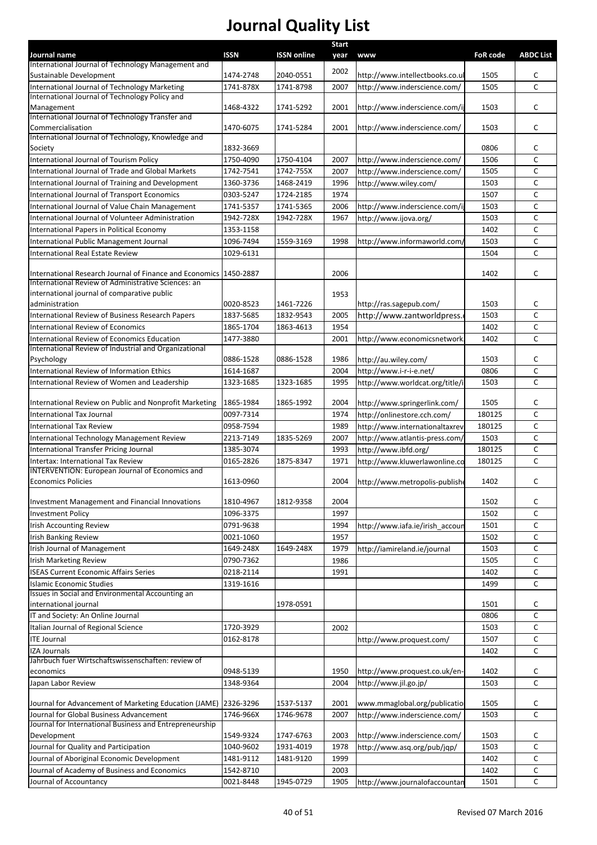|                                                                              |             |                    | <b>Start</b> |                                 |                 |                  |
|------------------------------------------------------------------------------|-------------|--------------------|--------------|---------------------------------|-----------------|------------------|
| Journal name<br>International Journal of Technology Management and           | <b>ISSN</b> | <b>ISSN online</b> | year         | <b>www</b>                      | <b>FoR code</b> | <b>ABDC List</b> |
| Sustainable Development                                                      | 1474-2748   | 2040-0551          | 2002         | http://www.intellectbooks.co.ul | 1505            | C                |
| International Journal of Technology Marketing                                | 1741-878X   | 1741-8798          | 2007         | http://www.inderscience.com/    | 1505            | $\mathsf{C}$     |
| International Journal of Technology Policy and                               |             |                    |              |                                 |                 |                  |
| Management                                                                   | 1468-4322   | 1741-5292          | 2001         | http://www.inderscience.com/ij  | 1503            | c                |
| International Journal of Technology Transfer and                             |             |                    |              |                                 |                 |                  |
| Commercialisation                                                            | 1470-6075   | 1741-5284          | 2001         | http://www.inderscience.com/    | 1503            | C                |
| International Journal of Technology, Knowledge and<br>Society                | 1832-3669   |                    |              |                                 | 0806            | С                |
| International Journal of Tourism Policy                                      | 1750-4090   | 1750-4104          | 2007         | http://www.inderscience.com/    | 1506            | C                |
| International Journal of Trade and Global Markets                            | 1742-7541   | 1742-755X          | 2007         | http://www.inderscience.com/    | 1505            | C                |
| International Journal of Training and Development                            | 1360-3736   | 1468-2419          | 1996         | http://www.wiley.com/           | 1503            | C                |
| International Journal of Transport Economics                                 | 0303-5247   | 1724-2185          | 1974         |                                 | 1507            | C                |
| International Journal of Value Chain Management                              | 1741-5357   | 1741-5365          | 2006         | http://www.inderscience.com/ij  | 1503            | C                |
| International Journal of Volunteer Administration                            | 1942-728X   | 1942-728X          | 1967         | http://www.ijova.org/           | 1503            | C                |
| International Papers in Political Economy                                    | 1353-1158   |                    |              |                                 | 1402            | C                |
| International Public Management Journal                                      | 1096-7494   | 1559-3169          | 1998         | http://www.informaworld.com/    | 1503            | С                |
| International Real Estate Review                                             | 1029-6131   |                    |              |                                 | 1504            | C                |
|                                                                              |             |                    |              |                                 |                 |                  |
| International Research Journal of Finance and Economics                      | 1450-2887   |                    | 2006         |                                 | 1402            | C                |
| International Review of Administrative Sciences: an                          |             |                    |              |                                 |                 |                  |
| international journal of comparative public                                  |             |                    | 1953         |                                 |                 |                  |
| administration                                                               | 0020-8523   | 1461-7226          |              | http://ras.sagepub.com/         | 1503            | с                |
| International Review of Business Research Papers                             | 1837-5685   | 1832-9543          | 2005         | http://www.zantworldpress.      | 1503            | C                |
| International Review of Economics                                            | 1865-1704   | 1863-4613          | 1954         |                                 | 1402            | C                |
| International Review of Economics Education                                  | 1477-3880   |                    | 2001         | http://www.economicsnetwork     | 1402            | C                |
| International Review of Industrial and Organizational<br>Psychology          | 0886-1528   | 0886-1528          | 1986         | http://au.wiley.com/            | 1503            | С                |
| International Review of Information Ethics                                   | 1614-1687   |                    | 2004         | http://www.i-r-i-e.net/         | 0806            | C                |
| International Review of Women and Leadership                                 | 1323-1685   | 1323-1685          | 1995         | http://www.worldcat.org/title/i | 1503            | $\mathsf{C}$     |
|                                                                              |             |                    |              |                                 |                 |                  |
| International Review on Public and Nonprofit Marketing                       | 1865-1984   | 1865-1992          | 2004         | http://www.springerlink.com/    | 1505            | C                |
| International Tax Journal                                                    | 0097-7314   |                    | 1974         | http://onlinestore.cch.com/     | 180125          | C                |
| <b>International Tax Review</b>                                              | 0958-7594   |                    | 1989         | http://www.internationaltaxrev  | 180125          | C                |
| International Technology Management Review                                   | 2213-7149   | 1835-5269          | 2007         | http://www.atlantis-press.com/  | 1503            | C                |
| International Transfer Pricing Journal                                       | 1385-3074   |                    | 1993         | http://www.ibfd.org/            | 180125          | C                |
| Intertax: International Tax Review                                           | 0165-2826   | 1875-8347          | 1971         | http://www.kluwerlawonline.co   | 180125          | C                |
| <b>INTERVENTION: European Journal of Economics and</b>                       |             |                    |              |                                 |                 |                  |
| <b>Economics Policies</b>                                                    | 1613-0960   |                    | 2004         | http://www.metropolis-publish   | 1402            | с                |
|                                                                              |             |                    |              |                                 |                 |                  |
| Investment Management and Financial Innovations                              | 1810-4967   | 1812-9358          | 2004         |                                 | 1502            | С                |
| <b>Investment Policy</b>                                                     | 1096-3375   |                    | 1997         |                                 | 1502            | C                |
| Irish Accounting Review                                                      | 0791-9638   |                    | 1994         | http://www.iafa.ie/irish_accoun | 1501            | C                |
| <b>Irish Banking Review</b>                                                  | 0021-1060   |                    | 1957         |                                 | 1502            | C                |
| Irish Journal of Management                                                  | 1649-248X   | 1649-248X          | 1979         | http://iamireland.ie/journal    | 1503            | С                |
| <b>Irish Marketing Review</b>                                                | 0790-7362   |                    | 1986         |                                 | 1505            | С                |
| <b>ISEAS Current Economic Affairs Series</b>                                 | 0218-2114   |                    | 1991         |                                 | 1402            | C                |
| Islamic Economic Studies<br>Issues in Social and Environmental Accounting an | 1319-1616   |                    |              |                                 | 1499            | C                |
| international journal                                                        |             | 1978-0591          |              |                                 | 1501            | с                |
| IT and Society: An Online Journal                                            |             |                    |              |                                 | 0806            | C                |
| Italian Journal of Regional Science                                          | 1720-3929   |                    | 2002         |                                 | 1503            | C                |
| <b>ITE Journal</b>                                                           | 0162-8178   |                    |              | http://www.proquest.com/        | 1507            | C                |
| IZA Journals                                                                 |             |                    |              |                                 | 1402            | С                |
| Jahrbuch fuer Wirtschaftswissenschaften: review of                           |             |                    |              |                                 |                 |                  |
| economics                                                                    | 0948-5139   |                    | 1950         | http://www.proquest.co.uk/en-   | 1402            | С                |
| Japan Labor Review                                                           | 1348-9364   |                    | 2004         | http://www.jil.go.jp/           | 1503            | C                |
|                                                                              |             |                    |              |                                 |                 |                  |
| Journal for Advancement of Marketing Education (JAME) 2326-3296              |             | 1537-5137          | 2001         | www.mmaglobal.org/publicatio    | 1505            | с                |
| Journal for Global Business Advancement                                      | 1746-966X   | 1746-9678          | 2007         | http://www.inderscience.com/    | 1503            | $\mathsf{C}$     |
| Journal for International Business and Entrepreneurship                      |             |                    |              |                                 |                 |                  |
| Development                                                                  | 1549-9324   | 1747-6763          | 2003         | http://www.inderscience.com/    | 1503            | С                |
| Journal for Quality and Participation                                        | 1040-9602   | 1931-4019          | 1978         | http://www.asq.org/pub/jqp/     | 1503            | C                |
| Journal of Aboriginal Economic Development                                   | 1481-9112   | 1481-9120          | 1999         |                                 | 1402            | С                |
| Journal of Academy of Business and Economics                                 | 1542-8710   |                    | 2003         |                                 | 1402            | C                |
| Journal of Accountancy                                                       | 0021-8448   | 1945-0729          | 1905         | http://www.journalofaccountar   | 1501            | $\mathsf C$      |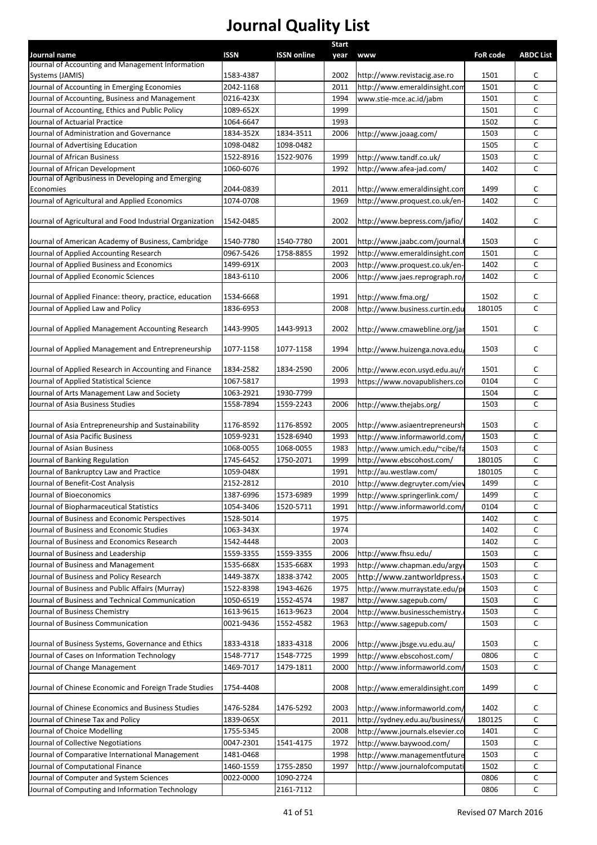|                                                                  |             |                    | <b>Start</b> |                                 |                 |                  |
|------------------------------------------------------------------|-------------|--------------------|--------------|---------------------------------|-----------------|------------------|
| Journal name<br>Journal of Accounting and Management Information | <b>ISSN</b> | <b>ISSN online</b> | year         | <b>www</b>                      | <b>FoR code</b> | <b>ABDC List</b> |
| Systems (JAMIS)                                                  | 1583-4387   |                    | 2002         | http://www.revistacig.ase.ro    | 1501            | C                |
| Journal of Accounting in Emerging Economies                      | 2042-1168   |                    | 2011         | http://www.emeraldinsight.com   | 1501            | $\mathsf{C}$     |
| Journal of Accounting, Business and Management                   | 0216-423X   |                    | 1994         | www.stie-mce.ac.id/jabm         | 1501            | c                |
| Journal of Accounting, Ethics and Public Policy                  | 1089-652X   |                    | 1999         |                                 | 1501            | C                |
| Journal of Actuarial Practice                                    | 1064-6647   |                    | 1993         |                                 | 1502            | C                |
| Journal of Administration and Governance                         | 1834-352X   | 1834-3511          | 2006         | http://www.joaag.com/           | 1503            | C                |
| Journal of Advertising Education                                 | 1098-0482   | 1098-0482          |              |                                 | 1505            | c                |
| Journal of African Business                                      | 1522-8916   | 1522-9076          | 1999         | http://www.tandf.co.uk/         | 1503            | $\mathsf{C}$     |
| Journal of African Development                                   | 1060-6076   |                    | 1992         | http://www.afea-jad.com/        | 1402            | $\mathsf{C}$     |
| Journal of Agribusiness in Developing and Emerging               |             |                    |              |                                 |                 |                  |
| Economies                                                        | 2044-0839   |                    | 2011         | http://www.emeraldinsight.com   | 1499            | C                |
| Journal of Agricultural and Applied Economics                    | 1074-0708   |                    | 1969         | http://www.proquest.co.uk/en-   | 1402            | C                |
| Journal of Agricultural and Food Industrial Organization         | 1542-0485   |                    | 2002         | http://www.bepress.com/jafio/   | 1402            | C                |
| Journal of American Academy of Business, Cambridge               | 1540-7780   | 1540-7780          | 2001         | http://www.jaabc.com/journal.l  | 1503            | C                |
| Journal of Applied Accounting Research                           | 0967-5426   | 1758-8855          | 1992         | http://www.emeraldinsight.com   | 1501            | $\mathsf C$      |
| Journal of Applied Business and Economics                        | 1499-691X   |                    | 2003         | http://www.proquest.co.uk/en-   | 1402            | C                |
| Journal of Applied Economic Sciences                             | 1843-6110   |                    | 2006         | http://www.jaes.reprograph.ro/  | 1402            | $\mathsf{C}$     |
|                                                                  |             |                    |              |                                 |                 |                  |
| Journal of Applied Finance: theory, practice, education          | 1534-6668   |                    | 1991         | http://www.fma.org/             | 1502            | C                |
| Journal of Applied Law and Policy                                | 1836-6953   |                    | 2008         | http://www.business.curtin.edu  | 180105          | C                |
|                                                                  |             |                    |              |                                 |                 |                  |
| Journal of Applied Management Accounting Research                | 1443-9905   | 1443-9913          | 2002         | http://www.cmawebline.org/jar   | 1501            | c                |
| Journal of Applied Management and Entrepreneurship               | 1077-1158   | 1077-1158          | 1994         | http://www.huizenga.nova.edu,   | 1503            | C                |
| Journal of Applied Research in Accounting and Finance            | 1834-2582   | 1834-2590          | 2006         | http://www.econ.usyd.edu.au/r   | 1501            | c                |
| Journal of Applied Statistical Science                           | 1067-5817   |                    | 1993         | https://www.novapublishers.co   | 0104            | C                |
| Journal of Arts Management Law and Society                       | 1063-2921   | 1930-7799          |              |                                 | 1504            | С                |
| Journal of Asia Business Studies                                 | 1558-7894   | 1559-2243          | 2006         | http://www.thejabs.org/         | 1503            | C                |
|                                                                  |             |                    |              |                                 |                 |                  |
| Journal of Asia Entrepreneurship and Sustainability              | 1176-8592   | 1176-8592          | 2005         | http://www.asiaentrepreneursh   | 1503            | C                |
| Journal of Asia Pacific Business                                 | 1059-9231   | 1528-6940          | 1993         | http://www.informaworld.com/    | 1503            | C                |
| Journal of Asian Business                                        | 1068-0055   | 1068-0055          | 1983         | http://www.umich.edu/~cibe/fa   | 1503            | C                |
| Journal of Banking Regulation                                    | 1745-6452   | 1750-2071          | 1999         | http://www.ebscohost.com/       | 180105          | С                |
| Journal of Bankruptcy Law and Practice                           | 1059-048X   |                    | 1991         | http://au.westlaw.com/          | 180105          | C                |
| Journal of Benefit-Cost Analysis                                 | 2152-2812   |                    | 2010         | http://www.degruyter.com/viev   | 1499            | C                |
| Journal of Bioeconomics                                          | 1387-6996   | 1573-6989          | 1999         | http://www.springerlink.com/    | 1499            | C                |
| Journal of Biopharmaceutical Statistics                          | 1054-3406   | 1520-5711          | 1991         | http://www.informaworld.com/    | 0104            | C                |
| Journal of Business and Economic Perspectives                    | 1528-5014   |                    | 1975         |                                 | 1402            | c                |
| Journal of Business and Economic Studies                         | 1063-343X   |                    | 1974         |                                 | 1402            | $\mathsf C$      |
| Journal of Business and Economics Research                       | 1542-4448   |                    | 2003         |                                 | 1402            | C                |
| Journal of Business and Leadership                               | 1559-3355   | 1559-3355          | 2006         | http://www.fhsu.edu/            | 1503            | $\mathsf{C}$     |
| Journal of Business and Management                               | 1535-668X   | 1535-668X          | 1993         | http://www.chapman.edu/argyi    | 1503            | C                |
| Journal of Business and Policy Research                          | 1449-387X   | 1838-3742          | 2005         | http://www.zantworldpress.      | 1503            | $\mathsf{C}$     |
| Journal of Business and Public Affairs (Murray)                  | 1522-8398   | 1943-4626          | 1975         | http://www.murraystate.edu/pr   | 1503            | $\mathsf{C}$     |
| Journal of Business and Technical Communication                  | 1050-6519   | 1552-4574          | 1987         | http://www.sagepub.com/         | 1503            | C                |
| Journal of Business Chemistry                                    | 1613-9615   | 1613-9623          | 2004         | http://www.businesschemistry.   | 1503            | C                |
| Journal of Business Communication                                | 0021-9436   | 1552-4582          | 1963         | http://www.sagepub.com/         | 1503            | $\mathsf{C}$     |
| Journal of Business Systems, Governance and Ethics               | 1833-4318   | 1833-4318          | 2006         | http://www.jbsge.vu.edu.au/     | 1503            | C                |
| Journal of Cases on Information Technology                       | 1548-7717   | 1548-7725          | 1999         | http://www.ebscohost.com/       | 0806            | C                |
| Journal of Change Management                                     | 1469-7017   | 1479-1811          | 2000         | http://www.informaworld.com/    | 1503            | $\mathsf{C}$     |
| Journal of Chinese Economic and Foreign Trade Studies            | 1754-4408   |                    | 2008         | http://www.emeraldinsight.com   | 1499            | C                |
|                                                                  |             |                    |              |                                 |                 |                  |
| Journal of Chinese Economics and Business Studies                | 1476-5284   | 1476-5292          | 2003         | http://www.informaworld.com/    | 1402            | C                |
| Journal of Chinese Tax and Policy                                | 1839-065X   |                    | 2011         | http://sydney.edu.au/business/  | 180125          | $\mathsf{C}$     |
| Journal of Choice Modelling                                      | 1755-5345   |                    | 2008         | http://www.journals.elsevier.co | 1401            | C                |
| Journal of Collective Negotiations                               | 0047-2301   | 1541-4175          | 1972         | http://www.baywood.com/         | 1503            | $\mathsf{C}$     |
| Journal of Comparative International Management                  | 1481-0468   |                    | 1998         | http://www.managementfuture     | 1503            | C                |
| Journal of Computational Finance                                 | 1460-1559   | 1755-2850          | 1997         | http://www.journalofcomputati   | 1502            | C                |
| Journal of Computer and System Sciences                          | 0022-0000   | 1090-2724          |              |                                 | 0806            | C                |
| Journal of Computing and Information Technology                  |             | 2161-7112          |              |                                 | 0806            | $\mathsf{C}$     |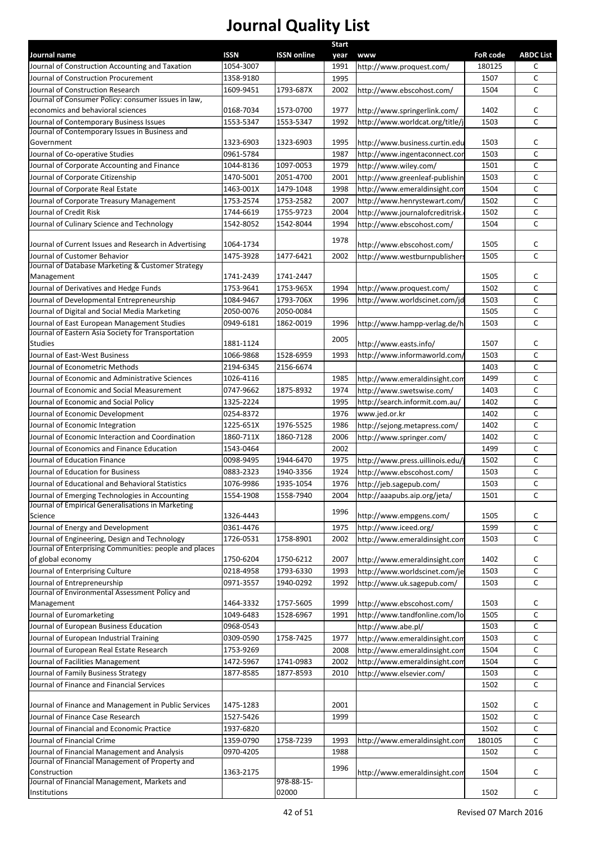|                                                                                         |                        |                    | <b>Start</b> |                                  |                 |                  |
|-----------------------------------------------------------------------------------------|------------------------|--------------------|--------------|----------------------------------|-----------------|------------------|
| Journal name                                                                            | <b>ISSN</b>            | <b>ISSN online</b> | year         | <b>WWW</b>                       | <b>FoR code</b> | <b>ABDC List</b> |
| Journal of Construction Accounting and Taxation                                         | 1054-3007              |                    | 1991         | http://www.proquest.com/         | 180125          | С                |
| Journal of Construction Procurement                                                     | 1358-9180              |                    | 1995         |                                  | 1507            | C                |
| Journal of Construction Research<br>Journal of Consumer Policy: consumer issues in law, | 1609-9451              | 1793-687X          | 2002         | http://www.ebscohost.com/        | 1504            | C                |
| economics and behavioral sciences                                                       | 0168-7034              | 1573-0700          | 1977         | http://www.springerlink.com/     | 1402            | С                |
| Journal of Contemporary Business Issues                                                 | 1553-5347              | 1553-5347          | 1992         | http://www.worldcat.org/title/j  | 1503            | C                |
| Journal of Contemporary Issues in Business and                                          |                        |                    |              |                                  |                 |                  |
| Government                                                                              | 1323-6903              | 1323-6903          | 1995         | http://www.business.curtin.edu   | 1503            | с                |
| Journal of Co-operative Studies                                                         | 0961-5784              |                    | 1987         | http://www.ingentaconnect.cor    | 1503            | C                |
| Journal of Corporate Accounting and Finance                                             | 1044-8136              | 1097-0053          | 1979         | http://www.wiley.com/            | 1501            | C                |
| Journal of Corporate Citizenship                                                        | 1470-5001              | 2051-4700          | 2001         | http://www.greenleaf-publishin   | 1503            | C                |
| Journal of Corporate Real Estate                                                        | 1463-001X              | 1479-1048          | 1998         | http://www.emeraldinsight.com    | 1504            | C                |
| Journal of Corporate Treasury Management                                                | 1753-2574              | 1753-2582          | 2007         | http://www.henrystewart.com/     | 1502            | C                |
| Journal of Credit Risk                                                                  | 1744-6619              | 1755-9723          | 2004         | http://www.journalofcreditrisk.  | 1502            | C                |
| Journal of Culinary Science and Technology                                              | 1542-8052              | 1542-8044          | 1994         | http://www.ebscohost.com/        | 1504            | C                |
|                                                                                         |                        |                    | 1978         |                                  |                 |                  |
| Journal of Current Issues and Research in Advertising                                   | 1064-1734              |                    |              | http://www.ebscohost.com/        | 1505            | С<br>C           |
| Journal of Customer Behavior<br>Journal of Database Marketing & Customer Strategy       | 1475-3928              | 1477-6421          | 2002         | http://www.westburnpublishers    | 1505            |                  |
| Management                                                                              | 1741-2439              | 1741-2447          |              |                                  | 1505            | с                |
| Journal of Derivatives and Hedge Funds                                                  | 1753-9641              | 1753-965X          | 1994         | http://www.proquest.com/         | 1502            | C                |
| Journal of Developmental Entrepreneurship                                               | 1084-9467              | 1793-706X          | 1996         | http://www.worldscinet.com/jd    | 1503            | C                |
| Journal of Digital and Social Media Marketing                                           | 2050-0076              | 2050-0084          |              |                                  | 1505            | C                |
| Journal of East European Management Studies                                             | 0949-6181              | 1862-0019          | 1996         | http://www.hampp-verlag.de/h     | 1503            | C                |
| Journal of Eastern Asia Society for Transportation                                      |                        |                    |              |                                  |                 |                  |
| <b>Studies</b>                                                                          | 1881-1124              |                    | 2005         | http://www.easts.info/           | 1507            | с                |
| Journal of East-West Business                                                           | 1066-9868              | 1528-6959          | 1993         | http://www.informaworld.com/     | 1503            | C                |
| Journal of Econometric Methods                                                          | 2194-6345              | 2156-6674          |              |                                  | 1403            | C                |
| Journal of Economic and Administrative Sciences                                         | 1026-4116              |                    | 1985         | http://www.emeraldinsight.com    | 1499            | C                |
| Journal of Economic and Social Measurement                                              | 0747-9662              | 1875-8932          | 1974         | http://www.swetswise.com/        | 1403            | C                |
| Journal of Economic and Social Policy                                                   | 1325-2224              |                    | 1995         | http://search.informit.com.au/   | 1402            | C                |
| Journal of Economic Development                                                         | 0254-8372              |                    | 1976         | www.jed.or.kr                    | 1402            | C                |
| Journal of Economic Integration                                                         | 1225-651X              | 1976-5525          | 1986         | http://sejong.metapress.com/     | 1402            | C                |
| Journal of Economic Interaction and Coordination                                        | 1860-711X              | 1860-7128          | 2006         | http://www.springer.com/         | 1402            | C                |
| Journal of Economics and Finance Education                                              | 1543-0464              |                    | 2002         |                                  | 1499            | C                |
| Journal of Education Finance                                                            | 0098-9495              | 1944-6470          | 1975         | http://www.press.uillinois.edu/j | 1502            | C                |
| Journal of Education for Business                                                       | 0883-2323              | 1940-3356          | 1924         | http://www.ebscohost.com/        | 1503            | С                |
| Journal of Educational and Behavioral Statistics                                        | 1076-9986              | 1935-1054          | 1976         | http://jeb.sagepub.com/          | 1503            | C                |
| Journal of Emerging Technologies in Accounting                                          | 1554-1908              | 1558-7940          | 2004         | http://aaapubs.aip.org/jeta/     | 1501            | с                |
| Journal of Empirical Generalisations in Marketing<br>Science                            | 1326-4443              |                    | 1996         | http://www.empgens.com/          | 1505            | с                |
| Journal of Energy and Development                                                       | 0361-4476              |                    | 1975         | http://www.iceed.org/            | 1599            | С                |
| Journal of Engineering, Design and Technology                                           | 1726-0531              | 1758-8901          | 2002         | http://www.emeraldinsight.com    | 1503            | C                |
| Journal of Enterprising Communities: people and places                                  |                        |                    |              |                                  |                 |                  |
| of global economy                                                                       | 1750-6204              | 1750-6212          | 2007         | http://www.emeraldinsight.com    | 1402            | с                |
| Journal of Enterprising Culture                                                         | 0218-4958              | 1793-6330          | 1993         | http://www.worldscinet.com/je    | 1503            | C                |
| Journal of Entrepreneurship                                                             | 0971-3557              | 1940-0292          | 1992         | http://www.uk.sagepub.com/       | 1503            | C                |
| Journal of Environmental Assessment Policy and                                          |                        |                    |              |                                  |                 |                  |
| Management                                                                              | 1464-3332              | 1757-5605          | 1999         | http://www.ebscohost.com/        | 1503            | с                |
| Journal of Euromarketing                                                                | 1049-6483              | 1528-6967          | 1991         | http://www.tandfonline.com/lo    | 1505            | С                |
| Journal of European Business Education                                                  | 0968-0543              |                    |              | http://www.abe.pl/               | 1503            | C                |
| Journal of European Industrial Training                                                 | 0309-0590              | 1758-7425          | 1977         | http://www.emeraldinsight.com    | 1503            | с                |
| Journal of European Real Estate Research                                                | 1753-9269              |                    | 2008         | http://www.emeraldinsight.com    | 1504            | C                |
| Journal of Facilities Management                                                        | 1472-5967              | 1741-0983          | 2002         | http://www.emeraldinsight.com    | 1504            | C                |
| Journal of Family Business Strategy                                                     | 1877-8585              | 1877-8593          | 2010         | http://www.elsevier.com/         | 1503            | C                |
| Journal of Finance and Financial Services                                               |                        |                    |              |                                  | 1502            | C                |
| Journal of Finance and Management in Public Services                                    |                        |                    | 2001         |                                  |                 | с                |
| Journal of Finance Case Research                                                        | 1475-1283<br>1527-5426 |                    | 1999         |                                  | 1502<br>1502    | C                |
| Journal of Financial and Economic Practice                                              | 1937-6820              |                    |              |                                  | 1502            | C                |
| Journal of Financial Crime                                                              | 1359-0790              | 1758-7239          |              |                                  |                 | С                |
| Journal of Financial Management and Analysis                                            | 0970-4205              |                    | 1993<br>1988 | http://www.emeraldinsight.com    | 180105<br>1502  | $\mathsf C$      |
| Journal of Financial Management of Property and                                         |                        |                    |              |                                  |                 |                  |
| Construction                                                                            | 1363-2175              |                    | 1996         | http://www.emeraldinsight.com    | 1504            | с                |
| Journal of Financial Management, Markets and                                            |                        | 978-88-15-         |              |                                  |                 |                  |
| Institutions                                                                            |                        | 02000              |              |                                  | 1502            | C                |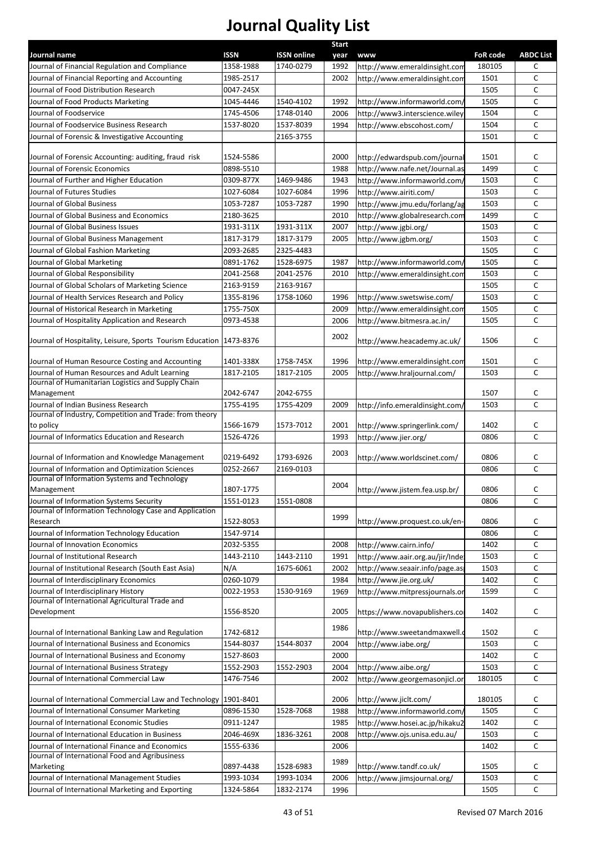| Journal name                                                        | <b>ISSN</b> | <b>ISSN online</b> | Start        |                                      | <b>FoR code</b> | <b>ABDC List</b> |
|---------------------------------------------------------------------|-------------|--------------------|--------------|--------------------------------------|-----------------|------------------|
| Journal of Financial Regulation and Compliance                      | 1358-1988   | 1740-0279          | year<br>1992 | www<br>http://www.emeraldinsight.com | 180105          | С                |
| Journal of Financial Reporting and Accounting                       | 1985-2517   |                    | 2002         | http://www.emeraldinsight.com        | 1501            | C                |
| Journal of Food Distribution Research                               | 0047-245X   |                    |              |                                      | 1505            | C                |
| Journal of Food Products Marketing                                  | 1045-4446   | 1540-4102          | 1992         | http://www.informaworld.com/         | 1505            | C                |
| Journal of Foodservice                                              | 1745-4506   | 1748-0140          | 2006         | http://www3.interscience.wiley       | 1504            | C                |
| Journal of Foodservice Business Research                            | 1537-8020   | 1537-8039          | 1994         | http://www.ebscohost.com/            | 1504            | C                |
| Journal of Forensic & Investigative Accounting                      |             | 2165-3755          |              |                                      | 1501            | C                |
|                                                                     |             |                    |              |                                      |                 |                  |
| Journal of Forensic Accounting: auditing, fraud risk                | 1524-5586   |                    | 2000         | http://edwardspub.com/journal        | 1501            | с                |
| Journal of Forensic Economics                                       | 0898-5510   |                    | 1988         | http://www.nafe.net/Journal.as       | 1499            | C                |
| Journal of Further and Higher Education                             | 0309-877X   | 1469-9486          | 1943         | http://www.informaworld.com/         | 1503            | C                |
| Journal of Futures Studies                                          | 1027-6084   | 1027-6084          | 1996         | http://www.airiti.com/               | 1503            | C                |
| Journal of Global Business                                          | 1053-7287   | 1053-7287          | 1990         | http://www.jmu.edu/forlang/ag        | 1503            | C                |
| Journal of Global Business and Economics                            | 2180-3625   |                    | 2010         | http://www.globalresearch.com        | 1499            | C                |
| Journal of Global Business Issues                                   | 1931-311X   | 1931-311X          | 2007         | http://www.jgbi.org/                 | 1503            | C                |
| Journal of Global Business Management                               | 1817-3179   | 1817-3179          | 2005         | http://www.jgbm.org/                 | 1503            | C                |
| Journal of Global Fashion Marketing                                 | 2093-2685   | 2325-4483          |              |                                      | 1505            | C                |
| Journal of Global Marketing                                         | 0891-1762   | 1528-6975          | 1987         | http://www.informaworld.com/         | 1505            | C                |
| Journal of Global Responsibility                                    | 2041-2568   | 2041-2576          | 2010         | http://www.emeraldinsight.com        | 1503            | C                |
| Journal of Global Scholars of Marketing Science                     | 2163-9159   | 2163-9167          |              |                                      | 1505            | C                |
| Journal of Health Services Research and Policy                      | 1355-8196   | 1758-1060          | 1996         | http://www.swetswise.com/            | 1503            | C                |
| Journal of Historical Research in Marketing                         | 1755-750X   |                    | 2009         | http://www.emeraldinsight.com        | 1505            | C                |
| Journal of Hospitality Application and Research                     | 0973-4538   |                    | 2006         | http://www.bitmesra.ac.in/           | 1505            | C                |
|                                                                     |             |                    | 2002         |                                      |                 |                  |
| Journal of Hospitality, Leisure, Sports Tourism Education 1473-8376 |             |                    |              | http://www.heacademy.ac.uk/          | 1506            | c                |
| Journal of Human Resource Costing and Accounting                    | 1401-338X   | 1758-745X          | 1996         | http://www.emeraldinsight.com        | 1501            | с                |
| Journal of Human Resources and Adult Learning                       | 1817-2105   | 1817-2105          | 2005         | http://www.hraljournal.com/          | 1503            | $\mathsf{C}$     |
| Journal of Humanitarian Logistics and Supply Chain                  |             |                    |              |                                      |                 |                  |
| Management                                                          | 2042-6747   | 2042-6755          |              |                                      | 1507            | c                |
| Journal of Indian Business Research                                 | 1755-4195   | 1755-4209          | 2009         | http://info.emeraldinsight.com/      | 1503            | $\mathsf{C}$     |
| Journal of Industry, Competition and Trade: from theory             |             |                    |              |                                      |                 |                  |
| to policy                                                           | 1566-1679   | 1573-7012          | 2001         | http://www.springerlink.com/         | 1402            | с                |
| Journal of Informatics Education and Research                       | 1526-4726   |                    | 1993         | http://www.jier.org/                 | 0806            | C                |
|                                                                     |             |                    | 2003         |                                      |                 |                  |
| Journal of Information and Knowledge Management                     | 0219-6492   | 1793-6926          |              | http://www.worldscinet.com/          | 0806            | С                |
| Journal of Information and Optimization Sciences                    | 0252-2667   | 2169-0103          |              |                                      | 0806            | $\mathsf{C}$     |
| Journal of Information Systems and Technology                       | 1807-1775   |                    | 2004         |                                      | 0806            | C                |
| Management<br>Journal of Information Systems Security               | 1551-0123   | 1551-0808          |              | http://www.jistem.fea.usp.br/        | 0806            | $\mathsf{C}$     |
| Journal of Information Technology Case and Application              |             |                    |              |                                      |                 |                  |
| Research                                                            | 1522-8053   |                    | 1999         | http://www.proquest.co.uk/en-        | 0806            | с                |
| Journal of Information Technology Education                         | 1547-9714   |                    |              |                                      | 0806            | C                |
| Journal of Innovation Economics                                     | 2032-5355   |                    | 2008         | http://www.cairn.info/               | 1402            | C                |
| Journal of Institutional Research                                   | 1443-2110   | 1443-2110          | 1991         | http://www.aair.org.au/jir/Inder     | 1503            | C                |
| Journal of Institutional Research (South East Asia)                 | N/A         | 1675-6061          | 2002         | http://www.seaair.info/page.as       | 1503            | C                |
| Journal of Interdisciplinary Economics                              | 0260-1079   |                    | 1984         | http://www.jie.org.uk/               | 1402            | C                |
| Journal of Interdisciplinary History                                | 0022-1953   | 1530-9169          | 1969         | http://www.mitpressjournals.or       | 1599            | C                |
| Journal of International Agricultural Trade and                     |             |                    |              |                                      |                 |                  |
| Development                                                         | 1556-8520   |                    | 2005         | https://www.novapublishers.co        | 1402            | с                |
|                                                                     |             |                    | 1986         |                                      |                 |                  |
| Journal of International Banking Law and Regulation                 | 1742-6812   |                    |              | http://www.sweetandmaxwell.c         | 1502            | С                |
| Journal of International Business and Economics                     | 1544-8037   | 1544-8037          | 2004         | http://www.iabe.org/                 | 1503            | С                |
| Journal of International Business and Economy                       | 1527-8603   |                    | 2000         |                                      | 1402            | С                |
| Journal of International Business Strategy                          | 1552-2903   | 1552-2903          | 2004         | http://www.aibe.org/                 | 1503            | C                |
| Journal of International Commercial Law                             | 1476-7546   |                    | 2002         | http://www.georgemasonjicl.or        | 180105          | C                |
| Journal of International Commercial Law and Technology              | 1901-8401   |                    | 2006         | http://www.jiclt.com/                | 180105          | с                |
| Journal of International Consumer Marketing                         | 0896-1530   | 1528-7068          | 1988         | http://www.informaworld.com/         | 1505            | С                |
| Journal of International Economic Studies                           | 0911-1247   |                    | 1985         | http://www.hosei.ac.jp/hikaku2       | 1402            | C                |
| Journal of International Education in Business                      | 2046-469X   | 1836-3261          | 2008         | http://www.ojs.unisa.edu.au/         | 1503            | С                |
| Journal of International Finance and Economics                      | 1555-6336   |                    | 2006         |                                      | 1402            | C                |
| Journal of International Food and Agribusiness<br>Marketing         | 0897-4438   | 1528-6983          | 1989         | http://www.tandf.co.uk/              | 1505            | c                |
| Journal of International Management Studies                         | 1993-1034   | 1993-1034          | 2006         | http://www.jimsjournal.org/          | 1503            | C                |
| Journal of International Marketing and Exporting                    | 1324-5864   | 1832-2174          | 1996         |                                      | 1505            | C                |
|                                                                     |             |                    |              |                                      |                 |                  |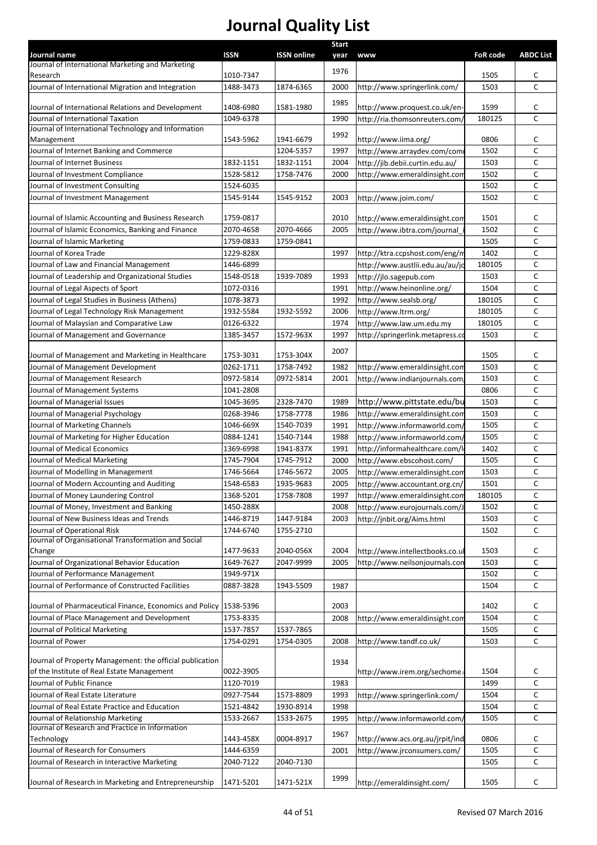|                                                                                                        |                        |                    | <b>Start</b> |                                  |                 |                   |
|--------------------------------------------------------------------------------------------------------|------------------------|--------------------|--------------|----------------------------------|-----------------|-------------------|
| Journal name<br>Journal of International Marketing and Marketing                                       | <b>ISSN</b>            | <b>ISSN online</b> | year         | <b>www</b>                       | <b>FoR code</b> | <b>ABDC List</b>  |
| Research                                                                                               | 1010-7347              |                    | 1976         |                                  | 1505            | c                 |
| Journal of International Migration and Integration                                                     | 1488-3473              | 1874-6365          | 2000         | http://www.springerlink.com/     | 1503            | $\mathsf{C}$      |
|                                                                                                        |                        |                    |              |                                  |                 |                   |
| Journal of International Relations and Development                                                     | 1408-6980              | 1581-1980          | 1985         | http://www.proquest.co.uk/en-    | 1599            | С                 |
| Journal of International Taxation                                                                      | 1049-6378              |                    | 1990         | http://ria.thomsonreuters.com/   | 180125          | C                 |
| Journal of International Technology and Information                                                    |                        |                    | 1992         |                                  |                 |                   |
| Management                                                                                             | 1543-5962              | 1941-6679          |              | http://www.iima.org/             | 0806            | С                 |
| Journal of Internet Banking and Commerce                                                               |                        | 1204-5357          | 1997         | http://www.arraydev.com/com      | 1502            | С                 |
| <b>Journal of Internet Business</b>                                                                    | 1832-1151              | 1832-1151          | 2004         | http://jib.debii.curtin.edu.au/  | 1503            | C                 |
| Journal of Investment Compliance                                                                       | 1528-5812              | 1758-7476          | 2000         | http://www.emeraldinsight.com    | 1502            | C                 |
| Journal of Investment Consulting                                                                       | 1524-6035              |                    |              |                                  | 1502<br>1502    | C<br>C            |
| Journal of Investment Management                                                                       | 1545-9144              | 1545-9152          | 2003         | http://www.joim.com/             |                 |                   |
| Journal of Islamic Accounting and Business Research                                                    | 1759-0817              |                    | 2010         | http://www.emeraldinsight.com    | 1501            | с                 |
| Journal of Islamic Economics, Banking and Finance                                                      | 2070-4658              | 2070-4666          | 2005         | http://www.ibtra.com/journal     | 1502            | С                 |
| Journal of Islamic Marketing                                                                           | 1759-0833              | 1759-0841          |              |                                  | 1505            | С                 |
| Journal of Korea Trade                                                                                 | 1229-828X              |                    | 1997         | http://ktra.ccpshost.com/eng/m   | 1402            | С                 |
| Journal of Law and Financial Management                                                                | 1446-6899              |                    |              | http://www.austlii.edu.au/au/jc  | 180105          | C                 |
| Journal of Leadership and Organizational Studies                                                       | 1548-0518              | 1939-7089          | 1993         | http://jlo.sagepub.com           | 1503            | C                 |
| Journal of Legal Aspects of Sport                                                                      | 1072-0316              |                    | 1991         | http://www.heinonline.org/       | 1504            | C                 |
| Journal of Legal Studies in Business (Athens)                                                          | 1078-3873              |                    | 1992         | http://www.sealsb.org/           | 180105          | C                 |
| Journal of Legal Technology Risk Management                                                            | 1932-5584              | 1932-5592          | 2006         | http://www.ltrm.org/             | 180105          | C                 |
| Journal of Malaysian and Comparative Law                                                               | 0126-6322              |                    | 1974         | http://www.law.um.edu.my         | 180105          | $\mathsf{C}$      |
| Journal of Management and Governance                                                                   | 1385-3457              | 1572-963X          | 1997         | http://springerlink.metapress.co | 1503            | C                 |
|                                                                                                        |                        |                    | 2007         |                                  |                 |                   |
| Journal of Management and Marketing in Healthcare                                                      | 1753-3031              | 1753-304X          |              |                                  | 1505            | c                 |
| Journal of Management Development                                                                      | 0262-1711              | 1758-7492          | 1982         | http://www.emeraldinsight.com    | 1503            | C                 |
| Journal of Management Research                                                                         | 0972-5814              | 0972-5814          | 2001         | http://www.indianjournals.com    | 1503            | C                 |
| Journal of Management Systems                                                                          | 1041-2808              |                    |              |                                  | 0806            | C                 |
| Journal of Managerial Issues                                                                           | 1045-3695              | 2328-7470          | 1989         | http://www.pittstate.edu/bu      | 1503            | C                 |
| Journal of Managerial Psychology                                                                       | 0268-3946              | 1758-7778          | 1986         | http://www.emeraldinsight.com    | 1503            | $\mathsf{C}$      |
| Journal of Marketing Channels                                                                          | 1046-669X              | 1540-7039          | 1991         | http://www.informaworld.com/     | 1505            | C                 |
| Journal of Marketing for Higher Education                                                              | 0884-1241              | 1540-7144          | 1988         | http://www.informaworld.com/     | 1505            | C                 |
| Journal of Medical Economics                                                                           | 1369-6998              | 1941-837X          | 1991         | http://informahealthcare.com/l   | 1402            | C                 |
| Journal of Medical Marketing                                                                           | 1745-7904              | 1745-7912          | 2000         | http://www.ebscohost.com/        | 1505            | C                 |
| Journal of Modelling in Management                                                                     | 1746-5664              | 1746-5672          | 2005         | http://www.emeraldinsight.com    | 1503            | С                 |
| Journal of Modern Accounting and Auditing                                                              | 1548-6583              | 1935-9683          | 2005         | http://www.accountant.org.cn/    | 1501            | C                 |
| Journal of Money Laundering Control                                                                    | 1368-5201              | 1758-7808          | 1997         | http://www.emeraldinsight.com    | 180105          | C                 |
| Journal of Money, Investment and Banking                                                               | 1450-288X              |                    | 2008         | http://www.eurojournals.com/J    | 1502            | C                 |
| Journal of New Business Ideas and Trends                                                               | 1446-8719              | 1447-9184          | 2003         | http://jnbit.org/Aims.html       | 1503            | C                 |
| Journal of Operational Risk<br>Journal of Organisational Transformation and Social                     | 1744-6740              | 1755-2710          |              |                                  | 1502            | C                 |
| Change                                                                                                 | 1477-9633              | 2040-056X          | 2004         | http://www.intellectbooks.co.ul  | 1503            | C                 |
| Journal of Organizational Behavior Education                                                           | 1649-7627              | 2047-9999          | 2005         | http://www.neilsonjournals.con   | 1503            | $\mathsf{C}$      |
| Journal of Performance Management                                                                      | 1949-971X              |                    |              |                                  | 1502            | C                 |
| Journal of Performance of Constructed Facilities                                                       | 0887-3828              | 1943-5509          | 1987         |                                  | 1504            | $\mathsf{C}$      |
|                                                                                                        |                        |                    |              |                                  |                 |                   |
| Journal of Pharmaceutical Finance, Economics and Policy   1538-5396                                    |                        |                    | 2003         |                                  | 1402            | C                 |
| Journal of Place Management and Development                                                            | 1753-8335              |                    | 2008         | http://www.emeraldinsight.com    | 1504            | $\mathsf{C}$      |
| Journal of Political Marketing                                                                         | 1537-7857              | 1537-7865          |              |                                  | 1505            | $\mathsf{C}$      |
| Journal of Power                                                                                       | 1754-0291              | 1754-0305          | 2008         | http://www.tandf.co.uk/          | 1503            | $\mathsf{C}$      |
|                                                                                                        |                        |                    |              |                                  |                 |                   |
| Journal of Property Management: the official publication<br>of the Institute of Real Estate Management |                        |                    | 1934         |                                  |                 |                   |
|                                                                                                        | 0022-3905              |                    | 1983         | http://www.irem.org/sechome.     | 1504            | C<br>$\mathsf{C}$ |
| Journal of Public Finance<br>Journal of Real Estate Literature                                         | 1120-7019<br>0927-7544 | 1573-8809          |              |                                  | 1499<br>1504    | $\mathsf{C}$      |
| Journal of Real Estate Practice and Education                                                          | 1521-4842              | 1930-8914          | 1993<br>1998 | http://www.springerlink.com/     | 1504            | C                 |
| Journal of Relationship Marketing                                                                      | 1533-2667              | 1533-2675          | 1995         | http://www.informaworld.com/     | 1505            | $\mathsf{C}$      |
| Journal of Research and Practice in Information                                                        |                        |                    |              |                                  |                 |                   |
| Technology                                                                                             | 1443-458X              | 0004-8917          | 1967         | http://www.acs.org.au/jrpit/ind  | 0806            | c                 |
| Journal of Research for Consumers                                                                      | 1444-6359              |                    | 2001         | http://www.jrconsumers.com/      | 1505            | $\mathsf{C}$      |
| Journal of Research in Interactive Marketing                                                           | 2040-7122              | 2040-7130          |              |                                  | 1505            | $\mathsf{C}$      |
|                                                                                                        |                        |                    |              |                                  |                 |                   |
| Journal of Research in Marketing and Entrepreneurship                                                  | 1471-5201              | 1471-521X          | 1999         | http://emeraldinsight.com/       | 1505            | C                 |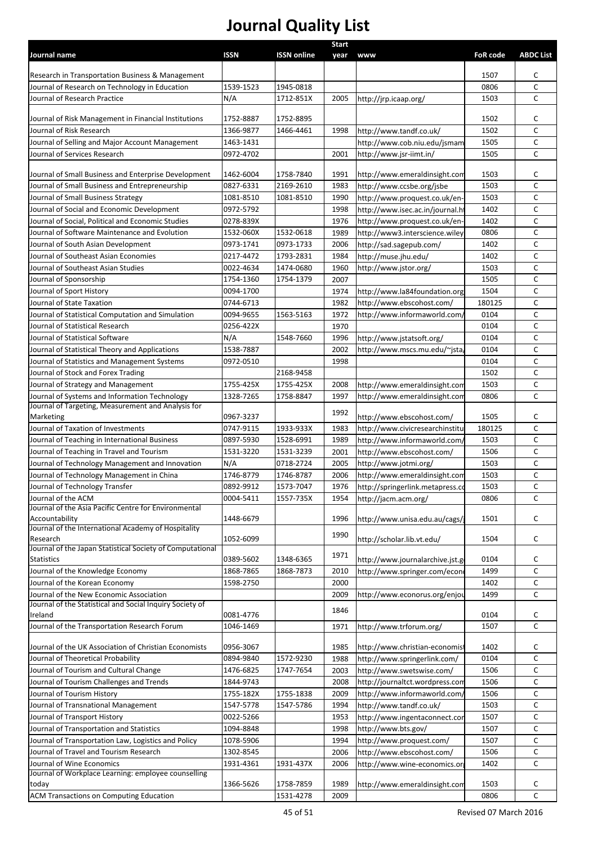| Journal name                                                                         | <b>ISSN</b>            | <b>ISSN online</b>     | Start<br>year | <b>www</b>                                                | <b>FoR code</b> | <b>ABDC List</b> |
|--------------------------------------------------------------------------------------|------------------------|------------------------|---------------|-----------------------------------------------------------|-----------------|------------------|
|                                                                                      |                        |                        |               |                                                           |                 |                  |
| Research in Transportation Business & Management                                     |                        |                        |               |                                                           | 1507            | с                |
| Journal of Research on Technology in Education                                       | 1539-1523              | 1945-0818              |               |                                                           | 0806            | C                |
| Journal of Research Practice                                                         | N/A                    | 1712-851X              | 2005          | http://jrp.icaap.org/                                     | 1503            | C                |
|                                                                                      |                        |                        |               |                                                           |                 | C                |
| Journal of Risk Management in Financial Institutions<br>Journal of Risk Research     | 1752-8887<br>1366-9877 | 1752-8895<br>1466-4461 | 1998          | http://www.tandf.co.uk/                                   | 1502<br>1502    | C                |
| Journal of Selling and Major Account Management                                      | 1463-1431              |                        |               | http://www.cob.niu.edu/jsmam                              | 1505            | C                |
| Journal of Services Research                                                         | 0972-4702              |                        | 2001          | http://www.jsr-iimt.in/                                   | 1505            | C                |
|                                                                                      |                        |                        |               |                                                           |                 |                  |
| Journal of Small Business and Enterprise Development                                 | 1462-6004              | 1758-7840              | 1991          | http://www.emeraldinsight.com                             | 1503            | с                |
| Journal of Small Business and Entrepreneurship                                       | 0827-6331              | 2169-2610              | 1983          | http://www.ccsbe.org/jsbe                                 | 1503            | C                |
| Journal of Small Business Strategy                                                   | 1081-8510              | 1081-8510              | 1990          | http://www.proquest.co.uk/en-                             | 1503            | C                |
| Journal of Social and Economic Development                                           | 0972-5792              |                        | 1998          | http://www.isec.ac.in/journal.h                           | 1402            | C                |
| Journal of Social, Political and Economic Studies                                    | 0278-839X              |                        | 1976          | http://www.proquest.co.uk/en-                             | 1402            | C                |
| Journal of Software Maintenance and Evolution                                        | 1532-060X              | 1532-0618              | 1989          | http://www3.interscience.wiley                            | 0806            | C                |
| Journal of South Asian Development                                                   | 0973-1741              | 0973-1733              | 2006          | http://sad.sagepub.com/                                   | 1402            | C                |
| Journal of Southeast Asian Economies                                                 | 0217-4472              | 1793-2831              | 1984          | http://muse.jhu.edu/                                      | 1402            | C                |
| Journal of Southeast Asian Studies                                                   | 0022-4634              | 1474-0680              | 1960          | http://www.jstor.org/                                     | 1503            | C                |
| Journal of Sponsorship                                                               | 1754-1360              | 1754-1379              | 2007          |                                                           | 1505            | C                |
| Journal of Sport History                                                             | 0094-1700              |                        | 1974          | http://www.la84foundation.org                             | 1504            | C                |
| Journal of State Taxation                                                            | 0744-6713              |                        | 1982          | http://www.ebscohost.com/                                 | 180125          | C                |
| Journal of Statistical Computation and Simulation<br>Journal of Statistical Research | 0094-9655<br>0256-422X | 1563-5163              | 1972          | http://www.informaworld.com/                              | 0104<br>0104    | C<br>C           |
| Journal of Statistical Software                                                      | N/A                    | 1548-7660              | 1970          |                                                           | 0104            | c                |
| Journal of Statistical Theory and Applications                                       | 1538-7887              |                        | 1996<br>2002  | http://www.jstatsoft.org/<br>http://www.mscs.mu.edu/~jsta | 0104            | C                |
| Journal of Statistics and Management Systems                                         | 0972-0510              |                        | 1998          |                                                           | 0104            | c                |
| Journal of Stock and Forex Trading                                                   |                        | 2168-9458              |               |                                                           | 1502            | C                |
| Journal of Strategy and Management                                                   | 1755-425X              | 1755-425X              | 2008          | http://www.emeraldinsight.com                             | 1503            | C                |
| Journal of Systems and Information Technology                                        | 1328-7265              | 1758-8847              | 1997          | http://www.emeraldinsight.com                             | 0806            | C                |
| Journal of Targeting, Measurement and Analysis for                                   |                        |                        |               |                                                           |                 |                  |
| Marketing                                                                            | 0967-3237              |                        | 1992          | http://www.ebscohost.com/                                 | 1505            | c                |
| Journal of Taxation of Investments                                                   | 0747-9115              | 1933-933X              | 1983          | http://www.civicresearchinstitu                           | 180125          | C                |
| Journal of Teaching in International Business                                        | 0897-5930              | 1528-6991              | 1989          | http://www.informaworld.com/                              | 1503            | C                |
| Journal of Teaching in Travel and Tourism                                            | 1531-3220              | 1531-3239              | 2001          | http://www.ebscohost.com/                                 | 1506            | c                |
| Journal of Technology Management and Innovation                                      | N/A                    | 0718-2724              | 2005          | http://www.jotmi.org/                                     | 1503            | C                |
| Journal of Technology Management in China                                            | 1746-8779              | 1746-8787              | 2006          | http://www.emeraldinsight.com                             | 1503            | С                |
| Journal of Technology Transfer                                                       | 0892-9912              | 1573-7047              | 1976          | http://springerlink.metapress.co                          | 1503            | C                |
| Journal of the ACM<br>Journal of the Asia Pacific Centre for Environmental           | 0004-5411              | 1557-735X              | 1954          | http://jacm.acm.org/                                      | 0806            | C                |
| Accountability                                                                       | 1448-6679              |                        | 1996          | http://www.unisa.edu.au/cags/                             | 1501            | C                |
| Journal of the International Academy of Hospitality                                  |                        |                        |               |                                                           |                 |                  |
| Research                                                                             | 1052-6099              |                        | 1990          | http://scholar.lib.vt.edu/                                | 1504            | c                |
| Journal of the Japan Statistical Society of Computational                            |                        |                        | 1971          |                                                           |                 |                  |
| <b>Statistics</b>                                                                    | 0389-5602              | 1348-6365              |               | http://www.journalarchive.jst.g                           | 0104            | c                |
| Journal of the Knowledge Economy<br>Journal of the Korean Economy                    | 1868-7865<br>1598-2750 | 1868-7873              | 2010          | http://www.springer.com/econ                              | 1499<br>1402    | с                |
| Journal of the New Economic Association                                              |                        |                        | 2000<br>2009  | http://www.econorus.org/enjou                             | 1499            | С<br>C           |
| Journal of the Statistical and Social Inquiry Society of                             |                        |                        |               |                                                           |                 |                  |
| Ireland                                                                              | 0081-4776              |                        | 1846          |                                                           | 0104            | c                |
| Journal of the Transportation Research Forum                                         | 1046-1469              |                        | 1971          | http://www.trforum.org/                                   | 1507            | C                |
|                                                                                      |                        |                        |               |                                                           |                 |                  |
| Journal of the UK Association of Christian Economists                                | 0956-3067              |                        | 1985          | http://www.christian-economist                            | 1402            | c                |
| Journal of Theoretical Probability                                                   | 0894-9840              | 1572-9230              | 1988          | http://www.springerlink.com/                              | 0104            | C                |
| Journal of Tourism and Cultural Change                                               | 1476-6825              | 1747-7654              | 2003          | http://www.swetswise.com/                                 | 1506            | С                |
| Journal of Tourism Challenges and Trends                                             | 1844-9743              |                        | 2008          | http://journaltct.wordpress.com                           | 1506            | С                |
| Journal of Tourism History                                                           | 1755-182X<br>1547-5778 | 1755-1838              | 2009          | http://www.informaworld.com/                              | 1506<br>1503    | C                |
| Journal of Transnational Management<br>Journal of Transport History                  | 0022-5266              | 1547-5786              | 1994<br>1953  | http://www.tandf.co.uk/<br>http://www.ingentaconnect.con  | 1507            | С<br>С           |
| Journal of Transportation and Statistics                                             | 1094-8848              |                        | 1998          | http://www.bts.gov/                                       | 1507            | С                |
| Journal of Transportation Law, Logistics and Policy                                  | 1078-5906              |                        | 1994          | http://www.proquest.com/                                  | 1507            | с                |
| Journal of Travel and Tourism Research                                               | 1302-8545              |                        | 2006          | http://www.ebscohost.com/                                 | 1506            | С                |
| Journal of Wine Economics                                                            | 1931-4361              | 1931-437X              | 2006          | http://www.wine-economics.or                              | 1402            | c                |
| Journal of Workplace Learning: employee counselling                                  |                        |                        |               |                                                           |                 |                  |
| today                                                                                | 1366-5626              | 1758-7859              | 1989          | http://www.emeraldinsight.com                             | 1503            | c                |
| ACM Transactions on Computing Education                                              |                        | 1531-4278              | 2009          |                                                           | 0806            | C                |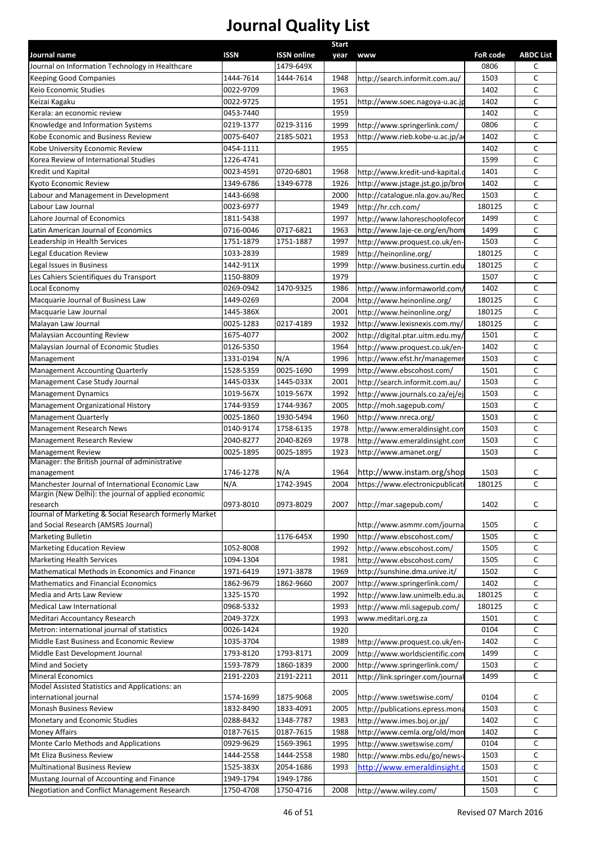|                                                        |             |                    | <b>Start</b> |                                  |                 |                  |
|--------------------------------------------------------|-------------|--------------------|--------------|----------------------------------|-----------------|------------------|
| Journal name                                           | <b>ISSN</b> | <b>ISSN online</b> | year         | www                              | <b>FoR code</b> | <b>ABDC List</b> |
| Journal on Information Technology in Healthcare        |             | 1479-649X          |              |                                  | 0806            | с                |
| <b>Keeping Good Companies</b>                          | 1444-7614   | 1444-7614          | 1948         | http://search.informit.com.au/   | 1503            | с                |
| Keio Economic Studies                                  | 0022-9709   |                    | 1963         |                                  | 1402            | C                |
| Keizai Kagaku                                          | 0022-9725   |                    | 1951         | http://www.soec.nagoya-u.ac.jp   | 1402            | c                |
| Kerala: an economic review                             | 0453-7440   |                    | 1959         |                                  | 1402            | C                |
| Knowledge and Information Systems                      | 0219-1377   | 0219-3116          | 1999         | http://www.springerlink.com/     | 0806            | C                |
| Kobe Economic and Business Review                      | 0075-6407   | 2185-5021          | 1953         | http://www.rieb.kobe-u.ac.jp/a   | 1402            | C                |
| Kobe University Economic Review                        | 0454-1111   |                    | 1955         |                                  | 1402            | с                |
| Korea Review of International Studies                  | 1226-4741   |                    |              |                                  | 1599            | C                |
| Kredit und Kapital                                     | 0023-4591   | 0720-6801          | 1968         | http://www.kredit-und-kapital.c  | 1401            | C                |
| Kyoto Economic Review                                  | 1349-6786   | 1349-6778          | 1926         | http://www.jstage.jst.go.jp/bro  | 1402            | C                |
| Labour and Management in Development                   | 1443-6698   |                    | 2000         | http://catalogue.nla.gov.au/Rec  | 1503            | с                |
| Labour Law Journal                                     | 0023-6977   |                    | 1949         | http://hr.cch.com/               | 180125          | c                |
| Lahore Journal of Economics                            | 1811-5438   |                    | 1997         | http://www.lahoreschoolofecor    | 1499            | c                |
| Latin American Journal of Economics                    | 0716-0046   | 0717-6821          | 1963         | http://www.laje-ce.org/en/hom    | 1499            | C                |
| Leadership in Health Services                          | 1751-1879   | 1751-1887          | 1997         | http://www.proquest.co.uk/en-    | 1503            | C                |
| egal Education Review                                  | 1033-2839   |                    | 1989         | http://heinonline.org/           | 180125          | с                |
| Legal Issues in Business                               | 1442-911X   |                    | 1999         | http://www.business.curtin.edu   | 180125          | с                |
| Les Cahiers Scientifiques du Transport                 | 1150-8809   |                    | 1979         |                                  | 1507            | c                |
| Local Economy                                          | 0269-0942   | 1470-9325          | 1986         | http://www.informaworld.com/     | 1402            | C                |
| Macquarie Journal of Business Law                      | 1449-0269   |                    | 2004         | http://www.heinonline.org/       | 180125          | C                |
|                                                        |             |                    |              |                                  |                 | C                |
| Macquarie Law Journal                                  | 1445-386X   |                    | 2001         | http://www.heinonline.org/       | 180125          |                  |
| Malayan Law Journal                                    | 0025-1283   | 0217-4189          | 1932         | http://www.lexisnexis.com.my/    | 180125          | C                |
| <b>Malaysian Accounting Review</b>                     | 1675-4077   |                    | 2002         | http://digital.ptar.uitm.edu.my/ | 1501            | C                |
| Malaysian Journal of Economic Studies                  | 0126-5350   |                    | 1964         | http://www.proquest.co.uk/en-    | 1402            | с                |
| Management                                             | 1331-0194   | N/A                | 1996         | http://www.efst.hr/managemer     | 1503            | C                |
| <b>Management Accounting Quarterly</b>                 | 1528-5359   | 0025-1690          | 1999         | http://www.ebscohost.com/        | 1501            | C                |
| Management Case Study Journal                          | 1445-033X   | 1445-033X          | 2001         | http://search.informit.com.au/   | 1503            | C                |
| <b>Management Dynamics</b>                             | 1019-567X   | 1019-567X          | 1992         | http://www.journals.co.za/ej/ej  | 1503            | c                |
| Management Organizational History                      | 1744-9359   | 1744-9367          | 2005         | http://moh.sagepub.com/          | 1503            | C                |
| Management Quarterly                                   | 0025-1860   | 1930-5494          | 1960         | http://www.nreca.org/            | 1503            | c                |
| <b>Management Research News</b>                        | 0140-9174   | 1758-6135          | 1978         | http://www.emeraldinsight.com    | 1503            | C                |
| Management Research Review                             | 2040-8277   | 2040-8269          | 1978         | http://www.emeraldinsight.com    | 1503            | С                |
| <b>Management Review</b>                               | 0025-1895   | 0025-1895          | 1923         | http://www.amanet.org/           | 1503            | С                |
| Manager: the British journal of administrative         |             |                    |              |                                  |                 |                  |
| management                                             | 1746-1278   | N/A                | 1964         | http://www.instam.org/shop       | 1503            | с                |
| Manchester Journal of International Economic Law       | N/A         | 1742-3945          | 2004         | https://www.electronicpublicati  | 180125          | C                |
| Margin (New Delhi): the journal of applied economic    |             |                    |              |                                  |                 |                  |
| research                                               | 0973-8010   | 0973-8029          | 2007         | http://mar.sagepub.com/          | 1402            | C                |
| Journal of Marketing & Social Research formerly Market |             |                    |              |                                  |                 |                  |
| and Social Research (AMSRS Journal)                    |             |                    |              | http://www.asmmr.com/journa      | 1505            | c                |
| <b>Marketing Bulletin</b>                              |             | 1176-645X          | 1990         | http://www.ebscohost.com/        | 1505            | С                |
| <b>Marketing Education Review</b>                      | 1052-8008   |                    | 1992         | http://www.ebscohost.com/        | 1505            | с                |
| <b>Marketing Health Services</b>                       | 1094-1304   |                    | 1981         | http://www.ebscohost.com/        | 1505            | c                |
| Mathematical Methods in Economics and Finance          | 1971-6419   | 1971-3878          | 1969         | http://sunshine.dma.unive.it/    | 1502            | C                |
| Mathematics and Financial Economics                    | 1862-9679   | 1862-9660          | 2007         | http://www.springerlink.com/     | 1402            | C                |
| Media and Arts Law Review                              | 1325-1570   |                    | 1992         | http://www.law.unimelb.edu.au    | 180125          | C                |
| Medical Law International                              | 0968-5332   |                    | 1993         | http://www.mli.sagepub.com/      | 180125          | C                |
| Meditari Accountancy Research                          | 2049-372X   |                    | 1993         | www.meditari.org.za              | 1501            | C                |
| Metron: international journal of statistics            | 0026-1424   |                    | 1920         |                                  | 0104            | C                |
| Middle East Business and Economic Review               | 1035-3704   |                    | 1989         | http://www.proquest.co.uk/en-    | 1402            | C                |
| Middle East Development Journal                        | 1793-8120   | 1793-8171          | 2009         | http://www.worldscientific.com   | 1499            | C                |
| Mind and Society                                       | 1593-7879   | 1860-1839          | 2000         | http://www.springerlink.com/     | 1503            | C                |
| <b>Mineral Economics</b>                               | 2191-2203   | 2191-2211          | 2011         | http://link.springer.com/journa  | 1499            | C                |
| Model Assisted Statistics and Applications: an         |             |                    |              |                                  |                 |                  |
| international journal                                  | 1574-1699   | 1875-9068          | 2005         | http://www.swetswise.com/        | 0104            | С                |
| <b>Monash Business Review</b>                          | 1832-8490   | 1833-4091          | 2005         | http://publications.epress.mona  | 1503            | C                |
| Monetary and Economic Studies                          | 0288-8432   | 1348-7787          | 1983         | http://www.imes.boj.or.jp/       | 1402            | C                |
| <b>Money Affairs</b>                                   | 0187-7615   | 0187-7615          | 1988         | http://www.cemla.org/old/mon     | 1402            | C                |
| Monte Carlo Methods and Applications                   | 0929-9629   | 1569-3961          | 1995         | http://www.swetswise.com/        | 0104            | C                |
| Mt Eliza Business Review                               |             |                    |              |                                  |                 | C                |
|                                                        | 1444-2558   | 1444-2558          | 1980         | http://www.mbs.edu/go/news-      | 1503            |                  |
| Multinational Business Review                          | 1525-383X   | 2054-1686          | 1993         | http://www.emeraldinsight.       | 1503            | C                |
| Mustang Journal of Accounting and Finance              | 1949-1794   | 1949-1786          |              |                                  | 1501            | с                |
| Negotiation and Conflict Management Research           | 1750-4708   | 1750-4716          | 2008         | http://www.wiley.com/            | 1503            | $\mathsf{C}$     |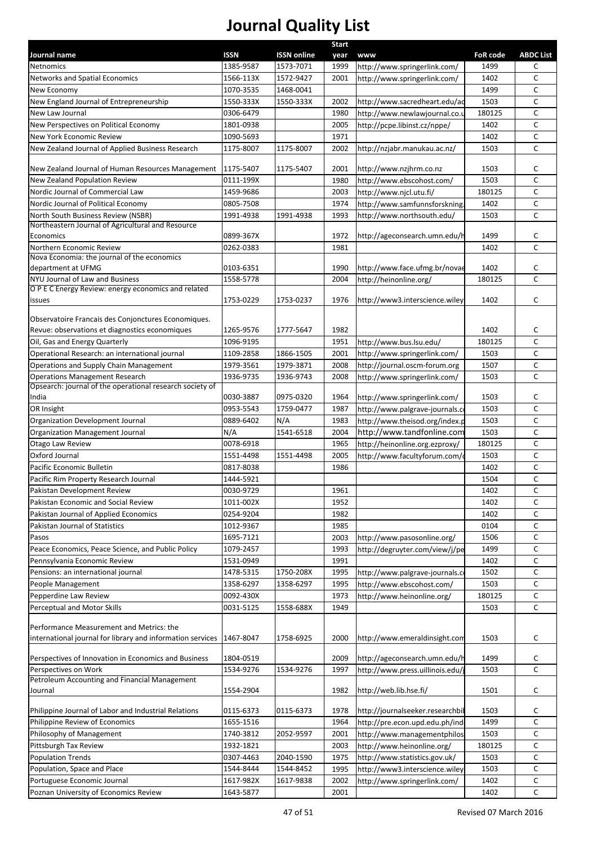|                                                            |           |                    | Start |                                  |                 |                  |
|------------------------------------------------------------|-----------|--------------------|-------|----------------------------------|-----------------|------------------|
| Journal name                                               | ISSN      | <b>ISSN online</b> | year  | <b>www</b>                       | <b>FoR code</b> | <b>ABDC List</b> |
| Netnomics                                                  | 1385-9587 | 1573-7071          | 1999  | http://www.springerlink.com/     | 1499            | C                |
| <b>Networks and Spatial Economics</b>                      | 1566-113X | 1572-9427          | 2001  | http://www.springerlink.com/     | 1402            | $\mathsf{C}$     |
| New Economy                                                | 1070-3535 | 1468-0041          |       |                                  | 1499            | $\mathsf{C}$     |
| New England Journal of Entrepreneurship                    | 1550-333X | 1550-333X          | 2002  | http://www.sacredheart.edu/ac    | 1503            | $\mathsf{C}$     |
| New Law Journal                                            | 0306-6479 |                    | 1980  | http://www.newlawjournal.co.u    | 180125          | $\mathsf{C}$     |
| New Perspectives on Political Economy                      | 1801-0938 |                    | 2005  | http://pcpe.libinst.cz/nppe/     | 1402            | $\mathsf{C}$     |
| New York Economic Review                                   | 1090-5693 |                    | 1971  |                                  | 1402            | $\mathsf{C}$     |
| New Zealand Journal of Applied Business Research           | 1175-8007 | 1175-8007          | 2002  | http://nzjabr.manukau.ac.nz/     | 1503            | $\mathsf{C}$     |
| New Zealand Journal of Human Resources Management          | 1175-5407 | 1175-5407          | 2001  | http://www.nzjhrm.co.nz          | 1503            | C                |
| New Zealand Population Review                              | 0111-199X |                    | 1980  | http://www.ebscohost.com/        | 1503            | $\mathsf{C}$     |
| Nordic Journal of Commercial Law                           | 1459-9686 |                    | 2003  | http://www.njcl.utu.fi/          | 180125          | $\mathsf{C}$     |
| Nordic Journal of Political Economy                        | 0805-7508 |                    | 1974  | http://www.samfunnsforskning.    | 1402            | $\mathsf{C}$     |
| North South Business Review (NSBR)                         | 1991-4938 | 1991-4938          | 1993  | http://www.northsouth.edu/       | 1503            | $\mathsf{C}$     |
| Northeastern Journal of Agricultural and Resource          |           |                    |       |                                  |                 |                  |
| Economics                                                  | 0899-367X |                    | 1972  | http://ageconsearch.umn.edu/l    | 1499            | C                |
| Northern Economic Review                                   | 0262-0383 |                    | 1981  |                                  | 1402            | $\mathsf{C}$     |
| Nova Economia: the journal of the economics                |           |                    |       |                                  |                 |                  |
| department at UFMG                                         | 0103-6351 |                    | 1990  | http://www.face.ufmg.br/novae    | 1402            | C                |
| NYU Journal of Law and Business                            | 1558-5778 |                    | 2004  | http://heinonline.org/           | 180125          | $\mathsf{C}$     |
| O P E C Energy Review: energy economics and related        |           |                    |       |                                  |                 |                  |
| issues                                                     | 1753-0229 | 1753-0237          | 1976  | http://www3.interscience.wiley   | 1402            | C                |
| Observatoire Francais des Conjonctures Economiques.        |           |                    |       |                                  |                 |                  |
| Revue: observations et diagnostics economiques             | 1265-9576 | 1777-5647          | 1982  |                                  | 1402            | C                |
| Oil, Gas and Energy Quarterly                              | 1096-9195 |                    | 1951  | http://www.bus.lsu.edu/          | 180125          | $\mathsf{C}$     |
| Operational Research: an international journal             | 1109-2858 | 1866-1505          | 2001  | http://www.springerlink.com/     | 1503            | $\mathsf{C}$     |
| Operations and Supply Chain Management                     | 1979-3561 | 1979-3871          | 2008  | http://journal.oscm-forum.org    | 1507            | $\mathsf{C}$     |
| <b>Operations Management Research</b>                      | 1936-9735 | 1936-9743          | 2008  | http://www.springerlink.com/     | 1503            | $\mathsf{C}$     |
| Opsearch: journal of the operational research society of   |           |                    |       |                                  |                 |                  |
| India                                                      | 0030-3887 | 0975-0320          | 1964  | http://www.springerlink.com/     | 1503            | C                |
| OR Insight                                                 | 0953-5543 | 1759-0477          | 1987  | http://www.palgrave-journals.c   | 1503            | $\mathsf{C}$     |
| Organization Development Journal                           | 0889-6402 | N/A                | 1983  | http://www.theisod.org/index.p   | 1503            | $\mathsf{C}$     |
| Organization Management Journal                            | N/A       | 1541-6518          | 2004  | http://www.tandfonline.com       | 1503            | $\mathsf{C}$     |
| Otago Law Review                                           | 0078-6918 |                    | 1965  | http://heinonline.org.ezproxy/   | 180125          | $\mathsf{C}$     |
| Oxford Journal                                             | 1551-4498 | 1551-4498          | 2005  | http://www.facultyforum.com/     | 1503            | $\mathsf{C}$     |
| Pacific Economic Bulletin                                  | 0817-8038 |                    | 1986  |                                  | 1402            | C                |
| Pacific Rim Property Research Journal                      | 1444-5921 |                    |       |                                  | 1504            | $\mathsf C$      |
| Pakistan Development Review                                | 0030-9729 |                    | 1961  |                                  | 1402            | C                |
| Pakistan Economic and Social Review                        | 1011-002X |                    | 1952  |                                  | 1402            | $\mathsf{C}$     |
| Pakistan Journal of Applied Economics                      | 0254-9204 |                    | 1982  |                                  | 1402            | C                |
| Pakistan Journal of Statistics                             | 1012-9367 |                    | 1985  |                                  | 0104            | $\mathsf C$      |
| Pasos                                                      | 1695-7121 |                    | 2003  | http://www.pasosonline.org/      | 1506            | $\mathsf C$      |
| Peace Economics, Peace Science, and Public Policy          | 1079-2457 |                    | 1993  | http://degruyter.com/view/j/pe   | 1499            | $\mathsf C$      |
| Pennsylvania Economic Review                               | 1531-0949 |                    | 1991  |                                  | 1402            | C                |
| Pensions: an international journal                         | 1478-5315 | 1750-208X          | 1995  | http://www.palgrave-journals.c   | 1502            | $\mathsf{C}$     |
| People Management                                          | 1358-6297 | 1358-6297          | 1995  | http://www.ebscohost.com/        | 1503            | C                |
|                                                            |           |                    |       |                                  |                 |                  |
| Pepperdine Law Review                                      | 0092-430X |                    | 1973  | http://www.heinonline.org/       | 180125          | $\mathsf C$      |
| Perceptual and Motor Skills                                | 0031-5125 | 1558-688X          | 1949  |                                  | 1503            | $\mathsf{C}$     |
| Performance Measurement and Metrics: the                   |           |                    |       |                                  |                 |                  |
| international journal for library and information services | 1467-8047 | 1758-6925          | 2000  | http://www.emeraldinsight.com    | 1503            | C                |
|                                                            |           |                    |       |                                  |                 |                  |
| Perspectives of Innovation in Economics and Business       | 1804-0519 |                    | 2009  | http://ageconsearch.umn.edu/h    | 1499            | C                |
| Perspectives on Work                                       | 1534-9276 | 1534-9276          | 1997  | http://www.press.uillinois.edu/j | 1503            | $\mathsf{C}$     |
| Petroleum Accounting and Financial Management              |           |                    |       |                                  |                 |                  |
| Journal                                                    | 1554-2904 |                    | 1982  | http://web.lib.hse.fi/           | 1501            | C                |
|                                                            |           |                    |       |                                  |                 |                  |
| Philippine Journal of Labor and Industrial Relations       | 0115-6373 | 0115-6373          | 1978  | http://journalseeker.researchbil | 1503            | C                |
| Philippine Review of Economics                             | 1655-1516 |                    | 1964  | http://pre.econ.upd.edu.ph/ind   | 1499            | $\mathsf{C}$     |
| Philosophy of Management                                   | 1740-3812 | 2052-9597          | 2001  | http://www.managementphilos      | 1503            | $\mathsf C$      |
| Pittsburgh Tax Review                                      | 1932-1821 |                    | 2003  | http://www.heinonline.org/       | 180125          | $\mathsf C$      |
| <b>Population Trends</b>                                   | 0307-4463 | 2040-1590          | 1975  | http://www.statistics.gov.uk/    | 1503            | $\mathsf C$      |
| Population, Space and Place                                | 1544-8444 | 1544-8452          | 1995  | http://www3.interscience.wiley   | 1503            | $\mathsf{C}$     |
| Portuguese Economic Journal                                | 1617-982X | 1617-9838          | 2002  | http://www.springerlink.com/     | 1402            | $\mathsf C$      |
| Poznan University of Economics Review                      | 1643-5877 |                    | 2001  |                                  | 1402            | $\mathsf{C}$     |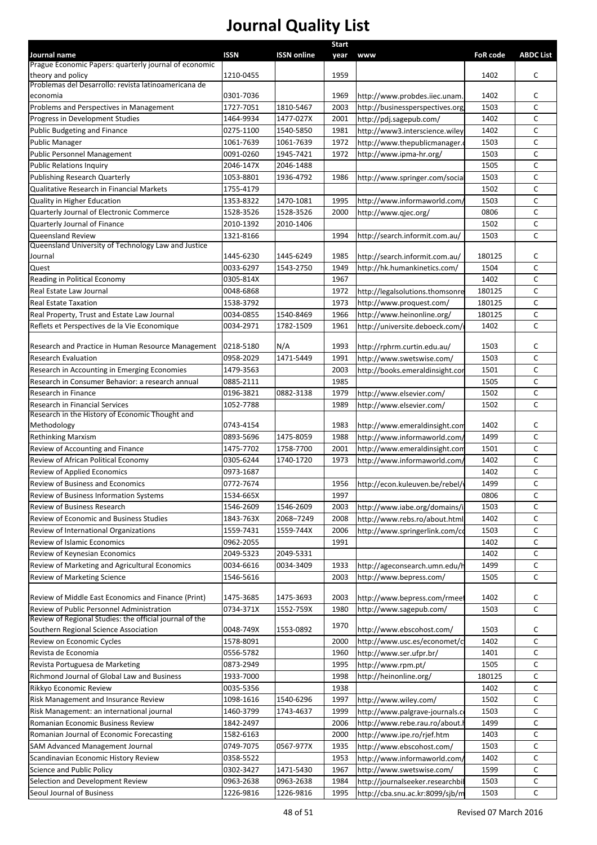|                                                                       |             |                    | <b>Start</b> |                                  |                 |                  |
|-----------------------------------------------------------------------|-------------|--------------------|--------------|----------------------------------|-----------------|------------------|
| Journal name<br>Prague Economic Papers: quarterly journal of economic | <b>ISSN</b> | <b>ISSN online</b> | year         | <b>www</b>                       | <b>FoR code</b> | <b>ABDC List</b> |
| theory and policy                                                     | 1210-0455   |                    | 1959         |                                  | 1402            | c                |
| Problemas del Desarrollo: revista latinoamericana de                  |             |                    |              |                                  |                 |                  |
| economia                                                              | 0301-7036   |                    | 1969         | http://www.probdes.iiec.unam.    | 1402            | c                |
| Problems and Perspectives in Management                               | 1727-7051   | 1810-5467          | 2003         | http://businessperspectives.org  | 1503            | $\mathsf{C}$     |
| Progress in Development Studies                                       | 1464-9934   | 1477-027X          | 2001         | http://pdj.sagepub.com/          | 1402            | C                |
| Public Budgeting and Finance                                          | 0275-1100   | 1540-5850          | 1981         | http://www3.interscience.wiley   | 1402            | C                |
| <b>Public Manager</b>                                                 | 1061-7639   | 1061-7639          | 1972         | http://www.thepublicmanager.     | 1503            | C                |
| Public Personnel Management                                           | 0091-0260   | 1945-7421          | 1972         | http://www.ipma-hr.org/          | 1503            | $\mathsf C$      |
| Public Relations Inquiry                                              | 2046-147X   | 2046-1488          |              |                                  | 1505            | C                |
| Publishing Research Quarterly                                         | 1053-8801   | 1936-4792          | 1986         | http://www.springer.com/social   | 1503            | C                |
| Qualitative Research in Financial Markets                             | 1755-4179   |                    |              |                                  | 1502            | C                |
| Quality in Higher Education                                           | 1353-8322   | 1470-1081          | 1995         | http://www.informaworld.com/     | 1503            | C                |
| Quarterly Journal of Electronic Commerce                              | 1528-3526   | 1528-3526          | 2000         | http://www.gjec.org/             | 0806            | C                |
| Quarterly Journal of Finance                                          | 2010-1392   | 2010-1406          |              |                                  | 1502            | C                |
| Queensland Review                                                     | 1321-8166   |                    | 1994         | http://search.informit.com.au/   | 1503            | C                |
| Queensland University of Technology Law and Justice                   |             |                    |              |                                  |                 |                  |
| Journal                                                               | 1445-6230   | 1445-6249          | 1985         | http://search.informit.com.au/   | 180125          | c                |
| Quest                                                                 | 0033-6297   | 1543-2750          | 1949         | http://hk.humankinetics.com/     | 1504            | C                |
| Reading in Political Economy                                          | 0305-814X   |                    | 1967         |                                  | 1402            | C                |
| Real Estate Law Journal                                               | 0048-6868   |                    | 1972         | http://legalsolutions.thomsonre  | 180125          | C                |
| Real Estate Taxation                                                  | 1538-3792   |                    | 1973         | http://www.proquest.com/         | 180125          | C                |
| Real Property, Trust and Estate Law Journal                           | 0034-0855   | 1540-8469          | 1966         | http://www.heinonline.org/       | 180125          | C                |
| Reflets et Perspectives de la Vie Economique                          | 0034-2971   | 1782-1509          | 1961         | http://universite.deboeck.com/   | 1402            | C                |
|                                                                       |             |                    |              |                                  |                 |                  |
| Research and Practice in Human Resource Management                    | 0218-5180   | N/A                | 1993         | http://rphrm.curtin.edu.au/      | 1503            | c                |
| <b>Research Evaluation</b>                                            | 0958-2029   | 1471-5449          | 1991         | http://www.swetswise.com/        | 1503            | C                |
| Research in Accounting in Emerging Economies                          | 1479-3563   |                    | 2003         | http://books.emeraldinsight.cor  | 1501            | C                |
| Research in Consumer Behavior: a research annual                      | 0885-2111   |                    | 1985         |                                  | 1505            | C                |
| Research in Finance                                                   | 0196-3821   | 0882-3138          | 1979         | http://www.elsevier.com/         | 1502            | C                |
| Research in Financial Services                                        | 1052-7788   |                    | 1989         | http://www.elsevier.com/         | 1502            | $\mathsf{C}$     |
| Research in the History of Economic Thought and                       |             |                    |              |                                  |                 |                  |
| Methodology                                                           | 0743-4154   |                    | 1983         | http://www.emeraldinsight.con    | 1402            | С                |
| <b>Rethinking Marxism</b>                                             | 0893-5696   | 1475-8059          | 1988         | http://www.informaworld.com/     | 1499            | C                |
| Review of Accounting and Finance                                      | 1475-7702   | 1758-7700          | 2001         | http://www.emeraldinsight.com    | 1501            | C                |
| Review of African Political Economy                                   | 0305-6244   | 1740-1720          | 1973         | http://www.informaworld.com,     | 1402            | C                |
| Review of Applied Economics                                           | 0973-1687   |                    |              |                                  | 1402            | С                |
| Review of Business and Economics                                      | 0772-7674   |                    | 1956         | http://econ.kuleuven.be/rebel/\  | 1499            | C                |
| Review of Business Information Systems                                | 1534-665X   |                    | 1997         |                                  | 0806            | c                |
| Review of Business Research                                           | 1546-2609   | 1546-2609          | 2003         | http://www.iabe.org/domains/i    | 1503            | C                |
| Review of Economic and Business Studies                               | 1843-763X   | 2068-7249          | 2008         | http://www.rebs.ro/about.html    | 1402            | С                |
| Review of International Organizations                                 | 1559-7431   | 1559-744X          | 2006         | http://www.springerlink.com/co   | 1503            | c                |
| Review of Islamic Economics                                           | 0962-2055   |                    | 1991         |                                  | 1402            | c                |
| Review of Keynesian Economics                                         | 2049-5323   | 2049-5331          |              |                                  | 1402            | c                |
| Review of Marketing and Agricultural Economics                        | 0034-6616   | 0034-3409          | 1933         | http://ageconsearch.umn.edu/h    | 1499            | C                |
| <b>Review of Marketing Science</b>                                    | 1546-5616   |                    | 2003         | http://www.bepress.com/          | 1505            | С                |
|                                                                       |             |                    |              |                                  |                 |                  |
| Review of Middle East Economics and Finance (Print)                   | 1475-3685   | 1475-3693          | 2003         | http://www.bepress.com/rmeef     | 1402            | c                |
| Review of Public Personnel Administration                             | 0734-371X   | 1552-759X          | 1980         | http://www.sagepub.com/          | 1503            | C                |
| Review of Regional Studies: the official journal of the               |             |                    | 1970         |                                  |                 |                  |
| Southern Regional Science Association                                 | 0048-749X   | 1553-0892          |              | http://www.ebscohost.com/        | 1503            | С                |
| Review on Economic Cycles                                             | 1578-8091   |                    | 2000         | http://www.usc.es/economet/c     | 1402            | С                |
| Revista de Economia                                                   | 0556-5782   |                    | 1960         | http://www.ser.ufpr.br/          | 1401            | C                |
| Revista Portuguesa de Marketing                                       | 0873-2949   |                    | 1995         | http://www.rpm.pt/               | 1505            | С                |
| Richmond Journal of Global Law and Business                           | 1933-7000   |                    | 1998         | http://heinonline.org/           | 180125          | C                |
| Rikkyo Economic Review                                                | 0035-5356   |                    | 1938         |                                  | 1402            | C                |
| Risk Management and Insurance Review                                  | 1098-1616   | 1540-6296          | 1997         | http://www.wiley.com/            | 1502            | C                |
| Risk Management: an international journal                             | 1460-3799   | 1743-4637          | 1999         | http://www.palgrave-journals.co  | 1503            | С                |
| Romanian Economic Business Review                                     | 1842-2497   |                    | 2006         | http://www.rebe.rau.ro/about.l   | 1499            | c                |
| Romanian Journal of Economic Forecasting                              | 1582-6163   |                    | 2000         | http://www.ipe.ro/rjef.htm       | 1403            | C                |
| <b>SAM Advanced Management Journal</b>                                | 0749-7075   | 0567-977X          | 1935         | http://www.ebscohost.com/        | 1503            | c                |
| Scandinavian Economic History Review                                  | 0358-5522   |                    | 1953         | http://www.informaworld.com/     | 1402            | C                |
| Science and Public Policy                                             | 0302-3427   | 1471-5430          | 1967         | http://www.swetswise.com/        | 1599            | c                |
| Selection and Development Review                                      | 0963-2638   | 0963-2638          | 1984         | http://journalseeker.researchbil | 1503            | $\mathsf C$      |
| Seoul Journal of Business                                             | 1226-9816   | 1226-9816          | 1995         | http://cba.snu.ac.kr:8099/sjb/m  | 1503            | C                |
|                                                                       |             |                    |              |                                  |                 |                  |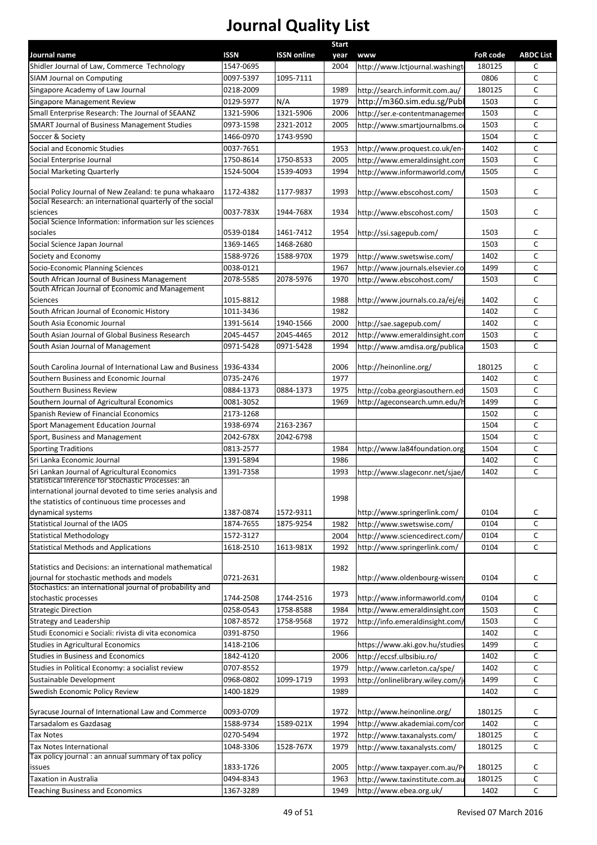|                                                                                                                     |             |                    | <b>Start</b> |                                  |                                              |                  |
|---------------------------------------------------------------------------------------------------------------------|-------------|--------------------|--------------|----------------------------------|----------------------------------------------|------------------|
| Journal name                                                                                                        | <b>ISSN</b> | <b>ISSN online</b> | year         | <b>www</b>                       | <b>FoR code</b>                              | <b>ABDC List</b> |
| Shidler Journal of Law, Commerce Technology                                                                         | 1547-0695   |                    | 2004         | http://www.lctjournal.washingt   | 180125                                       | C                |
| <b>SIAM Journal on Computing</b>                                                                                    | 0097-5397   | 1095-7111          |              |                                  | 0806                                         | C                |
| Singapore Academy of Law Journal                                                                                    | 0218-2009   |                    | 1989         | http://search.informit.com.au/   | 180125                                       | $\mathsf{C}$     |
| Singapore Management Review                                                                                         | 0129-5977   | N/A                | 1979         | http://m360.sim.edu.sg/Publ      | 1503                                         | $\mathsf{C}$     |
| Small Enterprise Research: The Journal of SEAANZ                                                                    | 1321-5906   | 1321-5906          | 2006         | http://ser.e-contentmanagemer    | 1503                                         | $\mathsf{C}$     |
| <b>SMART Journal of Business Management Studies</b>                                                                 | 0973-1598   | 2321-2012          | 2005         | http://www.smartjournalbms.o     | 1503                                         | $\mathsf{C}$     |
| Soccer & Society                                                                                                    | 1466-0970   | 1743-9590          |              |                                  | 1504                                         | $\mathsf{C}$     |
| Social and Economic Studies                                                                                         | 0037-7651   |                    | 1953         | http://www.proquest.co.uk/en-    | 1402                                         | C                |
| Social Enterprise Journal                                                                                           | 1750-8614   | 1750-8533          | 2005         | http://www.emeraldinsight.com    | 1503                                         | $\mathsf{C}$     |
| Social Marketing Quarterly                                                                                          | 1524-5004   | 1539-4093          | 1994         | http://www.informaworld.com,     | 1505                                         | $\mathsf{C}$     |
| Social Policy Journal of New Zealand: te puna whakaaro<br>Social Research: an international quarterly of the social | 1172-4382   | 1177-9837          | 1993         | http://www.ebscohost.com/        | 1503                                         | C                |
| sciences                                                                                                            | 0037-783X   | 1944-768X          | 1934         | http://www.ebscohost.com/        | 1503                                         | C                |
| Social Science Information: information sur les sciences                                                            |             |                    |              |                                  |                                              |                  |
| sociales                                                                                                            | 0539-0184   | 1461-7412          | 1954         | http://ssi.sagepub.com/          | 1503                                         | C                |
| Social Science Japan Journal                                                                                        | 1369-1465   | 1468-2680          |              |                                  | 1503                                         | $\mathsf{C}$     |
| Society and Economy                                                                                                 | 1588-9726   | 1588-970X          | 1979         | http://www.swetswise.com/        | 1402                                         | $\mathsf{C}$     |
| Socio-Economic Planning Sciences                                                                                    | 0038-0121   |                    | 1967         | http://www.journals.elsevier.co  | 1499                                         | $\mathsf{C}$     |
| South African Journal of Business Management                                                                        | 2078-5585   | 2078-5976          | 1970         | http://www.ebscohost.com/        | 1503                                         | $\mathsf{C}$     |
| South African Journal of Economic and Management                                                                    |             |                    |              |                                  |                                              |                  |
| Sciences                                                                                                            | 1015-8812   |                    | 1988         | http://www.journals.co.za/ej/ej  | 1402                                         | C                |
| South African Journal of Economic History                                                                           | 1011-3436   |                    | 1982         |                                  | 1402                                         | $\mathsf{C}$     |
| South Asia Economic Journal                                                                                         | 1391-5614   | 1940-1566          | 2000         | http://sae.sagepub.com/          | 1402                                         | $\mathsf{C}$     |
| South Asian Journal of Global Business Research                                                                     | 2045-4457   | 2045-4465          | 2012         | http://www.emeraldinsight.com    | C<br>1503                                    |                  |
| South Asian Journal of Management                                                                                   | 0971-5428   | 0971-5428          | 1994         | http://www.amdisa.org/publica    | 1503                                         | $\mathsf{C}$     |
|                                                                                                                     |             |                    |              |                                  |                                              |                  |
| South Carolina Journal of International Law and Business   1936-4334                                                |             |                    | 2006         | http://heinonline.org/           | 180125                                       | C                |
| Southern Business and Economic Journal                                                                              | 0735-2476   |                    | 1977         |                                  | 1402                                         | C                |
| Southern Business Review                                                                                            | 0884-1373   | 0884-1373          | 1975         | http://coba.georgiasouthern.ed   | $\mathsf{C}$<br>1503<br>$\mathsf{C}$<br>1499 |                  |
| Southern Journal of Agricultural Economics                                                                          | 0081-3052   |                    | 1969         | http://ageconsearch.umn.edu/h    |                                              |                  |
| Spanish Review of Financial Economics                                                                               | 2173-1268   |                    |              |                                  | 1502                                         | $\mathsf{C}$     |
| Sport Management Education Journal                                                                                  | 1938-6974   | 2163-2367          |              |                                  | 1504                                         | C                |
| Sport, Business and Management                                                                                      | 2042-678X   | 2042-6798          |              |                                  | 1504                                         | $\mathsf{C}$     |
| <b>Sporting Traditions</b>                                                                                          | 0813-2577   |                    | 1984         | http://www.la84foundation.org    | 1504                                         | $\mathsf{C}$     |
| Sri Lanka Economic Journal                                                                                          | 1391-5894   |                    | 1986         |                                  | 1402                                         | $\mathsf{C}$     |
| Sri Lankan Journal of Agricultural Economics                                                                        | 1391-7358   |                    | 1993         | http://www.slageconr.net/sjae/   | 1402                                         | $\mathsf{C}$     |
| Statistical Inference for Stochastic Processes: an                                                                  |             |                    |              |                                  |                                              |                  |
| international journal devoted to time series analysis and<br>the statistics of continuous time processes and        |             |                    | 1998         |                                  |                                              |                  |
| dynamical systems                                                                                                   | 1387-0874   | 1572-9311          |              | http://www.springerlink.com/     | 0104                                         | c                |
| Statistical Journal of the IAOS                                                                                     | 1874-7655   | 1875-9254          | 1982         | http://www.swetswise.com/        | 0104                                         | $\mathsf{C}$     |
| Statistical Methodology                                                                                             | 1572-3127   |                    | 2004         | http://www.sciencedirect.com/    | 0104                                         | $\mathsf C$      |
| <b>Statistical Methods and Applications</b>                                                                         | 1618-2510   | 1613-981X          | 1992         | http://www.springerlink.com/     | 0104                                         | $\mathsf{C}$     |
| Statistics and Decisions: an international mathematical<br>journal for stochastic methods and models                | 0721-2631   |                    | 1982         | http://www.oldenbourg-wissens    | 0104                                         | C                |
| Stochastics: an international journal of probability and                                                            |             |                    |              |                                  |                                              |                  |
| stochastic processes                                                                                                | 1744-2508   | 1744-2516          | 1973         | http://www.informaworld.com/     | 0104                                         | C                |
| <b>Strategic Direction</b>                                                                                          | 0258-0543   | 1758-8588          | 1984         | http://www.emeraldinsight.com    | 1503                                         | $\mathsf{C}$     |
| Strategy and Leadership                                                                                             | 1087-8572   | 1758-9568          | 1972         | http://info.emeraldinsight.com/  | 1503                                         | $\mathsf{C}$     |
| Studi Economici e Sociali: rivista di vita economica                                                                | 0391-8750   |                    | 1966         |                                  | 1402                                         | $\mathsf{C}$     |
| Studies in Agricultural Economics                                                                                   | 1418-2106   |                    |              | https://www.aki.gov.hu/studies   | 1499                                         | $\mathsf{C}$     |
| Studies in Business and Economics                                                                                   | 1842-4120   |                    | 2006         | http://eccsf.ulbsibiu.ro/        | 1402                                         | $\mathsf{C}$     |
| Studies in Political Economy: a socialist review                                                                    | 0707-8552   |                    | 1979         | http://www.carleton.ca/spe/      | 1402                                         | $\mathsf{C}$     |
| Sustainable Development                                                                                             | 0968-0802   | 1099-1719          | 1993         | http://onlinelibrary.wiley.com/j | 1499                                         | $\mathsf C$      |
| Swedish Economic Policy Review                                                                                      | 1400-1829   |                    | 1989         |                                  | 1402                                         | $\mathsf{C}$     |
| Syracuse Journal of International Law and Commerce                                                                  | 0093-0709   |                    | 1972         | http://www.heinonline.org/       | 180125                                       | C                |
| Tarsadalom es Gazdasag                                                                                              | 1588-9734   | 1589-021X          | 1994         | http://www.akademiai.com/con     | 1402                                         | $\mathsf{C}$     |
| Tax Notes                                                                                                           | 0270-5494   |                    | 1972         | http://www.taxanalysts.com/      | 180125                                       | C                |
|                                                                                                                     |             | 1528-767X          |              |                                  |                                              | $\mathsf{C}$     |
| Tax Notes International<br>Tax policy journal : an annual summary of tax policy                                     | 1048-3306   |                    | 1979         | http://www.taxanalysts.com/      | 180125                                       |                  |
| issues                                                                                                              | 1833-1726   |                    | 2005         | http://www.taxpayer.com.au/P     | 180125                                       | C                |
| <b>Taxation in Australia</b>                                                                                        | 0494-8343   |                    | 1963         | http://www.taxinstitute.com.au   | 180125                                       | C                |
| <b>Teaching Business and Economics</b>                                                                              | 1367-3289   |                    | 1949         | http://www.ebea.org.uk/          | 1402                                         | $\mathsf{C}$     |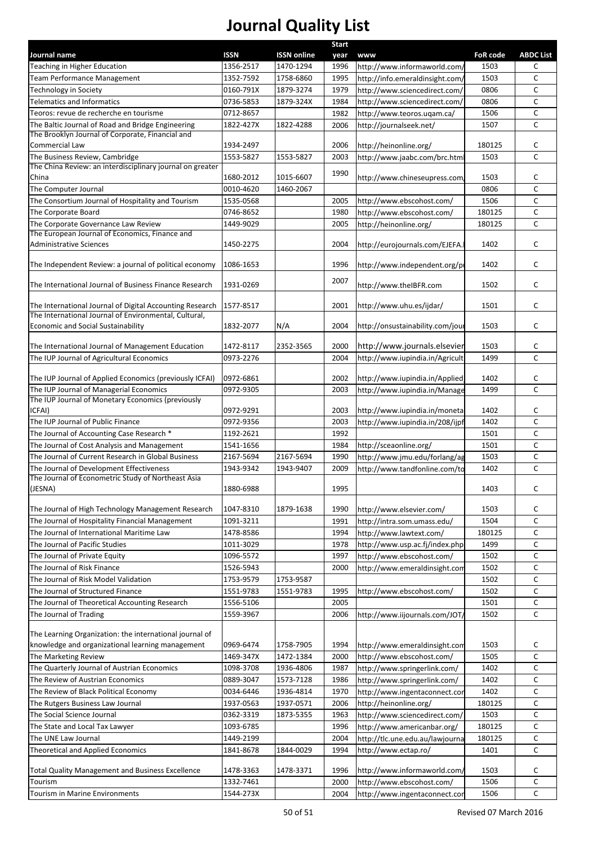|                                                                                              |             |                    | <b>Start</b> |                                  |                 |                  |
|----------------------------------------------------------------------------------------------|-------------|--------------------|--------------|----------------------------------|-----------------|------------------|
| Journal name                                                                                 | <b>ISSN</b> | <b>ISSN online</b> | year         | <b>www</b>                       | <b>FoR code</b> | <b>ABDC List</b> |
| Teaching in Higher Education                                                                 | 1356-2517   | 1470-1294          | 1996         | http://www.informaworld.com/     | 1503            | с                |
| Team Performance Management                                                                  | 1352-7592   | 1758-6860          | 1995         | http://info.emeraldinsight.com/  | 1503            | С                |
| Technology in Society                                                                        | 0160-791X   | 1879-3274          | 1979         | http://www.sciencedirect.com/    | 0806            | C                |
| <b>Telematics and Informatics</b>                                                            | 0736-5853   | 1879-324X          | 1984         | http://www.sciencedirect.com/    | 0806            | C                |
| Teoros: revue de recherche en tourisme                                                       | 0712-8657   |                    | 1982         | http://www.teoros.ugam.ca/       | 1506            | C                |
| The Baltic Journal of Road and Bridge Engineering                                            | 1822-427X   | 1822-4288          | 2006         | http://journalseek.net/          | 1507            | C                |
| The Brooklyn Journal of Corporate, Financial and                                             |             |                    |              |                                  |                 |                  |
| Commercial Law                                                                               | 1934-2497   |                    | 2006         | http://heinonline.org/           | 180125          | С                |
| The Business Review, Cambridge                                                               | 1553-5827   | 1553-5827          | 2003         | http://www.jaabc.com/brc.htm     | 1503            | C                |
| The China Review: an interdisciplinary journal on greater                                    |             |                    | 1990         |                                  |                 |                  |
| China                                                                                        | 1680-2012   | 1015-6607          |              | http://www.chineseupress.com,    | 1503            | С                |
| The Computer Journal                                                                         | 0010-4620   | 1460-2067          |              |                                  | 0806            | C                |
| The Consortium Journal of Hospitality and Tourism                                            | 1535-0568   |                    | 2005         | http://www.ebscohost.com/        | 1506            | C                |
| The Corporate Board                                                                          | 0746-8652   |                    | 1980         | http://www.ebscohost.com/        | 180125          | C                |
| The Corporate Governance Law Review                                                          | 1449-9029   |                    | 2005         | http://heinonline.org/           | 180125          | C                |
| The European Journal of Economics, Finance and                                               |             |                    |              |                                  |                 |                  |
| <b>Administrative Sciences</b>                                                               | 1450-2275   |                    | 2004         | http://eurojournals.com/EJEFA.   | 1402            | с                |
| The Independent Review: a journal of political economy                                       | 1086-1653   |                    | 1996         | http://www.independent.org/pi    | 1402            | С                |
|                                                                                              |             |                    |              |                                  |                 |                  |
| The International Journal of Business Finance Research                                       | 1931-0269   |                    | 2007         | http://www.theIBFR.com           | 1502            | C                |
|                                                                                              |             |                    |              |                                  |                 |                  |
| The International Journal of Digital Accounting Research                                     | 1577-8517   |                    | 2001         | http://www.uhu.es/ijdar/         | 1501            | C                |
| The International Journal of Environmental, Cultural,                                        |             |                    |              |                                  |                 |                  |
| <b>Economic and Social Sustainability</b>                                                    | 1832-2077   | N/A                | 2004         | http://onsustainability.com/jour | 1503            | c                |
|                                                                                              |             |                    |              |                                  |                 |                  |
| The International Journal of Management Education                                            | 1472-8117   | 2352-3565          | 2000         | http://www.journals.elsevier     | 1503            | С                |
| The IUP Journal of Agricultural Economics                                                    | 0973-2276   |                    | 2004         | http://www.iupindia.in/Agricult  | 1499            | C                |
|                                                                                              |             |                    |              |                                  |                 |                  |
| The IUP Journal of Applied Economics (previously ICFAI)                                      | 0972-6861   |                    | 2002         | http://www.iupindia.in/Applied   | 1402            | с                |
| The IUP Journal of Managerial Economics<br>The IUP Journal of Monetary Economics (previously | 0972-9305   |                    | 2003         | http://www.iupindia.in/Manage    | 1499            | C                |
| ICFAI)                                                                                       | 0972-9291   |                    | 2003         |                                  | 1402            | С                |
| The IUP Journal of Public Finance                                                            |             |                    |              | http://www.iupindia.in/moneta    |                 |                  |
|                                                                                              | 0972-9356   |                    | 2003         | http://www.iupindia.in/208/ijpf  | 1402            | С                |
| The Journal of Accounting Case Research *                                                    | 1192-2621   |                    | 1992         |                                  | 1501            | С                |
| The Journal of Cost Analysis and Management                                                  | 1541-1656   |                    | 1984         | http://sceaonline.org/           | 1501            | C                |
| The Journal of Current Research in Global Business                                           | 2167-5694   | 2167-5694          | 1990         | http://www.jmu.edu/forlang/ag    | 1503            | С                |
| The Journal of Development Effectiveness                                                     | 1943-9342   | 1943-9407          | 2009         | http://www.tandfonline.com/to    | 1402            | C                |
| The Journal of Econometric Study of Northeast Asia                                           |             |                    |              |                                  |                 |                  |
| (JESNA)                                                                                      | 1880-6988   |                    | 1995         |                                  | 1403            | C                |
| The Journal of High Technology Management Research                                           | 1047-8310   | 1879-1638          | 1990         | http://www.elsevier.com/         | 1503            | С                |
| The Journal of Hospitality Financial Management                                              | 1091-3211   |                    | 1991         | http://intra.som.umass.edu/      | 1504            | C                |
| The Journal of International Maritime Law                                                    | 1478-8586   |                    | 1994         | http://www.lawtext.com/          | 180125          | C                |
| The Journal of Pacific Studies                                                               | 1011-3029   |                    |              |                                  | 1499            | C                |
|                                                                                              |             |                    | 1978         | http://www.usp.ac.fj/index.php   |                 |                  |
| The Journal of Private Equity                                                                | 1096-5572   |                    | 1997         | http://www.ebscohost.com/        | 1502            | С                |
| The Journal of Risk Finance                                                                  | 1526-5943   |                    | 2000         | http://www.emeraldinsight.com    | 1502            | C                |
| The Journal of Risk Model Validation                                                         | 1753-9579   | 1753-9587          |              |                                  | 1502            | C                |
| The Journal of Structured Finance                                                            | 1551-9783   | 1551-9783          | 1995         | http://www.ebscohost.com/        | 1502            | C                |
| The Journal of Theoretical Accounting Research                                               | 1556-5106   |                    | 2005         |                                  | 1501            | С                |
| The Journal of Trading                                                                       | 1559-3967   |                    | 2006         | http://www.iijournals.com/JOT/   | 1502            | C                |
|                                                                                              |             |                    |              |                                  |                 |                  |
| The Learning Organization: the international journal of                                      |             |                    |              |                                  |                 |                  |
| knowledge and organizational learning management                                             | 0969-6474   | 1758-7905          | 1994         | http://www.emeraldinsight.com    | 1503            | С                |
| The Marketing Review                                                                         | 1469-347X   | 1472-1384          | 2000         | http://www.ebscohost.com/        | 1505            | С                |
| The Quarterly Journal of Austrian Economics                                                  | 1098-3708   | 1936-4806          | 1987         | http://www.springerlink.com/     | 1402            | С                |
| The Review of Austrian Economics                                                             | 0889-3047   | 1573-7128          | 1986         | http://www.springerlink.com/     | 1402            | C                |
| The Review of Black Political Economy                                                        | 0034-6446   | 1936-4814          | 1970         | http://www.ingentaconnect.con    | 1402            | С                |
| The Rutgers Business Law Journal                                                             | 1937-0563   | 1937-0571          | 2006         | http://heinonline.org/           | 180125          | C                |
| The Social Science Journal                                                                   | 0362-3319   | 1873-5355          | 1963         | http://www.sciencedirect.com/    | 1503            | C                |
| The State and Local Tax Lawyer                                                               | 1093-6785   |                    | 1996         | http://www.americanbar.org/      | 180125          | $\mathsf{C}$     |
| The UNE Law Journal                                                                          | 1449-2199   |                    | 2004         | http://tlc.une.edu.au/lawjourna  | 180125          | C                |
| Theoretical and Applied Economics                                                            | 1841-8678   | 1844-0029          | 1994         | http://www.ectap.ro/             | 1401            | $\mathsf{C}$     |
|                                                                                              |             |                    |              |                                  |                 |                  |
| <b>Total Quality Management and Business Excellence</b>                                      | 1478-3363   | 1478-3371          | 1996         | http://www.informaworld.com/     | 1503            | С                |
| Tourism                                                                                      | 1332-7461   |                    | 2000         | http://www.ebscohost.com/        | 1506            | С                |
| Tourism in Marine Environments                                                               | 1544-273X   |                    | 2004         | http://www.ingentaconnect.con    | 1506            | $\mathsf{C}$     |
|                                                                                              |             |                    |              |                                  |                 |                  |